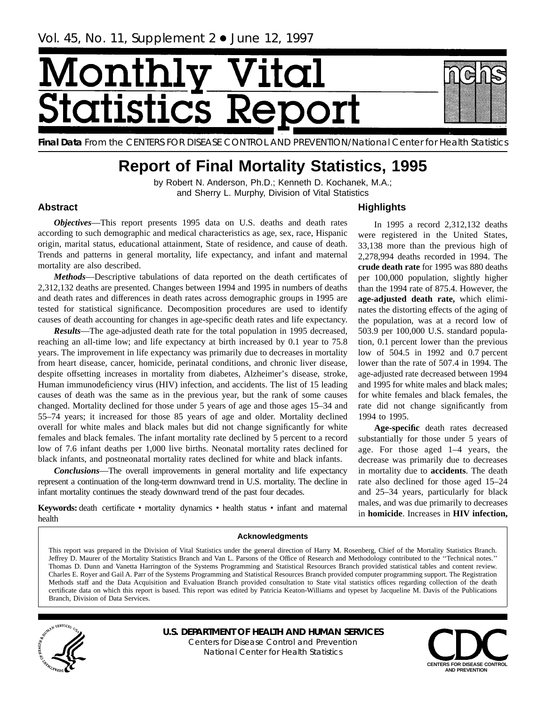# Ionth itatistics R



**Final Data** From the CENTERS FOR DISEASE CONTROL AND PREVENTION/National Center for Health Statistics

## **Report of Final Mortality Statistics, 1995**

by Robert N. Anderson, Ph.D.; Kenneth D. Kochanek, M.A.; and Sherry L. Murphy, Division of Vital Statistics

#### **Abstract**

*Objectives*—This report presents 1995 data on U.S. deaths and death rates according to such demographic and medical characteristics as age, sex, race, Hispanic origin, marital status, educational attainment, State of residence, and cause of death. Trends and patterns in general mortality, life expectancy, and infant and maternal mortality are also described.

*Methods*—Descriptive tabulations of data reported on the death certificates of 2,312,132 deaths are presented. Changes between 1994 and 1995 in numbers of deaths and death rates and differences in death rates across demographic groups in 1995 are tested for statistical significance. Decomposition procedures are used to identify causes of death accounting for changes in age-specific death rates and life expectancy.

*Results*—The age-adjusted death rate for the total population in 1995 decreased, reaching an all-time low; and life expectancy at birth increased by 0.1 year to 75.8 years. The improvement in life expectancy was primarily due to decreases in mortality from heart disease, cancer, homicide, perinatal conditions, and chronic liver disease, despite offsetting increases in mortality from diabetes, Alzheimer's disease, stroke, Human immunodeficiency virus (HIV) infection, and accidents. The list of 15 leading causes of death was the same as in the previous year, but the rank of some causes changed. Mortality declined for those under 5 years of age and those ages 15–34 and 55–74 years; it increased for those 85 years of age and older. Mortality declined overall for white males and black males but did not change significantly for white females and black females. The infant mortality rate declined by 5 percent to a record low of 7.6 infant deaths per 1,000 live births. Neonatal mortality rates declined for black infants, and postneonatal mortality rates declined for white and black infants.

*Conclusions*—The overall improvements in general mortality and life expectancy represent a continuation of the long-term downward trend in U.S. mortality. The decline in infant mortality continues the steady downward trend of the past four decades.

**Keywords:** death certificate • mortality dynamics • health status • infant and maternal health

**Highlights**

2,278,994 deaths recorded in 1994. The **crude death rate** for 1995 was 880 deaths per 100,000 population, slightly higher than the 1994 rate of 875.4. However, the **age-adjusted death rate,** which eliminates the distorting effects of the aging of the population, was at a record low of 503.9 per 100,000 U.S. standard population, 0.1 percent lower than the previous low of 504.5 in 1992 and 0.7 percent lower than the rate of 507.4 in 1994. The age-adjusted rate decreased between 1994 and 1995 for white males and black males; for white females and black females, the rate did not change significantly from 1994 to 1995.

In 1995 a record 2,312,132 deaths were registered in the United States, 33,138 more than the previous high of

**Age-specific** death rates decreased substantially for those under 5 years of age. For those aged 1–4 years, the decrease was primarily due to decreases in mortality due to **accidents**. The death rate also declined for those aged 15–24 and 25–34 years, particularly for black males, and was due primarily to decreases in **homicide**. Increases in **HIV infection,**

#### **Acknowledgments**

This report was prepared in the Division of Vital Statistics under the general direction of Harry M. Rosenberg, Chief of the Mortality Statistics Branch. Jeffrey D. Maurer of the Mortality Statistics Branch and Van L. Parsons of the Office of Research and Methodology contributed to the ''Technical notes.'' Thomas D. Dunn and Vanetta Harrington of the Systems Programming and Statistical Resources Branch provided statistical tables and content review. Charles E. Royer and Gail A. Parr of the Systems Programming and Statistical Resources Branch provided computer programming support. The Registration Methods staff and the Data Acquisition and Evaluation Branch provided consultation to State vital statistics offices regarding collection of the death certificate data on which this report is based. This report was edited by Patricia Keaton-Williams and typeset by Jacqueline M. Davis of the Publications Branch, Division of Data Services.



**U.S. DEPARTMENT OF HEALTH AND HUMAN SERVICES** Centers for Disease Control and Prevention National Center for Health Statistics

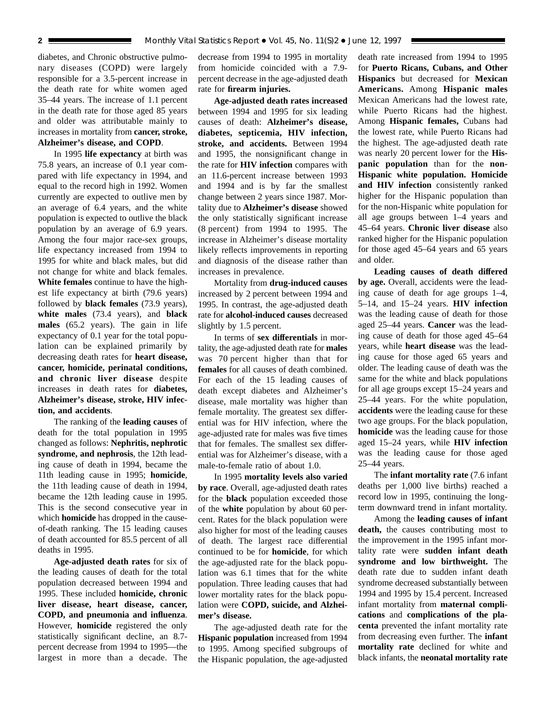diabetes, and Chronic obstructive pulmonary diseases (COPD) were largely responsible for a 3.5-percent increase in the death rate for white women aged 35–44 years. The increase of 1.1 percent in the death rate for those aged 85 years and older was attributable mainly to increases in mortality from **cancer, stroke, Alzheimer's disease, and COPD**.

In 1995 **life expectancy** at birth was 75.8 years, an increase of 0.1 year compared with life expectancy in 1994, and equal to the record high in 1992. Women currently are expected to outlive men by an average of 6.4 years, and the white population is expected to outlive the black population by an average of 6.9 years. Among the four major race-sex groups, life expectancy increased from 1994 to 1995 for white and black males, but did not change for white and black females. **White females** continue to have the highest life expectancy at birth (79.6 years) followed by **black females** (73.9 years), **white males** (73.4 years), and **black males** (65.2 years). The gain in life expectancy of 0.1 year for the total population can be explained primarily by decreasing death rates for **heart disease, cancer, homicide, perinatal conditions, and chronic liver disease** despite increases in death rates for **diabetes, Alzheimer's disease, stroke, HIV infection, and accidents**.

The ranking of the **leading causes** of death for the total population in 1995 changed as follows: **Nephritis, nephrotic syndrome, and nephrosis**, the 12th leading cause of death in 1994, became the 11th leading cause in 1995; **homicide**, the 11th leading cause of death in 1994, became the 12th leading cause in 1995. This is the second consecutive year in which **homicide** has dropped in the causeof-death ranking. The 15 leading causes of death accounted for 85.5 percent of all deaths in 1995.

**Age-adjusted death rates** for six of the leading causes of death for the total population decreased between 1994 and 1995. These included **homicide, chronic liver disease, heart disease, cancer, COPD, and pneumonia and influenza**. However, **homicide** registered the only statistically significant decline, an 8.7 percent decrease from 1994 to 1995—the largest in more than a decade. The

decrease from 1994 to 1995 in mortality from homicide coincided with a 7.9 percent decrease in the age-adjusted death rate for **firearm injuries.**

**Age-adjusted death rates increased** between 1994 and 1995 for six leading causes of death: **Alzheimer's disease, diabetes, septicemia, HIV infection, stroke, and accidents.** Between 1994 and 1995, the nonsignificant change in the rate for **HIV infection** compares with an 11.6-percent increase between 1993 and 1994 and is by far the smallest change between 2 years since 1987. Mortality due to **Alzheimer's disease** showed the only statistically significant increase (8 percent) from 1994 to 1995. The increase in Alzheimer's disease mortality likely reflects improvements in reporting and diagnosis of the disease rather than increases in prevalence.

Mortality from **drug-induced causes** increased by 2 percent between 1994 and 1995. In contrast, the age-adjusted death rate for **alcohol-induced causes** decreased slightly by 1.5 percent.

In terms of **sex differentials** in mortality, the age-adjusted death rate for **males** was 70 percent higher than that for **females** for all causes of death combined. For each of the 15 leading causes of death except diabetes and Alzheimer's disease, male mortality was higher than female mortality. The greatest sex differential was for HIV infection, where the age-adjusted rate for males was five times that for females. The smallest sex differential was for Alzheimer's disease, with a male-to-female ratio of about 1.0.

In 1995 **mortality levels also varied by race**. Overall, age-adjusted death rates for the **black** population exceeded those of the **white** population by about 60 percent. Rates for the black population were also higher for most of the leading causes of death. The largest race differential continued to be for **homicide**, for which the age-adjusted rate for the black population was 6.1 times that for the white population. Three leading causes that had lower mortality rates for the black population were **COPD, suicide, and Alzheimer's disease.**

The age-adjusted death rate for the **Hispanic population** increased from 1994 to 1995. Among specified subgroups of the Hispanic population, the age-adjusted death rate increased from 1994 to 1995 for **Puerto Ricans, Cubans, and Other Hispanics** but decreased for **Mexican Americans.** Among **Hispanic males** Mexican Americans had the lowest rate, while Puerto Ricans had the highest. Among **Hispanic females,** Cubans had the lowest rate, while Puerto Ricans had the highest. The age-adjusted death rate was nearly 20 percent lower for the **Hispanic population** than for the **non-Hispanic white population. Homicide and HIV infection** consistently ranked higher for the Hispanic population than for the non-Hispanic white population for all age groups between 1–4 years and 45–64 years. **Chronic liver disease** also ranked higher for the Hispanic population for those aged 45–64 years and 65 years and older.

**Leading causes of death differed by age.** Overall, accidents were the leading cause of death for age groups 1–4, 5–14, and 15–24 years. **HIV infection** was the leading cause of death for those aged 25–44 years. **Cancer** was the leading cause of death for those aged 45–64 years, while **heart disease** was the leading cause for those aged 65 years and older. The leading cause of death was the same for the white and black populations for all age groups except 15–24 years and 25–44 years. For the white population, **accidents** were the leading cause for these two age groups. For the black population, **homicide** was the leading cause for those aged 15–24 years, while **HIV infection** was the leading cause for those aged 25–44 years.

The **infant mortality rate** (7.6 infant deaths per 1,000 live births) reached a record low in 1995, continuing the longterm downward trend in infant mortality.

Among the **leading causes of infant death,** the causes contributing most to the improvement in the 1995 infant mortality rate were **sudden infant death syndrome and low birthweight.** The death rate due to sudden infant death syndrome decreased substantially between 1994 and 1995 by 15.4 percent. Increased infant mortality from **maternal complications** and **complications of the placenta** prevented the infant mortality rate from decreasing even further. The **infant mortality rate** declined for white and black infants, the **neonatal mortality rate**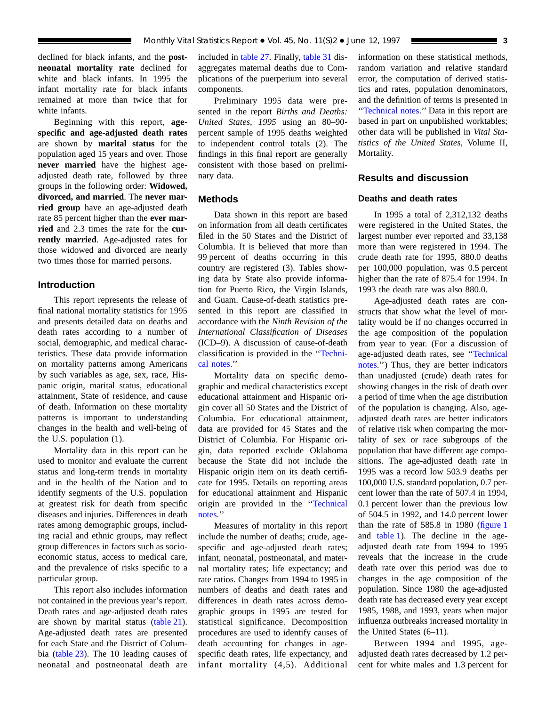declined for black infants, and the **postneonatal mortality rate** declined for white and black infants. In 1995 the infant mortality rate for black infants remained at more than twice that for white infants.

Beginning with this report, **agespecific and age-adjusted death rates** are shown by **marital status** for the population aged 15 years and over. Those **never married** have the highest ageadjusted death rate, followed by three groups in the following order: **Widowed, divorced, and married**. The **never married group** have an age-adjusted death rate 85 percent higher than the **ever married** and 2.3 times the rate for the **currently married**. Age-adjusted rates for those widowed and divorced are nearly two times those for married persons.

#### **Introduction**

This report represents the release of final national mortality statistics for 1995 and presents detailed data on deaths and death rates according to a number of social, demographic, and medical characteristics. These data provide information on mortality patterns among Americans by such variables as age, sex, race, Hispanic origin, marital status, educational attainment, State of residence, and cause of death. Information on these mortality patterns is important to understanding changes in the health and well-being of the U.S. population (1).

Mortality data in this report can be used to monitor and evaluate the current status and long-term trends in mortality and in the health of the Nation and to identify segments of the U.S. population at greatest risk for death from specific diseases and injuries. Differences in death rates among demographic groups, including racial and ethnic groups, may reflect group differences in factors such as socioeconomic status, access to medical care, and the prevalence of risks specific to a particular group.

This report also includes information not contained in the previous year's report. Death rates and age-adjusted death rates are shown by marital status [\(table 21\).](#page-59-0) Age-adjusted death rates are presented for each State and the District of Columbia [\(table 23\).](#page-62-0) The 10 leading causes of neonatal and postneonatal death are

included in [table 27.](#page-67-0) Finally, [table 31](#page-71-0) disaggregates maternal deaths due to Complications of the puerperium into several components.

Preliminary 1995 data were presented in the report *Births and Deaths: United States, 1995* using an 80–90 percent sample of 1995 deaths weighted to independent control totals (2). The findings in this final report are generally consistent with those based on preliminary data.

#### **Methods**

Data shown in this report are based on information from all death certificates filed in the 50 States and the District of Columbia. It is believed that more than 99 percent of deaths occurring in this country are registered (3). Tables showing data by State also provide information for Puerto Rico, the Virgin Islands, and Guam. Cause-of-death statistics presented in this report are classified in accordance with the *Ninth Revision of the International Classification of Diseases* (ICD–9). A discussion of cause-of-death classification is provided in the '['Techni](#page-72-0)[cal notes.'](#page-72-0)'

Mortality data on specific demographic and medical characteristics except educational attainment and Hispanic origin cover all 50 States and the District of Columbia. For educational attainment, data are provided for 45 States and the District of Columbia. For Hispanic origin, data reported exclude Oklahoma because the State did not include the Hispanic origin item on its death certificate for 1995. Details on reporting areas for educational attainment and Hispanic origin are provided in the '['Technical](#page-72-0) [notes.''](#page-72-0)

Measures of mortality in this report include the number of deaths; crude, agespecific and age-adjusted death rates; infant, neonatal, postneonatal, and maternal mortality rates; life expectancy; and rate ratios. Changes from 1994 to 1995 in numbers of deaths and death rates and differences in death rates across demographic groups in 1995 are tested for statistical significance. Decomposition procedures are used to identify causes of death accounting for changes in agespecific death rates, life expectancy, and infant mortality (4,5). Additional information on these statistical methods, random variation and relative standard error, the computation of derived statistics and rates, population denominators, and the definition of terms is presented in [''Technical notes.](#page-72-0)'' Data in this report are based in part on unpublished worktables; other data will be published in *Vital Statistics of the United States,* Volume II, Mortality.

### **Results and discussion**

#### **Deaths and death rates**

In 1995 a total of 2,312,132 deaths were registered in the United States, the largest number ever reported and 33,138 more than were registered in 1994. The crude death rate for 1995, 880.0 deaths per 100,000 population, was 0.5 percent higher than the rate of 875.4 for 1994. In 1993 the death rate was also 880.0.

Age-adjusted death rates are constructs that show what the level of mortality would be if no changes occurred in the age composition of the population from year to year. (For a discussion of age-adjusted death rates, see [''Technical](#page-72-0) [notes.''](#page-72-0)) Thus, they are better indicators than unadjusted (crude) death rates for showing changes in the risk of death over a period of time when the age distribution of the population is changing. Also, ageadjusted death rates are better indicators of relative risk when comparing the mortality of sex or race subgroups of the population that have different age compositions. The age-adjusted death rate in 1995 was a record low 503.9 deaths per 100,000 U.S. standard population, 0.7 percent lower than the rate of 507.4 in 1994, 0.1 percent lower than the previous low of 504.5 in 1992, and 14.0 percent lower than the rate of 585.8 in 1980 [\(figure 1](#page-3-0) and [table 1\)](#page-14-0). The decline in the ageadjusted death rate from 1994 to 1995 reveals that the increase in the crude death rate over this period was due to changes in the age composition of the population. Since 1980 the age-adjusted death rate has decreased every year except 1985, 1988, and 1993, years when major influenza outbreaks increased mortality in the United States (6–11).

Between 1994 and 1995, ageadjusted death rates decreased by 1.2 percent for white males and 1.3 percent for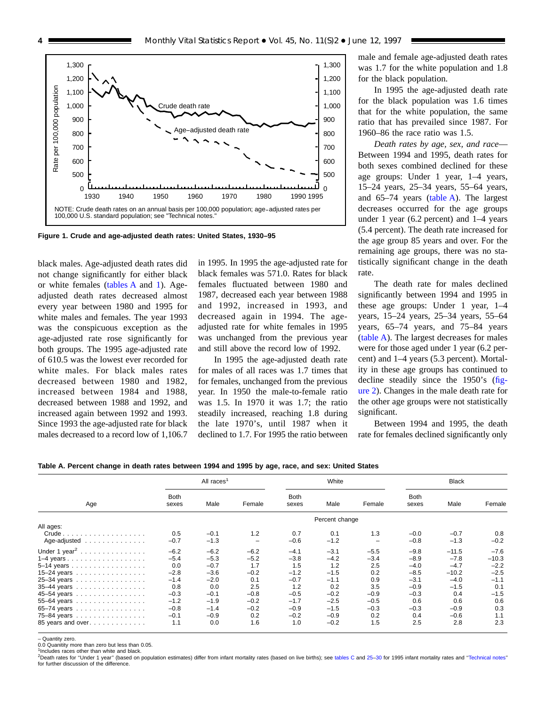<span id="page-3-0"></span>

**Figure 1. Crude and age-adjusted death rates: United States, 1930–95**

black males. Age-adjusted death rates did not change significantly for either black or white females (tables A and 1). Ageadjusted death rates decreased almost every year between 1980 and 1995 for white males and females. The year 1993 was the conspicuous exception as the age-adjusted rate rose significantly for both groups. The 1995 age-adjusted rate of 610.5 was the lowest ever recorded for white males. For black males rates decreased between 1980 and 1982, increased between 1984 and 1988, decreased between 1988 and 1992, and increased again between 1992 and 1993. Since 1993 the age-adjusted rate for black males decreased to a record low of 1,106.7

in 1995. In 1995 the age-adjusted rate for black females was 571.0. Rates for black females fluctuated between 1980 and 1987, decreased each year between 1988 and 1992, increased in 1993, and decreased again in 1994. The ageadjusted rate for white females in 1995 was unchanged from the previous year and still above the record low of 1992.

In 1995 the age-adjusted death rate for males of all races was 1.7 times that for females, unchanged from the previous year. In 1950 the male-to-female ratio was 1.5. In 1970 it was 1.7; the ratio steadily increased, reaching 1.8 during the late 1970's, until 1987 when it declined to 1.7. For 1995 the ratio between

male and female age-adjusted death rates was 1.7 for the white population and 1.8 for the black population.

In 1995 the age-adjusted death rate for the black population was 1.6 times that for the white population, the same ratio that has prevailed since 1987. For 1960–86 the race ratio was 1.5.

*Death rates by age, sex, and race*— Between 1994 and 1995, death rates for both sexes combined declined for these age groups: Under 1 year, 1–4 years, 15–24 years, 25–34 years, 55–64 years, and 65–74 years (table A). The largest decreases occurred for the age groups under 1 year (6.2 percent) and 1–4 years (5.4 percent). The death rate increased for the age group 85 years and over. For the remaining age groups, there was no statistically significant change in the death rate.

The death rate for males declined significantly between 1994 and 1995 in these age groups: Under 1 year, 1–4 years, 15–24 years, 25–34 years, 55–64 years, 65–74 years, and 75–84 years (table A). The largest decreases for males were for those aged under 1 year (6.2 percent) and 1–4 years (5.3 percent). Mortality in these age groups has continued to decline steadily since the 1950's [\(fig](#page-4-0)[ure 2\)](#page-4-0). Changes in the male death rate for the other age groups were not statistically significant.

Between 1994 and 1995, the death rate for females declined significantly only

**Table A. Percent change in death rates between 1994 and 1995 by age, race, and sex: United States**

|                                            |                      | All races <sup>1</sup> |        |                      | White          |        |                      | <b>Black</b> |         |
|--------------------------------------------|----------------------|------------------------|--------|----------------------|----------------|--------|----------------------|--------------|---------|
| Age                                        | <b>Both</b><br>sexes | Male                   | Female | <b>Both</b><br>sexes | Male           | Female | <b>Both</b><br>sexes | Male         | Female  |
|                                            |                      |                        |        |                      | Percent change |        |                      |              |         |
| All ages:                                  |                      |                        |        |                      |                |        |                      |              |         |
| $Crude \ldots \ldots \ldots \ldots \ldots$ | 0.5                  | $-0.1$                 | 1.2    | 0.7                  | 0.1            | 1.3    | $-0.0$               | $-0.7$       | 0.8     |
| Age-adjusted                               | $-0.7$               | $-1.3$                 |        | $-0.6$               | $-1.2$         |        | $-0.8$               | $-1.3$       | $-0.2$  |
| Under 1 year <sup>2</sup>                  | $-6.2$               | $-6.2$                 | $-6.2$ | $-4.1$               | $-3.1$         | $-5.5$ | $-9.8$               | $-11.5$      | $-7.6$  |
|                                            | $-5.4$               | $-5.3$                 | $-5.2$ | $-3.8$               | $-4.2$         | $-3.4$ | $-8.9$               | $-7.8$       | $-10.3$ |
| 5–14 years                                 | 0.0                  | $-0.7$                 | 1.7    | 1.5                  | 1.2            | 2.5    | $-4.0$               | $-4.7$       | $-2.2$  |
| 15-24 years                                | $-2.8$               | $-3.6$                 | $-0.2$ | $-1.2$               | $-1.5$         | 0.2    | $-8.5$               | $-10.2$      | $-2.5$  |
| 25-34 years                                | $-1.4$               | $-2.0$                 | 0.1    | $-0.7$               | $-1.1$         | 0.9    | $-3.1$               | $-4.0$       | $-1.1$  |
| 35-44 years                                | 0.8                  | 0.0                    | 2.5    | 1.2                  | 0.2            | 3.5    | $-0.9$               | $-1.5$       | 0.1     |
| 45-54 years                                | $-0.3$               | $-0.1$                 | $-0.8$ | $-0.5$               | $-0.2$         | $-0.9$ | $-0.3$               | 0.4          | $-1.5$  |
| 55-64 years                                | $-1.2$               | $-1.9$                 | $-0.2$ | $-1.7$               | $-2.5$         | $-0.5$ | 0.6                  | 0.6          | 0.6     |
| 65-74 years                                | $-0.8$               | $-1.4$                 | $-0.2$ | $-0.9$               | $-1.5$         | $-0.3$ | $-0.3$               | $-0.9$       | 0.3     |
| 75-84 years                                | $-0.1$               | $-0.9$                 | 0.2    | $-0.2$               | $-0.9$         | 0.2    | 0.4                  | $-0.6$       | 1.1     |
| 85 years and over.                         | 1.1                  | 0.0                    | 1.6    | 1.0                  | $-0.2$         | 1.5    | 2.5                  | 2.8          | 2.3     |

– Quantity zero.

0.0 Quanitity more than zero but less than 0.05.

<sup>1</sup>Includes races other than white and black.<br><sup>2</sup>Death rates for "Under 1 year" (based on population estimates) differ from infant mortality rates (based on live births); see [tables C](#page-10-0) and [25–30](#page-65-0) for 1995 infant mortality ra for further discussion of the difference.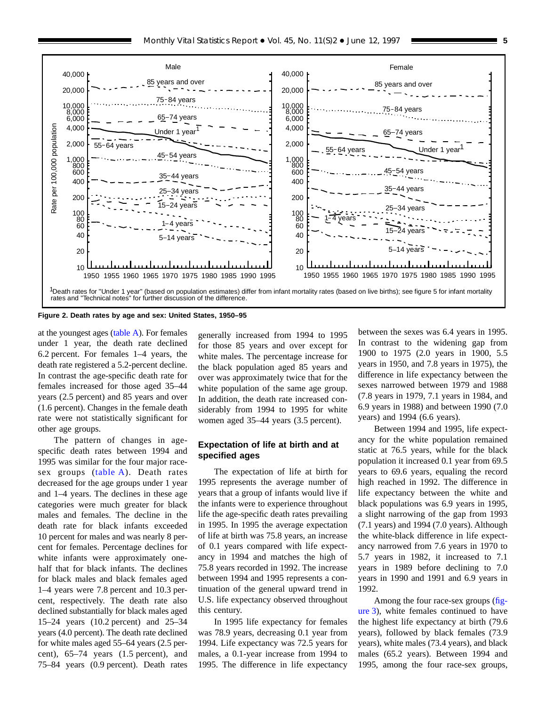<span id="page-4-0"></span>

**Figure 2. Death rates by age and sex: United States, 1950–95**

at the youngest ages [\(table A\)](#page-3-0). For females under 1 year, the death rate declined 6.2 percent. For females 1–4 years, the death rate registered a 5.2-percent decline. In contrast the age-specific death rate for females increased for those aged 35–44 years (2.5 percent) and 85 years and over (1.6 percent). Changes in the female death rate were not statistically significant for other age groups.

The pattern of changes in agespecific death rates between 1994 and 1995 was similar for the four major racesex groups [\(table A\)](#page-3-0). Death rates decreased for the age groups under 1 year and 1–4 years. The declines in these age categories were much greater for black males and females. The decline in the death rate for black infants exceeded 10 percent for males and was nearly 8 percent for females. Percentage declines for white infants were approximately onehalf that for black infants. The declines for black males and black females aged 1–4 years were 7.8 percent and 10.3 percent, respectively. The death rate also declined substantially for black males aged 15–24 years (10.2 percent) and 25–34 years (4.0 percent). The death rate declined for white males aged 55–64 years (2.5 percent), 65–74 years (1.5 percent), and 75–84 years (0.9 percent). Death rates generally increased from 1994 to 1995 for those 85 years and over except for white males. The percentage increase for the black population aged 85 years and over was approximately twice that for the white population of the same age group. In addition, the death rate increased considerably from 1994 to 1995 for white women aged 35–44 years (3.5 percent).

#### **Expectation of life at birth and at specified ages**

The expectation of life at birth for 1995 represents the average number of years that a group of infants would live if the infants were to experience throughout life the age-specific death rates prevailing in 1995. In 1995 the average expectation of life at birth was 75.8 years, an increase of 0.1 years compared with life expectancy in 1994 and matches the high of 75.8 years recorded in 1992. The increase between 1994 and 1995 represents a continuation of the general upward trend in U.S. life expectancy observed throughout this century.

In 1995 life expectancy for females was 78.9 years, decreasing 0.1 year from 1994. Life expectancy was 72.5 years for males, a 0.1-year increase from 1994 to 1995. The difference in life expectancy

between the sexes was 6.4 years in 1995. In contrast to the widening gap from 1900 to 1975 (2.0 years in 1900, 5.5 years in 1950, and 7.8 years in 1975), the difference in life expectancy between the sexes narrowed between 1979 and 1988 (7.8 years in 1979, 7.1 years in 1984, and 6.9 years in 1988) and between 1990 (7.0 years) and 1994 (6.6 years).

Between 1994 and 1995, life expectancy for the white population remained static at 76.5 years, while for the black population it increased 0.1 year from 69.5 years to 69.6 years, equaling the record high reached in 1992. The difference in life expectancy between the white and black populations was 6.9 years in 1995, a slight narrowing of the gap from 1993 (7.1 years) and 1994 (7.0 years). Although the white-black difference in life expectancy narrowed from 7.6 years in 1970 to 5.7 years in 1982, it increased to 7.1 years in 1989 before declining to 7.0 years in 1990 and 1991 and 6.9 years in 1992.

Among the four race-sex groups [\(fig](#page-5-0)[ure 3\),](#page-5-0) white females continued to have the highest life expectancy at birth (79.6 years), followed by black females (73.9 years), white males (73.4 years), and black males (65.2 years). Between 1994 and 1995, among the four race-sex groups,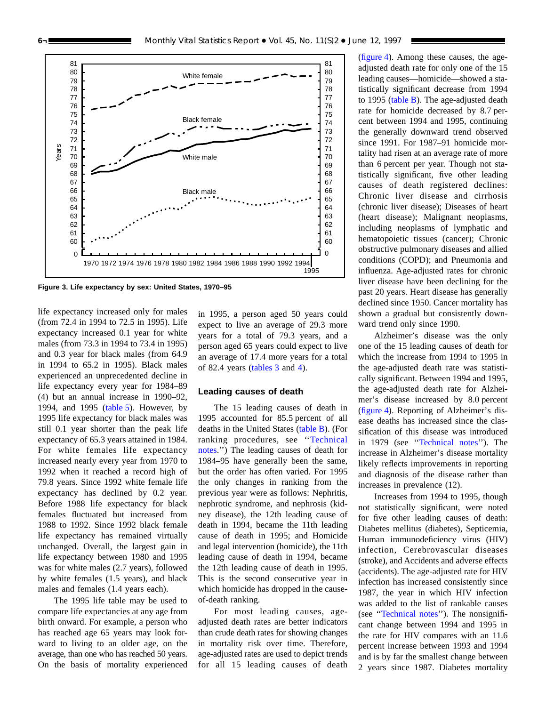<span id="page-5-0"></span>

**Figure 3. Life expectancy by sex: United States, 1970–95**

life expectancy increased only for males (from 72.4 in 1994 to 72.5 in 1995). Life expectancy increased 0.1 year for white males (from 73.3 in 1994 to 73.4 in 1995) and 0.3 year for black males (from 64.9 in 1994 to 65.2 in 1995). Black males experienced an unprecedented decline in life expectancy every year for 1984–89 (4) but an annual increase in 1990–92, 1994, and 1995 [\(table](#page-18-0) 5). However, by 1995 life expectancy for black males was still 0.1 year shorter than the peak life expectancy of 65.3 years attained in 1984. For white females life expectancy increased nearly every year from 1970 to 1992 when it reached a record high of 79.8 years. Since 1992 white female life expectancy has declined by 0.2 year. Before 1988 life expectancy for black females fluctuated but increased from 1988 to 1992. Since 1992 black female life expectancy has remained virtually unchanged. Overall, the largest gain in life expectancy between 1980 and 1995 was for white males (2.7 years), followed by white females (1.5 years), and black males and females (1.4 years each).

The 1995 life table may be used to compare life expectancies at any age from birth onward. For example, a person who has reached age 65 years may look forward to living to an older age, on the average, than one who has reached 50 years. On the basis of mortality experienced

in 1995, a person aged 50 years could expect to live an average of 29.3 more years for a total of 79.3 years, and a person aged 65 years could expect to live an average of 17.4 more years for a total of 82.4 years [\(tables](#page-17-0) 3 and [4\)](#page-17-0).

#### **Leading causes of death**

The 15 leading causes of death in 1995 accounted for 85.5 percent of all deaths in the United States [\(table](#page-6-0) B). (For ranking procedures, see '['Technical](#page-72-0) [notes.''\)](#page-72-0) The leading causes of death for 1984–95 have generally been the same, but the order has often varied. For 1995 the only changes in ranking from the previous year were as follows: Nephritis, nephrotic syndrome, and nephrosis (kidney disease), the 12th leading cause of death in 1994, became the 11th leading cause of death in 1995; and Homicide and legal intervention (homicide), the 11th leading cause of death in 1994, became the 12th leading cause of death in 1995. This is the second consecutive year in which homicide has dropped in the causeof-death ranking.

For most leading causes, ageadjusted death rates are better indicators than crude death rates for showing changes in mortality risk over time. Therefore, age-adjusted rates are used to depict trends for all 15 leading causes of death

[\(figure](#page-7-0) 4). Among these causes, the ageadjusted death rate for only one of the 15 leading causes—homicide—showed a statistically significant decrease from 1994 to 1995 [\(table](#page-6-0)  $B$ ). The age-adjusted death rate for homicide decreased by 8.7 percent between 1994 and 1995, continuing the generally downward trend observed since 1991. For 1987–91 homicide mortality had risen at an average rate of more than 6 percent per year. Though not statistically significant, five other leading causes of death registered declines: Chronic liver disease and cirrhosis (chronic liver disease); Diseases of heart (heart disease); Malignant neoplasms, including neoplasms of lymphatic and hematopoietic tissues (cancer); Chronic obstructive pulmonary diseases and allied conditions (COPD); and Pneumonia and influenza. Age-adjusted rates for chronic liver disease have been declining for the past 20 years. Heart disease has generally declined since 1950. Cancer mortality has shown a gradual but consistently downward trend only since 1990.

Alzheimer's disease was the only one of the 15 leading causes of death for which the increase from 1994 to 1995 in the age-adjusted death rate was statistically significant. Between 1994 and 1995, the age-adjusted death rate for Alzheimer's disease increased by 8.0 percent [\(figure](#page-7-0) 4). Reporting of Alzheimer's disease deaths has increased since the classification of this disease was introduced in 1979 (see [''Technical](#page-72-0) notes''). The increase in Alzheimer's disease mortality likely reflects improvements in reporting and diagnosis of the disease rather than increases in prevalence (12).

Increases from 1994 to 1995, though not statistically significant, were noted for five other leading causes of death: Diabetes mellitus (diabetes), Septicemia, Human immunodeficiency virus (HIV) infection, Cerebrovascular diseases (stroke), and Accidents and adverse effects (accidents). The age-adjusted rate for HIV infection has increased consistently since 1987, the year in which HIV infection was added to the list of rankable causes (see [''Technical](#page-72-0) notes''). The nonsignificant change between 1994 and 1995 in the rate for HIV compares with an 11.6 percent increase between 1993 and 1994 and is by far the smallest change between 2 years since 1987. Diabetes mortality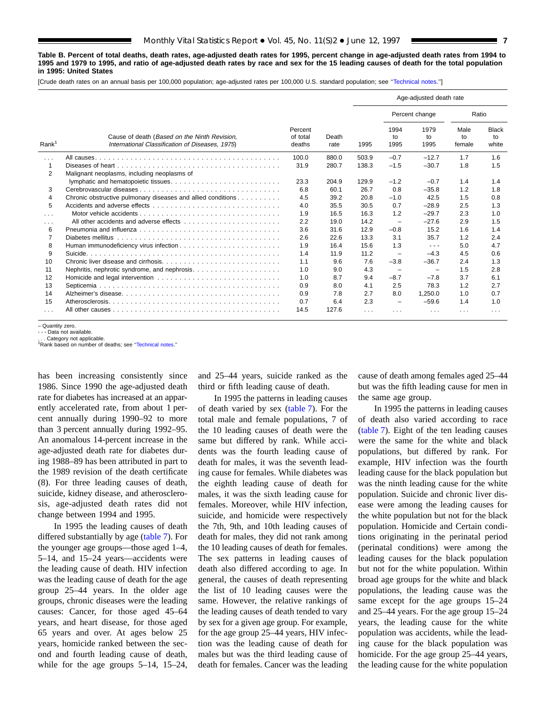<span id="page-6-0"></span>**Table B. Percent of total deaths, death rates, age-adjusted death rates for 1995, percent change in age-adjusted death rates from 1994 to 1995 and 1979 to 1995, and ratio of age-adjusted death rates by race and sex for the 15 leading causes of death for the total population in 1995: United States**

[Crude death rates on an annual basis per 100,000 population; age-adjusted rates per 100,000 U.S. standard population; see [''Technical notes.''\]](#page-72-0)

|                      |                                                                                                 |                               |               |       |                          | Age-adjusted death rate                                                                        |                      |                             |
|----------------------|-------------------------------------------------------------------------------------------------|-------------------------------|---------------|-------|--------------------------|------------------------------------------------------------------------------------------------|----------------------|-----------------------------|
|                      |                                                                                                 |                               |               |       |                          | Percent change                                                                                 | Ratio                |                             |
| Rank <sup>1</sup>    | Cause of death (Based on the Ninth Revision,<br>International Classification of Diseases, 1975) | Percent<br>of total<br>deaths | Death<br>rate | 1995  | 1994<br>to<br>1995       | 1979<br>to<br>1995                                                                             | Male<br>to<br>female | <b>Black</b><br>to<br>white |
| $\cdots$             |                                                                                                 | 100.0                         | 880.0         | 503.9 | $-0.7$                   | $-12.7$                                                                                        | 1.7                  | 1.6                         |
| $\mathbf{1}$         |                                                                                                 | 31.9                          | 280.7         | 138.3 | $-1.5$                   | $-30.7$                                                                                        | 1.8                  | 1.5                         |
| $\overline{2}$       | Malignant neoplasms, including neoplasms of                                                     |                               |               |       |                          |                                                                                                |                      |                             |
|                      |                                                                                                 | 23.3                          | 204.9         | 129.9 | $-1.2$                   | $-0.7$                                                                                         | 1.4                  | 1.4                         |
| 3                    |                                                                                                 | 6.8                           | 60.1          | 26.7  | 0.8                      | $-35.8$                                                                                        | 1.2                  | 1.8                         |
| 4                    | Chronic obstructive pulmonary diseases and allied conditions                                    | 4.5                           | 39.2          | 20.8  | $-1.0$                   | 42.5                                                                                           | 1.5                  | 0.8                         |
| 5                    |                                                                                                 | 4.0                           | 35.5          | 30.5  | 0.7                      | $-28.9$                                                                                        | 2.5                  | 1.3                         |
| $\sim$ $\sim$ $\sim$ |                                                                                                 | 1.9                           | 16.5          | 16.3  | 1.2                      | $-29.7$                                                                                        | 2.3                  | 1.0                         |
| $\cdots$             |                                                                                                 | 2.2                           | 19.0          | 14.2  | $\overline{\phantom{0}}$ | $-27.6$                                                                                        | 2.9                  | 1.5                         |
| 6                    |                                                                                                 | 3.6                           | 31.6          | 12.9  | $-0.8$                   | 15.2                                                                                           | 1.6                  | 1.4                         |
| 7                    |                                                                                                 | 2.6                           | 22.6          | 13.3  | 3.1                      | 35.7                                                                                           | 1.2                  | 2.4                         |
| 8                    |                                                                                                 | 1.9                           | 16.4          | 15.6  | 1.3                      | $\frac{1}{2} \left( \frac{1}{2} \right) \left( \frac{1}{2} \right) \left( \frac{1}{2} \right)$ | 5.0                  | 4.7                         |
| 9                    |                                                                                                 | 1.4                           | 11.9          | 11.2  | $\overline{\phantom{m}}$ | $-4.3$                                                                                         | 4.5                  | 0.6                         |
| 10                   |                                                                                                 | 1.1                           | 9.6           | 7.6   | $-3.8$                   | $-36.7$                                                                                        | 2.4                  | 1.3                         |
| 11                   |                                                                                                 | 1.0                           | 9.0           | 4.3   | $\overline{\phantom{a}}$ | $\overline{\phantom{m}}$                                                                       | 1.5                  | 2.8                         |
| 12                   |                                                                                                 | 1.0                           | 8.7           | 9.4   | $-8.7$                   | $-7.8$                                                                                         | 3.7                  | 6.1                         |
| 13                   |                                                                                                 | 0.9                           | 8.0           | 4.1   | 2.5                      | 78.3                                                                                           | 1.2                  | 2.7                         |
| 14                   |                                                                                                 | 0.9                           | 7.8           | 2.7   | 8.0                      | 1,250.0                                                                                        | 1.0                  | 0.7                         |
| 15                   |                                                                                                 | 0.7                           | 6.4           | 2.3   | $\overline{\phantom{m}}$ | $-59.6$                                                                                        | 1.4                  | 1.0                         |
| $\cdots$             |                                                                                                 | 14.5                          | 127.6         | .     | .                        | .                                                                                              | $\cdots$             | $\cdots$                    |

– Quantity zero.

- - - Data not available.

Category not applicable. 1Rank based on number of deaths; see "Technical notes."

has been increasing consistently since 1986. Since 1990 the age-adjusted death rate for diabetes has increased at an apparently accelerated rate, from about 1 percent annually during 1990–92 to more than 3 percent annually during 1992–95. An anomalous 14-percent increase in the age-adjusted death rate for diabetes during 1988–89 has been attributed in part to the 1989 revision of the death certificate (8). For three leading causes of death, suicide, kidney disease, and atherosclerosis, age-adjusted death rates did not change between 1994 and 1995.

In 1995 the leading causes of death differed substantially by age [\(table 7\)](#page-22-0). For the younger age groups—those aged 1–4, 5–14, and 15–24 years—accidents were the leading cause of death. HIV infection was the leading cause of death for the age group 25–44 years. In the older age groups, chronic diseases were the leading causes: Cancer, for those aged 45–64 years, and heart disease, for those aged 65 years and over. At ages below 25 years, homicide ranked between the second and fourth leading cause of death, while for the age groups 5–14, 15–24,

and 25–44 years, suicide ranked as the third or fifth leading cause of death.

In 1995 the patterns in leading causes of death varied by sex [\(table 7\).](#page-22-0) For the total male and female populations, 7 of the 10 leading causes of death were the same but differed by rank. While accidents was the fourth leading cause of death for males, it was the seventh leading cause for females. While diabetes was the eighth leading cause of death for males, it was the sixth leading cause for females. Moreover, while HIV infection, suicide, and homicide were respectively the 7th, 9th, and 10th leading causes of death for males, they did not rank among the 10 leading causes of death for females. The sex patterns in leading causes of death also differed according to age. In general, the causes of death representing the list of 10 leading causes were the same. However, the relative rankings of the leading causes of death tended to vary by sex for a given age group. For example, for the age group 25–44 years, HIV infection was the leading cause of death for males but was the third leading cause of death for females. Cancer was the leading

cause of death among females aged 25–44 but was the fifth leading cause for men in the same age group.

In 1995 the patterns in leading causes of death also varied according to race [\(table 7\)](#page-22-0). Eight of the ten leading causes were the same for the white and black populations, but differed by rank. For example, HIV infection was the fourth leading cause for the black population but was the ninth leading cause for the white population. Suicide and chronic liver disease were among the leading causes for the white population but not for the black population. Homicide and Certain conditions originating in the perinatal period (perinatal conditions) were among the leading causes for the black population but not for the white population. Within broad age groups for the white and black populations, the leading cause was the same except for the age groups 15–24 and 25–44 years. For the age group 15–24 years, the leading cause for the white population was accidents, while the leading cause for the black population was homicide. For the age group 25–44 years, the leading cause for the white population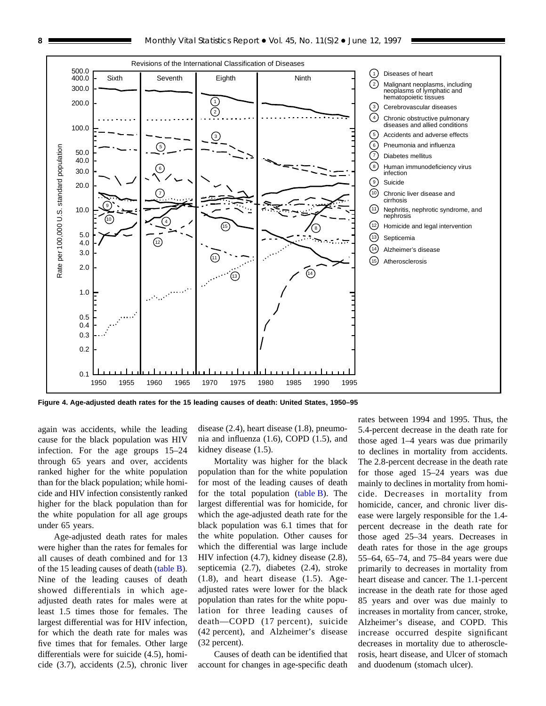<span id="page-7-0"></span>

**Figure 4. Age-adjusted death rates for the 15 leading causes of death: United States, 1950–95**

again was accidents, while the leading cause for the black population was HIV infection. For the age groups 15–24 through 65 years and over, accidents ranked higher for the white population than for the black population; while homicide and HIV infection consistently ranked higher for the black population than for the white population for all age groups under 65 years.

Age-adjusted death rates for males were higher than the rates for females for all causes of death combined and for 13 of the 15 leading causes of death [\(table B\).](#page-6-0) Nine of the leading causes of death showed differentials in which ageadjusted death rates for males were at least 1.5 times those for females. The largest differential was for HIV infection, for which the death rate for males was five times that for females. Other large differentials were for suicide (4.5), homicide (3.7), accidents (2.5), chronic liver

disease (2.4), heart disease (1.8), pneumonia and influenza (1.6), COPD (1.5), and kidney disease (1.5).

Mortality was higher for the black population than for the white population for most of the leading causes of death for the total population  $(table B)$ . The largest differential was for homicide, for which the age-adjusted death rate for the black population was 6.1 times that for the white population. Other causes for which the differential was large include HIV infection (4.7), kidney disease (2.8), septicemia (2.7), diabetes (2.4), stroke (1.8), and heart disease (1.5). Ageadjusted rates were lower for the black population than rates for the white population for three leading causes of death—COPD (17 percent), suicide (42 percent), and Alzheimer's disease (32 percent).

Causes of death can be identified that account for changes in age-specific death

rates between 1994 and 1995. Thus, the 5.4-percent decrease in the death rate for those aged 1–4 years was due primarily to declines in mortality from accidents. The 2.8-percent decrease in the death rate for those aged 15–24 years was due mainly to declines in mortality from homicide. Decreases in mortality from homicide, cancer, and chronic liver disease were largely responsible for the 1.4 percent decrease in the death rate for those aged 25–34 years. Decreases in death rates for those in the age groups 55–64, 65–74, and 75–84 years were due primarily to decreases in mortality from heart disease and cancer. The 1.1-percent increase in the death rate for those aged 85 years and over was due mainly to increases in mortality from cancer, stroke, Alzheimer's disease, and COPD. This increase occurred despite significant decreases in mortality due to atherosclerosis, heart disease, and Ulcer of stomach and duodenum (stomach ulcer).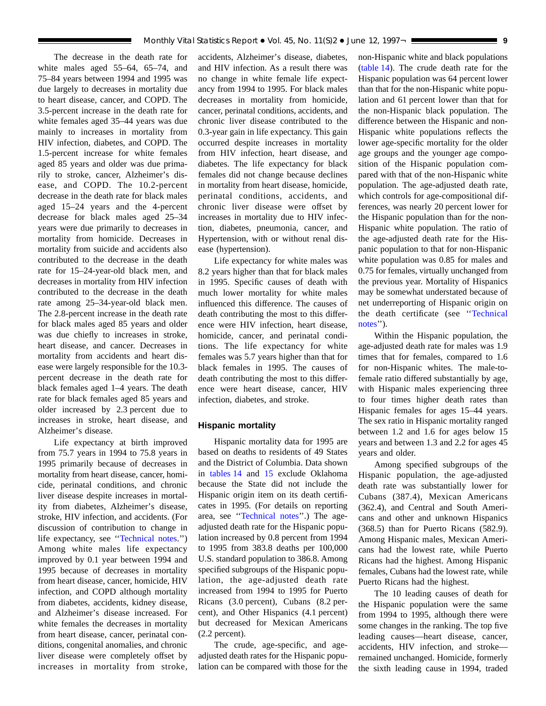The decrease in the death rate for white males aged 55–64, 65–74, and 75–84 years between 1994 and 1995 was due largely to decreases in mortality due to heart disease, cancer, and COPD. The 3.5-percent increase in the death rate for white females aged 35–44 years was due mainly to increases in mortality from HIV infection, diabetes, and COPD. The 1.5-percent increase for white females aged 85 years and older was due primarily to stroke, cancer, Alzheimer's disease, and COPD. The 10.2-percent decrease in the death rate for black males aged 15–24 years and the 4-percent decrease for black males aged 25–34 years were due primarily to decreases in mortality from homicide. Decreases in mortality from suicide and accidents also contributed to the decrease in the death rate for 15–24-year-old black men, and decreases in mortality from HIV infection contributed to the decrease in the death rate among 25–34-year-old black men. The 2.8-percent increase in the death rate for black males aged 85 years and older was due chiefly to increases in stroke, heart disease, and cancer. Decreases in mortality from accidents and heart disease were largely responsible for the 10.3 percent decrease in the death rate for black females aged 1–4 years. The death rate for black females aged 85 years and older increased by 2.3 percent due to increases in stroke, heart disease, and Alzheimer's disease.

Life expectancy at birth improved from 75.7 years in 1994 to 75.8 years in 1995 primarily because of decreases in mortality from heart disease, cancer, homicide, perinatal conditions, and chronic liver disease despite increases in mortality from diabetes, Alzheimer's disease, stroke, HIV infection, and accidents. (For discussion of contribution to change in life expectancy, see [''Technical](#page-72-0) notes.'') Among white males life expectancy improved by 0.1 year between 1994 and 1995 because of decreases in mortality from heart disease, cancer, homicide, HIV infection, and COPD although mortality from diabetes, accidents, kidney disease, and Alzheimer's disease increased. For white females the decreases in mortality from heart disease, cancer, perinatal conditions, congenital anomalies, and chronic liver disease were completely offset by increases in mortality from stroke,

accidents, Alzheimer's disease, diabetes, and HIV infection. As a result there was no change in white female life expectancy from 1994 to 1995. For black males decreases in mortality from homicide, cancer, perinatal conditions, accidents, and chronic liver disease contributed to the 0.3-year gain in life expectancy. This gain occurred despite increases in mortality from HIV infection, heart disease, and diabetes. The life expectancy for black females did not change because declines in mortality from heart disease, homicide, perinatal conditions, accidents, and chronic liver disease were offset by increases in mortality due to HIV infection, diabetes, pneumonia, cancer, and Hypertension, with or without renal disease (hypertension).

Life expectancy for white males was 8.2 years higher than that for black males in 1995. Specific causes of death with much lower mortality for white males influenced this difference. The causes of death contributing the most to this difference were HIV infection, heart disease, homicide, cancer, and perinatal conditions. The life expectancy for white females was 5.7 years higher than that for black females in 1995. The causes of death contributing the most to this difference were heart disease, cancer, HIV infection, diabetes, and stroke.

#### **Hispanic mortality**

Hispanic mortality data for 1995 are based on deaths to residents of 49 States and the District of Columbia. Data shown in [tables](#page-49-0) 14 and [15](#page-51-0) exclude Oklahoma because the State did not include the Hispanic origin item on its death certificates in 1995. (For details on reporting area, see '['Technical](#page-72-0) notes''.) The ageadjusted death rate for the Hispanic population increased by 0.8 percent from 1994 to 1995 from 383.8 deaths per 100,000 U.S. standard population to 386.8. Among specified subgroups of the Hispanic population, the age-adjusted death rate increased from 1994 to 1995 for Puerto Ricans (3.0 percent), Cubans (8.2 percent), and Other Hispanics (4.1 percent) but decreased for Mexican Americans (2.2 percent).

The crude, age-specific, and ageadjusted death rates for the Hispanic population can be compared with those for the non-Hispanic white and black populations [\(table](#page-49-0) 14). The crude death rate for the Hispanic population was 64 percent lower than that for the non-Hispanic white population and 61 percent lower than that for the non-Hispanic black population. The difference between the Hispanic and non-Hispanic white populations reflects the lower age-specific mortality for the older age groups and the younger age composition of the Hispanic population compared with that of the non-Hispanic white population. The age-adjusted death rate, which controls for age-compositional differences, was nearly 20 percent lower for the Hispanic population than for the non-Hispanic white population. The ratio of the age-adjusted death rate for the Hispanic population to that for non-Hispanic white population was 0.85 for males and 0.75 for females, virtually unchanged from the previous year. Mortality of Hispanics may be somewhat understated because of net underreporting of Hispanic origin on the death certificate (see '['Technical](#page-72-0) notes").

Within the Hispanic population, the age-adjusted death rate for males was 1.9 times that for females, compared to 1.6 for non-Hispanic whites. The male-tofemale ratio differed substantially by age, with Hispanic males experiencing three to four times higher death rates than Hispanic females for ages 15–44 years. The sex ratio in Hispanic mortality ranged between 1.2 and 1.6 for ages below 15 years and between 1.3 and 2.2 for ages 45 years and older.

Among specified subgroups of the Hispanic population, the age-adjusted death rate was substantially lower for Cubans (387.4), Mexican Americans (362.4), and Central and South Americans and other and unknown Hispanics (368.5) than for Puerto Ricans (582.9). Among Hispanic males, Mexican Americans had the lowest rate, while Puerto Ricans had the highest. Among Hispanic females, Cubans had the lowest rate, while Puerto Ricans had the highest.

The 10 leading causes of death for the Hispanic population were the same from 1994 to 1995, although there were some changes in the ranking. The top five leading causes—heart disease, cancer, accidents, HIV infection, and stroke remained unchanged. Homicide, formerly the sixth leading cause in 1994, traded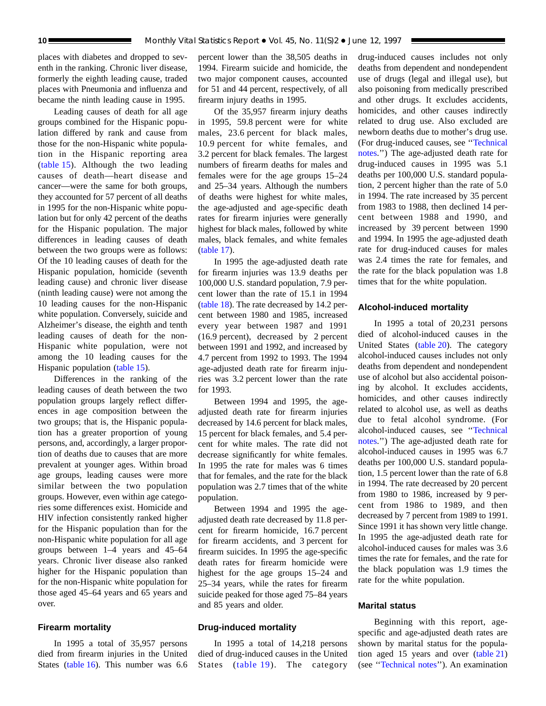places with diabetes and dropped to seventh in the ranking. Chronic liver disease, formerly the eighth leading cause, traded places with Pneumonia and influenza and became the ninth leading cause in 1995.

Leading causes of death for all age groups combined for the Hispanic population differed by rank and cause from those for the non-Hispanic white population in the Hispanic reporting area [\(table 15\)](#page-51-0). Although the two leading causes of death—heart disease and cancer—were the same for both groups, they accounted for 57 percent of all deaths in 1995 for the non-Hispanic white population but for only 42 percent of the deaths for the Hispanic population. The major differences in leading causes of death between the two groups were as follows: Of the 10 leading causes of death for the Hispanic population, homicide (seventh leading cause) and chronic liver disease (ninth leading cause) were not among the 10 leading causes for the non-Hispanic white population. Conversely, suicide and Alzheimer's disease, the eighth and tenth leading causes of death for the non-Hispanic white population, were not among the 10 leading causes for the Hispanic population [\(table 15\).](#page-51-0)

Differences in the ranking of the leading causes of death between the two population groups largely reflect differences in age composition between the two groups; that is, the Hispanic population has a greater proportion of young persons, and, accordingly, a larger proportion of deaths due to causes that are more prevalent at younger ages. Within broad age groups, leading causes were more similar between the two population groups. However, even within age categories some differences exist. Homicide and HIV infection consistently ranked higher for the Hispanic population than for the non-Hispanic white population for all age groups between 1–4 years and 45–64 years. Chronic liver disease also ranked higher for the Hispanic population than for the non-Hispanic white population for those aged 45–64 years and 65 years and over.

#### **Firearm mortality**

In 1995 a total of 35,957 persons died from firearm injuries in the United States [\(table 16\).](#page-54-0) This number was 6.6 percent lower than the 38,505 deaths in 1994. Firearm suicide and homicide, the two major component causes, accounted for 51 and 44 percent, respectively, of all firearm injury deaths in 1995.

Of the 35,957 firearm injury deaths in 1995, 59.8 percent were for white males, 23.6 percent for black males, 10.9 percent for white females, and 3.2 percent for black females. The largest numbers of firearm deaths for males and females were for the age groups 15–24 and 25–34 years. Although the numbers of deaths were highest for white males, the age-adjusted and age-specific death rates for firearm injuries were generally highest for black males, followed by white males, black females, and white females [\(table 17\)](#page-55-0).

In 1995 the age-adjusted death rate for firearm injuries was 13.9 deaths per 100,000 U.S. standard population, 7.9 percent lower than the rate of 15.1 in 1994 [\(table 18\)](#page-56-0). The rate decreased by 14.2 percent between 1980 and 1985, increased every year between 1987 and 1991 (16.9 percent), decreased by 2 percent between 1991 and 1992, and increased by 4.7 percent from 1992 to 1993. The 1994 age-adjusted death rate for firearm injuries was 3.2 percent lower than the rate for 1993.

Between 1994 and 1995, the ageadjusted death rate for firearm injuries decreased by 14.6 percent for black males, 15 percent for black females, and 5.4 percent for white males. The rate did not decrease significantly for white females. In 1995 the rate for males was 6 times that for females, and the rate for the black population was 2.7 times that of the white population.

Between 1994 and 1995 the ageadjusted death rate decreased by 11.8 percent for firearm homicide, 16.7 percent for firearm accidents, and 3 percent for firearm suicides. In 1995 the age-specific death rates for firearm homicide were highest for the age groups 15–24 and 25–34 years, while the rates for firearm suicide peaked for those aged 75–84 years and 85 years and older.

#### **Drug-induced mortality**

In 1995 a total of 14,218 persons died of drug-induced causes in the United States [\(table 19\)](#page-57-0). The category drug-induced causes includes not only deaths from dependent and nondependent use of drugs (legal and illegal use), but also poisoning from medically prescribed and other drugs. It excludes accidents, homicides, and other causes indirectly related to drug use. Also excluded are newborn deaths due to mother's drug use. (For drug-induced causes, see '['Technical](#page-72-0) [notes.''](#page-72-0)) The age-adjusted death rate for drug-induced causes in 1995 was 5.1 deaths per 100,000 U.S. standard population, 2 percent higher than the rate of 5.0 in 1994. The rate increased by 35 percent from 1983 to 1988, then declined 14 percent between 1988 and 1990, and increased by 39 percent between 1990 and 1994. In 1995 the age-adjusted death rate for drug-induced causes for males was 2.4 times the rate for females, and the rate for the black population was 1.8 times that for the white population.

#### **Alcohol-induced mortality**

In 1995 a total of 20,231 persons died of alcohol-induced causes in the United States [\(table 20\).](#page-58-0) The category alcohol-induced causes includes not only deaths from dependent and nondependent use of alcohol but also accidental poisoning by alcohol. It excludes accidents, homicides, and other causes indirectly related to alcohol use, as well as deaths due to fetal alcohol syndrome. (For alcohol-induced causes, see [''Technical](#page-72-0) [notes.''\)](#page-72-0) The age-adjusted death rate for alcohol-induced causes in 1995 was 6.7 deaths per 100,000 U.S. standard population, 1.5 percent lower than the rate of 6.8 in 1994. The rate decreased by 20 percent from 1980 to 1986, increased by 9 percent from 1986 to 1989, and then decreased by 7 percent from 1989 to 1991. Since 1991 it has shown very little change. In 1995 the age-adjusted death rate for alcohol-induced causes for males was 3.6 times the rate for females, and the rate for the black population was 1.9 times the rate for the white population.

#### **Marital status**

Beginning with this report, agespecific and age-adjusted death rates are shown by marital status for the population aged 15 years and over [\(table 21\)](#page-59-0) (see [''Technical notes''](#page-72-0)). An examination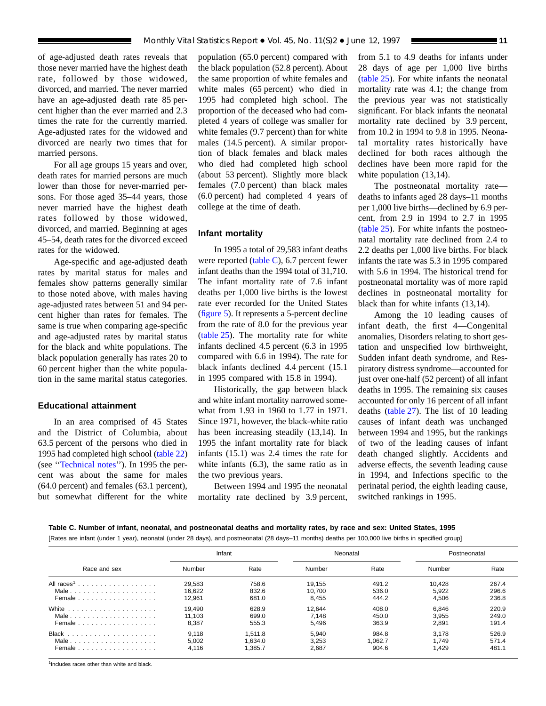<span id="page-10-0"></span>of age-adjusted death rates reveals that those never married have the highest death rate, followed by those widowed, divorced, and married. The never married have an age-adjusted death rate 85 percent higher than the ever married and 2.3 times the rate for the currently married. Age-adjusted rates for the widowed and divorced are nearly two times that for married persons.

For all age groups 15 years and over, death rates for married persons are much lower than those for never-married persons. For those aged 35–44 years, those never married have the highest death rates followed by those widowed, divorced, and married. Beginning at ages 45–54, death rates for the divorced exceed rates for the widowed.

Age-specific and age-adjusted death rates by marital status for males and females show patterns generally similar to those noted above, with males having age-adjusted rates between 51 and 94 percent higher than rates for females. The same is true when comparing age-specific and age-adjusted rates by marital status for the black and white populations. The black population generally has rates 20 to 60 percent higher than the white population in the same marital status categories.

#### **Educational attainment**

In an area comprised of 45 States and the District of Columbia, about 63.5 percent of the persons who died in 1995 had completed high school [\(table 22\)](#page-61-0) (see [''Technical notes''](#page-72-0)). In 1995 the percent was about the same for males (64.0 percent) and females (63.1 percent), but somewhat different for the white population (65.0 percent) compared with the black population (52.8 percent). About the same proportion of white females and white males (65 percent) who died in 1995 had completed high school. The proportion of the deceased who had completed 4 years of college was smaller for white females (9.7 percent) than for white males (14.5 percent). A similar proportion of black females and black males who died had completed high school (about 53 percent). Slightly more black females (7.0 percent) than black males (6.0 percent) had completed 4 years of college at the time of death.

#### **Infant mortality**

In 1995 a total of 29,583 infant deaths were reported (table C), 6.7 percent fewer infant deaths than the 1994 total of 31,710. The infant mortality rate of 7.6 infant deaths per 1,000 live births is the lowest rate ever recorded for the United States [\(figure 5\).](#page-11-0) It represents a 5-percent decline from the rate of 8.0 for the previous year [\(table 25\).](#page-65-0) The mortality rate for white infants declined 4.5 percent (6.3 in 1995 compared with 6.6 in 1994). The rate for black infants declined 4.4 percent (15.1 in 1995 compared with 15.8 in 1994).

Historically, the gap between black and white infant mortality narrowed somewhat from 1.93 in 1960 to 1.77 in 1971. Since 1971, however, the black-white ratio has been increasing steadily (13,14). In 1995 the infant mortality rate for black infants (15.1) was 2.4 times the rate for white infants (6.3), the same ratio as in the two previous years.

Between 1994 and 1995 the neonatal mortality rate declined by 3.9 percent, from 5.1 to 4.9 deaths for infants under 28 days of age per 1,000 live births [\(table 25\)](#page-65-0). For white infants the neonatal mortality rate was 4.1; the change from the previous year was not statistically significant. For black infants the neonatal mortality rate declined by 3.9 percent, from 10.2 in 1994 to 9.8 in 1995. Neonatal mortality rates historically have declined for both races although the declines have been more rapid for the white population (13,14).

The postneonatal mortality rate deaths to infants aged 28 days–11 months per 1,000 live births—declined by 6.9 percent, from 2.9 in 1994 to 2.7 in 1995 [\(table 25\).](#page-65-0) For white infants the postneonatal mortality rate declined from 2.4 to 2.2 deaths per 1,000 live births. For black infants the rate was 5.3 in 1995 compared with 5.6 in 1994. The historical trend for postneonatal mortality was of more rapid declines in postneonatal mortality for black than for white infants (13,14).

Among the 10 leading causes of infant death, the first 4—Congenital anomalies, Disorders relating to short gestation and unspecified low birthweight, Sudden infant death syndrome, and Respiratory distress syndrome—accounted for just over one-half (52 percent) of all infant deaths in 1995. The remaining six causes accounted for only 16 percent of all infant deaths [\(table 27\)](#page-67-0). The list of 10 leading causes of infant death was unchanged between 1994 and 1995, but the rankings of two of the leading causes of infant death changed slightly. Accidents and adverse effects, the seventh leading cause in 1994, and Infections specific to the perinatal period, the eighth leading cause, switched rankings in 1995.

#### **Table C. Number of infant, neonatal, and postneonatal deaths and mortality rates, by race and sex: United States, 1995**

[Rates are infant (under 1 year), neonatal (under 28 days), and postneonatal (28 days–11 months) deaths per 100,000 live births in specified group]

|              | Infant |         | Neonatal |         | Postneonatal |       |
|--------------|--------|---------|----------|---------|--------------|-------|
| Race and sex | Number | Rate    | Number   | Rate    | Number       | Rate  |
|              | 29.583 | 758.6   | 19.155   | 491.2   | 10.428       | 267.4 |
| Male         | 16.622 | 832.6   | 10.700   | 536.0   | 5.922        | 296.6 |
| Female       | 12.961 | 681.0   | 8.455    | 444.2   | 4.506        | 236.8 |
|              | 19.490 | 628.9   | 12.644   | 408.0   | 6.846        | 220.9 |
| Male         | 11.103 | 699.0   | 7.148    | 450.0   | 3.955        | 249.0 |
| Female       | 8,387  | 555.3   | 5.496    | 363.9   | 2,891        | 191.4 |
|              | 9.118  | 1.511.8 | 5.940    | 984.8   | 3.178        | 526.9 |
| Male         | 5.002  | 1.634.0 | 3.253    | 1.062.7 | 1.749        | 571.4 |
| Female       | 4.116  | 1.385.7 | 2.687    | 904.6   | 1.429        | 481.1 |

<sup>1</sup>Includes races other than white and black.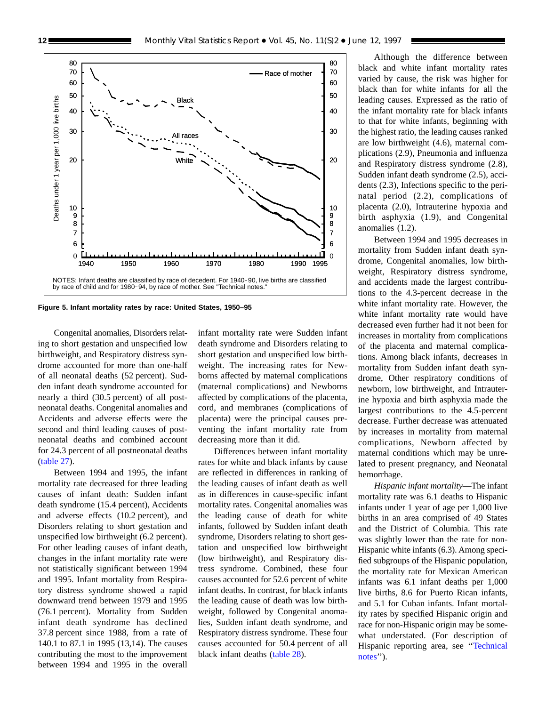<span id="page-11-0"></span>

**Figure 5. Infant mortality rates by race: United States, 1950–95**

Congenital anomalies, Disorders relating to short gestation and unspecified low birthweight, and Respiratory distress syndrome accounted for more than one-half of all neonatal deaths (52 percent). Sudden infant death syndrome accounted for nearly a third (30.5 percent) of all postneonatal deaths. Congenital anomalies and Accidents and adverse effects were the second and third leading causes of postneonatal deaths and combined account for 24.3 percent of all postneonatal deaths [\(table 27\)](#page-67-0).

Between 1994 and 1995, the infant mortality rate decreased for three leading causes of infant death: Sudden infant death syndrome (15.4 percent), Accidents and adverse effects (10.2 percent), and Disorders relating to short gestation and unspecified low birthweight (6.2 percent). For other leading causes of infant death, changes in the infant mortality rate were not statistically significant between 1994 and 1995. Infant mortality from Respiratory distress syndrome showed a rapid downward trend between 1979 and 1995 (76.1 percent). Mortality from Sudden infant death syndrome has declined 37.8 percent since 1988, from a rate of 140.1 to 87.1 in 1995 (13,14). The causes contributing the most to the improvement between 1994 and 1995 in the overall infant mortality rate were Sudden infant death syndrome and Disorders relating to short gestation and unspecified low birthweight. The increasing rates for Newborns affected by maternal complications (maternal complications) and Newborns affected by complications of the placenta, cord, and membranes (complications of placenta) were the principal causes preventing the infant mortality rate from decreasing more than it did.

Differences between infant mortality rates for white and black infants by cause are reflected in differences in ranking of the leading causes of infant death as well as in differences in cause-specific infant mortality rates. Congenital anomalies was the leading cause of death for white infants, followed by Sudden infant death syndrome, Disorders relating to short gestation and unspecified low birthweight (low birthweight), and Respiratory distress syndrome. Combined, these four causes accounted for 52.6 percent of white infant deaths. In contrast, for black infants the leading cause of death was low birthweight, followed by Congenital anomalies, Sudden infant death syndrome, and Respiratory distress syndrome. These four causes accounted for 50.4 percent of all black infant deaths [\(table 28\)](#page-68-0).

Although the difference between black and white infant mortality rates varied by cause, the risk was higher for black than for white infants for all the leading causes. Expressed as the ratio of the infant mortality rate for black infants to that for white infants, beginning with the highest ratio, the leading causes ranked are low birthweight (4.6), maternal complications (2.9), Pneumonia and influenza and Respiratory distress syndrome (2.8), Sudden infant death syndrome (2.5), accidents (2.3), Infections specific to the perinatal period (2.2), complications of placenta (2.0), Intrauterine hypoxia and birth asphyxia (1.9), and Congenital anomalies (1.2).

Between 1994 and 1995 decreases in mortality from Sudden infant death syndrome, Congenital anomalies, low birthweight, Respiratory distress syndrome, and accidents made the largest contributions to the 4.3-percent decrease in the white infant mortality rate. However, the white infant mortality rate would have decreased even further had it not been for increases in mortality from complications of the placenta and maternal complications. Among black infants, decreases in mortality from Sudden infant death syndrome, Other respiratory conditions of newborn, low birthweight, and Intrauterine hypoxia and birth asphyxia made the largest contributions to the 4.5-percent decrease. Further decrease was attenuated by increases in mortality from maternal complications, Newborn affected by maternal conditions which may be unrelated to present pregnancy, and Neonatal hemorrhage.

*Hispanic infant mortality*—The infant mortality rate was 6.1 deaths to Hispanic infants under 1 year of age per 1,000 live births in an area comprised of 49 States and the District of Columbia. This rate was slightly lower than the rate for non-Hispanic white infants (6.3). Among specified subgroups of the Hispanic population, the mortality rate for Mexican American infants was 6.1 infant deaths per 1,000 live births, 8.6 for Puerto Rican infants, and 5.1 for Cuban infants. Infant mortality rates by specified Hispanic origin and race for non-Hispanic origin may be somewhat understated. (For description of Hispanic reporting area, see [''Technical](#page-72-0) notes").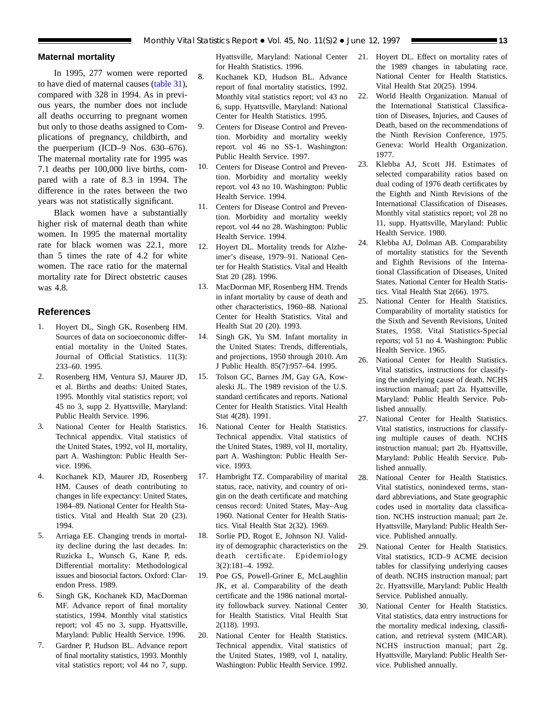#### **Maternal mortality**

In 1995, 277 women were reported to have died of maternal causes [\(table 31\)](#page-71-0), compared with 328 in 1994. As in previous years, the number does not include all deaths occurring to pregnant women but only to those deaths assigned to Complications of pregnancy, childbirth, and the puerperium (ICD–9 Nos. 630–676). The maternal mortality rate for 1995 was 7.1 deaths per 100,000 live births, compared with a rate of 8.3 in 1994. The difference in the rates between the two years was not statistically significant.

Black women have a substantially higher risk of maternal death than white women. In 1995 the maternal mortality rate for black women was 22.1, more than 5 times the rate of 4.2 for white women. The race ratio for the maternal mortality rate for Direct obstetric causes was 4.8.

#### **References**

- 1. Hoyert DL, Singh GK, Rosenberg HM. Sources of data on socioeconomic differential mortality in the United States. Journal of Official Statistics. 11(3): 233–60. 1995.
- 2. Rosenberg HM, Ventura SJ, Maurer JD, et al. Births and deaths: United States, 1995. Monthly vital statistics report; vol 45 no 3, supp 2. Hyattsville, Maryland: Public Health Service. 1996.
- 3. National Center for Health Statistics. Technical appendix. Vital statistics of the United States, 1992, vol II, mortality, part A. Washington: Public Health Service. 1996.
- 4. Kochanek KD, Maurer JD, Rosenberg HM. Causes of death contributing to changes in life expectancy: United States, 1984–89. National Center for Health Statistics. Vital and Health Stat 20 (23). 1994.
- 5. Arriaga EE. Changing trends in mortality decline during the last decades. In: Ruzicka L, Wunsch G, Kane P, eds. Differential mortality: Methodological issues and biosocial factors. Oxford: Clarendon Press. 1989.
- 6. Singh GK, Kochanek KD, MacDorman MF. Advance report of final mortality statistics, 1994. Monthly vital statistics report; vol 45 no 3, supp. Hyattsville, Maryland: Public Health Service. 1996.
- 7. Gardner P, Hudson BL. Advance report of final mortality statistics, 1993. Monthly vital statistics report; vol 44 no 7, supp.

Hyattsville, Maryland: National Center for Health Statistics. 1996.

- 8. Kochanek KD, Hudson BL. Advance report of final mortality statistics, 1992. Monthly vital statistics report; vol 43 no 6, supp. Hyattsville, Maryland: National Center for Health Statistics. 1995.
- 9. Centers for Disease Control and Prevention. Morbidity and mortality weekly report. vol 46 no SS-1. Washington: Public Health Service. 1997.
- 10. Centers for Disease Control and Prevention. Morbidity and mortality weekly report. vol 43 no 10. Washington: Public Health Service. 1994.
- 11. Centers for Disease Control and Prevention. Morbidity and mortality weekly report. vol 44 no 28. Washington: Public Health Service. 1994.
- 12. Hoyert DL. Mortality trends for Alzheimer's disease, 1979–91. National Center for Health Statistics. Vital and Health Stat 20 (28). 1996.
- 13. MacDorman MF, Rosenberg HM. Trends in infant mortality by cause of death and other characteristics, 1960–88. National Center for Health Statistics. Vital and Health Stat 20 (20). 1993.
- 14. Singh GK, Yu SM. Infant mortality in the United States: Trends, differentials, and projections, 1950 through 2010. Am J Public Health. 85(7):957–64. 1995.
- 15. Tolson GC, Barnes JM, Gay GA, Kowaleski JL. The 1989 revision of the U.S. standard certificates and reports. National Center for Health Statistics. Vital Health Stat 4(28). 1991.
- 16. National Center for Health Statistics. Technical appendix. Vital statistics of the United States, 1989, vol II, mortality, part A. Washington: Public Health Service. 1993.
- 17. Hambright TZ. Comparability of marital status, race, nativity, and country of origin on the death certificate and matching census record: United States, May–Aug 1960. National Center for Health Statistics. Vital Health Stat 2(32). 1969.
- 18. Sorlie PD, Rogot E, Johnson NJ. Validity of demographic characteristics on the death certificate. Epidemiology 3(2):181–4. 1992.
- 19. Poe GS, Powell-Griner E, McLaughlin JK, et al. Comparability of the death certificate and the 1986 national mortality followback survey. National Center for Health Statistics. Vital Health Stat 2(118). 1993.
- 20. National Center for Health Statistics. Technical appendix. Vital statistics of the United States, 1989, vol I, natality. Washington: Public Health Service. 1992.
- 21. Hoyert DL. Effect on mortality rates of the 1989 changes in tabulating race. National Center for Health Statistics. Vital Health Stat 20(25). 1994.
- 22. World Health Organization. Manual of the International Statistical Classification of Diseases, Injuries, and Causes of Death, based on the recommendations of the Ninth Revision Conference, 1975. Geneva: World Health Organization. 1977.
- 23. Klebba AJ, Scott JH. Estimates of selected comparability ratios based on dual coding of 1976 death certificates by the Eighth and Ninth Revisions of the International Classification of Diseases. Monthly vital statistics report; vol 28 no 11, supp. Hyattsville, Maryland: Public Health Service. 1980.
- 24. Klebba AJ, Dolman AB. Comparability of mortality statistics for the Seventh and Eighth Revisions of the International Classification of Diseases, United States. National Center for Health Statistics. Vital Health Stat 2(66). 1975.
- 25. National Center for Health Statistics. Comparability of mortality statistics for the Sixth and Seventh Revisions, United States, 1958. Vital Statistics-Special reports; vol 51 no 4. Washington: Public Health Service. 1965.
- 26. National Center for Health Statistics. Vital statistics, instructions for classifying the underlying cause of death. NCHS instruction manual; part 2a. Hyattsville, Maryland: Public Health Service. Published annually.
- 27. National Center for Health Statistics. Vital statistics, instructions for classifying multiple causes of death. NCHS instruction manual; part 2b. Hyattsville, Maryland: Public Health Service. Published annually.
- 28. National Center for Health Statistics. Vital statistics, nonindexed terms, standard abbreviations, and State geographic codes used in mortality data classification. NCHS instruction manual; part 2e. Hyattsville, Maryland: Public Health Service. Published annually.
- 29. National Center for Health Statistics. Vital statistics, ICD–9 ACME decision tables for classifying underlying causes of death. NCHS instruction manual; part 2c. Hyattsville, Maryland: Public Health Service. Published annually.
- 30. National Center for Health Statistics. Vital statistics, data entry instructions for the mortality medical indexing, classification, and retrieval system (MICAR). NCHS instruction manual; part 2g. Hyattsville, Maryland: Public Health Service. Published annually.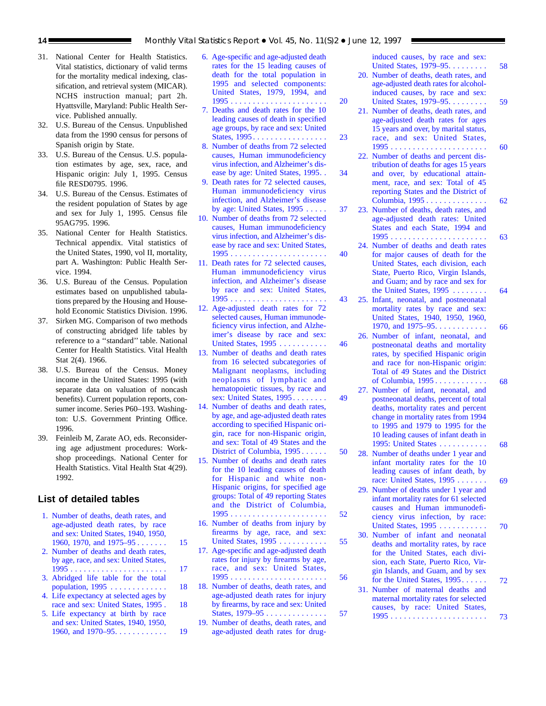- 31. National Center for Health Statistics. Vital statistics, dictionary of valid terms for the mortality medical indexing, classification, and retrieval system (MICAR). NCHS instruction manual; part 2h. Hyattsville, Maryland: Public Health Service. Published annually.
- 32. U.S. Bureau of the Census. Unpublished data from the 1990 census for persons of Spanish origin by State.
- 33. U.S. Bureau of the Census. U.S. population estimates by age, sex, race, and Hispanic origin: July 1, 1995. Census file RESD0795. 1996.
- 34. U.S. Bureau of the Census. Estimates of the resident population of States by age and sex for July 1, 1995. Census file 95AG795. 1996.
- 35. National Center for Health Statistics. Technical appendix. Vital statistics of the United States, 1990, vol II, mortality, part A. Washington: Public Health Service. 1994.
- 36. U.S. Bureau of the Census. Population estimates based on unpublished tabulations prepared by the Housing and Household Economic Statistics Division. 1996.
- 37. Sirken MG. Comparison of two methods of constructing abridged life tables by reference to a ''standard'' table. National Center for Health Statistics. Vital Health Stat 2(4). 1966.
- 38. U.S. Bureau of the Census. Money income in the United States: 1995 (with separate data on valuation of noncash benefits). Current population reports, consumer income. Series P60–193. Washington: U.S. Government Printing Office. 1996.
- 39. Feinleib M, Zarate AO, eds. Reconsidering age adjustment procedures: Workshop proceedings. National Center for Health Statistics. Vital Health Stat 4(29). 1992.

#### **List of detailed tables**

- [1. Number of deaths, death rates, and](#page-14-0) age-adjusted death rates, by race and sex: United States, 1940, 1950, 1960, 1970, and 1975–95 . . . . . . . . 15
- [2. Number of deaths and death rates,](#page-16-0) by age, race, and sex: United States, 1995 . . . . . . . . . . . . . . . . . . . . . . 17
- [3. Abridged life table for the total](#page-17-0) population, 1995 . . . . . . . . . . . . . 18
- 4. Life expectancy at selected ages by [race and sex: United States, 1995 . 18](#page-17-0)
- 5. Life expectancy at birth by race and sex: United States, 1940, 1950, 1960, and 1970–95. . . . . . . . . . . . . 19
- [6. Age-specific and age-adjusted death](#page-19-0) rates for the 15 leading causes of death for the total population in 1995 and selected components: United States, 1979, 1994, and 1995 . . . . . . . . . . . . . . . . . . . . . . 20
- [7. Deaths and death rates for the 10](#page-22-0) leading causes of death in specified age groups, by race and sex: United States, 1995. . . . . . . . . . . . . . . . . . 23
- [8. Number of deaths from 72 selected](#page-33-0) causes, Human immunodeficiency virus infection, and Alzheimer's disease by age: United States, 1995. . 34
- [9. Death rates for 72 selected causes,](#page-36-0) Human immunodeficiency virus infection, and Alzheimer's disease by age: United States, 1995 ..... 37
- [10. Number of deaths from 72 selected](#page-39-0) causes, Human immunodeficiency virus infection, and Alzheimer's disease by race and sex: United States, 1995 ...................... 40
- [11. Death rates for 72 selected causes,](#page-42-0) Human immunodeficiency virus infection, and Alzheimer's disease by race and sex: United States, 1995 ...................... 43
- [12. Age-adjusted death rates for 72](#page-45-0) selected causes, Human immunodeficiency virus infection, and Alzheimer's disease by race and sex: United States, 1995 ........... 46
- [13. Number of deaths and death rates](#page-48-0) from 16 selected subcategories of Malignant neoplasms, including neoplasms of lymphatic and hematopoietic tissues, by race and sex: United States, 1995 ........ 49
- [14. Number of deaths and death rates,](#page-49-0) by age, and age-adjusted death rates according to specified Hispanic origin, race for non-Hispanic origin, and sex: Total of 49 States and the District of Columbia, 1995 ...... 50
- [15. Number of deaths and death rates](#page-51-0) for the 10 leading causes of death for Hispanic and white non-Hispanic origins, for specified age groups: Total of 49 reporting States and the District of Columbia, 1995 ...................... 52
- [16. Number of deaths from injury by](#page-54-0) firearms by age, race, and sex: United States, 1995 ........... 55
- [17. Age-specific and age-adjusted death](#page-55-0) rates for injury by firearms by age, race, and sex: United States, 1995 ...................... 56
- [18. Number of deaths, death rates, and](#page-56-0) age-adjusted death rates for injury by firearms, by race and sex: United States, 1979–95 . . . . . . . . . . . . . . . 57
- [19. Number of deaths, death rates, and](#page-57-0) age-adjusted death rates for drug-

induced causes, by race and sex: [United States, 1979–95.........](#page-57-0) 58

- [20. Number of deaths, death rates, and](#page-58-0) age-adjusted death rates for alcoholinduced causes, by race and sex: United States, 1979–95......... 59
- [21. Number of deaths, death rates, and](#page-59-0) age-adjusted death rates for ages 15 years and over, by marital status, race, and sex: United States, 1995 ...................... 60
- [22. Number of deaths and percent dis](#page-61-0)tribution of deaths for ages 15 years and over, by educational attainment, race, and sex: Total of 45 reporting States and the District of Columbia, 1995 .............. 62
- [23. Number of deaths, death rates, and](#page-62-0) age-adjusted death rates: United States and each State, 1994 and 1995 ...................... 63
- [24. Number of deaths and death rates](#page-63-0) for major causes of death for the United States, each division, each State, Puerto Rico, Virgin Islands, and Guam; and by race and sex for the United States, 1995 ........ 64
- [25. Infant, neonatal, and postneonatal](#page-65-0) mortality rates by race and sex: United States, 1940, 1950, 1960, 1970, and 1975–95............ 66
- [26. Number of infant, neonatal, and](#page-67-0) postneonatal deaths and mortality rates, by specified Hispanic origin and race for non-Hispanic origin: Total of 49 States and the District of Columbia, 1995 ............ 68
- [27. Number of infant, neonatal, and](#page-67-0) postneonatal deaths, percent of total deaths, mortality rates and percent change in mortality rates from 1994 to 1995 and 1979 to 1995 for the 10 leading causes of infant death in 1995: United States . . . . . . . . . . . . 68
- [28. Number of deaths under 1 year and](#page-68-0) infant mortality rates for the 10 leading causes of infant death, by race: United States, 1995 ....... 69
	- [29. Number of deaths under 1 year and](#page-69-0) infant mortality rates for 61 selected causes and Human immunodeficiency virus infection, by race: United States, 1995 ........... 70
- [30. Number of infant and neonatal](#page-70-0) deaths and mortality rates, by race for the United States, each division, each State, Puerto Rico, Virgin Islands, and Guam, and by sex for the United States,  $1995...$  72
- [31. Number of maternal deaths and](#page-71-0) maternal mortality rates for selected causes, by race: United States, 1995 ...................... 73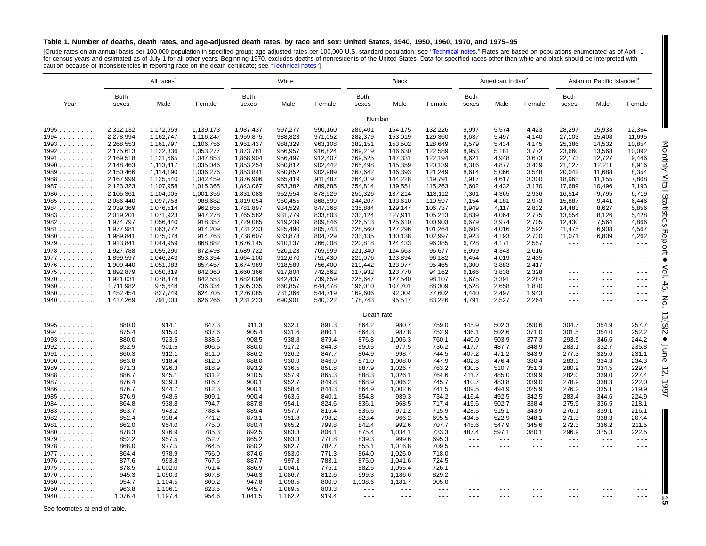#### <span id="page-14-0"></span>Table 1. Number of deaths, death rates, and age-adjusted death rates, by race and sex: United States, 1940, 1950, 1960, 1970, and 1975-95

[Crude rates on an annual basis per 100,000 population in specified group; age-adjusted rates per 100,000 U.S. standard population; see "Technical notes." Rates are based on populations enumerated as of April 1<br>for census caution because of inconsistencies in reporting race on the death certificate; see "Technical notes"]

|                      | All races <sup>1</sup> |                        | White                |                        |                    | <b>Black</b>       |                      |                    | American Indian <sup>2</sup> |                                                                                                                                                                                                                                                                                                                                                                                                                                                |                      | Asian or Pacific Islander <sup>3</sup>                                          |                                                                                                                                                                                                                                                                                                                                                                                              |                                                                                                |                      |
|----------------------|------------------------|------------------------|----------------------|------------------------|--------------------|--------------------|----------------------|--------------------|------------------------------|------------------------------------------------------------------------------------------------------------------------------------------------------------------------------------------------------------------------------------------------------------------------------------------------------------------------------------------------------------------------------------------------------------------------------------------------|----------------------|---------------------------------------------------------------------------------|----------------------------------------------------------------------------------------------------------------------------------------------------------------------------------------------------------------------------------------------------------------------------------------------------------------------------------------------------------------------------------------------|------------------------------------------------------------------------------------------------|----------------------|
| Year                 | Both<br>sexes          | Male                   | Female               | Both<br>sexes          | Male               | Female             | <b>Both</b><br>sexes | Male               | Female                       | <b>Both</b><br>sexes                                                                                                                                                                                                                                                                                                                                                                                                                           | Male                 | Female                                                                          | Both<br>sexes                                                                                                                                                                                                                                                                                                                                                                                | Male                                                                                           | Female               |
|                      |                        |                        |                      |                        |                    |                    | Number               |                    |                              |                                                                                                                                                                                                                                                                                                                                                                                                                                                |                      |                                                                                 |                                                                                                                                                                                                                                                                                                                                                                                              |                                                                                                |                      |
| 1995                 | 2,312,132              | 1,172,959              | 1,139,173            | 1,987,437              | 997,277            | 990,160            | 286,401              | 154,175            | 132,226                      | 9,997                                                                                                                                                                                                                                                                                                                                                                                                                                          | 5,574                | 4,423                                                                           | 28,297                                                                                                                                                                                                                                                                                                                                                                                       | 15,933                                                                                         | 12,364               |
| 1994                 | 2,278,994              | 1,162,747              | 1,116,247            | 1,959,875              | 988,823            | 971,052            | 282,379              | 153,019            | 129,360                      | 9,637                                                                                                                                                                                                                                                                                                                                                                                                                                          | 5,497                | 4,140                                                                           | 27,103                                                                                                                                                                                                                                                                                                                                                                                       | 15,408                                                                                         | 11,695               |
| $1993 \ldots$        | 2,268,553              | 1,161,797              | 1,106,756            | 1,951,437              | 988,329            | 963,108            | 282,151              | 153,502            | 128,649                      | 9,579                                                                                                                                                                                                                                                                                                                                                                                                                                          | 5,434                | 4,145                                                                           | 25,386                                                                                                                                                                                                                                                                                                                                                                                       | 14,532                                                                                         | 10,854               |
| 1992                 | 2,175,613              | 1,122,336              | 1,053,277            | 1,873,781              | 956,957            | 916,824            | 269,219              | 146,630            | 122,589                      | 8,953                                                                                                                                                                                                                                                                                                                                                                                                                                          | 5,181                | 3,772                                                                           | 23,660                                                                                                                                                                                                                                                                                                                                                                                       | 13,568                                                                                         | 10,092               |
| 1991                 | 2,169,518              | 1,121,665              | 1,047,853            | 1,868,904              | 956,497            | 912,407            | 269,525              | 147,331            | 122,194                      | 8,621                                                                                                                                                                                                                                                                                                                                                                                                                                          | 4,948                | 3,673                                                                           | 22,173                                                                                                                                                                                                                                                                                                                                                                                       | 12,727                                                                                         | 9,446                |
|                      | 2,148,463              |                        | 1,035,046            |                        | 950,812            | 902,442            | 265,498              | 145,359            | 120,139                      |                                                                                                                                                                                                                                                                                                                                                                                                                                                | 4,877                | 3,439                                                                           | 21,127                                                                                                                                                                                                                                                                                                                                                                                       | 12,211                                                                                         | 8,916                |
| $1990$<br>1989       | 2,150,466              | 1,113,417<br>1,114,190 | 1,036,276            | 1,853,254<br>1,853,841 | 950,852            | 902,989            | 267,642              | 146,393            | 121,249                      | 8,316<br>8,614                                                                                                                                                                                                                                                                                                                                                                                                                                 | 5,066                | 3,548                                                                           | 20,042                                                                                                                                                                                                                                                                                                                                                                                       | 11,688                                                                                         | 8,354                |
| 1988                 | 2,167,999              | 1,125,540              | 1,042,459            | 1,876,906              | 965,419            | 911,487            | 264,019              | 144,228            | 119,791                      | 7,917                                                                                                                                                                                                                                                                                                                                                                                                                                          | 4,617                | 3,300                                                                           | 18,963                                                                                                                                                                                                                                                                                                                                                                                       | 11,155                                                                                         | 7,808                |
|                      |                        |                        |                      |                        |                    |                    |                      |                    |                              | 7,602                                                                                                                                                                                                                                                                                                                                                                                                                                          |                      |                                                                                 |                                                                                                                                                                                                                                                                                                                                                                                              |                                                                                                |                      |
| 1987                 | 2,123,323              | 1,107,958<br>1,104,005 | 1,015,365            | 1,843,067              | 953,382            | 889,685<br>878,529 | 254,814<br>250,326   | 139,551            | 115,263<br>113,112           | 7,301                                                                                                                                                                                                                                                                                                                                                                                                                                          | 4,432<br>4,365       | 3,170<br>2,936                                                                  | 17,689<br>16,514                                                                                                                                                                                                                                                                                                                                                                             | 10,496<br>9,795                                                                                | 7,193<br>6,719       |
| 1986                 | 2,105,361<br>2,086,440 | 1,097,758              | 1,001,356<br>988,682 | 1,831,083<br>1,819,054 | 952,554<br>950,455 | 868,599            | 244,207              | 137,214            | 110,597                      | 7,154                                                                                                                                                                                                                                                                                                                                                                                                                                          | 4,181                | 2,973                                                                           | 15,887                                                                                                                                                                                                                                                                                                                                                                                       | 9,441                                                                                          | 6,446                |
| 1985<br>$1984$       | 2,039,369              | 1,076,514              | 962,855              | 1,781,897              | 934,529            | 847,368            | 235,884              | 133,610<br>129,147 | 106,737                      | 6,949                                                                                                                                                                                                                                                                                                                                                                                                                                          | 4,117                | 2,832                                                                           | 14,483                                                                                                                                                                                                                                                                                                                                                                                       | 8,627                                                                                          | 5,856                |
|                      |                        |                        |                      |                        |                    |                    |                      |                    |                              |                                                                                                                                                                                                                                                                                                                                                                                                                                                |                      |                                                                                 |                                                                                                                                                                                                                                                                                                                                                                                              |                                                                                                |                      |
| 1983                 | 2,019,201              | 1,071,923              | 947,278              | 1,765,582              | 931,779            | 833,803            | 233,124              | 127,911            | 105,213                      | 6,839                                                                                                                                                                                                                                                                                                                                                                                                                                          | 4,064                | 2,775                                                                           | 13,554                                                                                                                                                                                                                                                                                                                                                                                       | 8,126                                                                                          | 5,428                |
| 1982                 | 1,974,797              | 1,056,440              | 918,357              | 1,729,085              | 919,239            | 809,846            | 226,513              | 125,610            | 100,903                      | 6,679                                                                                                                                                                                                                                                                                                                                                                                                                                          | 3,974                | 2,705                                                                           | 12,430                                                                                                                                                                                                                                                                                                                                                                                       | 7,564                                                                                          | 4,866                |
| 1981                 | 1,977,981              | 1,063,772              | 914,209              | 1,731,233              | 925,490            | 805,743            | 228,560              | 127,296            | 101,264                      | 6,608                                                                                                                                                                                                                                                                                                                                                                                                                                          | 4,016                | 2,592                                                                           | 11,475                                                                                                                                                                                                                                                                                                                                                                                       | 6,908                                                                                          | 4,567                |
| $1980 \ldots$        | 1,989,841              | 1,075,078              | 914,763              | 1,738,607              | 933,878            | 804,729            | 233,135              | 130,138            | 102,997                      | 6,923                                                                                                                                                                                                                                                                                                                                                                                                                                          | 4,193                | 2,730                                                                           | 11,071                                                                                                                                                                                                                                                                                                                                                                                       | 6,809                                                                                          | 4,262                |
| 1979                 | 1,913,841              | 1,044,959              | 868,882              | 1,676,145              | 910,137            | 766,008            | 220,818              | 124,433            | 96,385                       | 6,728                                                                                                                                                                                                                                                                                                                                                                                                                                          | 4,171                | 2,557                                                                           | $  -$                                                                                                                                                                                                                                                                                                                                                                                        | $\sim$ $\sim$ $\sim$                                                                           | $\sim$ $\sim$ $\sim$ |
| 1978                 | 1,927,788              | 1,055,290              | 872,498              | 1,689,722              | 920,123            | 769,599            | 221,340              | 124,663            | 96,677                       | 6,959                                                                                                                                                                                                                                                                                                                                                                                                                                          | 4,343                | 2,616                                                                           | $\sim$ $\sim$ $\sim$                                                                                                                                                                                                                                                                                                                                                                         | $\sim$ $\sim$ $\sim$                                                                           | $\sim$ $\sim$ $\sim$ |
| 1977                 | 1,899,597              | 1,046,243              | 853,354              | 1,664,100              | 912,670            | 751,430            | 220,076              | 123,894            | 96,182                       | 6,454                                                                                                                                                                                                                                                                                                                                                                                                                                          | 4,019                | 2.435                                                                           | $\sim$ $\sim$ $\sim$                                                                                                                                                                                                                                                                                                                                                                         | $\sim$ $\sim$ $\sim$                                                                           | $\sim$ $\sim$ $\sim$ |
| 1976                 | 1,909,440              | 1,051,983              | 857,457              | 1,674,989              | 918,589            | 756,400            | 219,442              | 123,977            | 95,465                       | 6,300                                                                                                                                                                                                                                                                                                                                                                                                                                          | 3,883                | 2,417                                                                           | $\sim$ $\sim$ $\sim$                                                                                                                                                                                                                                                                                                                                                                         | $\sim$ $\sim$ $\sim$                                                                           | $\sim$ $\sim$ $\sim$ |
| 1975                 | 1,892,879              | 1,050,819              | 842,060              | 1,660,366              | 917,804            | 742,562            | 217,932              | 123,770            | 94,162                       | 6,166                                                                                                                                                                                                                                                                                                                                                                                                                                          | 3,838                | 2,328                                                                           | $  -$                                                                                                                                                                                                                                                                                                                                                                                        | $\sim$ $\sim$ $\sim$                                                                           | $\sim$ $\sim$ $\sim$ |
| 1970                 | 1,921,031              | 1,078,478              | 842,553              | 1,682,096              | 942,437            | 739,659            | 225,647              | 127,540            | 98,107                       | 5,675                                                                                                                                                                                                                                                                                                                                                                                                                                          | 3,391                | 2,284                                                                           | $\frac{1}{2} \frac{1}{2} \frac{1}{2} \frac{1}{2} \frac{1}{2} \frac{1}{2} \frac{1}{2} \frac{1}{2} \frac{1}{2} \frac{1}{2} \frac{1}{2} \frac{1}{2} \frac{1}{2} \frac{1}{2} \frac{1}{2} \frac{1}{2} \frac{1}{2} \frac{1}{2} \frac{1}{2} \frac{1}{2} \frac{1}{2} \frac{1}{2} \frac{1}{2} \frac{1}{2} \frac{1}{2} \frac{1}{2} \frac{1}{2} \frac{1}{2} \frac{1}{2} \frac{1}{2} \frac{1}{2} \frac{$ | $\sim$ $\sim$ $\sim$                                                                           | $  -$                |
| $1960$               | 1,711,982              | 975,648                | 736,334              | 1,505,335              | 860,857            | 644,478            | 196,010              | 107,701            | 88,309                       | 4,528                                                                                                                                                                                                                                                                                                                                                                                                                                          | 2,658                | 1,870                                                                           | $\sim$ $\sim$ $\sim$                                                                                                                                                                                                                                                                                                                                                                         | $\sim$ $\sim$ $\sim$                                                                           | $  -$                |
| 1950                 | 1,452,454              | 827,749                | 624,705              | 1,276,085              | 731,366            | 544,719            | 169,606              | 92,004             | 77,602                       | 4,440                                                                                                                                                                                                                                                                                                                                                                                                                                          | 2,497                | 1,943                                                                           | $\sim$ $\sim$ $\sim$                                                                                                                                                                                                                                                                                                                                                                         | $\sim$ $\sim$ $\sim$                                                                           | $\sim$ $\sim$ $\sim$ |
| 1940                 | 1,417,269              | 791,003                | 626,266              | 1,231,223              | 690,901            | 540,322            | 178,743              | 95,517             | 83,226                       | 4,791                                                                                                                                                                                                                                                                                                                                                                                                                                          | 2,527                | 2,264                                                                           | $\sim$ $\sim$ $\sim$                                                                                                                                                                                                                                                                                                                                                                         | $\sim$ $\sim$ $\sim$                                                                           | $\sim$ $\sim$ $\sim$ |
|                      |                        |                        |                      |                        |                    |                    | Death rate           |                    |                              |                                                                                                                                                                                                                                                                                                                                                                                                                                                |                      |                                                                                 |                                                                                                                                                                                                                                                                                                                                                                                              |                                                                                                |                      |
| 1995                 | 880.0                  | 914.1                  | 847.3                | 911.3                  | 932.1              | 891.3              | 864.2                | 980.7              | 759.0                        | 445.9                                                                                                                                                                                                                                                                                                                                                                                                                                          | 502.3                | 390.6                                                                           | 304.7                                                                                                                                                                                                                                                                                                                                                                                        | 354.9                                                                                          | 257.7                |
| $1994$               | 875.4                  | 915.0                  | 837.6                | 905.4                  | 931.6              | 880.1              | 864.3                | 987.8              | 752.9                        | 436.1                                                                                                                                                                                                                                                                                                                                                                                                                                          | 502.6                | 371.0                                                                           | 301.5                                                                                                                                                                                                                                                                                                                                                                                        | 354.0                                                                                          | 252.2                |
| $1993$               | 880.0                  | 923.5                  | 838.6                | 908.5                  | 938.8              | 879.4              | 876.8                | 1,006.3            | 760.1                        | 440.0                                                                                                                                                                                                                                                                                                                                                                                                                                          | 503.9                | 377.3                                                                           | 293.9                                                                                                                                                                                                                                                                                                                                                                                        | 346.6                                                                                          | 244.2                |
| 1992                 | 852.9                  | 901.6                  | 806.5                | 880.0                  | 917.2              | 844.3              | 850.5                | 977.5              | 736.2                        | 417.7                                                                                                                                                                                                                                                                                                                                                                                                                                          | 487.7                | 348.9                                                                           | 283.1                                                                                                                                                                                                                                                                                                                                                                                        | 332.7                                                                                          | 235.8                |
| 1991                 | 860.3                  | 912.1                  | 811.0                | 886.2                  | 926.2              | 847.7              | 864.9                | 998.7              | 744.5                        | 407.2                                                                                                                                                                                                                                                                                                                                                                                                                                          | 471.2                | 343.9                                                                           | 277.3                                                                                                                                                                                                                                                                                                                                                                                        | 325.6                                                                                          | 231.1                |
| 1990                 | 863.8                  | 918.4                  | 812.0                | 888.0                  | 930.9              | 846.9              | 871.0                | 1,008.0            | 747.9                        | 402.8                                                                                                                                                                                                                                                                                                                                                                                                                                          | 476.4                | 330.4                                                                           | 283.3                                                                                                                                                                                                                                                                                                                                                                                        | 334.3                                                                                          | 234.3                |
| $1989 \ldots$        | 871.3                  | 926.3                  | 818.9                | 893.2                  | 936.5              | 851.8              | 887.9                | 1,026.7            | 763.2                        | 430.5                                                                                                                                                                                                                                                                                                                                                                                                                                          | 510.7                | 351.3                                                                           | 280.9                                                                                                                                                                                                                                                                                                                                                                                        | 334.5                                                                                          | 229.4                |
| 1988                 | 886.7                  | 945.1                  | 831.2                | 910.5                  | 957.9              | 865.3              | 888.3                | 1,026.1            | 764.6                        | 411.7                                                                                                                                                                                                                                                                                                                                                                                                                                          | 485.0                | 339.9                                                                           | 282.0                                                                                                                                                                                                                                                                                                                                                                                        | 339.0                                                                                          | 227.4                |
| 1987                 | 876.4                  | 939.3                  | 816.7                | 900.1                  | 952.7              | 849.8              | 868.9                | 1,006.2            | 745.7                        | 410.7                                                                                                                                                                                                                                                                                                                                                                                                                                          | 483.8                | 339.0                                                                           | 278.9                                                                                                                                                                                                                                                                                                                                                                                        | 338.3                                                                                          | 222.0                |
| $1986 \ldots \ldots$ | 876.7                  | 944.7                  | 812.3                | 900.1                  | 958.6              | 844.3              | 864.9                | 1,002.6            | 741.5                        | 409.5                                                                                                                                                                                                                                                                                                                                                                                                                                          | 494.9                | 325.9                                                                           | 276.2                                                                                                                                                                                                                                                                                                                                                                                        | 335.1                                                                                          | 219.9                |
| 1985                 | 876.9                  | 948.6                  | 809.1                | 900.4                  | 963.6              | 840.1              | 854.8                | 989.3              | 734.2                        | 416.4                                                                                                                                                                                                                                                                                                                                                                                                                                          | 492.5                | 342.5                                                                           | 283.4                                                                                                                                                                                                                                                                                                                                                                                        | 344.6                                                                                          | 224.9                |
| 1984                 | 864.8                  | 938.8                  | 794.7                | 887.8                  | 954.1              | 824.6              | 836.1                | 968.5              | 717.4                        | 419.6                                                                                                                                                                                                                                                                                                                                                                                                                                          | 502.7                | 338.4                                                                           | 275.9                                                                                                                                                                                                                                                                                                                                                                                        | 336.5                                                                                          | 218.1                |
| $1983$               | 863.7                  | 943.2                  | 788.4                | 885.4                  | 957.7              | 816.4              | 836.6                | 971.2              | 715.9                        | 428.5                                                                                                                                                                                                                                                                                                                                                                                                                                          | 515.1                | 343.9                                                                           | 276.1                                                                                                                                                                                                                                                                                                                                                                                        | 339.1                                                                                          | 216.1                |
| 1982                 | 852.4                  | 938.4                  | 771.2                | 873.1                  | 951.8              | 798.2              | 823.4                | 966.2              | 695.5                        | 434.5                                                                                                                                                                                                                                                                                                                                                                                                                                          | 522.9                | 348.1                                                                           | 271.3                                                                                                                                                                                                                                                                                                                                                                                        | 338.3                                                                                          | 207.4                |
| 1981                 | 862.0                  | 954.0                  | 775.0                | 880.4                  | 965.2              | 799.8              | 842.4                | 992.6              | 707.7                        | 445.6                                                                                                                                                                                                                                                                                                                                                                                                                                          | 547.9                | 345.6                                                                           | 272.3                                                                                                                                                                                                                                                                                                                                                                                        | 336.2                                                                                          | 211.5                |
| 1980                 | 878.3                  | 976.9                  | 785.3                | 892.5                  | 983.3              | 806.1              | 875.4                | 1,034.1            | 733.3                        | 487.4                                                                                                                                                                                                                                                                                                                                                                                                                                          | 597.1                | 380.1                                                                           | 296.9                                                                                                                                                                                                                                                                                                                                                                                        | 375.3                                                                                          | 222.5                |
| 1979                 | 852.2                  | 957.5                  | 752.7                | 865.2                  | 963.3              | 771.8              | 839.3                | 999.6              | 695.3                        | $\sim$ $\sim$ $\sim$                                                                                                                                                                                                                                                                                                                                                                                                                           | $\sim$ $\sim$ $\sim$ | $\sim$ $\sim$ $\sim$                                                            | $\sim$ $\sim$ $\sim$                                                                                                                                                                                                                                                                                                                                                                         | $\sim$ $\sim$ $\sim$                                                                           | $\sim$ $\sim$ $\sim$ |
| 1978                 | 868.0                  | 977.5                  | 764.5                | 880.2                  | 982.7              | 782.7              | 855.1                | 1,016.8            | 709.5                        | $\sim$ $\sim$ $\sim$                                                                                                                                                                                                                                                                                                                                                                                                                           | $\sim$ $\sim$ $\sim$ | $\sim$ $\sim$ $\sim$                                                            | $\frac{1}{2} \frac{1}{2} \frac{1}{2} \frac{1}{2} \frac{1}{2} \frac{1}{2} \frac{1}{2} \frac{1}{2} \frac{1}{2} \frac{1}{2} \frac{1}{2} \frac{1}{2} \frac{1}{2} \frac{1}{2} \frac{1}{2} \frac{1}{2} \frac{1}{2} \frac{1}{2} \frac{1}{2} \frac{1}{2} \frac{1}{2} \frac{1}{2} \frac{1}{2} \frac{1}{2} \frac{1}{2} \frac{1}{2} \frac{1}{2} \frac{1}{2} \frac{1}{2} \frac{1}{2} \frac{1}{2} \frac{$ | $\sim$ $\sim$ $\sim$                                                                           | $\sim$ $\sim$ $\sim$ |
| 1977                 | 864.4                  | 978.9                  | 756.0                | 874.6                  | 983.0              | 771.3              | 864.0                | 1,026.0            | 718.0                        | $\sim$ $\sim$ $\sim$                                                                                                                                                                                                                                                                                                                                                                                                                           | $\sim$ $\sim$ $\sim$ | $\sim$ $\sim$ $\sim$                                                            | $\sim$ $\sim$ $\sim$                                                                                                                                                                                                                                                                                                                                                                         | $\sim$ $\sim$ $\sim$                                                                           | $\sim$ $\sim$ $\sim$ |
| $1976$               | 877.6                  | 993.8                  | 767.6                | 887.7                  | 997.3              | 783.1              | 875.0                | 1,041.6            | 724.5                        | $\frac{1}{2} \left( \frac{1}{2} \right) + \frac{1}{2} \left( \frac{1}{2} \right) + \frac{1}{2} \left( \frac{1}{2} \right) + \frac{1}{2} \left( \frac{1}{2} \right) + \frac{1}{2} \left( \frac{1}{2} \right) + \frac{1}{2} \left( \frac{1}{2} \right) + \frac{1}{2} \left( \frac{1}{2} \right) + \frac{1}{2} \left( \frac{1}{2} \right) + \frac{1}{2} \left( \frac{1}{2} \right) + \frac{1}{2} \left( \frac{1}{2} \right) + \frac{1}{2} \left($ | $\sim$ $\sim$ $\sim$ | $\sim$ $\sim$ $\sim$                                                            | $\sim$ $\sim$ $\sim$                                                                                                                                                                                                                                                                                                                                                                         | $\sim$ $\sim$ $\sim$                                                                           | $\sim$ $\sim$ $\sim$ |
| 1975                 | 878.5                  | 1,002.0                | 761.4                | 886.9                  | 1,004.1            | 775.1              | 882.5                | 1,055.4            | 726.1                        | $\sim$ $\sim$ $\sim$                                                                                                                                                                                                                                                                                                                                                                                                                           | $\frac{1}{2}$        | $\sim$ $\sim$ $\sim$                                                            | $\frac{1}{2} \left( \frac{1}{2} \right) \left( \frac{1}{2} \right) \left( \frac{1}{2} \right)$                                                                                                                                                                                                                                                                                               | $\frac{1}{2} \left( \frac{1}{2} \right) \left( \frac{1}{2} \right) \left( \frac{1}{2} \right)$ | $\sim$ $\sim$ $\sim$ |
| 1970                 | 945.3                  | 1,090.3                | 807.8                | 946.3                  | 1,086.7            | 812.6              | 999.3                | 1,186.6            | 829.2                        | $\sim$ $\sim$ $\sim$                                                                                                                                                                                                                                                                                                                                                                                                                           | $\sim$ $\sim$ $\sim$ | $\frac{1}{2} \left( \frac{1}{2} \right) \frac{1}{2} \left( \frac{1}{2} \right)$ | $\sim$ $\sim$ $\sim$                                                                                                                                                                                                                                                                                                                                                                         | $\sim$ $\sim$ $\sim$                                                                           | $\sim$ $\sim$ $\sim$ |
| $1960 \ldots$        | 954.7                  | 1,104.5                | 809.2                | 947.8                  | 1,098.5            | 800.9              | 1,038.6              | 1,181.7            | 905.0                        | $\sim$ $\sim$ $\sim$                                                                                                                                                                                                                                                                                                                                                                                                                           | $\sim$ $\sim$ $\sim$ | $\sim$ $\sim$ $\sim$                                                            | $\sim$ $\sim$ $\sim$                                                                                                                                                                                                                                                                                                                                                                         | $\sim$ $\sim$ $\sim$                                                                           | $\sim$ $\sim$ $\sim$ |
| $1950 \ldots$        | 963.8                  | 1,106.1                | 823.5                | 945.7                  | 1,089.5            | 803.3              | $\sim$ $\sim$ $\sim$ | $  -$              | $\sim$ $\sim$ $\sim$         | $\sim$ $\sim$ $\sim$                                                                                                                                                                                                                                                                                                                                                                                                                           | $\sim$ $\sim$ $\sim$ | $\sim$ $\sim$ $\sim$                                                            | $\sim$ $\sim$ $\sim$                                                                                                                                                                                                                                                                                                                                                                         | $\sim$ $\sim$ $\sim$                                                                           | $\sim$ $\sim$ $\sim$ |
| 1940                 | 1,076.4                | 1,197.4                | 954.6                | 1,041.5                | 1,162.2            | 919.4              | $\sim$ $\sim$ $\sim$ | $\cdots$           | $\sim$ $\sim$ $\sim$         | $  -$                                                                                                                                                                                                                                                                                                                                                                                                                                          | $\sim$ $\sim$ $\sim$ | $\frac{1}{2} \left( \frac{1}{2} \right) \frac{1}{2} \left( \frac{1}{2} \right)$ | $\sim$ $\sim$ $\sim$                                                                                                                                                                                                                                                                                                                                                                         | $\sim$ $\sim$ $\sim$                                                                           | $\sim$ $\sim$ $\sim$ |
|                      |                        |                        |                      |                        |                    |                    |                      |                    |                              |                                                                                                                                                                                                                                                                                                                                                                                                                                                |                      |                                                                                 |                                                                                                                                                                                                                                                                                                                                                                                              |                                                                                                |                      |

Monthly Vital

Statistics

Report •

Vol. 45, No. 11(S)2 ●

June 12,

1997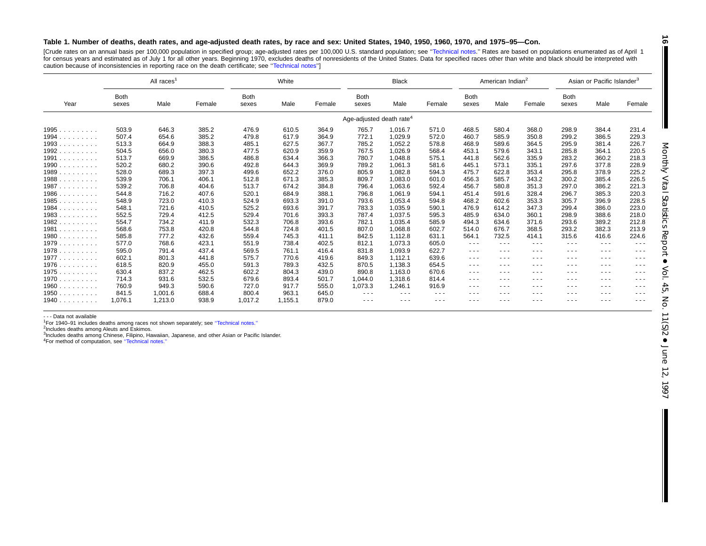#### Table 1. Number of deaths, death rates, and age-adjusted death rates, by race and sex: United States, 1940, 1950, 1960, 1970, and 1975-95-Con.

[Crude rates on an annual basis per 100,000 population in specified group; age-adjusted rates per 100,000 U.S. standard population; see '['Technical](#page-72-0) notes.'' Rates are based on populations enumerated as of April 1 for census years and estimated as of July 1 for all other years. Beginning 1970, excludes deaths of nonresidents of the United States. Data for specified races other than white and black should be interpreted with caution because of inconsistencies in reporting race on the death certificate; see [''Technical](#page-72-0) notes'']

|                            |               | All races <sup>1</sup> |        |                      | White   | <b>Black</b> |                                      |               |                                                                                                | American Indian <sup>2</sup>                                                                   |               |                                                                                                                                                                                                                                                                                                                                                                                              | Asian or Pacific Islander <sup>3</sup>                                                         |          |               |
|----------------------------|---------------|------------------------|--------|----------------------|---------|--------------|--------------------------------------|---------------|------------------------------------------------------------------------------------------------|------------------------------------------------------------------------------------------------|---------------|----------------------------------------------------------------------------------------------------------------------------------------------------------------------------------------------------------------------------------------------------------------------------------------------------------------------------------------------------------------------------------------------|------------------------------------------------------------------------------------------------|----------|---------------|
| Year                       | Both<br>sexes | Male                   | Female | <b>Both</b><br>sexes | Male    | Female       | <b>Both</b><br>sexes                 | Male          | Female                                                                                         | <b>Both</b><br>sexes                                                                           | Male          | Female                                                                                                                                                                                                                                                                                                                                                                                       | <b>Both</b><br>sexes                                                                           | Male     | Female        |
|                            |               |                        |        |                      |         |              | Age-adjusted death rate <sup>4</sup> |               |                                                                                                |                                                                                                |               |                                                                                                                                                                                                                                                                                                                                                                                              |                                                                                                |          |               |
| 1995                       | 503.9         | 646.3                  | 385.2  | 476.9                | 610.5   | 364.9        | 765.7                                | 1,016.7       | 571.0                                                                                          | 468.5                                                                                          | 580.4         | 368.0                                                                                                                                                                                                                                                                                                                                                                                        | 298.9                                                                                          | 384.4    | 231.4         |
| 1994.<br>and a contract of | 507.4         | 654.6                  | 385.2  | 479.8                | 617.9   | 364.9        | 772.1                                | 1,029.9       | 572.0                                                                                          | 460.7                                                                                          | 585.9         | 350.8                                                                                                                                                                                                                                                                                                                                                                                        | 299.2                                                                                          | 386.5    | 229.3         |
| 1993                       | 513.3         | 664.9                  | 388.3  | 485.1                | 627.5   | 367.7        | 785.2                                | 1,052.2       | 578.8                                                                                          | 468.9                                                                                          | 589.6         | 364.5                                                                                                                                                                                                                                                                                                                                                                                        | 295.9                                                                                          | 381.4    | 226.7         |
| 1992                       | 504.5         | 656.0                  | 380.3  | 477.5                | 620.9   | 359.9        | 767.5                                | 1.026.9       | 568.4                                                                                          | 453.1                                                                                          | 579.6         | 343.1                                                                                                                                                                                                                                                                                                                                                                                        | 285.8                                                                                          | 364.1    | 220.5         |
| 1991                       | 513.7         | 669.9                  | 386.5  | 486.8                | 634.4   | 366.3        | 780.7                                | 1,048.8       | 575.1                                                                                          | 441.8                                                                                          | 562.6         | 335.9                                                                                                                                                                                                                                                                                                                                                                                        | 283.2                                                                                          | 360.2    | 218.3         |
| 1990                       | 520.2         | 680.2                  | 390.6  | 492.8                | 644.3   | 369.9        | 789.2                                | 1,061.3       | 581.6                                                                                          | 445.1                                                                                          | 573.1         | 335.1                                                                                                                                                                                                                                                                                                                                                                                        | 297.6                                                                                          | 377.8    | 228.9         |
| 1989                       | 528.0         | 689.3                  | 397.3  | 499.6                | 652.2   | 376.0        | 805.9                                | 1,082.8       | 594.3                                                                                          | 475.7                                                                                          | 622.8         | 353.4                                                                                                                                                                                                                                                                                                                                                                                        | 295.8                                                                                          | 378.9    | 225.2         |
| 1988                       | 539.9         | 706.1                  | 406.1  | 512.8                | 671.3   | 385.3        | 809.7                                | 1,083.0       | 601.0                                                                                          | 456.3                                                                                          | 585.7         | 343.2                                                                                                                                                                                                                                                                                                                                                                                        | 300.2                                                                                          | 385.4    | 226.5         |
| 1987.<br>.                 | 539.2         | 706.8                  | 404.6  | 513.7                | 674.2   | 384.8        | 796.4                                | 1,063.6       | 592.4                                                                                          | 456.7                                                                                          | 580.8         | 351.3                                                                                                                                                                                                                                                                                                                                                                                        | 297.0                                                                                          | 386.2    | 221.3         |
| 1986                       | 544.8         | 716.2                  | 407.6  | 520.1                | 684.9   | 388.1        | 796.8                                | 1,061.9       | 594.1                                                                                          | 451.4                                                                                          | 591.6         | 328.4                                                                                                                                                                                                                                                                                                                                                                                        | 296.7                                                                                          | 385.3    | 220.3         |
| 1985                       | 548.9         | 723.0                  | 410.3  | 524.9                | 693.3   | 391.0        | 793.6                                | 1.053.4       | 594.8                                                                                          | 468.2                                                                                          | 602.6         | 353.3                                                                                                                                                                                                                                                                                                                                                                                        | 305.7                                                                                          | 396.9    | 228.5         |
| 1984                       | 548.1         | 721.6                  | 410.5  | 525.2                | 693.6   | 391.7        | 783.3                                | 1,035.9       | 590.1                                                                                          | 476.9                                                                                          | 614.2         | 347.3                                                                                                                                                                                                                                                                                                                                                                                        | 299.4                                                                                          | 386.0    | 223.0         |
| 1983                       | 552.5         | 729.4                  | 412.5  | 529.4                | 701.6   | 393.3        | 787.4                                | 1,037.5       | 595.3                                                                                          | 485.9                                                                                          | 634.0         | 360.1                                                                                                                                                                                                                                                                                                                                                                                        | 298.9                                                                                          | 388.6    | 218.0         |
| 1982                       | 554.7         | 734.2                  | 411.9  | 532.3                | 706.8   | 393.6        | 782.1                                | 1,035.4       | 585.9                                                                                          | 494.3                                                                                          | 634.6         | 371.6                                                                                                                                                                                                                                                                                                                                                                                        | 293.6                                                                                          | 389.2    | 212.8         |
| 1981                       | 568.6         | 753.8                  | 420.8  | 544.8                | 724.8   | 401.5        | 807.0                                | 1,068.8       | 602.7                                                                                          | 514.0                                                                                          | 676.7         | 368.5                                                                                                                                                                                                                                                                                                                                                                                        | 293.2                                                                                          | 382.3    | 213.9         |
| 1980                       | 585.8         | 777.2                  | 432.6  | 559.4                | 745.3   | 411.1        | 842.5                                | 1,112.8       | 631.1                                                                                          | 564.1                                                                                          | 732.5         | 414.1                                                                                                                                                                                                                                                                                                                                                                                        | 315.6                                                                                          | 416.6    | 224.6         |
| 1979                       | 577.0         | 768.6                  | 423.1  | 551.9                | 738.4   | 402.5        | 812.1                                | 1.073.3       | 605.0                                                                                          | $\cdots$                                                                                       | $\cdots$      | $\cdots$                                                                                                                                                                                                                                                                                                                                                                                     | $\frac{1}{2}$                                                                                  | $  -$    | $\frac{1}{2}$ |
| 1978                       | 595.0         | 791.4                  | 437.4  | 569.5                | 761.1   | 416.4        | 831.8                                | 1,093.9       | 622.7                                                                                          | $\frac{1}{2}$                                                                                  | $\frac{1}{2}$ | $\frac{1}{2}$                                                                                                                                                                                                                                                                                                                                                                                | $\frac{1}{2}$                                                                                  | ---      | $\frac{1}{2}$ |
| 1977                       | 602.1         | 801.3                  | 441.8  | 575.7                | 770.6   | 419.6        | 849.3                                | 1,112.1       | 639.6                                                                                          | $\frac{1}{2} \left( \frac{1}{2} \right) \left( \frac{1}{2} \right) \left( \frac{1}{2} \right)$ | $\cdots$      | $\frac{1}{2} \left( \frac{1}{2} \right) \left( \frac{1}{2} \right) \left( \frac{1}{2} \right)$                                                                                                                                                                                                                                                                                               | $\frac{1}{2}$                                                                                  | $  -$    | $\frac{1}{2}$ |
| 1976                       | 618.5         | 820.9                  | 455.0  | 591.3                | 789.3   | 432.5        | 870.5                                | 1,138.3       | 654.5                                                                                          | $\frac{1}{2} \left( \frac{1}{2} \right) \left( \frac{1}{2} \right) \left( \frac{1}{2} \right)$ | $\cdots$      | $\cdots$                                                                                                                                                                                                                                                                                                                                                                                     | $- - -$                                                                                        | $- - -$  | $\frac{1}{2}$ |
| 1975                       | 630.4         | 837.2                  | 462.5  | 602.2                | 804.3   | 439.0        | 890.8                                | 1,163.0       | 670.6                                                                                          | $\frac{1}{2} \left( \frac{1}{2} \right) \left( \frac{1}{2} \right) \left( \frac{1}{2} \right)$ | $\cdots$      | $\frac{1}{2} \frac{1}{2} \frac{1}{2} \frac{1}{2} \frac{1}{2} \frac{1}{2} \frac{1}{2} \frac{1}{2} \frac{1}{2} \frac{1}{2} \frac{1}{2} \frac{1}{2} \frac{1}{2} \frac{1}{2} \frac{1}{2} \frac{1}{2} \frac{1}{2} \frac{1}{2} \frac{1}{2} \frac{1}{2} \frac{1}{2} \frac{1}{2} \frac{1}{2} \frac{1}{2} \frac{1}{2} \frac{1}{2} \frac{1}{2} \frac{1}{2} \frac{1}{2} \frac{1}{2} \frac{1}{2} \frac{$ | $\frac{1}{2} \left( \frac{1}{2} \right) \left( \frac{1}{2} \right) \left( \frac{1}{2} \right)$ | $\cdots$ | $\frac{1}{2}$ |
| 1970                       | 714.3         | 931.6                  | 532.5  | 679.6                | 893.4   | 501.7        | 1,044.0                              | 1,318.6       | 814.4                                                                                          | $\frac{1}{2} \left( \frac{1}{2} \right) \left( \frac{1}{2} \right) \left( \frac{1}{2} \right)$ | $- - -$       | $\frac{1}{2} \frac{1}{2} \frac{1}{2} \frac{1}{2} \frac{1}{2} \frac{1}{2} \frac{1}{2} \frac{1}{2} \frac{1}{2} \frac{1}{2} \frac{1}{2} \frac{1}{2} \frac{1}{2} \frac{1}{2} \frac{1}{2} \frac{1}{2} \frac{1}{2} \frac{1}{2} \frac{1}{2} \frac{1}{2} \frac{1}{2} \frac{1}{2} \frac{1}{2} \frac{1}{2} \frac{1}{2} \frac{1}{2} \frac{1}{2} \frac{1}{2} \frac{1}{2} \frac{1}{2} \frac{1}{2} \frac{$ | $\frac{1}{2}$                                                                                  | $  -$    | $- - -$       |
| 1960                       | 760.9         | 949.3                  | 590.6  | 727.0                | 917.7   | 555.0        | 1,073.3                              | 1,246.1       | 916.9                                                                                          | $\frac{1}{2} \left( \frac{1}{2} \right) \left( \frac{1}{2} \right) \left( \frac{1}{2} \right)$ | $\cdots$      | $\frac{1}{2} \left( \frac{1}{2} \right) \left( \frac{1}{2} \right) \left( \frac{1}{2} \right)$                                                                                                                                                                                                                                                                                               | $\cdots$                                                                                       | $  -$    | $\cdots$      |
| 1950                       | 841.5         | 1,001.6                | 688.4  | 800.4                | 963.1   | 645.0        | $\frac{1}{2}$                        | $\cdots$      | $\frac{1}{2} \left( \frac{1}{2} \right) \left( \frac{1}{2} \right) \left( \frac{1}{2} \right)$ | ---                                                                                            | $\cdots$      | $\cdots$                                                                                                                                                                                                                                                                                                                                                                                     | $\cdots$                                                                                       | - - -    | $\cdots$      |
| 1940                       | 1.076.1       | 1,213.0                | 938.9  | 1,017.2              | 1.155.1 | 879.0        | $\sim$ $\sim$ $\sim$                 | $\frac{1}{2}$ | $\frac{1}{2} \left( \frac{1}{2} \right) \left( \frac{1}{2} \right) \left( \frac{1}{2} \right)$ | ---                                                                                            | $\frac{1}{2}$ | $  -$                                                                                                                                                                                                                                                                                                                                                                                        | $\frac{1}{2}$                                                                                  | ---      | $\frac{1}{2}$ |

- - - Data not available

<sup>1</sup>For 1940–91 includes deaths among races not shown separately; see "Technical notes."

2Includes deaths among Aleuts and Eskimos.

<sup>3</sup>Includes deaths among Chinese, Filipino, Hawaiian, Japanese, and other Asian or Pacific Islander.

4For method of computation, see [''Technical](#page-72-0) notes.''

**16**  $\blacksquare$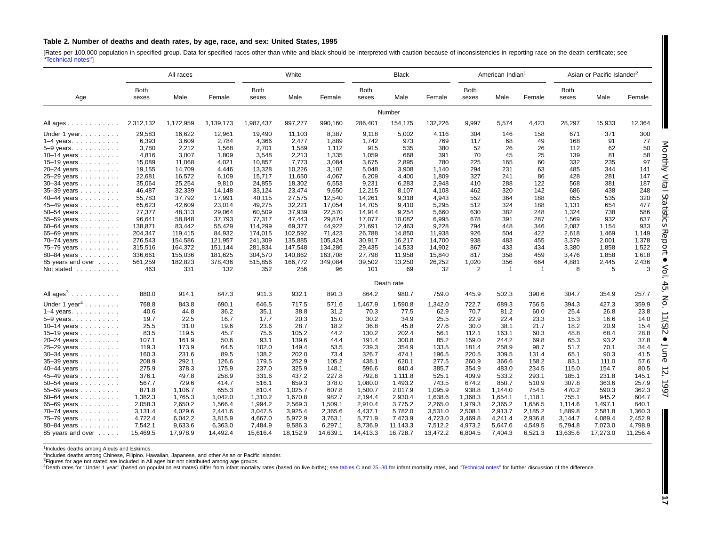#### <span id="page-16-0"></span>Table 2. Number of deaths and death rates, by age, race, and sex: United States, 1995

[Rates per 100,000 population in specified group. Data for specified races other than white and black should be interpreted with caution because of inconsistencies in reporting race on the death certificate; see [''Technical](#page-72-0) notes'']

|                           |                      | All races |           |               | White    |          |                      | <b>Black</b> |          |                      | American Indian <sup>1</sup> |         |                      | Asian or Pacific Islander <sup>2</sup> |          |
|---------------------------|----------------------|-----------|-----------|---------------|----------|----------|----------------------|--------------|----------|----------------------|------------------------------|---------|----------------------|----------------------------------------|----------|
| Age                       | <b>Both</b><br>sexes | Male      | Female    | Both<br>sexes | Male     | Female   | <b>Both</b><br>sexes | Male         | Female   | <b>Both</b><br>sexes | Male                         | Female  | <b>Both</b><br>sexes | Male                                   | Female   |
|                           |                      |           |           |               |          |          |                      | Number       |          |                      |                              |         |                      |                                        |          |
| All ages                  | 2,312,132            | 1,172,959 | 1,139,173 | 1,987,437     | 997,277  | 990,160  | 286,401              | 154,175      | 132,226  | 9,997                | 5,574                        | 4,423   | 28,297               | 15,933                                 | 12,364   |
| Under 1 year.             | 29,583               | 16,622    | 12,961    | 19,490        | 11,103   | 8,387    | 9,118                | 5,002        | 4,116    | 304                  | 146                          | 158     | 671                  | 371                                    | 300      |
| $1-4$ years.              | 6,393                | 3,609     | 2,784     | 4,366         | 2,477    | 1,889    | 1,742                | 973          | 769      | 117                  | 68                           | 49      | 168                  | 91                                     | 77       |
| 5-9 years.                | 3.780                | 2,212     | 1,568     | 2,701         | 1,589    | 1.112    | 915                  | 535          | 380      | 52                   | 26                           | 26      | 112                  | 62                                     | 50       |
| 10-14 years               | 4.816                | 3.007     | 1.809     | 3,548         | 2.213    | 1.335    | 1.059                | 668          | 391      | 70                   | 45                           | 25      | 139                  | 81                                     | 58       |
| 15-19 years               | 15,089               | 11,068    | 4,021     | 10,857        | 7,773    | 3,084    | 3,675                | 2,895        | 780      | 225                  | 165                          | 60      | 332                  | 235                                    | 97       |
| 20-24 years               | 19,155               | 14,709    | 4,446     | 13,328        | 10,226   | 3,102    | 5,048                | 3,908        | 1,140    | 294                  | 231                          | 63      | 485                  | 344                                    | 141      |
| 25-29 years               | 22,681               | 16,572    | 6,109     | 15,717        | 11,650   | 4.067    | 6,209                | 4,400        | 1,809    | 327                  | 241                          | 86      | 428                  | 281                                    | 147      |
| 30-34 years               | 35,064               | 25,254    | 9,810     | 24,855        | 18,302   | 6,553    | 9,231                | 6,283        | 2,948    | 410                  | 288                          | 122     | 568                  | 381                                    | 187      |
| 35-39 years               | 46,487               | 32,339    | 14,148    | 33,124        | 23,474   | 9,650    | 12,215               | 8,107        | 4,108    | 462                  | 320                          | 142     | 686                  | 438                                    | 248      |
| 40-44 years               | 55,783               | 37,792    | 17,991    | 40,115        | 27,575   | 12,540   | 14,261               | 9,318        | 4,943    | 552                  | 364                          | 188     | 855                  | 535                                    | 320      |
| 45-49 years               | 65.623               | 42.609    | 23,014    | 49,275        | 32.221   | 17.054   | 14.705               | 9.410        | 5,295    | 512                  | 324                          | 188     | 1,131                | 654                                    | 477      |
| 50-54 years               | 77,377               | 48,313    | 29,064    | 60,509        | 37,939   | 22,570   | 14,914               | 9,254        | 5,660    | 630                  | 382                          | 248     | 1,324                | 738                                    | 586      |
| 55–59 years               | 96,641               | 58,848    | 37,793    | 77,317        | 47,443   | 29,874   | 17,077               | 10,082       | 6,995    | 678                  | 391                          | 287     | 1,569                | 932                                    | 637      |
| 60-64 years               | 138,871              | 83,442    | 55,429    | 114,299       | 69,377   | 44,922   | 21,691               | 12,463       | 9,228    | 794                  | 448                          | 346     | 2,087                | 1,154                                  | 933      |
| 65-69 years               | 204,347              | 119,415   | 84,932    | 174,015       | 102,592  | 71,423   | 26,788               | 14,850       | 11,938   | 926                  | 504                          | 422     | 2,618                | 1,469                                  | 1,149    |
| 70-74 years               | 276,543              | 154,586   | 121,957   | 241,309       | 135,885  | 105,424  | 30,917               | 16,217       | 14,700   | 938                  | 483                          | 455     | 3,379                | 2,001                                  | 1,378    |
| 75-79 years               | 315,516              | 164,372   | 151,144   | 281,834       | 147,548  | 134,286  | 29,435               | 14,533       | 14,902   | 867                  | 433                          | 434     | 3,380                | 1,858                                  | 1,522    |
| 80-84 years               | 336,661              | 155,036   | 181,625   | 304,570       | 140,862  | 163,708  | 27,798               | 11,958       | 15,840   | 817                  | 358                          | 459     | 3,476                | 1,858                                  | 1,618    |
| 85 years and over         | 561,259              | 182,823   | 378,436   | 515,856       | 166,772  | 349,084  | 39,502               | 13,250       | 26,252   | 1,020                | 356                          | 664     | 4,881                | 2,445                                  | 2,436    |
| Not stated                | 463                  | 331       | 132       | 352           | 256      | 96       | 101                  | 69           | 32       | 2                    | -1                           | -1      | 8                    | 5                                      | 3        |
|                           |                      |           |           |               |          |          |                      | Death rate   |          |                      |                              |         |                      |                                        |          |
| All $ages^3$              | 880.0                | 914.1     | 847.3     | 911.3         | 932.1    | 891.3    | 864.2                | 980.7        | 759.0    | 445.9                | 502.3                        | 390.6   | 304.7                | 354.9                                  | 257.7    |
| Under 1 year <sup>4</sup> | 768.8                | 843.8     | 690.1     | 646.5         | 717.5    | 571.6    | 1,467.9              | 1,590.8      | 1,342.0  | 722.7                | 689.3                        | 756.5   | 394.3                | 427.3                                  | 359.9    |
| $1-4$ years.              | 40.6                 | 44.8      | 36.2      | 35.1          | 38.8     | 31.2     | 70.3                 | 77.5         | 62.9     | 70.7                 | 81.2                         | 60.0    | 25.4                 | 26.8                                   | 23.8     |
| $5-9$ years.              | 19.7                 | 22.5      | 16.7      | 17.7          | 20.3     | 15.0     | 30.2                 | 34.9         | 25.5     | 22.9                 | 22.4                         | 23.3    | 15.3                 | 16.6                                   | 14.0     |
| 10-14 years               | 25.5                 | 31.0      | 19.6      | 23.6          | 28.7     | 18.2     | 36.8                 | 45.8         | 27.6     | 30.0                 | 38.1                         | 21.7    | 18.2                 | 20.9                                   | 15.4     |
| 15–19 years $\ldots$      | 83.5                 | 119.5     | 45.7      | 75.6          | 105.2    | 44.2     | 130.2                | 202.4        | 56.1     | 112.1                | 163.1                        | 60.3    | 48.8                 | 68.4                                   | 28.8     |
| 20-24 years               | 107.1                | 161.9     | 50.6      | 93.1          | 139.6    | 44.4     | 191.4                | 300.8        | 85.2     | 159.0                | 244.2                        | 69.8    | 65.3                 | 93.2                                   | 37.8     |
| 25-29 years               | 119.3                | 173.9     | 64.5      | 102.0         | 149.4    | 53.5     | 239.3                | 354.9        | 133.5    | 181.4                | 258.9                        | 98.7    | 51.7                 | 70.1                                   | 34.4     |
| $30 - 34$ years           | 160.3                | 231.6     | 89.5      | 138.2         | 202.0    | 73.4     | 326.7                | 474.1        | 196.5    | 220.5                | 309.5                        | 131.4   | 65.1                 | 90.3                                   | 41.5     |
| 35-39 years               | 208.9                | 292.1     | 126.6     | 179.5         | 252.9    | 105.2    | 438.1                | 620.1        | 277.5    | 260.9                | 366.6                        | 158.2   | 83.1                 | 111.0                                  | 57.6     |
| 40-44 years               | 275.9                | 378.3     | 175.9     | 237.0         | 325.9    | 148.1    | 596.6                | 840.4        | 385.7    | 354.9                | 483.0                        | 234.5   | 115.0                | 154.7                                  | 80.5     |
| 45-49 years               | 376.1                | 497.8     | 258.9     | 331.6         | 437.2    | 227.8    | 792.8                | 1,111.8      | 525.1    | 409.9                | 533.2                        | 293.1   | 185.1                | 231.8                                  | 145.1    |
| $50 - 54$ years           | 567.7                | 729.6     | 414.7     | 516.1         | 659.3    | 378.0    | 1,080.0              | 1,493.2      | 743.5    | 674.2                | 850.7                        | 510.9   | 307.8                | 363.6                                  | 257.9    |
| 55-59 years $\ldots$      | 871.8                | 1,106.7   | 655.3     | 810.4         | 1,025.7  | 607.8    | 1,500.7              | 2,017.9      | 1,095.9  | 938.8                | 1,144.0                      | 754.5   | 470.2                | 590.3                                  | 362.3    |
| 60–64 years $\ldots$      | 1,382.3              | 1,765.3   | 1,042.0   | 1,310.2       | 1,670.8  | 982.7    | 2.194.4              | 2,930.4      | 1,638.6  | 1,368.3              | 1,654.1                      | 1.118.1 | 755.1                | 945.2                                  | 604.7    |
| 65-69 years               | 2,058.3              | 2,650.2   | 1,566.4   | 1,994.2       | 2,569.3  | 1,509.1  | 2,910.4              | 3,775.2      | 2,265.0  | 1,979.3              | 2,365.2                      | 1,656.5 | 1,114.6              | 1,497.1                                | 840.1    |
| 70-74 years               | 3,131.4              | 4,029.6   | 2,441.6   | 3,047.5       | 3,925.4  | 2,365.6  | 4,437.1              | 5,782.0      | 3,531.0  | 2,508.1              | 2,913.7                      | 2,185.2 | 1,889.8              | 2,581.8                                | 1,360.3  |
| 75-79 years               | 4,722.4              | 6,042.2   | 3,815.9   | 4,667.0       | 5,972.9  | 3,763.1  | 5,771.9              | 7,473.9      | 4,723.0  | 3,469.8              | 4,241.4                      | 2,936.8 | 3,144.7              | 4,089.4                                | 2,452.9  |
| 80-84 years               | 7,542.1              | 9,633.6   | 6,363.0   | 7,484.9       | 9,586.3  | 6,297.1  | 8,736.9              | 11,143.3     | 7,512.2  | 4,973.2              | 5,647.6                      | 4,549.5 | 5,794.8              | 7,073.0                                | 4,798.9  |
| 85 years and over         | 15.469.5             | 17,978.9  | 14,492.4  | 15.616.4      | 18.152.9 | 14.639.1 | 14.413.3             | 16.728.7     | 13.472.2 | 6.804.5              | 7.404.3                      | 6,521.3 | 13,635.6             | 17,273.0                               | 11,256.4 |

<sup>1</sup>Includes deaths among Aleuts and Eskimos.

2Includes deaths among Chinese, Filipino, Hawaiian, Japanese, and other Asian or Pacific Islander.

<sup>3</sup>Figures for age not stated are included in All ages but not distributed among age groups.<br><sup>4</sup>Death rates for "Under 1 year" (based on population estimates) differ from infant mortality rates (based on live births); see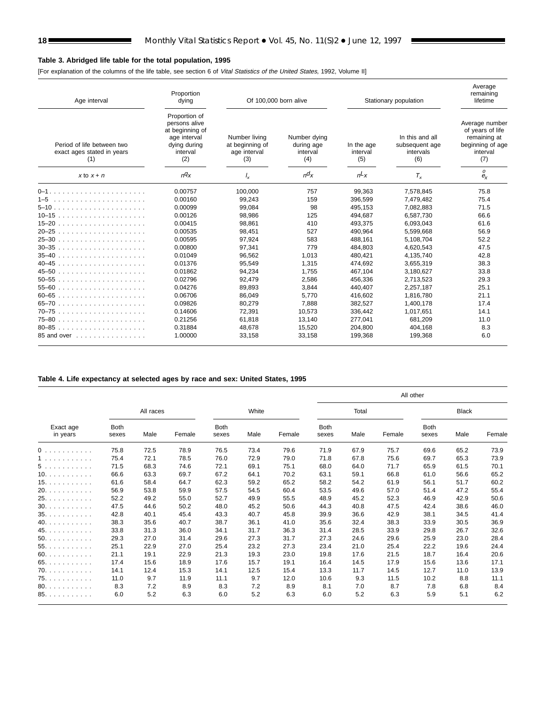Е

#### <span id="page-17-0"></span>**Table 3. Abridged life table for the total population, 1995**

[For explanation of the columns of the life table, see section 6 of Vital Statistics of the United States, 1992, Volume II]

| Age interval                                                    | Proportion<br>dying                                                                                  | Of 100,000 born alive                                   |                                               |                               | Stationary population                                 | Average<br>remaining<br>lifetime                                                          |
|-----------------------------------------------------------------|------------------------------------------------------------------------------------------------------|---------------------------------------------------------|-----------------------------------------------|-------------------------------|-------------------------------------------------------|-------------------------------------------------------------------------------------------|
| Period of life between two<br>exact ages stated in years<br>(1) | Proportion of<br>persons alive<br>at beginning of<br>age interval<br>dying during<br>interval<br>(2) | Number living<br>at beginning of<br>age interval<br>(3) | Number dying<br>during age<br>interval<br>(4) | In the age<br>interval<br>(5) | In this and all<br>subsequent age<br>intervals<br>(6) | Average number<br>of years of life<br>remaining at<br>beginning of age<br>interval<br>(7) |
| $x$ to $x + n$                                                  | nq <sub>X</sub>                                                                                      | $\frac{1}{x}$                                           | $n\alpha$                                     | $nL_X$                        | $T_{x}$                                               | 0<br>$e_{x}$                                                                              |
|                                                                 | 0.00757                                                                                              | 100.000                                                 | 757                                           | 99,363                        | 7,578,845                                             | 75.8                                                                                      |
|                                                                 | 0.00160                                                                                              | 99.243                                                  | 159                                           | 396.599                       | 7,479,482                                             | 75.4                                                                                      |
|                                                                 | 0.00099                                                                                              | 99,084                                                  | 98                                            | 495,153                       | 7,082,883                                             | 71.5                                                                                      |
|                                                                 | 0.00126                                                                                              | 98.986                                                  | 125                                           | 494.687                       | 6.587.730                                             | 66.6                                                                                      |
|                                                                 | 0.00415                                                                                              | 98,861                                                  | 410                                           | 493.375                       | 6,093,043                                             | 61.6                                                                                      |
|                                                                 | 0.00535                                                                                              | 98,451                                                  | 527                                           | 490,964                       | 5,599,668                                             | 56.9                                                                                      |
|                                                                 | 0.00595                                                                                              | 97.924                                                  | 583                                           | 488,161                       | 5.108.704                                             | 52.2                                                                                      |
|                                                                 | 0.00800                                                                                              | 97,341                                                  | 779                                           | 484.803                       | 4,620,543                                             | 47.5                                                                                      |
|                                                                 | 0.01049                                                                                              | 96.562                                                  | 1.013                                         | 480.421                       | 4.135.740                                             | 42.8                                                                                      |
| $40-45$                                                         | 0.01376                                                                                              | 95,549                                                  | 1.315                                         | 474.692                       | 3,655,319                                             | 38.3                                                                                      |
|                                                                 | 0.01862                                                                                              | 94,234                                                  | 1,755                                         | 467,104                       | 3,180,627                                             | 33.8                                                                                      |
|                                                                 | 0.02796                                                                                              | 92.479                                                  | 2,586                                         | 456.336                       | 2,713,523                                             | 29.3                                                                                      |
|                                                                 | 0.04276                                                                                              | 89,893                                                  | 3,844                                         | 440.407                       | 2,257,187                                             | 25.1                                                                                      |
| $60 - 65$                                                       | 0.06706                                                                                              | 86,049                                                  | 5,770                                         | 416,602                       | 1,816,780                                             | 21.1                                                                                      |
|                                                                 | 0.09826                                                                                              | 80.279                                                  | 7.888                                         | 382.527                       | 1.400.178                                             | 17.4                                                                                      |
| 70–75                                                           | 0.14606                                                                                              | 72.391                                                  | 10,573                                        | 336,442                       | 1,017,651                                             | 14.1                                                                                      |
| 75-80                                                           | 0.21256                                                                                              | 61,818                                                  | 13,140                                        | 277,041                       | 681,209                                               | 11.0                                                                                      |
| 80-85                                                           | 0.31884                                                                                              | 48,678                                                  | 15,520                                        | 204,800                       | 404,168                                               | 8.3                                                                                       |
| 85 and over                                                     | 1.00000                                                                                              | 33,158                                                  | 33,158                                        | 199,368                       | 199,368                                               | 6.0                                                                                       |

#### **Table 4. Life expectancy at selected ages by race and sex: United States, 1995**

|     | All races<br><b>Both</b><br>Exact age<br>Female<br>Male<br>in years<br>sexes<br>75.8<br>72.5<br>78.9<br>75.4<br>78.5<br>72.1<br>71.5<br>68.3<br>74.6<br>66.6<br>63.3<br>69.7<br>61.6<br>64.7<br>58.4<br>56.9<br>53.8<br>59.9<br>52.2<br>49.2<br>55.0<br>47.5<br>44.6<br>50.2<br>42.8<br>45.4<br>40.1<br>38.3<br>35.6<br>40.7<br>33.8<br>31.3<br>36.0<br>29.3<br>31.4<br>27.0<br>25.1<br>22.9<br>27.0<br>21.1<br>22.9<br>19.1<br>17.4<br>15.6<br>18.9<br>12.4 |     |      |                      |       |        |                      | All other |        |                      |              |        |
|-----|--------------------------------------------------------------------------------------------------------------------------------------------------------------------------------------------------------------------------------------------------------------------------------------------------------------------------------------------------------------------------------------------------------------------------------------------------------------|-----|------|----------------------|-------|--------|----------------------|-----------|--------|----------------------|--------------|--------|
|     |                                                                                                                                                                                                                                                                                                                                                                                                                                                              |     |      |                      | White |        |                      | Total     |        |                      | <b>Black</b> |        |
|     |                                                                                                                                                                                                                                                                                                                                                                                                                                                              |     |      | <b>Both</b><br>sexes | Male  | Female | <b>Both</b><br>sexes | Male      | Female | <b>Both</b><br>sexes | Male         | Female |
| 0   |                                                                                                                                                                                                                                                                                                                                                                                                                                                              |     |      | 76.5                 | 73.4  | 79.6   | 71.9                 | 67.9      | 75.7   | 69.6                 | 65.2         | 73.9   |
| 1.  |                                                                                                                                                                                                                                                                                                                                                                                                                                                              |     |      | 76.0                 | 72.9  | 79.0   | 71.8                 | 67.8      | 75.6   | 69.7                 | 65.3         | 73.9   |
| 5.  |                                                                                                                                                                                                                                                                                                                                                                                                                                                              |     |      | 72.1                 | 69.1  | 75.1   | 68.0                 | 64.0      | 71.7   | 65.9                 | 61.5         | 70.1   |
| 10. |                                                                                                                                                                                                                                                                                                                                                                                                                                                              |     |      | 67.2                 | 64.1  | 70.2   | 63.1                 | 59.1      | 66.8   | 61.0                 | 56.6         | 65.2   |
| 15. |                                                                                                                                                                                                                                                                                                                                                                                                                                                              |     |      | 62.3                 | 59.2  | 65.2   | 58.2                 | 54.2      | 61.9   | 56.1                 | 51.7         | 60.2   |
| 20. |                                                                                                                                                                                                                                                                                                                                                                                                                                                              |     |      | 57.5                 | 54.5  | 60.4   | 53.5                 | 49.6      | 57.0   | 51.4                 | 47.2         | 55.4   |
| 25. |                                                                                                                                                                                                                                                                                                                                                                                                                                                              |     |      | 52.7                 | 49.9  | 55.5   | 48.9                 | 45.2      | 52.3   | 46.9                 | 42.9         | 50.6   |
| 30. |                                                                                                                                                                                                                                                                                                                                                                                                                                                              |     |      | 48.0                 | 45.2  | 50.6   | 44.3                 | 40.8      | 47.5   | 42.4                 | 38.6         | 46.0   |
| 35. |                                                                                                                                                                                                                                                                                                                                                                                                                                                              |     |      | 43.3                 | 40.7  | 45.8   | 39.9                 | 36.6      | 42.9   | 38.1                 | 34.5         | 41.4   |
| 40. |                                                                                                                                                                                                                                                                                                                                                                                                                                                              |     |      | 38.7                 | 36.1  | 41.0   | 35.6                 | 32.4      | 38.3   | 33.9                 | 30.5         | 36.9   |
| 45. |                                                                                                                                                                                                                                                                                                                                                                                                                                                              |     |      | 34.1                 | 31.7  | 36.3   | 31.4                 | 28.5      | 33.9   | 29.8                 | 26.7         | 32.6   |
| 50. |                                                                                                                                                                                                                                                                                                                                                                                                                                                              |     |      | 29.6                 | 27.3  | 31.7   | 27.3                 | 24.6      | 29.6   | 25.9                 | 23.0         | 28.4   |
| 55. |                                                                                                                                                                                                                                                                                                                                                                                                                                                              |     |      | 25.4                 | 23.2  | 27.3   | 23.4                 | 21.0      | 25.4   | 22.2                 | 19.6         | 24.4   |
| 60. |                                                                                                                                                                                                                                                                                                                                                                                                                                                              |     |      | 21.3                 | 19.3  | 23.0   | 19.8                 | 17.6      | 21.5   | 18.7                 | 16.4         | 20.6   |
| 65. |                                                                                                                                                                                                                                                                                                                                                                                                                                                              |     |      | 17.6                 | 15.7  | 19.1   | 16.4                 | 14.5      | 17.9   | 15.6                 | 13.6         | 17.1   |
| 70. | 14.1                                                                                                                                                                                                                                                                                                                                                                                                                                                         |     | 15.3 | 14.1                 | 12.5  | 15.4   | 13.3                 | 11.7      | 14.5   | 12.7                 | 11.0         | 13.9   |
| 75. | 11.0                                                                                                                                                                                                                                                                                                                                                                                                                                                         | 9.7 | 11.9 | 11.1                 | 9.7   | 12.0   | 10.6                 | 9.3       | 11.5   | 10.2                 | 8.8          | 11.1   |
| 80. | 8.3                                                                                                                                                                                                                                                                                                                                                                                                                                                          | 7.2 | 8.9  | 8.3                  | 7.2   | 8.9    | 8.1                  | 7.0       | 8.7    | 7.8                  | 6.8          | 8.4    |
| 85. | 6.0                                                                                                                                                                                                                                                                                                                                                                                                                                                          | 5.2 | 6.3  | 6.0                  | 5.2   | 6.3    | 6.0                  | 5.2       | 6.3    | 5.9                  | 5.1          | 6.2    |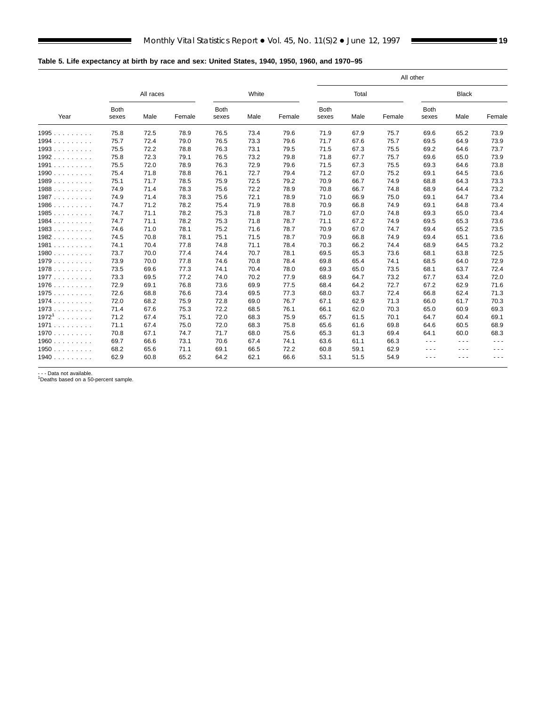$\blacksquare$ 

<span id="page-18-0"></span>

|                          |                      |           |        |                      |       |        |                      |       |        | All other            |                      |                                                                                                                                                                                                                                                                                                                                                                                              |
|--------------------------|----------------------|-----------|--------|----------------------|-------|--------|----------------------|-------|--------|----------------------|----------------------|----------------------------------------------------------------------------------------------------------------------------------------------------------------------------------------------------------------------------------------------------------------------------------------------------------------------------------------------------------------------------------------------|
|                          |                      | All races |        |                      | White |        |                      | Total |        |                      | <b>Black</b>         |                                                                                                                                                                                                                                                                                                                                                                                              |
| Year                     | <b>Both</b><br>sexes | Male      | Female | <b>Both</b><br>sexes | Male  | Female | <b>Both</b><br>sexes | Male  | Female | <b>Both</b><br>sexes | Male                 | Female                                                                                                                                                                                                                                                                                                                                                                                       |
| 1995                     | 75.8                 | 72.5      | 78.9   | 76.5                 | 73.4  | 79.6   | 71.9                 | 67.9  | 75.7   | 69.6                 | 65.2                 | 73.9                                                                                                                                                                                                                                                                                                                                                                                         |
| 1994                     | 75.7                 | 72.4      | 79.0   | 76.5                 | 73.3  | 79.6   | 71.7                 | 67.6  | 75.7   | 69.5                 | 64.9                 | 73.9                                                                                                                                                                                                                                                                                                                                                                                         |
| 1993                     | 75.5                 | 72.2      | 78.8   | 76.3                 | 73.1  | 79.5   | 71.5                 | 67.3  | 75.5   | 69.2                 | 64.6                 | 73.7                                                                                                                                                                                                                                                                                                                                                                                         |
| 1992                     | 75.8                 | 72.3      | 79.1   | 76.5                 | 73.2  | 79.8   | 71.8                 | 67.7  | 75.7   | 69.6                 | 65.0                 | 73.9                                                                                                                                                                                                                                                                                                                                                                                         |
| 1991                     | 75.5                 | 72.0      | 78.9   | 76.3                 | 72.9  | 79.6   | 71.5                 | 67.3  | 75.5   | 69.3                 | 64.6                 | 73.8                                                                                                                                                                                                                                                                                                                                                                                         |
| 1990                     | 75.4                 | 71.8      | 78.8   | 76.1                 | 72.7  | 79.4   | 71.2                 | 67.0  | 75.2   | 69.1                 | 64.5                 | 73.6                                                                                                                                                                                                                                                                                                                                                                                         |
| 1989                     | 75.1                 | 71.7      | 78.5   | 75.9                 | 72.5  | 79.2   | 70.9                 | 66.7  | 74.9   | 68.8                 | 64.3                 | 73.3                                                                                                                                                                                                                                                                                                                                                                                         |
| 1988                     | 74.9                 | 71.4      | 78.3   | 75.6                 | 72.2  | 78.9   | 70.8                 | 66.7  | 74.8   | 68.9                 | 64.4                 | 73.2                                                                                                                                                                                                                                                                                                                                                                                         |
| 1987                     | 74.9                 | 71.4      | 78.3   | 75.6                 | 72.1  | 78.9   | 71.0                 | 66.9  | 75.0   | 69.1                 | 64.7                 | 73.4                                                                                                                                                                                                                                                                                                                                                                                         |
| 1986                     | 74.7                 | 71.2      | 78.2   | 75.4                 | 71.9  | 78.8   | 70.9                 | 66.8  | 74.9   | 69.1                 | 64.8                 | 73.4                                                                                                                                                                                                                                                                                                                                                                                         |
| 1985                     | 74.7                 | 71.1      | 78.2   | 75.3                 | 71.8  | 78.7   | 71.0                 | 67.0  | 74.8   | 69.3                 | 65.0                 | 73.4                                                                                                                                                                                                                                                                                                                                                                                         |
| 1984.<br>.               | 74.7                 | 71.1      | 78.2   | 75.3                 | 71.8  | 78.7   | 71.1                 | 67.2  | 74.9   | 69.5                 | 65.3                 | 73.6                                                                                                                                                                                                                                                                                                                                                                                         |
| 1983                     | 74.6                 | 71.0      | 78.1   | 75.2                 | 71.6  | 78.7   | 70.9                 | 67.0  | 74.7   | 69.4                 | 65.2                 | 73.5                                                                                                                                                                                                                                                                                                                                                                                         |
| 1982.<br>1.1.1.1.1.1.1   | 74.5                 | 70.8      | 78.1   | 75.1                 | 71.5  | 78.7   | 70.9                 | 66.8  | 74.9   | 69.4                 | 65.1                 | 73.6                                                                                                                                                                                                                                                                                                                                                                                         |
| 1981                     | 74.1                 | 70.4      | 77.8   | 74.8                 | 71.1  | 78.4   | 70.3                 | 66.2  | 74.4   | 68.9                 | 64.5                 | 73.2                                                                                                                                                                                                                                                                                                                                                                                         |
| 1980                     | 73.7                 | 70.0      | 77.4   | 74.4                 | 70.7  | 78.1   | 69.5                 | 65.3  | 73.6   | 68.1                 | 63.8                 | 72.5                                                                                                                                                                                                                                                                                                                                                                                         |
| 1979                     | 73.9                 | 70.0      | 77.8   | 74.6                 | 70.8  | 78.4   | 69.8                 | 65.4  | 74.1   | 68.5                 | 64.0                 | 72.9                                                                                                                                                                                                                                                                                                                                                                                         |
| 1978                     | 73.5                 | 69.6      | 77.3   | 74.1                 | 70.4  | 78.0   | 69.3                 | 65.0  | 73.5   | 68.1                 | 63.7                 | 72.4                                                                                                                                                                                                                                                                                                                                                                                         |
| 1977                     | 73.3                 | 69.5      | 77.2   | 74.0                 | 70.2  | 77.9   | 68.9                 | 64.7  | 73.2   | 67.7                 | 63.4                 | 72.0                                                                                                                                                                                                                                                                                                                                                                                         |
| 1976                     | 72.9                 | 69.1      | 76.8   | 73.6                 | 69.9  | 77.5   | 68.4                 | 64.2  | 72.7   | 67.2                 | 62.9                 | 71.6                                                                                                                                                                                                                                                                                                                                                                                         |
| 1975                     | 72.6                 | 68.8      | 76.6   | 73.4                 | 69.5  | 77.3   | 68.0                 | 63.7  | 72.4   | 66.8                 | 62.4                 | 71.3                                                                                                                                                                                                                                                                                                                                                                                         |
| 1974                     | 72.0                 | 68.2      | 75.9   | 72.8                 | 69.0  | 76.7   | 67.1                 | 62.9  | 71.3   | 66.0                 | 61.7                 | 70.3                                                                                                                                                                                                                                                                                                                                                                                         |
| 1973                     | 71.4                 | 67.6      | 75.3   | 72.2                 | 68.5  | 76.1   | 66.1                 | 62.0  | 70.3   | 65.0                 | 60.9                 | 69.3                                                                                                                                                                                                                                                                                                                                                                                         |
| 19721<br>a a a a a a a a | 71.2                 | 67.4      | 75.1   | 72.0                 | 68.3  | 75.9   | 65.7                 | 61.5  | 70.1   | 64.7                 | 60.4                 | 69.1                                                                                                                                                                                                                                                                                                                                                                                         |
| 1971                     | 71.1                 | 67.4      | 75.0   | 72.0                 | 68.3  | 75.8   | 65.6                 | 61.6  | 69.8   | 64.6                 | 60.5                 | 68.9                                                                                                                                                                                                                                                                                                                                                                                         |
| 1970                     | 70.8                 | 67.1      | 74.7   | 71.7                 | 68.0  | 75.6   | 65.3                 | 61.3  | 69.4   | 64.1                 | 60.0                 | 68.3                                                                                                                                                                                                                                                                                                                                                                                         |
| 1960                     | 69.7                 | 66.6      | 73.1   | 70.6                 | 67.4  | 74.1   | 63.6                 | 61.1  | 66.3   | $  -$                | $\sim$ $\sim$ $\sim$ | $\frac{1}{2} \frac{1}{2} \frac{1}{2} \frac{1}{2} \frac{1}{2} \frac{1}{2} \frac{1}{2} \frac{1}{2} \frac{1}{2} \frac{1}{2} \frac{1}{2} \frac{1}{2} \frac{1}{2} \frac{1}{2} \frac{1}{2} \frac{1}{2} \frac{1}{2} \frac{1}{2} \frac{1}{2} \frac{1}{2} \frac{1}{2} \frac{1}{2} \frac{1}{2} \frac{1}{2} \frac{1}{2} \frac{1}{2} \frac{1}{2} \frac{1}{2} \frac{1}{2} \frac{1}{2} \frac{1}{2} \frac{$ |
| 1950                     | 68.2                 | 65.6      | 71.1   | 69.1                 | 66.5  | 72.2   | 60.8                 | 59.1  | 62.9   | - - -                | - - -                | ---                                                                                                                                                                                                                                                                                                                                                                                          |
| 1940                     | 62.9                 | 60.8      | 65.2   | 64.2                 | 62.1  | 66.6   | 53.1                 | 51.5  | 54.9   | - - -                | .                    | $\sim$ $\sim$                                                                                                                                                                                                                                                                                                                                                                                |

- - - Data not available. 1Deaths based on a 50-percent sample.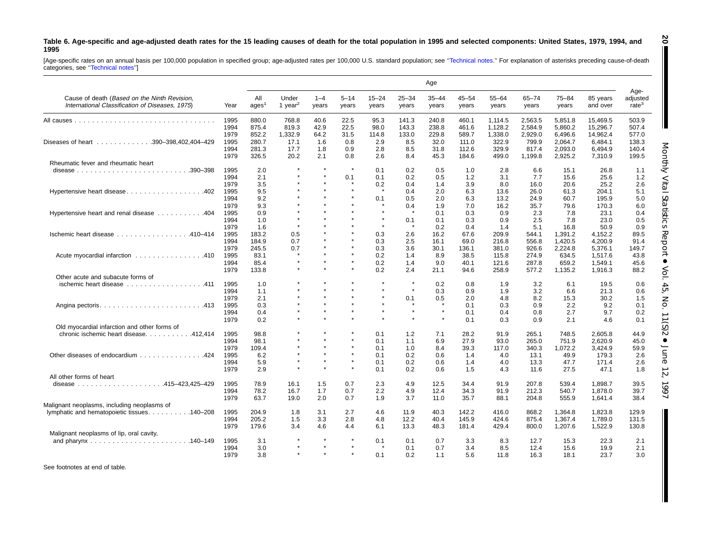#### <span id="page-19-0"></span>Table 6. Age-specific and age-adjusted death rates for the 15 leading causes of death for the total population in 1995 and selected components: United States, 1979, 1994, and **1995**

[Age-specific rates on an annual basis per 100,000 population in specified group; age-adjusted rates per 100,000 U.S. standard population; see "Technical notes." For explanation of asterisks preceding cause-of-death<br>catego

|                                                                                                 |              |                          |                              |                  |                   |                    |                    | Age                |                    |                    |                    |                    |                      |                                       |
|-------------------------------------------------------------------------------------------------|--------------|--------------------------|------------------------------|------------------|-------------------|--------------------|--------------------|--------------------|--------------------|--------------------|--------------------|--------------------|----------------------|---------------------------------------|
| Cause of death (Based on the Ninth Revision,<br>International Classification of Diseases, 1975) | Year         | All<br>ages <sup>1</sup> | Under<br>1 year <sup>2</sup> | $1 - 4$<br>years | $5 - 14$<br>years | $15 - 24$<br>years | $25 - 34$<br>years | $35 - 44$<br>years | $45 - 54$<br>years | $55 - 64$<br>years | $65 - 74$<br>years | $75 - 84$<br>years | 85 years<br>and over | Age-<br>adjusted<br>rate <sup>3</sup> |
|                                                                                                 | 1995         | 880.0                    | 768.8                        | 40.6             | 22.5              | 95.3               | 141.3              | 240.8              | 460.1              | 1.114.5            | 2.563.5            | 5.851.8            | 15.469.5             | 503.9                                 |
|                                                                                                 | 1994         | 875.4                    | 819.3                        | 42.9             | 22.5              | 98.0               | 143.3              | 238.8              | 461.6              | 1,128.2            | 2,584.9            | 5,860.2            | 15,296.7             | 507.4                                 |
|                                                                                                 | 1979         | 852.2                    | 1,332.9                      | 64.2             | 31.5              | 114.8              | 133.0              | 229.8              | 589.7              | 1.338.0            | 2,929.0            | 6.496.6            | 14.962.4             | 577.0                                 |
| Diseases of heart 390-398,402,404-429                                                           | 1995         | 280.7                    | 17.1                         | 1.6              | 0.8               | 2.9                | 8.5                | 32.0               | 111.0              | 322.9              | 799.9              | 2.064.7            | 6.484.1              | 138.3                                 |
|                                                                                                 | 1994<br>1979 | 281.3<br>326.5           | 17.7<br>20.2                 | 1.8<br>2.1       | 0.9<br>0.8        | 2.8<br>2.6         | 8.5<br>8.4         | 31.8<br>45.3       | 112.6<br>184.6     | 329.9<br>499.0     | 817.4<br>1,199.8   | 2,093.0<br>2,925.2 | 6,494.9<br>7,310.9   | 140.4<br>199.5                        |
| Rheumatic fever and rheumatic heart                                                             |              |                          |                              |                  |                   |                    |                    |                    |                    |                    |                    |                    |                      |                                       |
|                                                                                                 | 1995         | 2.0                      |                              |                  | $\pmb{\ast}$      | 0.1                | 0.2                | 0.5                | 1.0                | 2.8                | 6.6                | 15.1               | 26.8                 | 1.1                                   |
|                                                                                                 | 1994         | 2.1                      |                              |                  | 0.1               | 0.1                | 0.2                | 0.5                | 1.2                | 3.1                | 7.7                | 15.6               | 25.6                 | 1.2                                   |
|                                                                                                 | 1979         | 3.5                      |                              |                  | $\star$           | 0.2                | 0.4                | 1.4                | 3.9                | 8.0                | 16.0               | 20.6               | 25.2                 | 2.6                                   |
| Hypertensive heart disease402                                                                   | 1995         | 9.5                      |                              |                  | $\star$           | $\star$            | 0.4                | 2.0                | 6.3                | 13.6               | 26.0               | 61.3               | 204.1                | 5.1                                   |
|                                                                                                 | 1994         | 9.2                      |                              |                  | $\star$           | 0.1                | 0.5                | 2.0                | 6.3                | 13.2               | 24.9               | 60.7               | 195.9                | 5.0                                   |
|                                                                                                 | 1979         | 9.3                      |                              |                  |                   | $\star$            | 0.4                | 1.9                | 7.0                | 16.2               | 35.7               | 79.6               | 170.3                | 6.0                                   |
| Hypertensive heart and renal disease 404                                                        | 1995         | 0.9                      |                              |                  |                   |                    |                    | 0.1                | 0.3                | 0.9                | 2.3                | 7.8                | 23.1                 | 0.4                                   |
|                                                                                                 | 1994         | 1.0                      |                              |                  |                   | $\star$            | 0.1                | 0.1                | 0.3                | 0.9                | 2.5                | 7.8                | 23.0                 | 0.5                                   |
|                                                                                                 | 1979         | 1.6                      | $\star$                      |                  |                   | $\star$            | $\star$            | 0.2                | 0.4                | 1.4                | 5.1                | 16.8               | 50.9                 | 0.9                                   |
| Ischemic heart disease 410-414                                                                  | 1995         | 183.2                    | 0.5                          |                  |                   | 0.3                | 2.6                | 16.2               | 67.6               | 209.9              | 544.1              | 1,391.2            | 4,152.2              | 89.5                                  |
|                                                                                                 | 1994         | 184.9                    | 0.7                          |                  | $\star$           | 0.3                | 2.5                | 16.1               | 69.0               | 216.8              | 556.8              | 1,420.5            | 4,200.9              | 91.4                                  |
|                                                                                                 | 1979         | 245.5                    | 0.7                          |                  | $\star$           | 0.3                | 3.6                | 30.1               | 136.1              | 381.0              | 926.6              | 2,224.8            | 5,376.1              | 149.7                                 |
|                                                                                                 | 1995         | 83.1                     | $\star$                      |                  |                   | 0.2                |                    | 8.9                |                    |                    | 274.9              |                    |                      | 43.8                                  |
| Acute myocardial infarction 410                                                                 |              | 85.4                     | $\star$                      |                  | $\star$           |                    | 1.4                |                    | 38.5               | 115.8              |                    | 634.5<br>659.2     | 1,517.6              |                                       |
|                                                                                                 | 1994         |                          | $\star$                      |                  | $\star$           | 0.2<br>0.2         | 1.4<br>2.4         | 9.0                | 40.1               | 121.6              | 287.8              |                    | 1,549.1              | 45.6                                  |
|                                                                                                 | 1979         | 133.8                    |                              |                  |                   |                    |                    | 21.1               | 94.6               | 258.9              | 577.2              | 1,135.2            | 1,916.3              | 88.2                                  |
| Other acute and subacute forms of                                                               |              |                          |                              |                  | $\star$           | $\star$            | $\star$            |                    |                    |                    |                    |                    |                      |                                       |
| ischemic heart disease 411                                                                      | 1995         | 1.0                      |                              |                  |                   |                    |                    | 0.2                | 0.8                | 1.9                | 3.2                | 6.1                | 19.5                 | 0.6                                   |
|                                                                                                 | 1994         | 1.1                      |                              |                  |                   | $\star$            |                    | 0.3                | 0.9                | 1.9                | 3.2                | 6.6                | 21.3                 | 0.6                                   |
|                                                                                                 | 1979         | 2.1                      |                              |                  |                   |                    | 0.1<br>-41         | 0.5                | 2.0                | 4.8                | 8.2                | 15.3               | 30.2                 | 1.5                                   |
|                                                                                                 | 1995         | 0.3                      |                              | $\star$          |                   | $\star$            |                    |                    | 0.1                | 0.3                | 0.9                | 2.2                | 9.2                  | 0.1                                   |
|                                                                                                 | 1994         | 0.4                      |                              |                  |                   |                    |                    |                    | 0.1                | 0.4                | 0.8                | 2.7                | 9.7                  | 0.2                                   |
|                                                                                                 | 1979         | 0.2                      |                              |                  |                   |                    |                    |                    | 0.1                | 0.3                | 0.9                | 2.1                | 4.6                  | 0.1                                   |
| Old myocardial infarction and other forms of                                                    |              |                          |                              |                  |                   |                    |                    |                    |                    |                    |                    |                    |                      |                                       |
| chronic ischemic heart disease. 412,414                                                         | 1995         | 98.8                     |                              |                  | $\star$           | 0.1                | 1.2                | 7.1                | 28.2               | 91.9               | 265.1              | 748.5              | 2.605.8              | 44.9                                  |
|                                                                                                 | 1994         | 98.1                     |                              |                  |                   | 0.1                | 1.1                | 6.9                | 27.9               | 93.0               | 265.0              | 751.9              | 2,620.9              | 45.0                                  |
|                                                                                                 | 1979         | 109.4                    |                              |                  | $\star$           | 0.1                | 1.0                | 8.4                | 39.3               | 117.0              | 340.3              | 1.072.2            | 3,424.9              | 59.9                                  |
| Other diseases of endocardium 424                                                               | 1995         | 6.2                      |                              |                  | $\star$           | 0.1                | 0.2                | 0.6                | 1.4                | 4.0                | 13.1               | 49.9               | 179.3                | 2.6                                   |
|                                                                                                 | 1994         | 5.9                      | $\star$                      |                  | $\star$           | 0.1                | 0.2                | 0.6                | 1.4                | 4.0                | 13.3               | 47.7               | 171.4                | 2.6                                   |
|                                                                                                 | 1979         | 2.9                      | $\star$                      |                  | $\star$           | 0.1                | 0.2                | 0.6                | 1.5                | 4.3                | 11.6               | 27.5               | 47.1                 | 1.8                                   |
| All other forms of heart                                                                        |              |                          |                              |                  |                   |                    |                    |                    |                    |                    |                    |                    |                      |                                       |
|                                                                                                 | 1995         | 78.9                     | 16.1                         | 1.5              | 0.7               | 2.3                | 4.9                | 12.5               | 34.4               | 91.9               | 207.8              | 539.4              | 1.898.7              | 39.5                                  |
|                                                                                                 | 1994         | 78.2                     | 16.7                         | 1.7              | 0.7               | 2.2                | 4.9                | 12.4               | 34.3               | 91.9               | 212.3              | 540.7              | 1.878.0              | 39.7                                  |
|                                                                                                 | 1979         | 63.7                     | 19.0                         | 2.0              | 0.7               | 1.9                | 3.7                | 11.0               | 35.7               | 88.1               | 204.8              | 555.9              | 1.641.4              | 38.4                                  |
| Malignant neoplasms, including neoplasms of                                                     |              |                          |                              |                  |                   |                    |                    |                    |                    |                    |                    |                    |                      |                                       |
| lymphatic and hematopoietic tissues. 140–208                                                    | 1995         | 204.9                    | 1.8                          | 3.1              | 2.7               | 4.6                | 11.9               | 40.3               | 142.2              | 416.0              | 868.2              | 1.364.8            | 1.823.8              | 129.9                                 |
|                                                                                                 | 1994         | 205.2                    | 1.5                          | 3.3              | 2.8               | 4.8                | 12.2               | 40.4               | 145.9              | 424.6              | 875.4              | 1.367.4            | 1.789.0              | 131.5                                 |
|                                                                                                 | 1979         | 179.6                    | 3.4                          | 4.6              | 4.4               | 6.1                | 13.3               | 48.3               | 181.4              | 429.4              | 800.0              | 1,207.6            | 1,522.9              | 130.8                                 |
| Malignant neoplasms of lip, oral cavity,                                                        |              |                          |                              |                  |                   |                    |                    |                    |                    |                    |                    |                    |                      |                                       |
|                                                                                                 | 1995         |                          |                              |                  |                   |                    |                    |                    |                    |                    |                    |                    | 22.3                 | 2.1                                   |
|                                                                                                 |              | 3.1                      |                              | $\bullet$        | $\star$           | 0.1                | 0.1                | 0.7                | 3.3                | 8.3                | 12.7               | 15.3               |                      |                                       |
|                                                                                                 | 1994         | 3.0                      |                              |                  | $\star$           |                    | 0.1                | 0.7                | 3.4                | 8.5                | 12.4               | 15.6               | 19.9                 | 2.1                                   |
|                                                                                                 | 1979         | 3.8                      |                              |                  |                   | 0.1                | 0.2                | 1.1                | 5.6                | 11.8               | 16.3               | 18.1               | 23.7                 | 3.0                                   |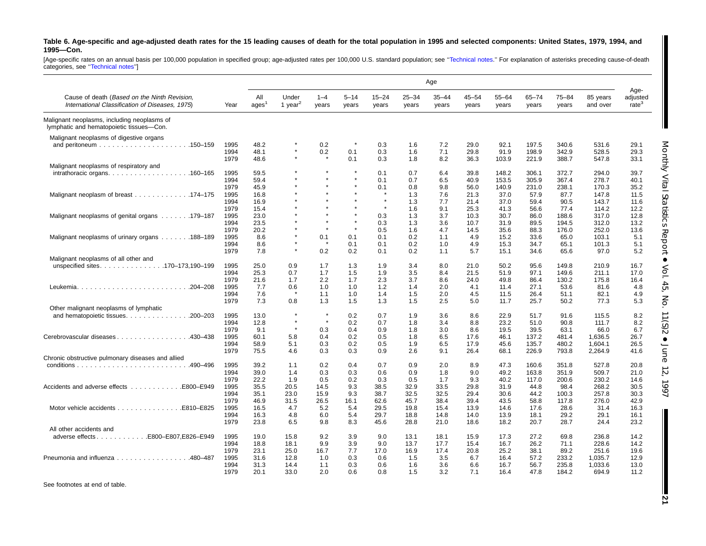#### Table 6. Age-specific and age-adjusted death rates for the 15 leading causes of death for the total population in 1995 and selected components: United States, 1979, 1994, and **1995—Con.**

[Age-specific rates on an annual basis per 100,000 population in specified group; age-adjusted rates per 100,000 U.S. standard population; see "Technical notes." For explanation of asterisks preceding cause-of-death<br>catego

|                                                                                                 |      |                          |                              |                  |                   |                    |                    | Age                |                    |                    |                    |                    |                      |                                       |
|-------------------------------------------------------------------------------------------------|------|--------------------------|------------------------------|------------------|-------------------|--------------------|--------------------|--------------------|--------------------|--------------------|--------------------|--------------------|----------------------|---------------------------------------|
| Cause of death (Based on the Ninth Revision,<br>International Classification of Diseases, 1975) | Year | All<br>ages <sup>1</sup> | Under<br>1 year <sup>2</sup> | $1 - 4$<br>years | $5 - 14$<br>years | $15 - 24$<br>years | $25 - 34$<br>years | $35 - 44$<br>years | $45 - 54$<br>years | $55 - 64$<br>years | $65 - 74$<br>years | $75 - 84$<br>years | 85 years<br>and over | Age-<br>adjusted<br>rate <sup>3</sup> |
| Malignant neoplasms, including neoplasms of<br>lymphatic and hematopoietic tissues-Con.         |      |                          |                              |                  |                   |                    |                    |                    |                    |                    |                    |                    |                      |                                       |
| Malignant neoplasms of digestive organs                                                         |      |                          |                              |                  |                   |                    |                    |                    |                    |                    |                    |                    |                      |                                       |
|                                                                                                 | 1995 | 48.2                     |                              | 0.2              |                   | 0.3                | 1.6                | 7.2                | 29.0               | 92.1               | 197.5              | 340.6              | 531.6                | 29.1                                  |
|                                                                                                 | 1994 | 48.1                     |                              | 0.2              | 0.1               | 0.3                | 1.6                | 7.1                | 29.8               | 91.9               | 198.9              | 342.9              | 528.5                | Monthly<br>29.3                       |
|                                                                                                 | 1979 | 48.6                     |                              |                  | 0.1               | 0.3                | 1.8                | 8.2                | 36.3               | 103.9              | 221.9              | 388.7              | 547.8                | 33.1                                  |
| Malignant neoplasms of respiratory and                                                          |      |                          |                              |                  |                   |                    |                    |                    |                    |                    |                    |                    |                      |                                       |
|                                                                                                 | 1995 | 59.5                     |                              |                  |                   | 0.1                | 0.7                | 6.4                | 39.8               | 148.2              | 306.1              | 372.7              | 294.0                | 39.7                                  |
|                                                                                                 | 1994 | 59.4                     |                              |                  |                   | 0.1                | 0.7                | 6.5                | 40.9               | 153.5              | 305.9              | 367.4              | 278.7                | 40.1                                  |
|                                                                                                 | 1979 | 45.9                     |                              |                  |                   | 0.1                | 0.8                | 9.8                | 56.0               | 140.9              | 231.0              | 238.1              | 170.3                | 35.2                                  |
| Malignant neoplasm of breast 174-175                                                            | 1995 | 16.8                     |                              |                  |                   | $\star$            | 1.3                | 7.6                | 21.3               | 37.0               | 57.9               | 87.7               | 147.8                | 11.5                                  |
|                                                                                                 | 1994 | 16.9                     |                              |                  |                   | $\star$            | 1.3                | 7.7                | 21.4               | 37.0               | 59.4               | 90.5               | 143.7                | 11.6                                  |
|                                                                                                 | 1979 | 15.4                     |                              |                  |                   | $\star$            | 1.6                | 9.1                | 25.3               | 41.3               | 56.6               | 77.4               | 114.2                | 12.2                                  |
| Malignant neoplasms of genital organs 179–187                                                   | 1995 | 23.0                     |                              |                  |                   | 0.3                | 1.3                | 3.7                | 10.3               | 30.7               | 86.0               | 188.6              | 317.0                | 12.8                                  |
|                                                                                                 | 1994 | 23.5                     |                              |                  |                   | 0.3                | 1.3                | 3.6                | 10.7               | 31.9               | 89.5               | 194.5              | 312.0                | 13.2                                  |
|                                                                                                 | 1979 | 20.2                     |                              | $\star$          |                   | 0.5                | 1.6                | 4.7                | 14.5               | 35.6               | 88.3               | 176.0              | 252.0                | 13.6                                  |
| Malignant neoplasms of urinary organs 188–189                                                   | 1995 | 8.6                      |                              | 0.1              | 0.1               | 0.1                | 0.2                | 1.1                | 4.9                | 15.2               | 33.6               | 65.0               | 103.1                | 5.1                                   |
|                                                                                                 | 1994 | 8.6                      |                              |                  | 0.1               | 0.1                | 0.2                | 1.0                | 4.9                | 15.3               | 34.7               | 65.1               | 101.3                | ä<br>5.1                              |
|                                                                                                 | 1979 | 7.8                      | $\star$                      | 0.2              | 0.2               | 0.1                | 0.2                | 1.1                | 5.7                | 15.1               | 34.6               | 65.6               | 97.0                 | 5.2                                   |
| Malignant neoplasms of all other and                                                            |      |                          |                              |                  |                   |                    |                    |                    |                    |                    |                    |                    |                      |                                       |
| unspecified sites170–173,190–199                                                                | 1995 | 25.0                     | 0.9                          | 1.7              | 1.3               | 1.9                | 3.4                | 8.0                | 21.0               | 50.2               | 95.6               | 149.8              | 210.9                | 16.7                                  |
|                                                                                                 | 1994 | 25.3                     | 0.7                          | 1.7              | 1.5               | 1.9                | 3.5                | 8.4                | 21.5               | 51.9               | 97.1               | 149.6              | 211.1                | 17.0                                  |
|                                                                                                 | 1979 | 21.6                     | 1.7                          | 2.2              | 1.7               | 2.3                | 3.7                | 8.6                | 24.0               | 49.8               | 86.4               | 130.2              | 175.8                | 16.4                                  |
|                                                                                                 | 1995 | 7.7                      | 0.6                          | 1.0              | 1.0               | 1.2                | 1.4                | 2.0                | 4.1                | 11.4               | 27.1               | 53.6               | 81.6                 | 4.8                                   |
|                                                                                                 | 1994 | 7.6                      | $\star$                      | 1.1              | 1.0               | 1.4                | 1.5                | 2.0                | 4.5                | 11.5               | 26.4               | 51.1               | 82.1                 | 4.9                                   |
|                                                                                                 | 1979 | 7.3                      | 0.8                          | 1.3              | 1.5               | 1.3                | 1.5                | 2.5                | 5.0                | 11.7               | 25.7               | 50.2               | 77.3                 | 5.3                                   |
| Other malignant neoplasms of lymphatic                                                          |      |                          |                              |                  |                   |                    |                    |                    |                    |                    |                    |                    |                      |                                       |
| and hematopoietic tissues. 200-203                                                              | 1995 | 13.0                     | $\star$                      | $\star$          | 0.2               | 0.7                | 1.9                | 3.6                | 8.6                | 22.9               | 51.7               | 91.6               | 115.5                | 8.2                                   |
|                                                                                                 | 1994 | 12.8                     | $\star$                      | $\star$          | 0.2               | 0.7                | 1.8                | 3.4                | 8.8                | 23.2               | 51.0               | 90.8               | 111.7                | 8.2                                   |
|                                                                                                 | 1979 | 9.1                      | $\star$                      | 0.3              | 0.4               | 0.9                | 1.8                | 3.0                | 8.6                | 19.5               | 39.5               | 63.1               | 66.0                 | 6.7                                   |
| Cerebrovascular diseases 430–438                                                                | 1995 | 60.1                     | 5.8                          | 0.4              | 0.2               | 0.5                | 1.8                | 6.5                | 17.6               | 46.1               | 137.2              | 481.4              | 1,636.5              | 26.7                                  |
|                                                                                                 | 1994 | 58.9                     | 5.1                          | 0.3              | 0.2               | 0.5                | 1.9                | 6.5                | 17.9               | 45.6               | 135.7              | 480.2              | 1.604.1              | 26.5                                  |
|                                                                                                 | 1979 | 75.5                     | 4.6                          | 0.3              | 0.3               | 0.9                | 2.6                | 9.1                | 26.4               | 68.1               | 226.9              | 793.8              | 2,264.9              | 41.6                                  |
| Chronic obstructive pulmonary diseases and allied                                               |      |                          |                              |                  |                   |                    |                    |                    |                    |                    |                    |                    |                      |                                       |
|                                                                                                 | 1995 | 39.2                     | 1.1                          | 0.2              | 0.4               | 0.7                | 0.9                | 2.0                | 8.9                | 47.3               | 160.6              | 351.8              | 527.8                | 20.8                                  |
|                                                                                                 | 1994 | 39.0                     | 1.4                          | 0.3              | 0.3               | 0.6                | 0.9                | 1.8                | 9.0                | 49.2               | 163.8              | 351.9              | 509.7                | 21.0                                  |
|                                                                                                 | 1979 | 22.2                     | 1.9                          | 0.5              | 0.2               | 0.3                | 0.5                | 1.7                | 9.3                | 40.2               | 117.0              | 200.6              | 230.2                | 14.6                                  |
| Accidents and adverse effects<br>E800-E949                                                      | 1995 | 35.5                     | 20.5                         | 14.5             | 9.3               | 38.5               | 32.9               | 33.5               | 29.8               | 31.9               | 44.8               | 98.4               | 268.2                | 30.5                                  |
|                                                                                                 | 1994 | 35.1                     | 23.0                         | 15.9             | 9.3               | 38.7               | 32.5               | 32.5               | 29.4               | 30.6               | 44.2               | 100.3              | 257.8                | 30.3                                  |
|                                                                                                 | 1979 | 46.9                     | 31.5                         | 26.5             | 16.1              | 62.6               | 45.7               | 38.4               | 39.4               | 43.5               | 58.8               | 117.8              | 276.0                | 42.9                                  |
| Motor vehicle accidents<br>E810-E825                                                            | 1995 | 16.5                     | 4.7                          | 5.2              | 5.4               | 29.5               | 19.8               | 15.4               | 13.9               | 14.6               | 17.6               | 28.6               | 31.4                 | 16.3                                  |
|                                                                                                 | 1994 | 16.3                     | 4.8                          | 6.0              | 5.4               | 29.7               | 18.8               | 14.8               | 14.0               | 13.9               | 18.1               | 29.2               | 29.1                 | 16.1                                  |
|                                                                                                 | 1979 | 23.8                     | 6.5                          | 9.8              | 8.3               | 45.6               | 28.8               | 21.0               | 18.6               | 18.2               | 20.7               | 28.7               | 24.4                 | 23.2                                  |
| All other accidents and                                                                         |      |                          |                              |                  |                   |                    |                    |                    |                    |                    |                    |                    |                      |                                       |
| adverse effectsE800-E807,E826-E949                                                              | 1995 | 19.0                     | 15.8                         | 9.2              | 3.9               | 9.0                | 13.1               | 18.1               | 15.9               | 17.3               | 27.2               | 69.8               | 236.8                | 14.2                                  |
|                                                                                                 | 1994 | 18.8                     | 18.1                         | 9.9              | 3.9               | 9.0                | 13.7               | 17.7               | 15.4               | 16.7               | 26.2               | 71.1               | 228.6                | 14.2                                  |
|                                                                                                 | 1979 | 23.1                     | 25.0                         | 16.7             | 7.7               | 17.0               | 16.9               | 17.4               | 20.8               | 25.2               | 38.1               | 89.2               | 251.6                | 19.6                                  |
| Pneumonia and influenza 480-487                                                                 | 1995 | 31.6                     | 12.8                         | 1.0              | 0.3               | 0.6                | 1.5                | 3.5                | 6.7                | 16.4               | 57.2               | 233.2              | 1,035.7              | 12.9                                  |
|                                                                                                 | 1994 | 31.3                     | 14.4                         | 1.1              | 0.3               | 0.6                | 1.6                | 3.6                | 6.6                | 16.7               | 56.7               | 235.8              | 1.033.6              | 13.0                                  |
|                                                                                                 | 1979 | 20.1                     | 33.0                         | 2.0              | 0.6               | 0.8                | 1.5                | 3.2                | 7.1                | 16.4               | 47.8               | 184.2              | 694.9                | 11.2                                  |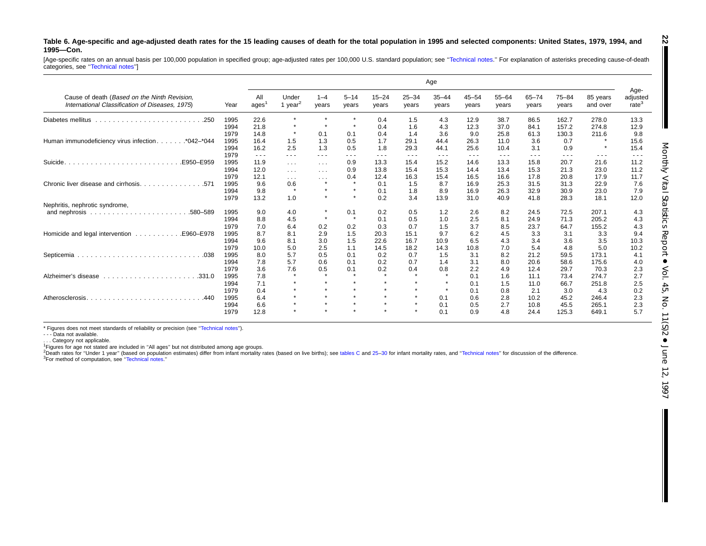#### Table 6. Age-specific and age-adjusted death rates for the 15 leading causes of death for the total population in 1995 and selected components: United States, 1979, 1994, and **1995—Con.**

[Age-specific rates on an annual basis per 100,000 population in specified group; age-adjusted rates per 100,000 U.S. standard population; see "Technical notes." For explanation of asterisks preceding cause-of-death categories, see [''Technical](#page-72-0) notes'']

|                                                                                                 |      |             |                         |                      |                     |                    |                    | Age                |                    |                    |                    |                    |                      |                                       |
|-------------------------------------------------------------------------------------------------|------|-------------|-------------------------|----------------------|---------------------|--------------------|--------------------|--------------------|--------------------|--------------------|--------------------|--------------------|----------------------|---------------------------------------|
| Cause of death (Based on the Ninth Revision,<br>International Classification of Diseases, 1975) | Year | All<br>ages | Under<br>1 year $^2$    | $1 - 4$<br>years     | $5 - 14$<br>years   | $15 - 24$<br>years | $25 - 34$<br>years | $35 - 44$<br>years | $45 - 54$<br>years | $55 - 64$<br>years | $65 - 74$<br>years | $75 - 84$<br>years | 85 years<br>and over | Age-<br>adjusted<br>rate <sup>3</sup> |
| Diabetes mellitus                                                                               | 1995 | 22.6        | $\star$                 | $\star$              |                     | 0.4                | 1.5                | 4.3                | 12.9               | 38.7               | 86.5               | 162.7              | 278.0                | 13.3                                  |
|                                                                                                 | 1994 | 21.8        | $\star$                 | $\star$              | $\star$             | 0.4                | 1.6                | 4.3                | 12.3               | 37.0               | 84.1               | 157.2              | 274.8                | 12.9                                  |
|                                                                                                 | 1979 | 14.8        | $\star$                 | 0.1                  | 0.1                 | 0.4                | 1.4                | 3.6                | 9.0                | 25.8               | 61.3               | 130.3              | 211.6                | 9.8                                   |
| Human immunodeficiency virus infection*042-*044                                                 | 1995 | 16.4        | 1.5                     | 1.3                  | 0.5                 | 1.7                | 29.1               | 44.4               | 26.3               | 11.0               | 3.6                | 0.7                |                      | 15.6                                  |
|                                                                                                 | 1994 | 16.2        | 2.5                     | 1.3                  | 0.5                 | 1.8                | 29.3               | 44.1               | 25.6               | 10.4               | 3.1                | 0.9                |                      | 15.4                                  |
|                                                                                                 | 1979 | $\cdots$    | $\cdots$                | $  -$                | ---                 | $\frac{1}{2}$      | ---                | $\cdots$           | ---                | $\frac{1}{2}$      | ---                | $\frac{1}{2}$      | $\frac{1}{2}$        | $\frac{1}{2}$                         |
| Suicide.<br>.E950-E959                                                                          | 1995 | 11.9        | $\sim 100$ km s $^{-1}$ | $\sim$ $\sim$ $\sim$ | 0.9                 | 13.3               | 15.4               | 15.2               | 14.6               | 13.3               | 15.8               | 20.7               | 21.6                 | 11.2                                  |
|                                                                                                 | 1994 | 12.0        | $\sim$ $\sim$ $\sim$    | $\sim$ $\sim$ $\sim$ | 0.9                 | 13.8               | 15.4               | 15.3               | 14.4               | 13.4               | 15.3               | 21.3               | 23.0                 | 11.2                                  |
|                                                                                                 | 1979 | 12.1        | $\sim$ $ \sim$          | $\cdots$             | 0.4                 | 12.4               | 16.3               | 15.4               | 16.5               | 16.6               | 17.8               | 20.8               | 17.9                 | 11.7                                  |
|                                                                                                 | 1995 | 9.6         | 0.6                     | $\star$              | $\star$             | 0.1                | 1.5                | 8.7                | 16.9               | 25.3               | 31.5               | 31.3               | 22.9                 | 7.6                                   |
|                                                                                                 | 1994 | 9.8         | $\star$                 | $\star$              | $\bullet$           | 0.1                | 1.8                | 8.9                | 16.9               | 26.3               | 32.9               | 30.9               | 23.0                 | 7.9                                   |
|                                                                                                 | 1979 | 13.2        | 1.0                     | $\star$              | $\star$             | 0.2                | 3.4                | 13.9               | 31.0               | 40.9               | 41.8               | 28.3               | 18.1                 | 12.0                                  |
| Nephritis, nephrotic syndrome,                                                                  |      |             |                         |                      |                     |                    |                    |                    |                    |                    |                    |                    |                      |                                       |
|                                                                                                 | 1995 | 9.0         | 4.0                     | $\star$              | 0.1                 | 0.2                | 0.5                | 1.2                | 2.6                | 8.2                | 24.5               | 72.5               | 207.1                | 4.3                                   |
|                                                                                                 | 1994 | 8.8         | 4.5                     | $\star$              | $\star$             | 0.1                | 0.5                | 1.0                | 2.5                | 8.1                | 24.9               | 71.3               | 205.2                | 4.3                                   |
|                                                                                                 | 1979 | 7.0         | 6.4                     | 0.2                  | 0.2                 | 0.3                | 0.7                | 1.5                | 3.7                | 8.5                | 23.7               | 64.7               | 155.2                | 4.3                                   |
| Homicide and legal intervention<br>E960-E978.                                                   | 1995 | 8.7         | 8.1                     | 2.9                  | 1.5                 | 20.3               | 15.1               | 9.7                | 6.2                | 4.5                | 3.3                | 3.1                | 3.3                  | 9.4                                   |
|                                                                                                 | 1994 | 9.6         | 8.1                     | 3.0                  | 1.5                 | 22.6               | 16.7               | 10.9               | 6.5                | 4.3                | 3.4                | 3.6                | 3.5                  | 10.3                                  |
|                                                                                                 | 1979 | 10.0        | 5.0                     | 2.5                  | 1.1                 | 14.5               | 18.2               | 14.3               | 10.8               | 7.0                | 5.4                | 4.8                | 5.0                  | 10.2                                  |
|                                                                                                 | 1995 | 8.0         | 5.7                     | 0.5                  | 0.1                 | 0.2                | 0.7                | 1.5                | 3.1                | 8.2                | 21.2               | 59.5               | 173.1                | 4.1                                   |
|                                                                                                 | 1994 | 7.8         | 5.7                     | 0.6                  | 0.1                 | 0.2                | 0.7                | 1.4                | 3.1                | 8.0                | 20.6               | 58.6               | 175.6                | 4.0                                   |
|                                                                                                 | 1979 | 3.6         | 7.6                     | 0.5                  | 0.1                 | 0.2                | 0.4                | 0.8                | 2.2                | 4.9                | 12.4               | 29.7               | 70.3                 | 2.3                                   |
| Alzheimer's disease                                                                             | 1995 | 7.8         | $\star$                 | $\bullet$            |                     | $\bullet$          |                    | $\star$            | 0.1                | 1.6                | 11.1               | 73.4               | 274.7                | 2.7                                   |
|                                                                                                 | 1994 | 7.1         | $\star$                 | $\star$              | $\star$             | $\star$            | $\star$            | $\star$            | 0.1                | 1.5                | 11.0               | 66.7               | 251.8                | 2.5                                   |
|                                                                                                 | 1979 | 0.4         | $\star$                 | $\star$              | $\boldsymbol{\ast}$ | $\bullet$          | $\bullet$          | $\star$            | 0.1                | 0.8                | 2.1                | 3.0                | 4.3                  | 0.2                                   |
| Atherosclerosis.<br>.440                                                                        | 1995 | 6.4         | $\star$                 | $\star$              |                     | $\bullet$          | $\star$            | 0.1                | 0.6                | 2.8                | 10.2               | 45.2               | 246.4                | 2.3                                   |
|                                                                                                 | 1994 | 6.6         | $\star$                 | $\star$              |                     | $\bullet$          |                    | 0.1                | 0.5                | 2.7                | 10.8               | 45.5               | 265.1                | 2.3                                   |
|                                                                                                 | 1979 | 12.8        | $\star$                 | $\star$              |                     |                    |                    | 0.1                | 0.9                | 4.8                | 24.4               | 125.3              | 649.1                | 5.7                                   |

\* Figures does not meet standards of reliability or precision (see [''Technical](#page-72-0) notes'').

- - - Data not available.

. . . Category not applicable.

<sup>1</sup>Figures for age not stated are included in "All ages" but not distributed among age groups.<br><sup>2</sup>Death rates for "Under 1 year" (based on population estimates) differ from infant mortality rates (based on live births); se 3For method of computation, see [''Technical](#page-72-0) notes.''

**22**

ı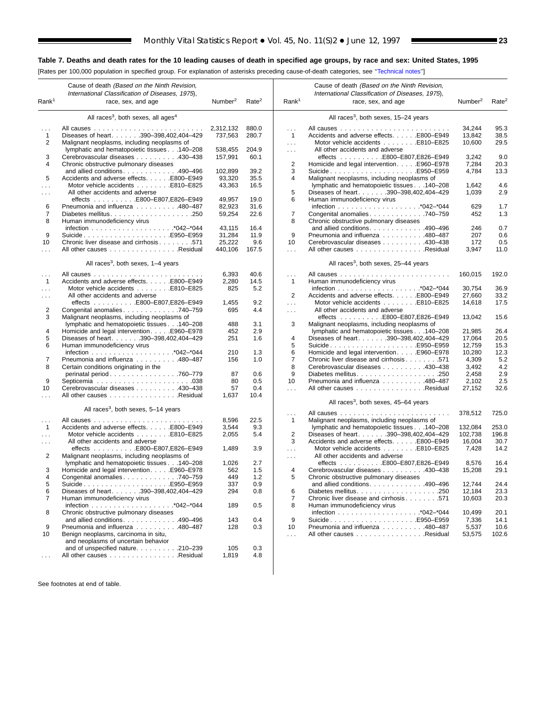<span id="page-22-0"></span>[Rates per 100,000 population in specified group. For explanation of asterisks preceding cause-of-death categories, see [''Technical notes''\]](#page-72-0)

 $\blacksquare$ 

|                      | Cause of death (Based on the Ninth Revision,                                  |                     |                   |                   | Cause of death (Based on the Ninth Revision,                                               |                     |                   |
|----------------------|-------------------------------------------------------------------------------|---------------------|-------------------|-------------------|--------------------------------------------------------------------------------------------|---------------------|-------------------|
|                      | International Classification of Diseases, 1975),                              |                     |                   |                   | International Classification of Diseases, 1975),                                           |                     |                   |
| Rank <sup>1</sup>    | race, sex, and age                                                            | Number <sup>2</sup> | Rate <sup>2</sup> | Rank <sup>1</sup> | race, sex, and age                                                                         | Number <sup>2</sup> | Rate <sup>2</sup> |
|                      | All races <sup>3</sup> , both sexes, all ages <sup>4</sup>                    |                     |                   |                   | All races <sup>3</sup> , both sexes, 15-24 years                                           |                     |                   |
|                      |                                                                               | 2,312,132           | 880.0             | $\cdots$          |                                                                                            | 34,244              | 95.3              |
| $\mathbf{1}$         | Diseases of heart. 390-398,402,404-429                                        | 737,563             | 280.7             | $\overline{1}$    | Accidents and adverse effects. E800-E949                                                   | 13,842              | 38.5              |
| 2                    | Malignant neoplasms, including neoplasms of                                   |                     |                   | $\cdots$          | Motor vehicle accidents E810-E825                                                          | 10,600              | 29.5              |
|                      | lymphatic and hematopoietic tissues 140-208                                   | 538,455             | 204.9             | $\sim 10$         | All other accidents and adverse                                                            |                     |                   |
| 3                    | Cerebrovascular diseases 430-438                                              | 157,991             | 60.1              |                   |                                                                                            | 3,242               | 9.0               |
| 4                    | Chronic obstructive pulmonary diseases                                        |                     |                   | 2                 | Homicide and legal intervention. E960–E978                                                 | 7,284               | 20.3              |
|                      | and allied conditions490-496                                                  | 102,899             | 39.2              | 3                 | SuicideE950-E959                                                                           | 4,784               | 13.3              |
| 5                    | Accidents and adverse effects. E800-E949<br>Motor vehicle accidents E810-E825 | 93,320<br>43,363    | 35.5<br>16.5      | 4                 | Malignant neoplasms, including neoplasms of<br>lymphatic and hematopoietic tissues 140-208 | 1,642               | 4.6               |
| .                    | All other accidents and adverse                                               |                     |                   | 5                 | Diseases of heart. 390-398,402,404-429                                                     | 1,039               | 2.9               |
| $\cdots$             |                                                                               | 49,957              | 19.0              | 6                 | Human immunodeficiency virus                                                               |                     |                   |
| 6                    | Pneumonia and influenza 480-487                                               | 82,923              | 31.6              |                   |                                                                                            | 629                 | 1.7               |
| 7                    |                                                                               | 59,254              | 22.6              | 7                 | Congenital anomalies 740-759                                                               | 452                 | 1.3               |
| 8                    | Human immunodeficiency virus                                                  |                     |                   | 8                 | Chronic obstructive pulmonary diseases                                                     |                     |                   |
|                      |                                                                               | 43,115              | 16.4              |                   | and allied conditions. 490-496                                                             | 246                 | 0.7               |
| 9                    | SuicideE950-E959                                                              | 31,284              | 11.9              | 9                 | Pneumonia and influenza 480-487                                                            | 207                 | 0.6               |
| 10                   | Chronic liver disease and cirrhosis 571                                       | 25,222              | 9.6               | 10                | Cerebrovascular diseases 430-438                                                           | 172                 | 0.5               |
| .                    | All other causes Residual                                                     | 440,106             | 167.5             | .                 | All other causes Residual                                                                  | 3,947               | 11.0              |
|                      | All races <sup>3</sup> , both sexes, 1-4 years                                |                     |                   |                   | All races <sup>3</sup> , both sexes, 25–44 years                                           |                     |                   |
| $\sim$ $\sim$ $\sim$ |                                                                               | 6,393               | 40.6              | $\cdots$          |                                                                                            | 160,015             | 192.0             |
| $\mathbf{1}$         | Accidents and adverse effects. E800-E949                                      | 2,280               | 14.5              | $\overline{1}$    | Human immunodeficiency virus                                                               |                     |                   |
| $\sim 10$ .          | Motor vehicle accidents E810–E825                                             | 825                 | 5.2               |                   |                                                                                            | 30,754              | 36.9              |
| $\cdots$             | All other accidents and adverse                                               |                     |                   | 2                 | Accidents and adverse effects. E800-E949                                                   | 27,660              | 33.2              |
|                      |                                                                               | 1,455               | 9.2               | $\sim$            | Motor vehicle accidents E810-E825                                                          | 14,618              | 17.5              |
| 2                    | Congenital anomalies 740–759                                                  | 695                 | 4.4               | $\sim 100$        | All other accidents and adverse                                                            |                     |                   |
| 3                    | Malignant neoplasms, including neoplasms of                                   |                     |                   |                   |                                                                                            | 13,042              | 15.6              |
|                      | lymphatic and hematopoietic tissues 140-208                                   | 488                 | 3.1               | 3                 | Malignant neoplasms, including neoplasms of                                                |                     |                   |
| 4                    | Homicide and legal intervention. E960–E978                                    | 452                 | 2.9               |                   | lymphatic and hematopoietic tissues 140-208                                                | 21,985              | 26.4              |
| 5                    | Diseases of heart. 390-398,402,404-429                                        | 251                 | 1.6               | 4                 | Diseases of heart. 390-398,402,404-429                                                     | 17,064              | 20.5              |
| 6                    | Human immunodeficiency virus                                                  |                     |                   | 5                 | SuicideE950-E959                                                                           | 12,759              | 15.3              |
|                      |                                                                               | 210                 | 1.3               | 6                 | Homicide and legal interventionE960-E978                                                   | 10,280              | 12.3              |
| 7                    | Pneumonia and influenza 480-487                                               | 156                 | 1.0               | $\overline{7}$    | Chronic liver disease and cirrhosis 571                                                    | 4,309               | 5.2               |
| 8                    | Certain conditions originating in the                                         |                     |                   | 8                 | Cerebrovascular diseases 430-438                                                           | 3,492               | 4.2               |
|                      | perinatal period. 760–779                                                     | 87                  | 0.6               | 9                 |                                                                                            | 2,458               | 2.9               |
| 9                    |                                                                               | 80                  | 0.5               | 10                | Pneumonia and influenza 480-487                                                            | 2,102               | 2.5               |
| 10                   | Cerebrovascular diseases 430-438                                              | 57                  | 0.4               | .                 | All other causes Residual                                                                  | 27,152              | 32.6              |
| .                    | All other causes Residual                                                     | 1,637               | 10.4              |                   | All races <sup>3</sup> , both sexes, 45-64 years                                           |                     |                   |
|                      | All races <sup>3</sup> , both sexes, 5-14 years                               |                     |                   | $\cdots$          |                                                                                            | 378,512             | 725.0             |
| $\sim$ .             |                                                                               | 8,596               | 22.5              | $\mathbf{1}$      | Malignant neoplasms, including neoplasms of                                                |                     |                   |
| $\mathbf{1}$         | Accidents and adverse effects. E800-E949                                      | 3,544               | 9.3               |                   | lymphatic and hematopoietic tissues 140-208                                                | 132,084             | 253.0             |
| $\sim 10$            | Motor vehicle accidents E810–E825                                             | 2,055               | 5.4               | 2                 | Diseases of heart. 390-398,402,404-429                                                     | 102,738             | 196.8             |
| $\sim$ $\sim$ $\sim$ | All other accidents and adverse                                               |                     |                   | 3                 | Accidents and adverse effects. E800-E949                                                   | 16,004              | 30.7              |
|                      | effects E800-E807,E826-E949                                                   | 1,489               | 3.9               | $\sim$            |                                                                                            | 7,428               | 14.2              |
| 2                    | Malignant neoplasms, including neoplasms of                                   |                     |                   | $\cdots$          | All other accidents and adverse                                                            |                     |                   |
|                      | lymphatic and hematopoietic tissues 140-208                                   | 1,026               | 2.7               |                   | effects E800-E807,E826-E949                                                                | 8,576               | 16.4              |
| 3                    | Homicide and legal intervention. E960–E978                                    | 562                 | 1.5               | $\overline{4}$    | Cerebrovascular diseases 430-438                                                           | 15,208              | 29.1              |
| 4                    | Congenital anomalies. 740-759                                                 | 449                 | 1.2               |                   | Chronic obstructive pulmonary diseases                                                     |                     |                   |
| 5                    | SuicideE950–E959                                                              | 337                 | 0.9               |                   | and allied conditions. $\ldots$ . 490–496                                                  | 12,744              | 24.4              |
| 6                    | Diseases of heart. 390-398,402,404-429                                        | 294                 | 0.8               | 6                 |                                                                                            | 12,184              | 23.3              |
| 7                    | Human immunodeficiency virus                                                  |                     |                   | 7                 | Chronic liver disease and cirrhosis 571                                                    | 10,603              | 20.3              |
|                      |                                                                               | 189                 | 0.5               | 8                 | Human immunodeficiency virus                                                               |                     |                   |
| 8                    | Chronic obstructive pulmonary diseases                                        |                     |                   |                   |                                                                                            | 10,499              | 20.1              |
|                      | and allied conditions490-496                                                  | 143                 | 0.4               | 9                 | SuicideE950–E959                                                                           | 7,336               | 14.1              |
| 9                    | Pneumonia and influenza 480-487                                               | 128                 | 0.3               | 10                | Pneumonia and influenza 480-487                                                            | 5,537               | 10.6              |
| 10                   | Benign neoplasms, carcinoma in situ,<br>and neoplasms of uncertain behavior   |                     |                   | $\ldots$          | All other causes Residual                                                                  | 53,575              | 102.6             |
|                      | and of unspecified nature210-239                                              | 105                 | 0.3               |                   |                                                                                            |                     |                   |
| $\sim$ $\sim$ $\sim$ | All other causes Residual                                                     | 1,819               | 4.8               |                   |                                                                                            |                     |                   |
|                      |                                                                               |                     |                   |                   |                                                                                            |                     |                   |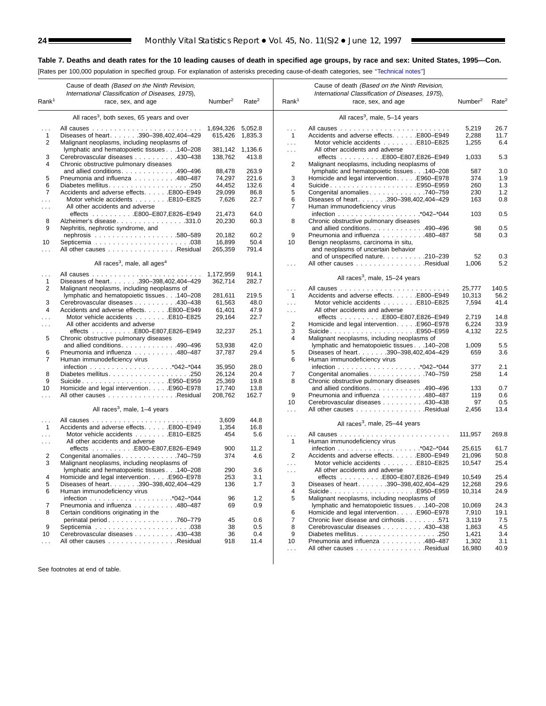L,

#### **Table 7. Deaths and death rates for the 10 leading causes of death in specified age groups, by race and sex: United States, 1995—Con.**

[Rates per 100,000 population in specified group. For explanation of asterisks preceding cause-of-death categories, see [''Technical notes''\]](#page-72-0)

|                   | Cause of death (Based on the Ninth Revision,<br>International Classification of Diseases, 1975), |                     |                   |                   | Cause of death (Based on the Ninth Revision,<br>International Classification of Diseases, 1975), |                     |                   |
|-------------------|--------------------------------------------------------------------------------------------------|---------------------|-------------------|-------------------|--------------------------------------------------------------------------------------------------|---------------------|-------------------|
| Rank <sup>1</sup> | race, sex, and age                                                                               | Number <sup>2</sup> | Rate <sup>2</sup> | Rank <sup>1</sup> | race, sex, and age                                                                               | Number <sup>2</sup> | Rate <sup>2</sup> |
|                   | All races <sup>3</sup> , both sexes, 65 years and over                                           |                     |                   |                   | All races <sup>3</sup> , male, 5-14 years                                                        |                     |                   |
|                   |                                                                                                  | 1,694,326           | 5,052.8           | $\sim$ .          |                                                                                                  | 5,219               | 26.7              |
| $\mathbf{1}$      | Diseases of heart. 390-398,402,404-429                                                           | 615,426             | 1,835.3           | $\mathbf{1}$      | Accidents and adverse effects. E800-E949                                                         | 2,288               | 11.7              |
| $\overline{2}$    | Malignant neoplasms, including neoplasms of                                                      |                     |                   | $\ldots$          | Motor vehicle accidents E810-E825                                                                | 1,255               | 6.4               |
|                   | lymphatic and hematopoietic tissues 140-208                                                      | 381,142             | 1,136.6           | $\sim 100$        | All other accidents and adverse                                                                  |                     |                   |
| 3                 | Cerebrovascular diseases 430-438                                                                 | 138,762             | 413.8             |                   | effects E800-E807,E826-E949                                                                      | 1,033               | 5.3               |
| 4                 | Chronic obstructive pulmonary diseases                                                           |                     |                   | 2                 | Malignant neoplasms, including neoplasms of                                                      |                     |                   |
|                   | and allied conditions. 490-496                                                                   | 88,478              | 263.9             |                   | lymphatic and hematopoietic tissues 140-208                                                      | 587                 | 3.0               |
| 5                 | Pneumonia and influenza 480-487                                                                  | 74,297              | 221.6             | 3                 | Homicide and legal intervention. E960-E978                                                       | 374                 | 1.9               |
| 6                 |                                                                                                  | 44,452              | 132.6             | 4                 | SuicideE950–E959                                                                                 | 260                 | 1.3               |
| 7                 | Accidents and adverse effects. E800-E949                                                         | 29,099              | 86.8              | 5                 | Congenital anomalies740-759                                                                      | 230                 | 1.2               |
|                   | Motor vehicle accidents E810-E825                                                                | 7,626               | 22.7              | 6                 | Diseases of heart. 390-398,402,404-429                                                           | 163                 | 0.8               |
| .<br>.            | All other accidents and adverse                                                                  |                     |                   | 7                 | Human immunodeficiency virus                                                                     |                     |                   |
|                   | effects E800-E807,E826-E949                                                                      | 21,473              | 64.0              |                   |                                                                                                  | 103                 | 0.5               |
| 8                 | Alzheimer's disease331.0                                                                         | 20,230              | 60.3              | 8                 | Chronic obstructive pulmonary diseases                                                           |                     |                   |
| 9                 | Nephritis, nephrotic syndrome, and                                                               |                     |                   |                   | and allied conditions. 490-496                                                                   | 98                  | 0.5               |
|                   |                                                                                                  | 20,182              | 60.2              | 9                 | Pneumonia and influenza 480-487                                                                  | 58                  | 0.3               |
|                   |                                                                                                  |                     | 50.4              |                   |                                                                                                  |                     |                   |
| 10                |                                                                                                  | 16,899              |                   | 10                | Benign neoplasms, carcinoma in situ,                                                             |                     |                   |
| .                 | All other causes Residual                                                                        | 265,359             | 791.4             |                   | and neoplasms of uncertain behavior                                                              |                     |                   |
|                   |                                                                                                  |                     |                   |                   | and of unspecified nature. 210-239                                                               | 52                  | 0.3               |
|                   | All races <sup>3</sup> , male, all ages <sup>4</sup>                                             |                     |                   | $\cdots$          | All other causes Residual                                                                        | 1,006               | 5.2               |
| $\cdots$          |                                                                                                  | 1,172,959           | 914.1             |                   |                                                                                                  |                     |                   |
| 1                 | Diseases of heart. 390-398,402,404-429                                                           | 362,714             | 282.7             |                   | All races <sup>3</sup> , male, 15-24 years                                                       |                     |                   |
| 2                 | Malignant neoplasms, including neoplasms of                                                      |                     |                   | $\cdots$          |                                                                                                  | 25,777              | 140.5             |
|                   | lymphatic and hematopoietic tissues 140-208                                                      | 281,611             | 219.5             | $\overline{1}$    | Accidents and adverse effects. E800-E949                                                         | 10,313              | 56.2              |
| 3                 | Cerebrovascular diseases 430–438                                                                 | 61,563              | 48.0              | $\ldots$          | Motor vehicle accidents E810-E825                                                                | 7,594               | 41.4              |
| 4                 | Accidents and adverse effects. E800-E949                                                         | 61,401              | 47.9              | $\sim 100$        | All other accidents and adverse                                                                  |                     |                   |
| $\cdots$          | Motor vehicle accidents E810-E825                                                                | 29,164              | 22.7              |                   | effects E800-E807,E826-E949                                                                      | 2,719               | 14.8              |
| $\cdots$          | All other accidents and adverse                                                                  |                     |                   | 2                 | Homicide and legal intervention. E960-E978                                                       | 6,224               | 33.9              |
|                   | effects E800-E807,E826-E949                                                                      | 32,237              | 25.1              | 3                 | SuicideE950–E959                                                                                 | 4,132               | 22.5              |
| 5                 | Chronic obstructive pulmonary diseases                                                           |                     |                   | 4                 | Malignant neoplasms, including neoplasms of                                                      |                     |                   |
|                   | and allied conditions. 490-496                                                                   | 53,938              | 42.0              |                   | lymphatic and hematopoietic tissues 140-208                                                      | 1,009               | 5.5               |
| 6                 | Pneumonia and influenza 480–487                                                                  | 37,787              | 29.4              | 5                 | Diseases of heart. 390-398,402,404-429                                                           | 659                 | 3.6               |
| $\overline{7}$    | Human immunodeficiency virus                                                                     |                     |                   | 6                 | Human immunodeficiency virus                                                                     |                     |                   |
|                   |                                                                                                  | 35,950              | 28.0              |                   |                                                                                                  | 377                 | 2.1               |
| 8                 |                                                                                                  | 26,124              | 20.4              | 7                 | Congenital anomalies740-759                                                                      | 258                 | 1.4               |
| 9                 | SuicideE950–E959                                                                                 | 25,369              | 19.8              | 8                 | Chronic obstructive pulmonary diseases                                                           |                     |                   |
| 10                | Homicide and legal interventionE960-E978                                                         | 17,740              | 13.8              |                   | and allied conditions. $\ldots$ . 490–496                                                        | 133                 | 0.7               |
|                   | All other causes Residual                                                                        | 208,762             | 162.7             | 9                 | Pneumonia and influenza 480-487                                                                  | 119                 | 0.6               |
|                   |                                                                                                  |                     |                   | 10                | Cerebrovascular diseases 430-438                                                                 | 97                  | 0.5               |
|                   | All races <sup>3</sup> , male, 1–4 years                                                         |                     |                   |                   | All other causes Residual                                                                        | 2,456               | 13.4              |
|                   |                                                                                                  |                     |                   | $\sim$ .          |                                                                                                  |                     |                   |
| $\cdots$          |                                                                                                  | 3,609               | 44.8              |                   | All races <sup>3</sup> , male, 25-44 years                                                       |                     |                   |
| $\mathbf{1}$      | Accidents and adverse effects. E800-E949                                                         | 1,354               | 16.8              |                   |                                                                                                  |                     |                   |
| $\cdots$          | Motor vehicle accidents E810-E825                                                                | 454                 | 5.6               | $\cdots$          |                                                                                                  | 111,957             | 269.8             |
| $\sim 10$         | All other accidents and adverse                                                                  |                     |                   | $\mathbf{1}$      | Human immunodeficiency virus                                                                     |                     |                   |
|                   |                                                                                                  | 900                 | 11.2              |                   |                                                                                                  | 25,615              | 61.7              |
| 2                 | Congenital anomalies 740-759                                                                     | 374                 | 4.6               | 2                 | Accidents and adverse effects. E800-E949                                                         | 21,096              | 50.8              |
| 3                 | Malignant neoplasms, including neoplasms of                                                      |                     |                   | $\sim 100$        | Motor vehicle accidents E810-E825                                                                | 10,547              | 25.4              |
|                   | lymphatic and hematopoietic tissues 140-208                                                      | 290                 | 3.6               | $\cdots$          | All other accidents and adverse                                                                  |                     |                   |
|                   | Homicide and legal intervention. E960-E978                                                       | 253                 | 3.1               |                   | effects E800-E807,E826-E949                                                                      | 10,549              | 25.4              |
| 5                 | Diseases of heart. 390-398,402,404-429                                                           | 136                 | 1.7               | 3                 | Diseases of heart. 390-398,402,404-429                                                           | 12,268              | 29.6              |
| 6                 | Human immunodeficiency virus                                                                     |                     |                   | 4                 | SuicideE950–E959                                                                                 | 10,314              | 24.9              |
|                   |                                                                                                  | 96                  | 1.2               | 5                 | Malignant neoplasms, including neoplasms of                                                      |                     |                   |
| 7                 | Pneumonia and influenza 480-487                                                                  | 69                  | 0.9               |                   | lymphatic and hematopoietic tissues 140-208                                                      | 10.069              | 24.3              |
| 8                 | Certain conditions originating in the                                                            |                     |                   | 6                 | Homicide and legal intervention. E960-E978                                                       | 7,910               | 19.1              |
|                   | perinatal period. 760–779                                                                        | 45                  | 0.6               | 7                 | Chronic liver disease and cirrhosis571                                                           | 3,119               | 7.5               |
| 9                 |                                                                                                  | 38                  | 0.5               | 8                 | Cerebrovascular diseases 430-438                                                                 | 1,863               | 4.5               |
| 10                | Cerebrovascular diseases 430-438                                                                 | 36                  | 0.4               | 9                 |                                                                                                  | 1,421               | 3.4               |
| .                 | All other causes Residual                                                                        | 918                 | 11.4              | 10                | Pneumonia and influenza 480-487                                                                  | 1,302               | 3.1               |
|                   |                                                                                                  |                     |                   | $\sim 10$         | All other causes Residual                                                                        | 16,980              | 40.9              |
|                   |                                                                                                  |                     |                   |                   |                                                                                                  |                     |                   |
|                   |                                                                                                  |                     |                   |                   |                                                                                                  |                     |                   |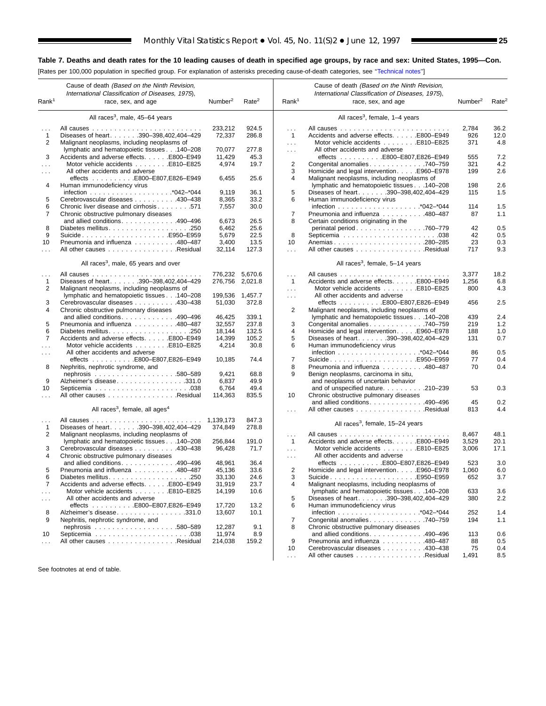[Rates per 100,000 population in specified group. For explanation of asterisks preceding cause-of-death categories, see [''Technical notes''\]](#page-72-0)

| Rank <sup>1</sup>    | Cause of death (Based on the Ninth Revision,<br>International Classification of Diseases, 1975),<br>race, sex, and age | Number <sup>2</sup>  | Rate <sup>2</sup> | Rank <sup>1</sup> | Cause of death (Based on the Ninth Revision,<br>International Classification of Diseases, 1975),<br>race, sex, and age | Number <sup>2</sup> | Rate <sup>2</sup> |
|----------------------|------------------------------------------------------------------------------------------------------------------------|----------------------|-------------------|-------------------|------------------------------------------------------------------------------------------------------------------------|---------------------|-------------------|
|                      | All races <sup>3</sup> , male, 45–64 years                                                                             |                      |                   |                   | All races <sup>3</sup> , female, 1–4 years                                                                             |                     |                   |
|                      |                                                                                                                        |                      |                   |                   |                                                                                                                        |                     |                   |
| $\cdots$             |                                                                                                                        | 233.212              | 924.5             | .                 |                                                                                                                        | 2,784               | 36.2              |
| $\mathbf{1}$         | Diseases of heart. 390-398,402,404-429                                                                                 | 72,337               | 286.8             | $\mathbf{1}$      | Accidents and adverse effects. E800-E949                                                                               | 926                 | 12.0              |
| 2                    | Malignant neoplasms, including neoplasms of                                                                            |                      |                   | $\cdots$          | Motor vehicle accidents E810-E825                                                                                      | 371                 | 4.8               |
|                      | lymphatic and hematopoietic tissues 140-208                                                                            | 70,077               | 277.8             | $\cdots$          | All other accidents and adverse                                                                                        |                     |                   |
| 3                    | Accidents and adverse effects. E800-E949                                                                               | 11,429               | 45.3<br>19.7      |                   | effects E800-E807,E826-E949                                                                                            | 555                 | 7.2<br>4.2        |
| $\sim$ $\sim$ $\sim$ | Motor vehicle accidents E810-E825                                                                                      | 4,974                |                   | $\overline{2}$    | Congenital anomalies 740-759                                                                                           | 321                 |                   |
| $\sim 100$           | All other accidents and adverse                                                                                        |                      | 25.6              | 3<br>4            | Homicide and legal intervention. E960-E978                                                                             | 199                 | 2.6               |
| 4                    | effects E800-E807,E826-E949<br>Human immunodeficiency virus                                                            | 6,455                |                   |                   | Malignant neoplasms, including neoplasms of<br>lymphatic and hematopoietic tissues 140-208                             | 198                 | 2.6               |
|                      |                                                                                                                        | 9,119                | 36.1              | 5                 | Diseases of heart. 390-398,402,404-429                                                                                 | 115                 | 1.5               |
| 5                    | Cerebrovascular diseases 430–438                                                                                       | 8,365                | 33.2              | 6                 | Human immunodeficiency virus                                                                                           |                     |                   |
| 6                    | Chronic liver disease and cirrhosis 571                                                                                | 7,557                | 30.0              |                   |                                                                                                                        | 114                 | 1.5               |
| 7                    | Chronic obstructive pulmonary diseases                                                                                 |                      |                   | 7                 | Pneumonia and influenza 480-487                                                                                        | 87                  | 1.1               |
|                      | and allied conditions. 490-496                                                                                         | 6,673                | 26.5              | 8                 | Certain conditions originating in the                                                                                  |                     |                   |
| 8                    |                                                                                                                        | 6,462                | 25.6              |                   | perinatal period760-779                                                                                                | 42                  | 0.5               |
| 9                    | SuicideE950-E959                                                                                                       | 5,679                | 22.5              | 8                 |                                                                                                                        | 42                  | 0.5               |
| 10                   | Pneumonia and influenza 480-487                                                                                        | 3,400                | 13.5              | 10                |                                                                                                                        | 23                  | 0.3               |
| $\cdots$             | All other causes Residual                                                                                              | 32,114               | 127.3             | .                 | All other causes Residual                                                                                              | 717                 | 9.3               |
|                      |                                                                                                                        |                      |                   |                   |                                                                                                                        |                     |                   |
|                      | All races <sup>3</sup> , male, 65 years and over                                                                       |                      |                   |                   | All races <sup>3</sup> , female, 5-14 years                                                                            |                     |                   |
| $\cdots$             |                                                                                                                        | 776,232 5,670.6      |                   | .                 |                                                                                                                        | 3,377               | 18.2              |
| $\mathbf{1}$         | Diseases of heart. 390-398,402,404-429                                                                                 | 276,756              | 2,021.8           | $\mathbf{1}$      | Accidents and adverse effects. E800-E949                                                                               | 1,256               | 6.8               |
| 2                    | Malignant neoplasms, including neoplasms of                                                                            | 199,536              |                   | $\sim$            | Motor vehicle accidents E810-E825<br>All other accidents and adverse                                                   | 800                 | 4.3               |
| 3                    | lymphatic and hematopoietic tissues 140-208<br>Cerebrovascular diseases 430–438                                        | 51,030               | 1,457.7<br>372.8  | $\cdots$          | effects E800-E807,E826-E949                                                                                            | 456                 | 2.5               |
| 4                    | Chronic obstructive pulmonary diseases                                                                                 |                      |                   | 2                 | Malignant neoplasms, including neoplasms of                                                                            |                     |                   |
|                      | and allied conditions. 490-496                                                                                         | 46,425               | 339.1             |                   | lymphatic and hematopoietic tissues 140-208                                                                            | 439                 | 2.4               |
| 5                    | Pneumonia and influenza 480-487                                                                                        | 32,557               | 237.8             | 3                 | Congenital anomalies 740-759                                                                                           | 219                 | 1.2               |
| 6                    |                                                                                                                        | 18,144               | 132.5             | 4                 | Homicide and legal interventionE960-E978                                                                               | 188                 | 1.0               |
| 7                    | Accidents and adverse effects. E800-E949                                                                               | 14,399               | 105.2             | 5                 | Diseases of heart. 390-398,402,404-429                                                                                 | 131                 | 0.7               |
| $\cdots$             | Motor vehicle accidents E810-E825                                                                                      | 4,214                | 30.8              | 6                 | Human immunodeficiency virus                                                                                           |                     |                   |
| $\sim 100$           | All other accidents and adverse                                                                                        |                      |                   |                   |                                                                                                                        | 86                  | 0.5               |
|                      |                                                                                                                        | 10,185               | 74.4              | 7                 | SuicideE950–E959                                                                                                       | 77                  | 0.4               |
| 8                    | Nephritis, nephrotic syndrome, and                                                                                     |                      |                   | 8                 | Pneumonia and influenza 480-487                                                                                        | 70                  | 0.4               |
|                      |                                                                                                                        | 9,421                | 68.8              | 9                 | Benign neoplasms, carcinoma in situ,                                                                                   |                     |                   |
| 9                    | Alzheimer's disease331.0                                                                                               | 6,837                | 49.9              |                   | and neoplasms of uncertain behavior                                                                                    |                     |                   |
| 10                   |                                                                                                                        | 6,764                | 49.4              |                   | and of unspecified nature. 210-239                                                                                     | 53                  | 0.3               |
| $\sim 10$            | All other causes Residual                                                                                              | 114,363              | 835.5             | 10                | Chronic obstructive pulmonary diseases                                                                                 |                     |                   |
|                      |                                                                                                                        |                      |                   |                   | and allied conditions. 490-496                                                                                         | 45                  | 0.2               |
|                      | All races <sup>3</sup> , female, all ages <sup>4</sup>                                                                 |                      |                   | .                 | All other causes Residual                                                                                              | 813                 | 4.4               |
|                      |                                                                                                                        |                      |                   |                   |                                                                                                                        |                     |                   |
| $\cdots$             | Diseases of heart. 390-398,402,404-429                                                                                 | 1,139,173<br>374,849 | 847.3<br>278.8    |                   | All races <sup>3</sup> , female, 15-24 years                                                                           |                     |                   |
| -1                   |                                                                                                                        |                      |                   |                   |                                                                                                                        |                     | 48.1              |
| 2                    | Malignant neoplasms, including neoplasms of<br>lymphatic and hematopoietic tissues 140-208                             | 256,844              | 191.0             | .<br>$\mathbf{1}$ | Accidents and adverse effects. E800-E949                                                                               | 8,467<br>3,529      | 20.1              |
| 3                    | Cerebrovascular diseases 430-438                                                                                       | 96,428               | 71.7              |                   | Motor vehicle accidents E810–E825                                                                                      | 3,006               | 17.1              |
| 4                    | Chronic obstructive pulmonary diseases                                                                                 |                      |                   | $\cdots$          | All other accidents and adverse                                                                                        |                     |                   |
|                      | and allied conditions. 490-496                                                                                         | 48,961               | 36.4              | $\cdots$          | effects E800-E807,E826-E949                                                                                            | 523                 | 3.0               |
| 5                    | Pneumonia and influenza 480-487                                                                                        | 45,136               | 33.6              | $\overline{2}$    | Homicide and legal intervention. E960–E978                                                                             | 1,060               | 6.0               |
| 6                    |                                                                                                                        | 33,130               | 24.6              | 3                 | SuicideE950–E959                                                                                                       | 652                 | 3.7               |
| 7                    | Accidents and adverse effects. E800–E949                                                                               | 31,919               | 23.7              | 4                 | Malignant neoplasms, including neoplasms of                                                                            |                     |                   |
| $\sim 100$           | Motor vehicle accidents E810-E825                                                                                      | 14,199               | 10.6              |                   | lymphatic and hematopoietic tissues 140-208                                                                            | 633                 | 3.6               |
| $\sim$ $\sim$ $\sim$ | All other accidents and adverse                                                                                        |                      |                   | 5                 | Diseases of heart. 390-398,402,404-429                                                                                 | 380                 | 2.2               |
|                      |                                                                                                                        | 17,720               | 13.2              | 6                 | Human immunodeficiency virus                                                                                           |                     |                   |
| 8                    | Alzheimer's disease331.0                                                                                               | 13,607               | 10.1              |                   |                                                                                                                        | 252                 | 1.4               |
| 9                    | Nephritis, nephrotic syndrome, and                                                                                     |                      |                   | 7                 | Congenital anomalies. 740-759                                                                                          | 194                 | 1.1               |
|                      |                                                                                                                        | 12,287               | 9.1               | 8                 | Chronic obstructive pulmonary diseases                                                                                 |                     |                   |
| 10                   |                                                                                                                        | 11,974               | 8.9               |                   | and allied conditions. $\ldots$ . 490–496                                                                              | 113                 | 0.6               |
| $\sim 100$           | All other causes Residual                                                                                              | 214,038              | 159.2             | 9                 | Pneumonia and influenza 480-487                                                                                        | 88                  | 0.5               |
|                      |                                                                                                                        |                      |                   | 10                | Cerebrovascular diseases 430-438                                                                                       | 75                  | 0.4               |
|                      |                                                                                                                        |                      |                   | $\sim$ .          | All other causes Residual                                                                                              | 1,491               | 8.5               |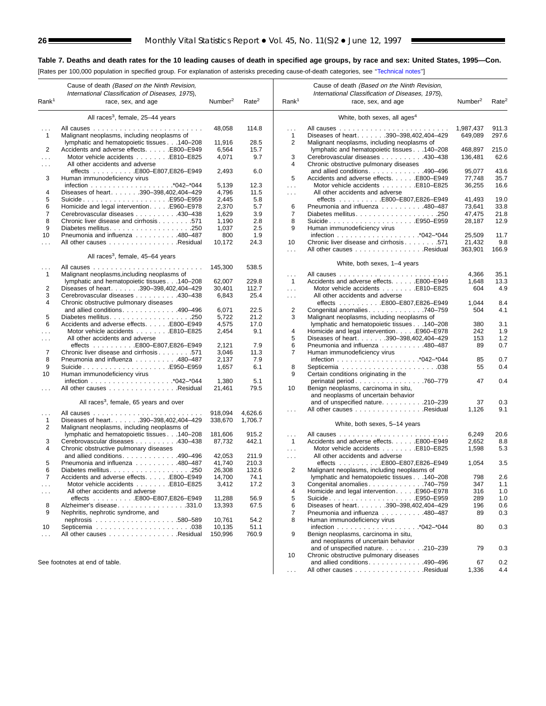[Rates per 100,000 population in specified group. For explanation of asterisks preceding cause-of-death categories, see [''Technical notes''\]](#page-72-0)

| Rank <sup>1</sup> | Cause of death (Based on the Ninth Revision,<br>International Classification of Diseases, 1975),<br>race, sex, and age | Number <sup>2</sup> | Rate <sup>2</sup> | Rank <sup>1</sup>   | Cause of death (Based on the Ninth Revision,<br>International Classification of Diseases, 1975),<br>race, sex, and age | Number <sup>2</sup> | Rate <sup>2</sup> |
|-------------------|------------------------------------------------------------------------------------------------------------------------|---------------------|-------------------|---------------------|------------------------------------------------------------------------------------------------------------------------|---------------------|-------------------|
|                   |                                                                                                                        |                     |                   |                     |                                                                                                                        |                     |                   |
|                   | All races <sup>3</sup> , female, 25-44 years                                                                           |                     |                   |                     | White, both sexes, all ages <sup>4</sup>                                                                               |                     |                   |
| .                 | All causes<br>$\mathcal{L}^{\mathcal{A}}$ . The same $\mathcal{L}^{\mathcal{A}}$                                       | 48,058              | 114.8             | .                   |                                                                                                                        | 1,987,437           | 911.3             |
| $\mathbf{1}$      | Malignant neoplasms, including neoplasms of                                                                            |                     |                   | 1                   | Diseases of heart. 390-398.402.404-429                                                                                 | 649.089             | 297.6             |
|                   | lymphatic and hematopoietic tissues 140-208                                                                            | 11,916              | 28.5              | 2                   | Malignant neoplasms, including neoplasms of                                                                            |                     |                   |
| 2                 | Accidents and adverse effects. E800-E949                                                                               | 6,564               | 15.7              |                     | lymphatic and hematopoietic tissues 140-208                                                                            | 468,897             | 215.0             |
| .                 | Motor vehicle accidents E810-E825                                                                                      | 4,071               | 9.7               | 3                   | Cerebrovascular diseases 430-438                                                                                       | 136,481             | 62.6              |
| $\sim$            | All other accidents and adverse                                                                                        |                     |                   | 4                   | Chronic obstructive pulmonary diseases                                                                                 |                     |                   |
|                   | effects E800-E807,E826-E949                                                                                            | 2,493               | 6.0               |                     | and allied conditions. 490-496                                                                                         | 95,077              | 43.6              |
| 3                 | Human immunodeficiency virus                                                                                           |                     |                   | 5                   | Accidents and adverse effects. E800-E949                                                                               | 77,748              | 35.7              |
|                   |                                                                                                                        | 5,139               | 12.3              | .                   | Motor vehicle accidents E810-E825                                                                                      | 36,255              | 16.6              |
| 4                 | Diseases of heart. 390-398,402,404-429                                                                                 | 4,796               | 11.5              | $\mathbf{1}$        | All other accidents and adverse                                                                                        |                     |                   |
| 5                 | SuicideE950–E959                                                                                                       | 2,445               | 5.8               |                     | effects E800-E807,E826-E949                                                                                            | 41,493              | 19.0              |
| 6                 | Homicide and legal intervention. E960-E978                                                                             | 2,370               | 5.7               | 6                   | Pneumonia and influenza 480-487                                                                                        | 73,641              | 33.8              |
| $\overline{7}$    | Cerebrovascular diseases 430–438                                                                                       | 1,629               | 3.9               | 7                   |                                                                                                                        | 47,475              | 21.8              |
| 8                 | Chronic liver disease and cirrhosis 571                                                                                | 1,190               | 2.8               | 8                   | SuicideE950–E959                                                                                                       | 28,187              | 12.9              |
| 9                 |                                                                                                                        | 1,037               | 2.5               | 9                   | Human immunodeficiency virus                                                                                           |                     |                   |
| 10                | Pneumonia and influenza 480-487                                                                                        | 800                 | 1.9               |                     |                                                                                                                        | 25,509              | 11.7              |
| .                 | All other causes Residual                                                                                              | 10,172              | 24.3              | 10                  | Chronic liver disease and cirrhosis 571                                                                                | 21,432              | 9.8               |
|                   | All races <sup>3</sup> , female, 45–64 years                                                                           |                     |                   | $\mathbf{1}$        | All other causes Residual                                                                                              | 363,901             | 166.9             |
|                   |                                                                                                                        |                     |                   |                     | White, both sexes, 1-4 years                                                                                           |                     |                   |
| .                 | All causes<br>$\mathbb{Z}^2$ . The set of the set of $\mathbb{Z}^2$                                                    | 145,300             | 538.5             |                     |                                                                                                                        |                     |                   |
| $\mathbf{1}$      | Malignant neoplasms, including neoplasms of                                                                            |                     |                   | .                   |                                                                                                                        | 4,366               | 35.1              |
|                   | lymphatic and hematopoietic tissues 140-208                                                                            | 62,007              | 229.8             | $\mathbf{1}$        | Accidents and adverse effects. E800-E949                                                                               | 1,648               | 13.3              |
| 2                 | Diseases of heart. 390-398,402,404-429                                                                                 | 30,401              | 112.7             | .                   | Motor vehicle accidents E810-E825                                                                                      | 604                 | 4.9               |
| 3                 | Cerebrovascular diseases 430-438                                                                                       | 6,843               | 25.4              | $\ldots$ .          | All other accidents and adverse                                                                                        |                     |                   |
| 4                 | Chronic obstructive pulmonary diseases                                                                                 |                     |                   |                     | effects E800-E807,E826-E949                                                                                            | 1,044               | 8.4               |
|                   | and allied conditions. 490-496                                                                                         | 6,071               | 22.5              | 2                   | Congenital anomalies 740–759                                                                                           | 504                 | 4.1               |
| 5                 |                                                                                                                        | 5,722               | 21.2              | 3                   | Malignant neoplasms, including neoplasms of                                                                            |                     |                   |
| 6                 | Accidents and adverse effects. E800-E949                                                                               | 4,575               | 17.0              |                     | lymphatic and hematopoietic tissues 140-208                                                                            | 380                 | 3.1               |
| .                 | Motor vehicle accidents E810-E825                                                                                      | 2,454               | 9.1               | 4                   | Homicide and legal intervention. E960-E978                                                                             | 242                 | 1.9               |
| .                 | All other accidents and adverse                                                                                        |                     |                   | 5                   | Diseases of heart. 390-398,402,404-429                                                                                 | 153                 | $1.2$             |
|                   |                                                                                                                        | 2,121               | 7.9               | 6                   | Pneumonia and influenza 480-487                                                                                        | 89                  | 0.7               |
| 7                 | Chronic liver disease and cirrhosis 571                                                                                | 3,046               | 11.3              | 7                   | Human immunodeficiency virus                                                                                           |                     |                   |
| 8                 | Pneumonia and influenza 480-487                                                                                        | 2,137               | 7.9               |                     |                                                                                                                        | 85                  | 0.7               |
| 9<br>10           | SuicideE950–E959                                                                                                       | 1,657               | 6.1               | 8<br>9              |                                                                                                                        | 55                  | 0.4               |
|                   | Human immunodeficiency virus                                                                                           | 1,380               | 5.1               |                     | Certain conditions originating in the                                                                                  | 47                  | 0.4               |
|                   | All other causes Residual                                                                                              | 21,461              | 79.5              | 10                  | perinatal period760–779<br>Benign neoplasms, carcinoma in situ,                                                        |                     |                   |
|                   |                                                                                                                        |                     |                   |                     | and neoplasms of uncertain behavior                                                                                    |                     |                   |
|                   | All races <sup>3</sup> , female, 65 years and over                                                                     |                     |                   |                     | and of unspecified nature210-239                                                                                       | 37                  | 0.3               |
|                   |                                                                                                                        |                     |                   | $\cdots$            | All other causes Residual                                                                                              | 1,126               | 9.1               |
| .                 |                                                                                                                        | 918,094             | 4,626.6           |                     |                                                                                                                        |                     |                   |
| $\mathbf{1}$      | Diseases of heart. 390-398,402,404-429                                                                                 | 338,670             | 1,706.7           |                     | White, both sexes, 5-14 years                                                                                          |                     |                   |
| 2                 | Malignant neoplasms, including neoplasms of                                                                            |                     |                   |                     |                                                                                                                        |                     |                   |
|                   | lymphatic and hematopoietic tissues 140-208                                                                            | 181,606             | 915.2             | $\cdots$            |                                                                                                                        | 6,249               | 20.6              |
| 3                 | Cerebrovascular diseases 430-438                                                                                       | 87,732              | 442.1             | $\mathbf{1}$        | Accidents and adverse effects. E800-E949                                                                               | 2,652               | 8.8               |
| 4                 | Chronic obstructive pulmonary diseases                                                                                 |                     |                   | $\cdots$            | Motor vehicle accidents E810-E825                                                                                      | 1,598               | 5.3               |
|                   | and allied conditions490-496                                                                                           | 42,053              | 211.9             | $\cdots$            | All other accidents and adverse                                                                                        |                     |                   |
| 5                 | Pneumonia and influenza 480-487                                                                                        | 41,740              | 210.3             |                     |                                                                                                                        | 1,054               | 3.5               |
| 6                 |                                                                                                                        | 26,308              | 132.6             | $\overline{2}$      | Malignant neoplasms, including neoplasms of                                                                            |                     |                   |
|                   | Accidents and adverse effects. E800-E949                                                                               | 14,700              | 74.1              |                     | lymphatic and hematopoietic tissues 140-208                                                                            | 798                 | 2.6               |
| .                 | Motor vehicle accidents E810-E825<br>All other accidents and adverse                                                   | 3,412               | 17.2              | 3<br>$\overline{4}$ | Congenital anomalies740-759                                                                                            | 347                 | 1.1               |
| $\sim$ $\sim$     |                                                                                                                        |                     |                   | 5                   | Homicide and legal intervention. E960-E978                                                                             | 316                 | 1.0               |
| 8                 | Alzheimer's disease331.0                                                                                               | 11,288<br>13,393    | 56.9<br>67.5      | 6                   | SuicideE950-E959<br>Diseases of heart. 390-398,402,404-429                                                             | 289<br>196          | 1.0<br>0.6        |
| 9                 | Nephritis, nephrotic syndrome, and                                                                                     |                     |                   | 7                   | Pneumonia and influenza 480–487                                                                                        | 89                  | 0.3               |
|                   |                                                                                                                        | 10,761              | 54.2              | 8                   | Human immunodeficiency virus                                                                                           |                     |                   |
| 10                |                                                                                                                        | 10,135              | 51.1              |                     |                                                                                                                        | 80                  | 0.3               |
| .                 | All other causes Residual                                                                                              | 150,996             | 760.9             | 9                   | Benign neoplasms, carcinoma in situ,                                                                                   |                     |                   |
|                   |                                                                                                                        |                     |                   |                     | and neoplasms of uncertain behavior                                                                                    |                     |                   |
|                   |                                                                                                                        |                     |                   |                     | and of unspecified nature210-239                                                                                       | 79                  | 0.3               |
|                   |                                                                                                                        |                     |                   | 10                  | Chronic obstructive pulmonary diseases                                                                                 |                     |                   |
|                   | See footnotes at end of table.                                                                                         |                     |                   |                     | and allied conditions. 490-496                                                                                         | 67                  | 0.2               |
|                   |                                                                                                                        |                     |                   |                     | All other causes Residual                                                                                              | 1,336               | 4.4               |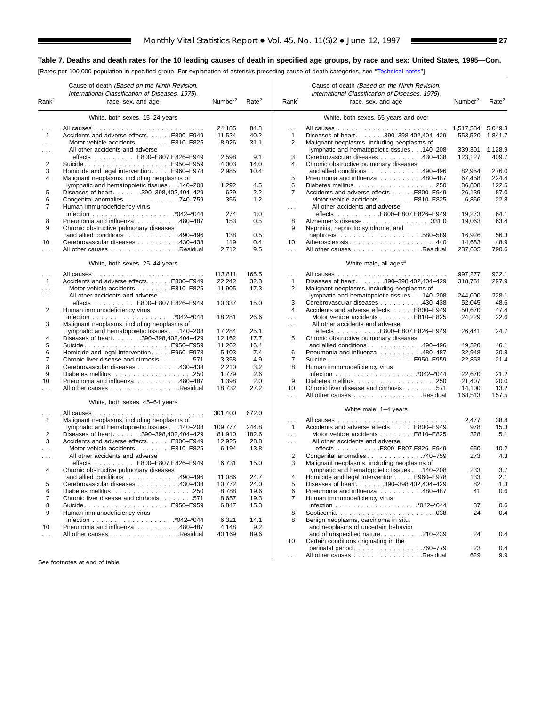[Rates per 100,000 population in specified group. For explanation of asterisks preceding cause-of-death categories, see [''Technical notes''\]](#page-72-0)

 $\blacksquare$ 

| Rank <sup>1</sup>    | Cause of death (Based on the Ninth Revision,<br>International Classification of Diseases, 1975),<br>race, sex, and age | Number <sup>2</sup> | Rate <sup>2</sup> | Rank <sup>1</sup>    | Cause of death (Based on the Ninth Revision,<br>International Classification of Diseases, 1975),<br>race, sex, and age | Number <sup>2</sup> | Rate <sup>2</sup> |
|----------------------|------------------------------------------------------------------------------------------------------------------------|---------------------|-------------------|----------------------|------------------------------------------------------------------------------------------------------------------------|---------------------|-------------------|
|                      | White, both sexes, 15-24 years                                                                                         |                     |                   |                      | White, both sexes, 65 years and over                                                                                   |                     |                   |
|                      |                                                                                                                        |                     |                   |                      |                                                                                                                        |                     |                   |
| $\sim$ $\sim$        |                                                                                                                        | 24.185              | 84.3              | $\sim$               |                                                                                                                        | 1,517,584           | 5,049.3           |
| $\mathbf{1}$         | Accidents and adverse effects. E800-E949                                                                               | 11,524              | 40.2              | $\mathbf{1}$         | Diseases of heart. 390-398,402,404-429                                                                                 | 553,520             | 1,841.7           |
| $\cdots$             | Motor vehicle accidents E810-E825                                                                                      | 8,926               | 31.1              | 2                    | Malignant neoplasms, including neoplasms of                                                                            |                     |                   |
| $\sim$ $\sim$        | All other accidents and adverse                                                                                        |                     |                   |                      | lymphatic and hematopoietic tissues 140-208                                                                            | 339,301             | 1,128.9           |
|                      | effects E800-E807,E826-E949                                                                                            | 2,598               | 9.1               | 3                    | Cerebrovascular diseases 430-438                                                                                       | 123,127             | 409.7             |
| 2                    | SuicideE950–E959                                                                                                       | 4,003               | 14.0              | 4                    | Chronic obstructive pulmonary diseases                                                                                 |                     |                   |
| 3                    | Homicide and legal interventionE960-E978                                                                               | 2,985               | 10.4              |                      | and allied conditions. 490-496                                                                                         | 82,954              | 276.0             |
| 4                    | Malignant neoplasms, including neoplasms of                                                                            |                     |                   | 5                    | Pneumonia and influenza 480-487                                                                                        | 67,458              | 224.4             |
|                      | lymphatic and hematopoietic tissues140-208                                                                             | 1,292               | 4.5               | 6                    |                                                                                                                        | 36,808              | 122.5             |
| 5                    | Diseases of heart. 390-398,402,404-429                                                                                 | 629                 | 2.2               | 7                    | Accidents and adverse effects. E800-E949                                                                               | 26,139              | 87.0              |
| 6                    | Congenital anomalies. 740-759                                                                                          | 356                 | 1.2               | $\sim$ $\sim$ $\sim$ | Motor vehicle accidents E810-E825                                                                                      | 6,866               | 22.8              |
| 7                    | Human immunodeficiency virus                                                                                           |                     |                   | $\cdots$             | All other accidents and adverse                                                                                        |                     |                   |
|                      |                                                                                                                        | 274                 | 1.0               |                      | effects E800-E807,E826-E949                                                                                            | 19,273              | 64.1              |
| 8                    | Pneumonia and influenza 480-487                                                                                        | 153                 | 0.5               | 8                    | Alzheimer's disease331.0                                                                                               | 19,063              | 63.4              |
| 9                    | Chronic obstructive pulmonary diseases                                                                                 |                     |                   | 9                    | Nephritis, nephrotic syndrome, and                                                                                     |                     |                   |
|                      | and allied conditions. $\ldots$ . 490–496                                                                              | 138                 | 0.5               |                      |                                                                                                                        | 16,926              | 56.3              |
| 10                   | Cerebrovascular diseases 430–438                                                                                       | 119                 | 0.4               | 10                   | Atherosclerosis440                                                                                                     | 14,683              | 48.9              |
|                      | All other causes Residual                                                                                              | 2,712               | 9.5               | $\mathbf{1}$         | All other causes Residual                                                                                              | 237,605             | 790.6             |
|                      | White, both sexes, 25-44 years                                                                                         |                     |                   |                      | White male, all ages <sup>4</sup>                                                                                      |                     |                   |
| $\sim 10$            |                                                                                                                        | 113,811             | 165.5             | $\sim$               |                                                                                                                        | 997,277             | 932.1             |
| $\mathbf{1}$         | Accidents and adverse effects. E800-E949                                                                               | 22,242              | 32.3              | 1                    | Diseases of heart. 390-398,402,404-429                                                                                 | 318,751             | 297.9             |
| $\cdots$             | Motor vehicle accidents E810–E825                                                                                      | 11,905              | 17.3              | 2                    | Malignant neoplasms, including neoplasms of                                                                            |                     |                   |
| $\cdots$             | All other accidents and adverse                                                                                        |                     |                   |                      | lymphatic and hematopoietic tissues 140-208                                                                            | 244,000             | 228.1             |
|                      |                                                                                                                        | 10.337              | 15.0              | 3                    | Cerebrovascular diseases 430-438                                                                                       | 52,045              | 48.6              |
| 2                    | Human immunodeficiency virus                                                                                           |                     |                   | $\overline{4}$       | Accidents and adverse effects. E800-E949                                                                               | 50,670              | 47.4              |
|                      |                                                                                                                        | 18,281              | 26.6              | $\cdots$             | Motor vehicle accidents E810-E825                                                                                      | 24,229              | 22.6              |
| 3                    | Malignant neoplasms, including neoplasms of                                                                            |                     |                   | $\sim 100$           | All other accidents and adverse                                                                                        |                     |                   |
|                      | lymphatic and hematopoietic tissues 140-208                                                                            | 17,284              | 25.1              |                      | effects E800–E807,E826–E949                                                                                            | 26,441              | 24.7              |
| 4                    | Diseases of heart390-398,402,404-429                                                                                   | 12,162              | 17.7              | 5                    | Chronic obstructive pulmonary diseases                                                                                 |                     |                   |
| 5                    | SuicideE950-E959                                                                                                       | 11,262              | 16.4              |                      | and allied conditions. 490-496                                                                                         | 49,320              | 46.1              |
| 6                    | Homicide and legal interventionE960–E978                                                                               | 5,103               | 7.4               | 6                    | Pneumonia and influenza 480-487                                                                                        | 32,948              | 30.8              |
| 7                    | Chronic liver disease and cirrhosis 571                                                                                | 3,358               | 4.9               | 7                    | SuicideE950–E959                                                                                                       | 22,853              | 21.4              |
| 8                    | Cerebrovascular diseases 430-438                                                                                       | 2,210               | 3.2               | 8                    | Human immunodeficiency virus                                                                                           |                     |                   |
| 9                    |                                                                                                                        | 1,779               | 2.6               |                      |                                                                                                                        | 22,670              | 21.2              |
| 10                   | Pneumonia and influenza 480-487                                                                                        | 1,398               | 2.0               | 9                    |                                                                                                                        | 21,407              | 20.0              |
| $\cdots$             | All other causes Residual                                                                                              | 18,732              | 27.2              | 10                   | Chronic liver disease and cirrhosis 571                                                                                | 14,100              | 13.2              |
|                      |                                                                                                                        |                     |                   | $\cdots$             | All other causes Residual                                                                                              | 168,513             | 157.5             |
|                      | White, both sexes, 45–64 years                                                                                         |                     |                   |                      |                                                                                                                        |                     |                   |
| $\sim$ $\sim$ $\sim$ |                                                                                                                        | 301,400             | 672.0             |                      | White male, 1-4 years                                                                                                  |                     |                   |
| -1                   | Malignant neoplasms, including neoplasms of                                                                            |                     |                   | $\sim$ $\sim$ $\sim$ |                                                                                                                        | 2,477               | 38.8              |
|                      | lymphatic and hematopoietic tissues 140-208                                                                            | 109,777             | 244.8             | $\mathbf{1}$         | Accidents and adverse effects. E800-E949                                                                               | 978                 | 15.3              |
| 2                    | Diseases of heart. 390-398,402,404-429                                                                                 | 81,910              | 182.6             | $\sim 100$           | Motor vehicle accidents E810-E825                                                                                      | 328                 | 5.1               |
| 3                    | Accidents and adverse effects. E800–E949                                                                               | 12,925              | 28.8              | $\sim 100$           | All other accidents and adverse                                                                                        |                     |                   |
|                      | Motor vehicle accidents E810-E825                                                                                      | 6,194               | 13.8              |                      | effects E800-E807,E826-E949                                                                                            | 650                 | 10.2              |
| $\cdots$             | All other accidents and adverse                                                                                        |                     |                   | 2                    | Congenital anomalies 740-759                                                                                           | 273                 | 4.3               |
|                      | effects E800–E807,E826–E949                                                                                            | 6,731               | 15.0              | 3                    | Malignant neoplasms, including neoplasms of                                                                            |                     |                   |
| 4                    | Chronic obstructive pulmonary diseases                                                                                 |                     |                   |                      | lymphatic and hematopoietic tissues 140-208                                                                            | 233                 | 3.7               |
|                      | and allied conditions. 490-496                                                                                         | 11,086              | 24.7              | 4                    | Homicide and legal intervention. E960–E978                                                                             | 133                 | 2.1               |
| 5                    | Cerebrovascular diseases 430-438                                                                                       | 10,772              | 24.0              | 5                    | Diseases of heart. 390-398,402,404-429                                                                                 | 82                  | 1.3               |
| 6                    |                                                                                                                        | 8,788               | 19.6              | 6                    | Pneumonia and influenza 480-487                                                                                        | 41                  | 0.6               |
| 7                    | Chronic liver disease and cirrhosis 571                                                                                | 8,657               | 19.3              | 7                    | Human immunodeficiency virus                                                                                           |                     |                   |
| 8                    | SuicideE950–E959                                                                                                       | 6,847               | 15.3              |                      |                                                                                                                        | 37                  | 0.6               |
| 9                    | Human immunodeficiency virus                                                                                           |                     |                   | 8                    |                                                                                                                        | 24                  | 0.4               |
|                      |                                                                                                                        | 6,321               | 14.1              | 8                    | Benign neoplasms, carcinoma in situ,                                                                                   |                     |                   |
| 10                   | Pneumonia and influenza 480-487                                                                                        | 4,148               | 9.2               |                      | and neoplasms of uncertain behavior                                                                                    |                     |                   |
| $\sim 100$           | All other causes Residual                                                                                              | 40,169              | 89.6              |                      | and of unspecified nature. 210-239                                                                                     | 24                  | 0.4               |
|                      |                                                                                                                        |                     |                   | 10                   | Certain conditions originating in the                                                                                  |                     |                   |
|                      |                                                                                                                        |                     |                   |                      | perinatal period. 760–779                                                                                              | 23                  | 0.4               |
|                      |                                                                                                                        |                     |                   | $\sim 100$           | All other causes Residual                                                                                              | 629                 | 9.9               |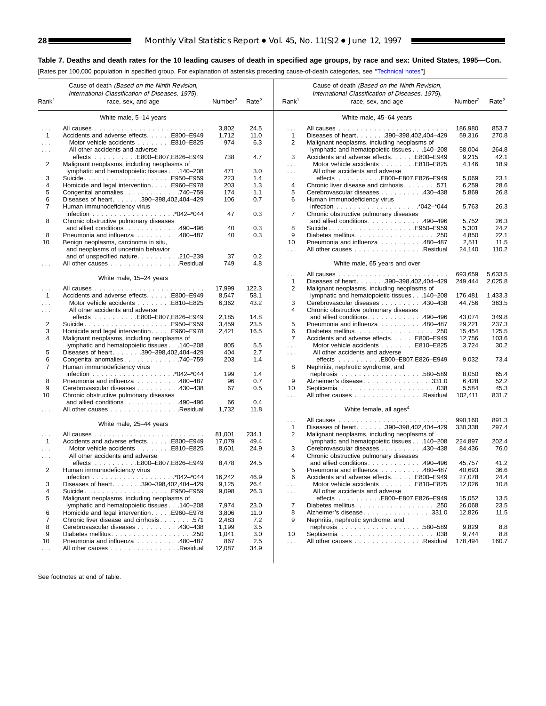[Rates per 100,000 population in specified group. For explanation of asterisks preceding cause-of-death categories, see [''Technical notes''\]](#page-72-0)

|                      | Cause of death (Based on the Ninth Revision,<br>International Classification of Diseases, 1975), |                     |                   |                             | Cause of death (Based on the Ninth Revision,<br>International Classification of Diseases, 1975), |                     |                   |
|----------------------|--------------------------------------------------------------------------------------------------|---------------------|-------------------|-----------------------------|--------------------------------------------------------------------------------------------------|---------------------|-------------------|
| Rank <sup>1</sup>    | race, sex, and age                                                                               | Number <sup>2</sup> | Rate <sup>2</sup> | Rank <sup>1</sup>           | race, sex, and age                                                                               | Number <sup>2</sup> | Rate <sup>2</sup> |
|                      | White male, 5-14 years                                                                           |                     |                   |                             | White male, 45–64 years                                                                          |                     |                   |
| $\cdots$             |                                                                                                  | 3,802               | 24.5              | $\sim$                      |                                                                                                  | 186,980             | 853.7             |
| $\overline{1}$       | Accidents and adverse effects. E800-E949                                                         | 1,712               | 11.0              | 1                           | Diseases of heart390-398,402,404-429                                                             | 59,316              | 270.8             |
| $\sim 100$           | Motor vehicle accidents E810-E825                                                                | 974                 | 6.3               | 2                           | Malignant neoplasms, including neoplasms of                                                      |                     |                   |
| $\sim$               | All other accidents and adverse                                                                  |                     |                   |                             | lymphatic and hematopoietic tissues 140-208                                                      | 58,004              | 264.8             |
|                      | effects E800-E807,E826-E949                                                                      | 738                 | 4.7               | 3                           | Accidents and adverse effects. E800-E949                                                         | 9,215               | 42.1              |
| 2                    | Malignant neoplasms, including neoplasms of                                                      |                     |                   | $\sim$ $\sim$ $\sim$        | Motor vehicle accidents E810-E825                                                                | 4,146               | 18.9              |
|                      | lymphatic and hematopoietic tissues 140-208                                                      | 471                 | 3.0               | $\sim$ $\sim$ $\sim$        | All other accidents and adverse                                                                  |                     |                   |
| 3                    | SuicideE950–E959                                                                                 | 223                 | 1.4               |                             | effects E800-E807,E826-E949                                                                      | 5,069               | 23.1              |
| 4                    | Homicide and legal intervention. E960-E978                                                       | 203                 | 1.3               | 4                           | Chronic liver disease and cirrhosis 571                                                          | 6,259               | 28.6              |
| 5                    | Congenital anomalies 740–759                                                                     | 174                 | 1.1               | 5                           | Cerebrovascular diseases 430-438                                                                 | 5,869               | 26.8              |
| 6                    | Diseases of heart. 390-398,402,404-429                                                           | 106                 | 0.7               | 6                           | Human immunodeficiency virus                                                                     |                     |                   |
| 7                    | Human immunodeficiency virus                                                                     |                     |                   |                             |                                                                                                  | 5,763               | 26.3              |
|                      |                                                                                                  | 47                  | 0.3               | 7                           | Chronic obstructive pulmonary diseases                                                           |                     |                   |
| 8                    | Chronic obstructive pulmonary diseases                                                           |                     |                   |                             | and allied conditions. 490-496                                                                   | 5,752               | 26.3              |
|                      | and allied conditions. 490-496                                                                   | 40                  | 0.3               | 8                           | SuicideE950-E959                                                                                 | 5,301               | 24.2              |
| 8                    | Pneumonia and influenza 480-487                                                                  | 40                  | 0.3               | 9                           |                                                                                                  | 4,850               | 22.1              |
| 10                   | Benign neoplasms, carcinoma in situ,                                                             |                     |                   | 10                          | Pneumonia and influenza 480-487                                                                  | 2,511               | 11.5              |
|                      | and neoplasms of uncertain behavior                                                              |                     |                   | $\ldots$                    | All other causes Residual                                                                        | 24,140              | 110.2             |
|                      | and of unspecified nature210-239                                                                 | 37                  | 0.2               |                             |                                                                                                  |                     |                   |
|                      | All other causes Residual                                                                        | 749                 | 4.8               |                             | White male, 65 years and over                                                                    |                     |                   |
|                      |                                                                                                  |                     |                   | $\ldots$                    |                                                                                                  | 693,659             | 5,633.5           |
|                      | White male, 15-24 years                                                                          |                     |                   | 1                           | Diseases of heart. 390-398,402,404-429                                                           | 249,444             | 2,025.8           |
| $\cdots$             |                                                                                                  | 17,999              | 122.3             | 2                           | Malignant neoplasms, including neoplasms of                                                      |                     |                   |
| $\overline{1}$       | Accidents and adverse effects. E800–E949                                                         | 8,547               | 58.1              |                             | lymphatic and hematopoietic tissues 140-208                                                      | 176,481             | 1,433.3           |
| $\sim$               | Motor vehicle accidents E810-E825                                                                | 6,362               | 43.2              | 3                           | Cerebrovascular diseases 430-438                                                                 | 44,756              | 363.5             |
| $\cdots$             | All other accidents and adverse                                                                  |                     |                   | 4                           | Chronic obstructive pulmonary diseases                                                           |                     |                   |
|                      | effects E800-E807,E826-E949                                                                      | 2,185               | 14.8              |                             | and allied conditions. 490–496                                                                   | 43,074              | 349.8             |
| $\overline{c}$       |                                                                                                  | 3,459               | 23.5              | 5                           | Pneumonia and influenza 480-487                                                                  | 29,221              | 237.3             |
| 3                    | Homicide and legal intervention. E960-E978                                                       | 2,421               | 16.5              | 6                           |                                                                                                  | 15,454              | 125.5             |
| 4                    | Malignant neoplasms, including neoplasms of                                                      |                     |                   | $\overline{7}$              | Accidents and adverse effects. E800-E949                                                         | 12,756              | 103.6             |
|                      | lymphatic and hematopoietic tissues 140-208                                                      | 805                 | 5.5               |                             | Motor vehicle accidents E810-E825                                                                | 3,724               | 30.2              |
| 5                    | Diseases of heart. 390-398,402,404-429                                                           | 404                 | 2.7               | $\sim 100$                  | All other accidents and adverse                                                                  |                     |                   |
|                      |                                                                                                  |                     |                   | $\sim 100$                  |                                                                                                  |                     |                   |
| 6<br>$\overline{7}$  | Congenital anomalies 740-759                                                                     | 203                 | 1.4               |                             | effects E800-E807,E826-E949                                                                      | 9,032               | 73.4              |
|                      | Human immunodeficiency virus                                                                     | 199                 |                   | 8                           | Nephritis, nephrotic syndrome, and                                                               |                     | 65.4              |
|                      |                                                                                                  |                     | 1.4               |                             |                                                                                                  | 8,050               |                   |
| 8                    | Pneumonia and influenza 480–487                                                                  | 96                  | 0.7               | 9                           | Alzheimer's disease331.0                                                                         | 6,428               | 52.2              |
| 9                    | Cerebrovascular diseases 430-438                                                                 | 67                  | 0.5               | 10                          |                                                                                                  | 5,584               | 45.3              |
| 10                   | Chronic obstructive pulmonary diseases                                                           |                     |                   | $\ldots$                    | All other causes Residual                                                                        | 102,411             | 831.7             |
| $\cdots$             | and allied conditions. 490–496<br>All other causes Residual                                      | 66<br>1,732         | 0.4<br>11.8       |                             | White female, all ages <sup>4</sup>                                                              |                     |                   |
|                      |                                                                                                  |                     |                   | $\sim$ $\sim$ $\sim$        |                                                                                                  | 990.160             | 891.3             |
|                      | White male, 25-44 years                                                                          |                     |                   | 1                           | Diseases of heart. 390-398,402,404-429                                                           | 330,338             | 297.4             |
| $\sim$ $\sim$        |                                                                                                  | 81,001              | 234.1             | 2                           | Malignant neoplasms, including neoplasms of                                                      |                     |                   |
| $\mathbf{1}$         | Accidents and adverse effects. E800-E949                                                         | 17,079              | 49.4              |                             | lymphatic and hematopoietic tissues 140-208                                                      | 224,897             | 202.4             |
| $\sim$               | Motor vehicle accidents E810-E825                                                                | 8,601               | 24.9              | 3                           | Cerebrovascular diseases 430-438                                                                 | 84,436              | 76.0              |
| $\cdots$             | All other accidents and adverse                                                                  |                     |                   | 4                           | Chronic obstructive pulmonary diseases                                                           |                     |                   |
|                      | effects E800-E807,E826-E949                                                                      | 8,478               | 24.5              |                             | and allied conditions. 490-496                                                                   | 45,757              | 41.2              |
| 2                    | Human immunodeficiency virus                                                                     |                     |                   | 5                           | Pneumonia and influenza 480-487                                                                  | 40,693              | 36.6              |
|                      |                                                                                                  | 16,242              | 46.9              | 6                           | Accidents and adverse effects. E800–E949                                                         | 27,078              | 24.4              |
| 3                    | Diseases of heart. 390-398,402,404-429                                                           | 9,125               | 26.4              | $\cdots$                    | Motor vehicle accidents E810-E825                                                                | 12,026              | 10.8              |
| 4                    | SuicideE950–E959                                                                                 | 9,098               | 26.3              |                             | All other accidents and adverse                                                                  |                     |                   |
| 5                    | Malignant neoplasms, including neoplasms of                                                      |                     |                   | $\mathcal{L}^{\mathcal{L}}$ | effects E800-E807,E826-E949                                                                      | 15,052              | 13.5              |
|                      | lymphatic and hematopoietic tissues 140-208                                                      | 7,974               | 23.0              | 7                           |                                                                                                  | 26,068              | 23.5              |
| 6                    | Homicide and legal intervention. E960-E978                                                       | 3,806               | 11.0              | 8                           | Alzheimer's disease331.0                                                                         |                     |                   |
|                      |                                                                                                  |                     |                   |                             |                                                                                                  | 12,826              | 11.5              |
| $\overline{7}$       | Chronic liver disease and cirrhosis571                                                           | 2,483               | 7.2               | 9                           | Nephritis, nephrotic syndrome, and                                                               |                     |                   |
| 8                    | Cerebrovascular diseases 430–438                                                                 | 1,199               | 3.5               |                             |                                                                                                  | 9,829               | 8.8               |
| 9                    |                                                                                                  | 1,041               | 3.0               | 10                          |                                                                                                  | 9,744               | 8.8               |
| 10                   | Pneumonia and influenza 480-487                                                                  | 867                 | 2.5               | $\sim$ $\sim$ $\sim$        | All other causes Residual                                                                        | 178,494             | 160.7             |
| $\sim$ $\sim$ $\sim$ | All other causes Residual                                                                        | 12,087              | 34.9              |                             |                                                                                                  |                     |                   |
|                      |                                                                                                  |                     |                   |                             |                                                                                                  |                     |                   |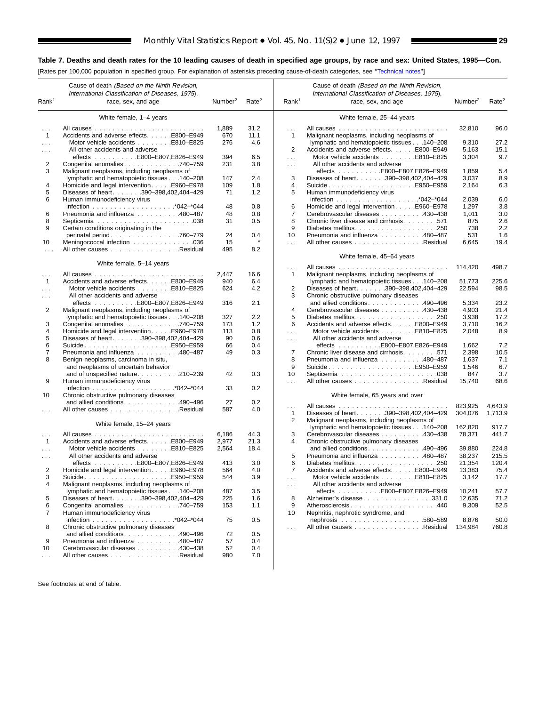[Rates per 100,000 population in specified group. For explanation of asterisks preceding cause-of-death categories, see [''Technical notes''\]](#page-72-0)

 $\blacksquare$ 

|                      | Cause of death (Based on the Ninth Revision,                                  |                     |                   |                      | Cause of death (Based on the Ninth Revision,                                                        |                     |                   |
|----------------------|-------------------------------------------------------------------------------|---------------------|-------------------|----------------------|-----------------------------------------------------------------------------------------------------|---------------------|-------------------|
| Rank <sup>1</sup>    | International Classification of Diseases, 1975),<br>race, sex, and age        | Number <sup>2</sup> | Rate <sup>2</sup> | Rank <sup>1</sup>    | International Classification of Diseases, 1975),<br>race, sex, and age                              | Number <sup>2</sup> | Rate <sup>2</sup> |
|                      | White female, 1-4 years                                                       |                     |                   |                      | White female, 25-44 years                                                                           |                     |                   |
|                      | All causes                                                                    | 1,889               | 31.2              |                      | All causes                                                                                          | 32,810              | 96.0              |
| $\mathbf{1}$         | and and and and and a<br>Accidents and adverse effects. E800-E949             | 670                 | 11.1              | .<br>1               | $\alpha$ , $\alpha$ , $\alpha$ , $\alpha$ , $\alpha$<br>Malignant neoplasms, including neoplasms of |                     |                   |
| $\sim 100$           | Motor vehicle accidents E810-E825                                             | 276                 | 4.6               |                      | lymphatic and hematopoietic tissues 140-208                                                         | 9,310               | 27.2              |
| $\cdots$             | All other accidents and adverse                                               |                     |                   | 2                    | Accidents and adverse effects. E800-E949                                                            | 5,163               | 15.1              |
|                      |                                                                               | 394                 | 6.5               | $\cdots$             | Motor vehicle accidents E810-E825                                                                   | 3,304               | 9.7               |
| 2                    | Congenital anomalies 740-759                                                  | 231                 | 3.8               | $\sim 100$           | All other accidents and adverse                                                                     |                     |                   |
| 3                    | Malignant neoplasms, including neoplasms of                                   |                     |                   |                      | effects E800-E807,E826-E949                                                                         | 1,859               | 5.4               |
|                      | lymphatic and hematopoietic tissues 140-208                                   | 147                 | 2.4               | 3                    | Diseases of heart. 390-398,402,404-429                                                              | 3,037               | 8.9               |
| 4                    | Homicide and legal intervention. E960-E978                                    | 109                 | 1.8               | $\overline{4}$       | SuicideE950-E959                                                                                    | 2,164               | 6.3               |
| 5                    | Diseases of heart. 390-398,402,404-429                                        | 71                  | 1.2               | 5                    | Human immunodeficiency virus                                                                        |                     |                   |
| 6                    | Human immunodeficiency virus                                                  |                     |                   |                      |                                                                                                     | 2,039               | 6.0               |
|                      |                                                                               | 48                  | 0.8               | 6                    | Homicide and legal intervention. E960-E978                                                          | 1,297               | 3.8               |
| 6                    | Pneumonia and influenza 480-487                                               | 48                  | 0.8               | 7                    | Cerebrovascular diseases 430-438                                                                    | 1,011               | 3.0               |
| 8                    |                                                                               | 31                  | 0.5               | 8                    | Chronic liver disease and cirrhosis 571                                                             | 875                 | 2.6               |
| 9                    | Certain conditions originating in the                                         |                     |                   | 9                    | Diabetes mellitus250                                                                                | 738                 | 2.2               |
|                      | perinatal period. 760–779                                                     | 24                  | 0.4               | 10                   | Pneumonia and influenza 480-487                                                                     | 531                 | 1.6               |
| 10                   | Meningococcal infection 036                                                   | 15                  |                   | $\sim$               | All other causes Residual                                                                           | 6,645               | 19.4              |
| $\sim$               | All other causes Residual                                                     | 495                 | 8.2               |                      | White female, 45-64 years                                                                           |                     |                   |
|                      | White female, 5-14 years                                                      |                     |                   |                      |                                                                                                     |                     |                   |
|                      |                                                                               |                     |                   | .                    |                                                                                                     | 114,420             | 498.7             |
| $\cdots$             |                                                                               | 2,447               | 16.6              | 1                    | Malignant neoplasms, including neoplasms of                                                         |                     |                   |
| $\mathbf{1}$         | Accidents and adverse effects. E800-E949<br>Motor vehicle accidents E810-E825 | 940                 | 6.4<br>4.2        |                      | lymphatic and hematopoietic tissues 140-208                                                         | 51,773              | 225.6             |
| $\cdots$             | All other accidents and adverse                                               | 624                 |                   | 2<br>3               | Diseases of heart. 390-398,402,404-429                                                              | 22,594              | 98.5              |
| $\cdots$             | effects E800-E807,E826-E949                                                   | 316                 | 2.1               |                      | Chronic obstructive pulmonary diseases<br>and allied conditions. $\ldots$ . 490–496                 | 5,334               | 23.2              |
| 2                    | Malignant neoplasms, including neoplasms of                                   |                     |                   | $\overline{4}$       | Cerebrovascular diseases 430-438                                                                    | 4,903               | 21.4              |
|                      | lymphatic and hematopoietic tissues 140-208                                   | 327                 | 2.2               | 5                    |                                                                                                     | 3,938               | 17.2              |
| 3                    | Congenital anomalies 740–759                                                  | 173                 | 1.2               | 6                    | Accidents and adverse effects. E800-E949                                                            | 3,710               | 16.2              |
| 4                    | Homicide and legal intervention. E960-E978                                    | 113                 | 0.8               | $\cdots$             | Motor vehicle accidents E810-E825                                                                   | 2,048               | 8.9               |
| 5                    | Diseases of heart. 390-398,402,404-429                                        | 90                  | 0.6               | $\cdots$             | All other accidents and adverse                                                                     |                     |                   |
| 6                    | SuicideE950–E959                                                              | 66                  | 0.4               |                      | effects E800-E807,E826-E949                                                                         | 1,662               | 7.2               |
| 7                    | Pneumonia and influenza 480-487                                               | 49                  | 0.3               | 7                    | Chronic liver disease and cirrhosis 571                                                             | 2,398               | 10.5              |
| 8                    | Benign neoplasms, carcinoma in situ,                                          |                     |                   | 8                    | Pneumonia and influenza 480-487                                                                     | 1,637               | 7.1               |
|                      | and neoplasms of uncertain behavior                                           |                     |                   | 9                    | SuicideE950–E959                                                                                    | 1,546               | 6.7               |
|                      | and of unspecified nature. 210-239                                            | 42                  | 0.3               | 10                   |                                                                                                     | 847                 | 3.7               |
| 9                    | Human immunodeficiency virus                                                  |                     |                   | $\sim$ .             | All other causes Residual                                                                           | 15,740              | 68.6              |
|                      |                                                                               | 33                  | 0.2               |                      |                                                                                                     |                     |                   |
| 10                   | Chronic obstructive pulmonary diseases                                        |                     |                   |                      | White female, 65 years and over                                                                     |                     |                   |
|                      | and allied conditions. $\ldots$ 490–496                                       | 27                  | 0.2               | .                    | .                                                                                                   | 823,925             | 4,643.9           |
|                      | All other causes Residual                                                     | 587                 | 4.0               | $\mathbf{1}$         | Diseases of heart. 390-398,402,404-429                                                              | 304,076             | 1,713.9           |
|                      |                                                                               |                     |                   | 2                    | Malignant neoplasms, including neoplasms of                                                         |                     |                   |
|                      | White female, 15-24 years                                                     |                     |                   |                      | lymphatic and hematopoietic tissues 140-208                                                         | 162,820             | 917.7             |
| $\sim$ $\sim$ $\sim$ |                                                                               | 6,186               | 44.3              | 3                    | Cerebrovascular diseases 430-438                                                                    | 78,371              | 441.7             |
| $\mathbf{1}$         | Accidents and adverse effects. E800-E949                                      | 2,977               | 21.3              | 4                    | Chronic obstructive pulmonary diseases                                                              |                     |                   |
| $\cdots$             | Motor vehicle accidents E810–E825                                             | 2,564               | 18.4              |                      | and allied conditions490-496                                                                        | 39,880              | 224.8             |
| $\cdots$             | All other accidents and adverse                                               |                     |                   | 5                    | Pneumonia and influenza 480-487                                                                     | 38,237              | 215.5             |
|                      | effects $\ldots \ldots \ldots$ E800-E807, E826-E949                           | 413                 | 3.0               | 6                    |                                                                                                     | 21,354              | 120.4             |
| 2                    | Homicide and legal intervention. E960-E978                                    | 564                 | 4.0               | $\overline{7}$       | Accidents and adverse effects. E800-E949                                                            | 13,383              | 75.4              |
| з                    | . E950–E959<br>Suicide                                                        | 544                 | 3.9               |                      | Motor vehicle accidents E810-E825                                                                   | 3,142               | 17.7              |
| 4                    | Malignant neoplasms, including neoplasms of                                   |                     |                   | $\sim$ $\sim$ $\sim$ | All other accidents and adverse                                                                     |                     |                   |
|                      | lymphatic and hematopoietic tissues 140-208                                   | 487                 | 3.5               |                      | effects E800-E807,E826-E949                                                                         | 10,241              | 57.7              |
| 5                    | Diseases of heart. 390-398,402,404-429                                        | 225                 | 1.6               | 8                    | Alzheimer's disease. 331.0                                                                          | 12,635              | 71.2              |
| 6                    | Congenital anomalies740-759                                                   | 153                 | 1.1               | 9                    | Atherosclerosis440                                                                                  | 9,309               | 52.5              |
| 7                    | Human immunodeficiency virus                                                  |                     |                   | 10                   | Nephritis, nephrotic syndrome, and                                                                  |                     |                   |
|                      |                                                                               | 75                  | 0.5               |                      |                                                                                                     | 8,876               | 50.0              |
| 8                    | Chronic obstructive pulmonary diseases<br>and allied conditions490-496        | 72                  | 0.5               | $\cdots$             | All other causes Residual                                                                           | 134,984             | 760.8             |
| 9                    | Pneumonia and influenza 480-487                                               | 57                  | 0.4               |                      |                                                                                                     |                     |                   |
| 10                   | Cerebrovascular diseases 430-438                                              | 52                  | 0.4               |                      |                                                                                                     |                     |                   |
| $\sim$ $\sim$ $\sim$ | All other causes Residual                                                     | 980                 | 7.0               |                      |                                                                                                     |                     |                   |
|                      |                                                                               |                     |                   |                      |                                                                                                     |                     |                   |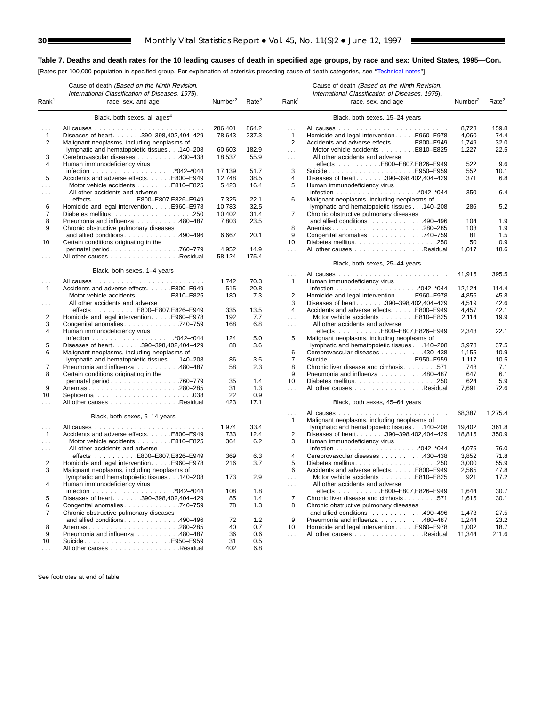$\sim$ 

#### **Table 7. Deaths and death rates for the 10 leading causes of death in specified age groups, by race and sex: United States, 1995—Con.**

[Rates per 100,000 population in specified group. For explanation of asterisks preceding cause-of-death categories, see [''Technical notes''\]](#page-72-0)

|                      | Cause of death (Based on the Ninth Revision,<br>International Classification of Diseases, 1975), |                     |                   |                                              | Cause of death (Based on the Ninth Revision,<br>International Classification of Diseases, 1975), |                     |                   |
|----------------------|--------------------------------------------------------------------------------------------------|---------------------|-------------------|----------------------------------------------|--------------------------------------------------------------------------------------------------|---------------------|-------------------|
| Rank <sup>1</sup>    | race, sex, and age                                                                               | Number <sup>2</sup> | Rate <sup>2</sup> | Rank <sup>1</sup>                            | race, sex, and age                                                                               | Number <sup>2</sup> | Rate <sup>2</sup> |
|                      | Black, both sexes, all ages <sup>4</sup>                                                         |                     |                   |                                              | Black, both sexes, 15-24 years                                                                   |                     |                   |
|                      |                                                                                                  | 286,401             | 864.2             |                                              |                                                                                                  |                     | 159.8             |
| $\mathbf{1}$         | All causes<br>Diseases of heart. 390-398,402,404-429                                             | 78,643              | 237.3             | .<br>$\mathbf{1}$                            | Homicide and legal intervention. E960–E978                                                       | 8,723<br>4,060      | 74.4              |
| 2                    | Malignant neoplasms, including neoplasms of                                                      |                     |                   | 2                                            | Accidents and adverse effects. E800-E949                                                         | 1,749               | 32.0              |
|                      | lymphatic and hematopoietic tissues 140-208                                                      | 60,603              | 182.9             | $\sim 100$                                   | Motor vehicle accidents E810-E825                                                                | 1,227               | 22.5              |
| 3                    | Cerebrovascular diseases 430-438                                                                 | 18,537              | 55.9              | $\sim 100$                                   | All other accidents and adverse                                                                  |                     |                   |
| 4                    | Human immunodeficiency virus                                                                     |                     |                   |                                              | effects E800-E807,E826-E949                                                                      | 522                 | 9.6               |
|                      |                                                                                                  | 17,139              | 51.7              | 3                                            | SuicideE950-E959                                                                                 | 552                 | 10.1              |
| 5                    | Accidents and adverse effects. E800-E949                                                         | 12,748              | 38.5              | 4                                            | Diseases of heart. 390-398,402,404-429                                                           | 371                 | 6.8               |
| $\sim 10$            | Motor vehicle accidents E810-E825<br>All other accidents and adverse                             | 5,423               | 16.4              | 5                                            | Human immunodeficiency virus                                                                     | 350                 | 6.4               |
| $\cdots$             | effects E800-E807,E826-E949                                                                      | 7,325               | 22.1              | 6                                            | Malignant neoplasms, including neoplasms of                                                      |                     |                   |
| 6                    | Homicide and legal intervention. E960-E978                                                       | 10,783              | 32.5              |                                              | lymphatic and hematopoietic tissues 140-208                                                      | 286                 | 5.2               |
| 7                    |                                                                                                  | 10,402              | 31.4              | 7                                            | Chronic obstructive pulmonary diseases                                                           |                     |                   |
| 8                    | Pneumonia and influenza 480-487                                                                  | 7,803               | 23.5              |                                              | and allied conditions. 490-496                                                                   | 104                 | 1.9               |
| 9                    | Chronic obstructive pulmonary diseases                                                           |                     |                   | 8                                            | Anemias280-285                                                                                   | 103                 | 1.9               |
|                      | and allied conditions. 490–496                                                                   | 6,667               | 20.1              | 9                                            | Congenital anomalies 740-759                                                                     | 81                  | 1.5               |
| 10                   | Certain conditions originating in the                                                            |                     |                   | 10                                           |                                                                                                  | 50                  | 0.9               |
|                      | perinatal period. 760–779<br>All other causes Residual                                           | 4,952<br>58,124     | 14.9<br>175.4     | $\sim 10$                                    | All other causes Residual                                                                        | 1,017               | 18.6              |
| $\sim$ $\sim$ $\sim$ |                                                                                                  |                     |                   |                                              | Black, both sexes, 25-44 years                                                                   |                     |                   |
|                      | Black, both sexes, 1-4 years                                                                     |                     |                   | $\sim$ .                                     |                                                                                                  | 41,916              | 395.5             |
| $\sim$ $\sim$ $\sim$ |                                                                                                  | 1,742               | 70.3              | 1                                            | Human immunodeficiency virus                                                                     |                     |                   |
| $\mathbf{1}$         | Accidents and adverse effects. E800-E949                                                         | 515                 | 20.8              |                                              |                                                                                                  | 12,124              | 114.4             |
| $\sim$ $\sim$ $\sim$ |                                                                                                  | 180                 | 7.3               | 2                                            | Homicide and legal interventionE960–E978                                                         | 4,856               | 45.8              |
| $\sim$ $\sim$ $\sim$ | All other accidents and adverse                                                                  |                     |                   | 3<br>$\overline{4}$                          | Diseases of heart. 390-398,402,404-429                                                           | 4,519               | 42.6              |
| 2                    | effects E800-E807,E826-E949<br>Homicide and legal intervention. E960–E978                        | 335<br>192          | 13.5<br>7.7       |                                              | Accidents and adverse effects. E800-E949<br>Motor vehicle accidents E810-E825                    | 4,457<br>2,114      | 42.1<br>19.9      |
| 3                    | Congenital anomalies 740–759                                                                     | 168                 | 6.8               | $\sim$ $\sim$ $\sim$<br>$\sim$ $\sim$ $\sim$ | All other accidents and adverse                                                                  |                     |                   |
| 4                    | Human immunodeficiency virus                                                                     |                     |                   |                                              | effects E800-E807,E826-E949                                                                      | 2,343               | 22.1              |
|                      |                                                                                                  | 124                 | 5.0               | 5                                            | Malignant neoplasms, including neoplasms of                                                      |                     |                   |
| 5                    | Diseases of heart390-398,402,404-429                                                             | 88                  | 3.6               |                                              | lymphatic and hematopoietic tissues 140-208                                                      | 3,978               | 37.5              |
| 6                    | Malignant neoplasms, including neoplasms of                                                      |                     |                   | 6                                            | Cerebrovascular diseases 430-438                                                                 | 1,155               | 10.9              |
|                      | lymphatic and hematopoietic tissues 140-208                                                      | 86                  | 3.5               | $\overline{7}$                               |                                                                                                  | 1,117               | 10.5              |
| 7                    | Pneumonia and influenza 480-487                                                                  | 58                  | 2.3               | 8                                            | Chronic liver disease and cirrhosis 571                                                          | 748                 | 7.1               |
| 8                    | Certain conditions originating in the                                                            | 35                  | 1.4               | 9<br>10                                      | Pneumonia and influenza 480-487                                                                  | 647<br>624          | 6.1<br>5.9        |
| 9                    | perinatal period760-779<br>Anemias280-285                                                        | 31                  | 1.3               | $\sim 100$                                   | All other causes Residual                                                                        | 7,691               | 72.6              |
| 10                   |                                                                                                  | 22                  | 0.9               |                                              |                                                                                                  |                     |                   |
| $\sim$ $\sim$ $\sim$ | All other causes Residual                                                                        | 423                 | 17.1              |                                              | Black, both sexes, 45-64 years                                                                   |                     |                   |
|                      | Black, both sexes, 5-14 years                                                                    |                     |                   | $\sim$ .<br>1                                | Malignant neoplasms, including neoplasms of                                                      | 68,387              | 1,275.4           |
| $\sim$ $\sim$ $\sim$ |                                                                                                  | 1,974               | 33.4              |                                              | lymphatic and hematopoietic tissues 140-208                                                      | 19,402              | 361.8             |
| $\mathbf{1}$         | Accidents and adverse effects. E800-E949                                                         | 733                 | 12.4              | 2                                            | Diseases of heart. 390-398,402,404-429                                                           | 18,815              | 350.9             |
| $\sim 100$           | Motor vehicle accidents E810-E825                                                                | 364                 | 6.2               | 3                                            | Human immunodeficiency virus                                                                     |                     |                   |
| $\cdots$             | All other accidents and adverse                                                                  |                     |                   |                                              |                                                                                                  | 4,075               | 76.0              |
|                      | effects E800-E807,E826-E949                                                                      | 369                 | 6.3               | 4                                            | Cerebrovascular diseases 430-438                                                                 | 3,852               | 71.8              |
| 2<br>3               | Homicide and legal interventionE960–E978<br>Malignant neoplasms, including neoplasms of          | 216                 | 3.7               | 5<br>6                                       | Accidents and adverse effects. E800-E949                                                         | 3,000<br>2,565      | 55.9<br>47.8      |
|                      | lymphatic and hematopoietic tissues 140-208                                                      | 173                 | 2.9               |                                              |                                                                                                  | 921                 | 17.2              |
| 4                    | Human immunodeficiency virus                                                                     |                     |                   | $\sim$ $\sim$ $\sim$                         | All other accidents and adverse                                                                  |                     |                   |
| 5                    | Diseases of heart. 390-398,402,404-429                                                           | 108<br>85           | 1.8<br>1.4        | 7                                            | effects E800-E807,E826-E949<br>Chronic liver disease and cirrhosis 571                           | 1,644<br>1,615      | 30.7<br>30.1      |
| 6                    | Congenital anomalies740-759                                                                      | 78                  | 1.3               | 8                                            | Chronic obstructive pulmonary diseases                                                           |                     |                   |
| 7                    | Chronic obstructive pulmonary diseases                                                           |                     |                   |                                              | and allied conditions. 490-496                                                                   | 1,473               | 27.5              |
|                      | and allied conditions. 490-496                                                                   | 72                  | 1.2               | 9                                            | Pneumonia and influenza 480–487                                                                  | 1,244               | 23.2              |
| 8                    |                                                                                                  | 40                  | 0.7               | 10                                           | Homicide and legal intervention. E960-E978                                                       | 1,002               | 18.7              |
| 9                    | Pneumonia and influenza 480-487                                                                  | 36                  | 0.6               | $\sim$ .                                     | All other causes Residual                                                                        | 11,344              | 211.6             |
| 10                   | SuicideE950–E959                                                                                 | 31                  | 0.5               |                                              |                                                                                                  |                     |                   |
| $\ldots$             | All other causes Residual                                                                        | 402                 | 6.8               |                                              |                                                                                                  |                     |                   |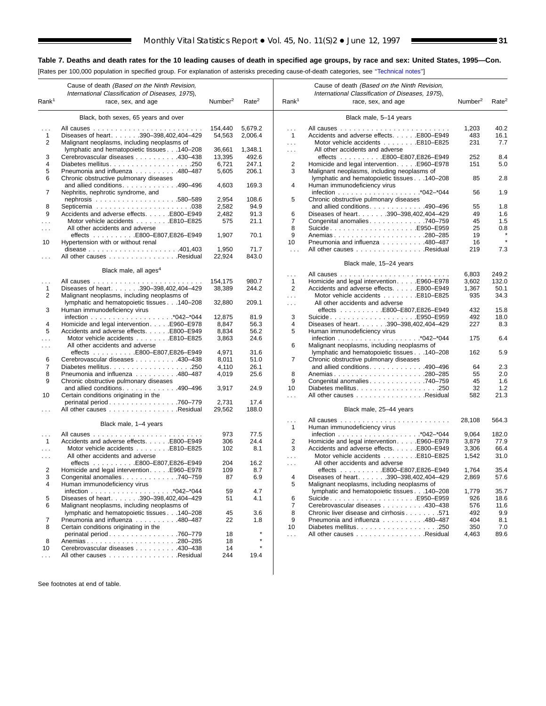[Rates per 100,000 population in specified group. For explanation of asterisks preceding cause-of-death categories, see [''Technical notes''\]](#page-72-0)

 $\blacksquare$ 

|                          | Cause of death (Based on the Ninth Revision,<br>International Classification of Diseases, 1975), |                     |                   |                   | Cause of death (Based on the Ninth Revision,<br>International Classification of Diseases, 1975), |                     |                   |
|--------------------------|--------------------------------------------------------------------------------------------------|---------------------|-------------------|-------------------|--------------------------------------------------------------------------------------------------|---------------------|-------------------|
| Rank <sup>1</sup>        | race, sex, and age                                                                               | Number <sup>2</sup> | Rate <sup>2</sup> | Rank <sup>1</sup> | race, sex, and age                                                                               | Number <sup>2</sup> | Rate <sup>2</sup> |
|                          | Black, both sexes, 65 years and over                                                             |                     |                   |                   | Black male, 5-14 years                                                                           |                     |                   |
| .                        | All causes                                                                                       | 154,440             | 5,679.2           | $\cdots$          |                                                                                                  | 1,203               | 40.2              |
| $\mathbf{1}$             | Diseases of heart. 390-398,402,404-429                                                           | 54,563              | 2,006.4           | $\mathbf{1}$      | Accidents and adverse effects. E800-E949                                                         | 483                 | 16.1              |
| $\overline{2}$           | Malignant neoplasms, including neoplasms of                                                      |                     |                   | $\ldots$          | Motor vehicle accidents E810-E825                                                                | 231                 | 7.7               |
|                          |                                                                                                  |                     | 1,348.1           |                   | All other accidents and adverse                                                                  |                     |                   |
|                          | lymphatic and hematopoietic tissues 140-208                                                      | 36,661              | 492.6             | $\cdots$          |                                                                                                  | 252                 | 8.4               |
| 3<br>$\overline{4}$      | Cerebrovascular diseases 430-438                                                                 | 13,395              |                   |                   |                                                                                                  | 151                 | 5.0               |
|                          |                                                                                                  | 6,721               | 247.1             | $\overline{c}$    | Homicide and legal intervention. E960–E978                                                       |                     |                   |
| 5                        | Pneumonia and influenza 480-487                                                                  | 5,605               | 206.1             | 3                 | Malignant neoplasms, including neoplasms of                                                      |                     |                   |
| 6                        | Chronic obstructive pulmonary diseases                                                           |                     |                   |                   | lymphatic and hematopoietic tissues 140-208                                                      | 85                  | 2.8               |
|                          | and allied conditions490-496                                                                     | 4,603               | 169.3             | 4                 | Human immunodeficiency virus                                                                     |                     |                   |
| 7                        | Nephritis, nephrotic syndrome, and                                                               |                     |                   |                   |                                                                                                  | 56                  | 1.9               |
|                          |                                                                                                  | 2,954               | 108.6             | 5                 | Chronic obstructive pulmonary diseases                                                           |                     |                   |
| 8                        |                                                                                                  | 2,582               | 94.9              |                   | and allied conditions. $\ldots$ . 490–496                                                        | 55                  | 1.8               |
| 9                        | Accidents and adverse effects. E800-E949                                                         | 2,482               | 91.3              | 6                 | Diseases of heart. 390-398,402,404-429                                                           | 49                  | 1.6               |
| .                        | Motor vehicle accidents E810-E825                                                                | 575                 | 21.1              | 7                 | Congenital anomalies 740-759                                                                     | 45                  | 1.5               |
| .                        | All other accidents and adverse                                                                  |                     |                   | 8                 | SuicideE950–E959                                                                                 | 25                  | 0.8               |
|                          | effects E800-E807,E826-E949                                                                      | 1,907               | 70.1              | 9                 |                                                                                                  | 19                  |                   |
| 10                       | Hypertension with or without renal                                                               |                     |                   | 10                | Pneumonia and influenza 480-487                                                                  | 16                  |                   |
|                          | disease $\ldots \ldots \ldots \ldots \ldots \ldots \ldots 401,403$                               | 1,950               | 71.7              | $\sim$ .          | All other causes Residual                                                                        | 219                 | 7.3               |
| .                        | All other causes Residual                                                                        | 22,924              | 843.0             |                   |                                                                                                  |                     |                   |
|                          |                                                                                                  |                     |                   |                   | Black male, 15-24 years                                                                          |                     |                   |
|                          | Black male, all ages <sup>4</sup>                                                                |                     |                   | $\ldots$          |                                                                                                  | 6,803               | 249.2             |
| .                        |                                                                                                  | 154,175             | 980.7             | $\mathbf{1}$      | Homicide and legal intervention. E960-E978                                                       | 3,602               | 132.0             |
| $\mathbf{1}$             | Diseases of heart. 390-398,402,404-429                                                           | 38,389              | 244.2             | 2                 | Accidents and adverse effects. E800-E949                                                         | 1,367               | 50.1              |
| 2                        | Malignant neoplasms, including neoplasms of                                                      |                     |                   | $\sim 10$         | Motor vehicle accidents E810-E825                                                                | 935                 | 34.3              |
|                          | lymphatic and hematopoietic tissues 140-208                                                      | 32,880              | 209.1             | $\ldots$          | All other accidents and adverse                                                                  |                     |                   |
| 3                        | Human immunodeficiency virus                                                                     |                     |                   |                   |                                                                                                  | 432                 | 15.8              |
|                          |                                                                                                  | 12,875              | 81.9              | 3                 | SuicideE950–E959                                                                                 | 492                 | 18.0              |
| 4                        | Homicide and legal intervention. E960-E978                                                       | 8,847               | 56.3              | $\overline{4}$    | Diseases of heart. 390-398,402,404-429                                                           | 227                 | 8.3               |
| 5                        | Accidents and adverse effects. E800–E949                                                         | 8,834               | 56.2              | 5                 | Human immunodeficiency virus                                                                     |                     |                   |
| $\cdots$                 | Motor vehicle accidents E810-E825                                                                | 3,863               | 24.6              |                   |                                                                                                  | 175                 | 6.4               |
| $\cdots$                 | All other accidents and adverse                                                                  |                     |                   | 6                 | Malignant neoplasms, including neoplasms of                                                      |                     |                   |
|                          | effects E800-E807,E826-E949                                                                      | 4,971               | 31.6              |                   | lymphatic and hematopoietic tissues 140-208                                                      | 162                 | 5.9               |
| 6                        | Cerebrovascular diseases 430-438                                                                 | 8,011               | 51.0              | 7                 | Chronic obstructive pulmonary diseases                                                           |                     |                   |
| $\overline{7}$           |                                                                                                  | 4,110               | 26.1              |                   | and allied conditions. 490-496                                                                   | 64                  | 2.3               |
| 8                        | Pneumonia and influenza 480-487                                                                  | 4,019               | 25.6              | 8                 |                                                                                                  | 55                  | 2.0               |
| 9                        | Chronic obstructive pulmonary diseases                                                           |                     |                   | 9                 | Congenital anomalies 740–759                                                                     | 45                  | 1.6               |
|                          | and allied conditions490-496                                                                     | 3,917               | 24.9              | 10                |                                                                                                  | 32                  | 1.2               |
| 10                       | Certain conditions originating in the                                                            |                     |                   |                   |                                                                                                  | 582                 | 21.3              |
|                          |                                                                                                  | 2,731               | 17.4              | .                 | All other causes Residual                                                                        |                     |                   |
|                          | perinatal period760-779<br>All other causes Residual                                             | 29,562              | 188.0             |                   |                                                                                                  |                     |                   |
|                          |                                                                                                  |                     |                   |                   | Black male, 25-44 years                                                                          |                     |                   |
|                          | Black male, 1-4 years                                                                            |                     |                   | $\cdots$<br>1     | Human immunodeficiency virus                                                                     | 28,108              | 564.3             |
|                          |                                                                                                  | 973                 | 77.5              |                   |                                                                                                  |                     | 182.0             |
| $\cdots$<br>$\mathbf{1}$ |                                                                                                  |                     |                   |                   |                                                                                                  | 9,064               |                   |
|                          | Accidents and adverse effects. E800-E949                                                         | 306                 | 24.4              | $\overline{2}$    | Homicide and legal intervention. E960-E978                                                       | 3,879               | 77.9              |
| $\sim$                   | Motor vehicle accidents E810-E825                                                                | 102                 | 8.1               | 3                 | Accidents and adverse effects. E800-E949                                                         | 3,306               | 66.4              |
| $\cdots$                 | All other accidents and adverse                                                                  |                     |                   | .                 | Motor vehicle accidents E810-E825                                                                | 1,542               | 31.0              |
|                          | effects E800-E807,E826-E949                                                                      | 204                 | 16.2              | .                 | All other accidents and adverse                                                                  |                     |                   |
| 2                        | Homicide and legal intervention. E960-E978                                                       | 109                 | 8.7               |                   |                                                                                                  | 1,764               | 35.4              |
| 3                        | Congenital anomalies 740–759                                                                     | 87                  | 6.9               | 4                 | Diseases of heart. 390-398,402,404-429                                                           | 2,869               | 57.6              |
| 4                        | Human immunodeficiency virus                                                                     |                     |                   | 5                 | Malignant neoplasms, including neoplasms of                                                      |                     |                   |
|                          |                                                                                                  | 59                  | 4.7               |                   | lymphatic and hematopoietic tissues 140-208                                                      | 1,779               | 35.7              |
| 5                        | Diseases of heart. 390-398,402,404-429                                                           | 51                  | 4.1               | 6                 | SuicideE950–E959                                                                                 | 926                 | 18.6              |
| 6                        | Malignant neoplasms, including neoplasms of                                                      |                     |                   | 7                 | Cerebrovascular diseases 430–438                                                                 | 576                 | 11.6              |
|                          | lymphatic and hematopoietic tissues 140-208                                                      | 45                  | 3.6               | 8                 | Chronic liver disease and cirrhosis 571                                                          | 492                 | 9.9               |
| 7                        | Pneumonia and influenza 480-487                                                                  | 22                  | 1.8               | 9                 | Pneumonia and influenza 480-487                                                                  | 404                 | 8.1               |
| 8                        | Certain conditions originating in the                                                            |                     |                   | 10                |                                                                                                  | 350                 | 7.0               |
|                          | perinatal period. 760–779                                                                        | 18                  |                   | .                 | All other causes Residual                                                                        | 4,463               | 89.6              |
| 8                        | Anemias280-285                                                                                   | 18                  | $\star$           |                   |                                                                                                  |                     |                   |
| 10                       | Cerebrovascular diseases 430–438                                                                 | 14                  | $\star$           |                   |                                                                                                  |                     |                   |
| $\cdots$                 | All other causes Residual                                                                        | 244                 | 19.4              |                   |                                                                                                  |                     |                   |
|                          |                                                                                                  |                     |                   |                   |                                                                                                  |                     |                   |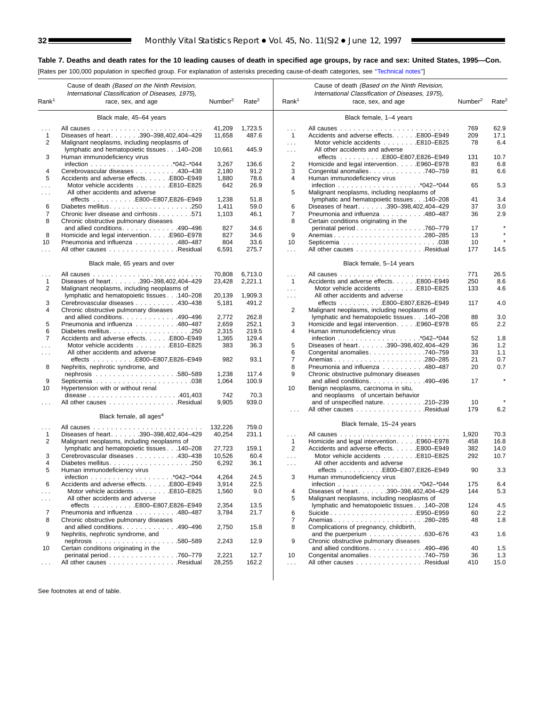L.

#### **Table 7. Deaths and death rates for the 10 leading causes of death in specified age groups, by race and sex: United States, 1995—Con.**

[Rates per 100,000 population in specified group. For explanation of asterisks preceding cause-of-death categories, see [''Technical notes''\]](#page-72-0)

| Rank <sup>1</sup>        | Cause of death (Based on the Ninth Revision,<br>International Classification of Diseases, 1975),<br>race, sex, and age | Number <sup>2</sup> | Rate <sup>2</sup> | Rank <sup>1</sup> | Cause of death (Based on the Ninth Revision,<br>International Classification of Diseases, 1975),<br>race, sex, and age | Number <sup>2</sup> | Rate <sup>2</sup> |
|--------------------------|------------------------------------------------------------------------------------------------------------------------|---------------------|-------------------|-------------------|------------------------------------------------------------------------------------------------------------------------|---------------------|-------------------|
|                          | Black male, 45-64 years                                                                                                |                     |                   |                   | Black female, 1-4 years                                                                                                |                     |                   |
|                          |                                                                                                                        | 41,209              | 1,723.5           |                   |                                                                                                                        | 769                 | 62.9              |
| $\cdots$<br>$\mathbf{1}$ | Diseases of heart. 390-398,402,404-429                                                                                 | 11,658              | 487.6             | .<br>$\mathbf{1}$ | Accidents and adverse effects. E800-E949                                                                               | 209                 | 17.1              |
| $\overline{c}$           | Malignant neoplasms, including neoplasms of                                                                            |                     |                   | $\sim$ .          | Motor vehicle accidents E810-E825                                                                                      | 78                  | 6.4               |
|                          | lymphatic and hematopoietic tissues 140-208                                                                            | 10,661              | 445.9             | $\cdots$          | All other accidents and adverse                                                                                        |                     |                   |
| 3                        | Human immunodeficiency virus                                                                                           |                     |                   |                   |                                                                                                                        | 131                 | 10.7              |
|                          |                                                                                                                        | 3,267               | 136.6             | $\overline{2}$    | Homicide and legal intervention. E960-E978                                                                             | 83                  | 6.8               |
| 4                        | Cerebrovascular diseases 430–438                                                                                       | 2,180               | 91.2              | 3                 | Congenital anomalies740-759                                                                                            | 81                  | 6.6               |
| 5                        | Accidents and adverse effects. E800-E949                                                                               | 1,880               | 78.6              | 4                 | Human immunodeficiency virus                                                                                           |                     |                   |
| $\sim 10$                | Motor vehicle accidents E810-E825                                                                                      | 642                 | 26.9              |                   |                                                                                                                        | 65                  | 5.3               |
| $\sim$ $\sim$ $\sim$     | All other accidents and adverse                                                                                        |                     |                   | 5                 | Malignant neoplasms, including neoplasms of                                                                            |                     |                   |
|                          | effects E800-E807,E826-E949                                                                                            | 1,238               | 51.8              |                   | lymphatic and hematopoietic tissues 140-208                                                                            | 41                  | 3.4               |
| 6                        |                                                                                                                        | 1,411               | 59.0              | 6                 | Diseases of heart. 390-398,402,404-429                                                                                 | 37                  | 3.0               |
| 7                        | Chronic liver disease and cirrhosis 571                                                                                | 1,103               | 46.1              | 7                 | Pneumonia and influenza 480-487                                                                                        | 36                  | 2.9               |
| 8                        | Chronic obstructive pulmonary diseases                                                                                 |                     |                   | 8                 | Certain conditions originating in the                                                                                  |                     |                   |
|                          | and allied conditions490-496                                                                                           | 827                 | 34.6              |                   | perinatal period. 760-779                                                                                              | 17                  |                   |
| 8                        | Homicide and legal interventionE960-E978                                                                               | 827                 | 34.6              | 9                 | Anemias280-285                                                                                                         | 13                  |                   |
| 10                       | Pneumonia and influenza 480-487                                                                                        | 804                 | 33.6              | 10                |                                                                                                                        | 10                  |                   |
| $\sim 10$                | All other causes Residual                                                                                              | 6,591               | 275.7             | .                 | All other causes Residual                                                                                              | 177                 | 14.5              |
|                          | Black male, 65 years and over                                                                                          |                     |                   |                   | Black female, 5-14 years                                                                                               |                     |                   |
|                          |                                                                                                                        |                     |                   |                   |                                                                                                                        |                     |                   |
| $\cdots$                 |                                                                                                                        | 70,808              | 6,713.0           | $\sim$ .          |                                                                                                                        | 771                 | 26.5              |
| $\mathbf{1}$             | Diseases of heart. 390-398,402,404-429                                                                                 | 23,428              | 2,221.1           | $\mathbf{1}$      | Accidents and adverse effects. E800-E949                                                                               | 250                 | 8.6               |
| 2                        | Malignant neoplasms, including neoplasms of                                                                            |                     |                   | .                 | Motor vehicle accidents E810-E825                                                                                      | 133                 | 4.6               |
|                          | lymphatic and hematopoietic tissues 140-208                                                                            | 20,139              | 1,909.3           | $\cdots$          | All other accidents and adverse                                                                                        |                     |                   |
| 3                        | Cerebrovascular diseases 430-438                                                                                       | 5,181               | 491.2             |                   |                                                                                                                        | 117                 | 4.0               |
| 4                        | Chronic obstructive pulmonary diseases                                                                                 |                     |                   | 2                 | Malignant neoplasms, including neoplasms of                                                                            |                     |                   |
|                          | and allied conditions. 490-496                                                                                         | 2,772               | 262.8             |                   | lymphatic and hematopoietic tissues 140-208                                                                            | 88                  | 3.0               |
| 5                        | Pneumonia and influenza 480-487                                                                                        | 2,659               | 252.1             | 3                 | Homicide and legal intervention. E960-E978                                                                             | 65                  | 2.2               |
| 6                        |                                                                                                                        | 2,315               | 219.5             | $\overline{4}$    | Human immunodeficiency virus                                                                                           |                     |                   |
| 7                        | Accidents and adverse effects. E800–E949                                                                               | 1,365               | 129.4             |                   |                                                                                                                        | 52                  | 1.8               |
| $\cdots$                 | Motor vehicle accidents E810-E825                                                                                      | 383                 | 36.3              | 5                 | Diseases of heart. 390-398,402,404-429                                                                                 | 36                  | 1.2               |
| $\sim$ $\sim$ $\sim$     | All other accidents and adverse                                                                                        |                     |                   | 6                 | Congenital anomalies740-759                                                                                            | 33                  | 1.1               |
|                          | effects E800-E807,E826-E949                                                                                            | 982                 | 93.1              | 7                 |                                                                                                                        | 21                  | 0.7               |
| 8                        | Nephritis, nephrotic syndrome, and                                                                                     |                     |                   | 8                 | Pneumonia and influenza 480-487                                                                                        | 20                  | 0.7               |
|                          |                                                                                                                        | 1,238               | 117.4             | 9                 | Chronic obstructive pulmonary diseases                                                                                 |                     |                   |
| 9                        |                                                                                                                        | 1,064               | 100.9             |                   | and allied conditions. 490-496                                                                                         | 17                  |                   |
| 10                       | Hypertension with or without renal                                                                                     |                     |                   | 10                | Benign neoplasms, carcinoma in situ,                                                                                   |                     |                   |
|                          |                                                                                                                        | 742                 | 70.3              |                   | and neoplasms of uncertain behavior                                                                                    |                     |                   |
|                          | All other causes Residual                                                                                              | 9,905               | 939.0             |                   | and of unspecified nature210-239                                                                                       | 10                  |                   |
|                          | Black female, all ages <sup>4</sup>                                                                                    |                     |                   | $\cdots$          | All other causes Residual                                                                                              | 179                 | 6.2               |
| $\cdots$                 | All causes                                                                                                             | 132,226             | 759.0             |                   | Black female, 15-24 years                                                                                              |                     |                   |
| $\mathbf{1}$             | Diseases of heart. 390-398,402,404-429                                                                                 | 40,254              | 231.1             | $\sim$ .          |                                                                                                                        | 1,920               | 70.3              |
| 2                        | Malignant neoplasms, including neoplasms of                                                                            |                     |                   | $\mathbf{1}$      | Homicide and legal intervention. E960-E978                                                                             | 458                 | 16.8              |
|                          | lymphatic and hematopoietic tissues 140-208                                                                            | 27,723              | 159.1             | 2                 | Accidents and adverse effects. E800-E949                                                                               | 382                 | 14.0              |
| 3                        | Cerebrovascular diseases 430-438                                                                                       | 10,526              | 60.4              | .                 | Motor vehicle accidents E810-E825                                                                                      | 292                 | 10.7              |
| 4                        |                                                                                                                        | 6,292               | 36.1              |                   | All other accidents and adverse                                                                                        |                     |                   |
| 5                        | Human immunodeficiency virus                                                                                           |                     |                   | $\cdots$          | effects E800–E807,E826–E949                                                                                            | 90                  | 3.3               |
|                          |                                                                                                                        | 4,264               | 24.5              | 3                 | Human immunodeficiency virus                                                                                           |                     |                   |
| 6                        | Accidents and adverse effects. E800-E949                                                                               | 3,914               | 22.5              |                   |                                                                                                                        | 175                 | 6.4               |
|                          | Motor vehicle accidents E810-E825                                                                                      | 1,560               | 9.0               | 4                 | Diseases of heart. 390-398,402,404-429                                                                                 | 144                 | 5.3               |
| $\sim$ $\sim$            | All other accidents and adverse                                                                                        |                     |                   | 5                 | Malignant neoplasms, including neoplasms of                                                                            |                     |                   |
| $\sim$ $\sim$ $\sim$     | effects E800-E807,E826-E949                                                                                            | 2,354               | 13.5              |                   | lymphatic and hematopoietic tissues 140-208                                                                            | 124                 | 4.5               |
| 7                        | Pneumonia and influenza 480-487                                                                                        | 3,784               | 21.7              | 6                 | SuicideE950–E959                                                                                                       | 60                  | 2.2               |
| 8                        |                                                                                                                        |                     |                   | 7                 |                                                                                                                        |                     |                   |
|                          | Chronic obstructive pulmonary diseases<br>and allied conditions490-496                                                 | 2,750               | 15.8              | 8                 | Complications of pregnancy, childbirth,                                                                                | 48                  | 1.8               |
| 9                        | Nephritis, nephrotic syndrome, and                                                                                     |                     |                   |                   | and the puerperium $\ldots \ldots \ldots \ldots$ . 630–676                                                             | 43                  | 1.6               |
|                          |                                                                                                                        |                     |                   | 9                 |                                                                                                                        |                     |                   |
| 10                       |                                                                                                                        | 2,243               | 12.9              |                   | Chronic obstructive pulmonary diseases<br>and allied conditions490-496                                                 | 40                  |                   |
|                          | Certain conditions originating in the<br>perinatal period760-779                                                       | 2,221               | 12.7              | 10                | Congenital anomalies. 740-759                                                                                          | 36                  | 1.5<br>1.3        |
|                          | All other causes Residual                                                                                              | 28,255              | 162.2             | .                 | All other causes Residual                                                                                              | 410                 | 15.0              |
| $\sim 100$               |                                                                                                                        |                     |                   |                   |                                                                                                                        |                     |                   |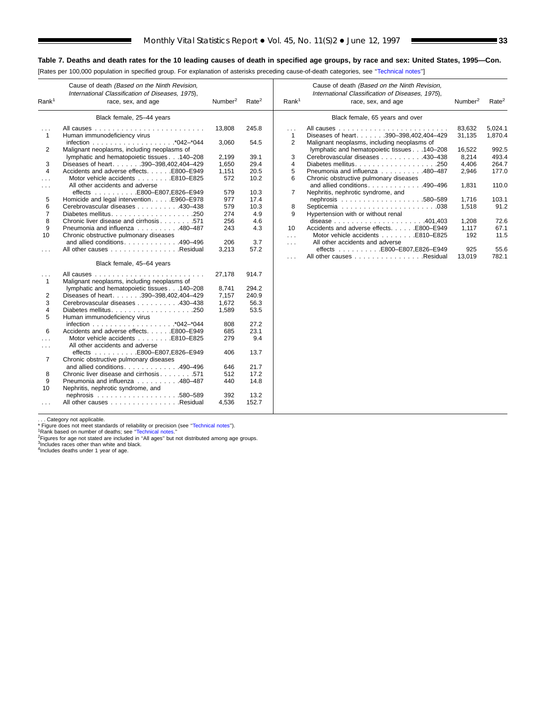[Rates per 100,000 population in specified group. For explanation of asterisks preceding cause-of-death categories, see [''Technical notes''\]](#page-72-0)

| Rank <sup>1</sup>                    | Cause of death (Based on the Ninth Revision,<br>International Classification of Diseases, 1975),<br>race, sex, and age | Number <sup>2</sup> | Rate <sup>2</sup> | Rank <sup>1</sup>        | Cause of death (Based on the Ninth Revision,<br>International Classification of Diseases, 1975),<br>race, sex, and age | Number <sup>2</sup> | Rate <sup>2</sup>  |
|--------------------------------------|------------------------------------------------------------------------------------------------------------------------|---------------------|-------------------|--------------------------|------------------------------------------------------------------------------------------------------------------------|---------------------|--------------------|
|                                      | Black female, 25-44 years                                                                                              |                     |                   |                          | Black female, 65 years and over                                                                                        |                     |                    |
| $\sim$ $\sim$ $\sim$<br>$\mathbf{1}$ | Human immunodeficiency virus                                                                                           | 13,808              | 245.8             | $\cdots$<br>$\mathbf{1}$ | Diseases of heart390-398.402.404-429                                                                                   | 83,632<br>31.135    | 5,024.1<br>1,870.4 |
|                                      |                                                                                                                        | 3.060               | 54.5              | 2                        | Malignant neoplasms, including neoplasms of                                                                            |                     |                    |
| 2                                    | Malignant neoplasms, including neoplasms of                                                                            |                     |                   |                          | lymphatic and hematopoietic tissues 140-208                                                                            | 16.522              | 992.5              |
|                                      | lymphatic and hematopoietic tissues 140-208                                                                            | 2,199               | 39.1              | 3                        | Cerebrovascular diseases 430-438                                                                                       | 8,214               | 493.4              |
| 3                                    | Diseases of heart. 390-398,402,404-429                                                                                 | 1,650               | 29.4              | $\overline{4}$           |                                                                                                                        | 4,406               | 264.7              |
| $\overline{4}$                       | Accidents and adverse effects. E800-E949                                                                               | 1,151               | 20.5              | 5                        | Pneumonia and influenza 480–487                                                                                        | 2,946               | 177.0              |
|                                      | Motor vehicle accidents E810-E825                                                                                      | 572                 | 10.2              | 6                        | Chronic obstructive pulmonary diseases                                                                                 |                     |                    |
| $\sim$ $\sim$ $\sim$                 | All other accidents and adverse                                                                                        |                     |                   |                          | and allied conditions490-496                                                                                           | 1,831               | 110.0              |
|                                      | effects E800-E807,E826-E949                                                                                            | 579                 | 10.3              | $\overline{7}$           | Nephritis, nephrotic syndrome, and                                                                                     |                     |                    |
| 5                                    | Homicide and legal interventionE960-E978                                                                               | 977                 | 17.4              |                          |                                                                                                                        | 1,716               | 103.1              |
| 6                                    | Cerebrovascular diseases 430-438                                                                                       | 579                 | 10.3              | 8                        |                                                                                                                        | 1,518               | 91.2               |
| $\overline{7}$                       |                                                                                                                        | 274                 | 4.9               | 9                        | Hypertension with or without renal                                                                                     |                     |                    |
| 8                                    | Chronic liver disease and cirrhosis571                                                                                 | 256                 | 4.6               |                          |                                                                                                                        | 1.208               | 72.6               |
| 9                                    | Pneumonia and influenza 480-487                                                                                        | 243                 | 4.3               | 10                       | Accidents and adverse effects. E800-E949                                                                               | 1,117               | 67.1               |
| 10                                   | Chronic obstructive pulmonary diseases                                                                                 |                     |                   | $\sim$                   | Motor vehicle accidents E810-E825                                                                                      | 192                 | 11.5               |
|                                      | and allied conditions490-496                                                                                           | 206                 | 3.7               | $\cdots$                 | All other accidents and adverse                                                                                        |                     |                    |
|                                      | All other causes Residual                                                                                              | 3,213               | 57.2              |                          | effects E800-E807,E826-E949                                                                                            | 925                 | 55.6               |
|                                      | Black female, 45-64 years                                                                                              |                     |                   | .                        | All other causes Residual                                                                                              | 13,019              | 782.1              |
|                                      |                                                                                                                        | 27,178              | 914.7             |                          |                                                                                                                        |                     |                    |
| $\sim$ $\sim$ $\sim$<br>$\mathbf{1}$ | Malignant neoplasms, including neoplasms of                                                                            |                     |                   |                          |                                                                                                                        |                     |                    |
|                                      | lymphatic and hematopoietic tissues 140-208                                                                            | 8.741               | 294.2             |                          |                                                                                                                        |                     |                    |
| 2                                    | Diseases of heart. 390-398,402,404-429                                                                                 | 7.157               | 240.9             |                          |                                                                                                                        |                     |                    |
| 3                                    | Cerebrovascular diseases 430-438                                                                                       | 1,672               | 56.3              |                          |                                                                                                                        |                     |                    |
| 4                                    |                                                                                                                        | 1.589               | 53.5              |                          |                                                                                                                        |                     |                    |
| 5                                    | Human immunodeficiency virus                                                                                           |                     |                   |                          |                                                                                                                        |                     |                    |
|                                      |                                                                                                                        | 808                 | 27.2              |                          |                                                                                                                        |                     |                    |
| 6                                    | Accidents and adverse effects. E800-E949                                                                               | 685                 | 23.1              |                          |                                                                                                                        |                     |                    |
| .                                    | Motor vehicle accidents E810-E825                                                                                      | 279                 | 9.4               |                          |                                                                                                                        |                     |                    |
|                                      | All other accidents and adverse                                                                                        |                     |                   |                          |                                                                                                                        |                     |                    |
| $\sim$ $\sim$ $\sim$                 | effects E800-E807,E826-E949                                                                                            | 406                 | 13.7              |                          |                                                                                                                        |                     |                    |
| 7                                    | Chronic obstructive pulmonary diseases                                                                                 |                     |                   |                          |                                                                                                                        |                     |                    |
|                                      | and allied conditions. 490-496                                                                                         | 646                 | 21.7              |                          |                                                                                                                        |                     |                    |
| 8                                    | Chronic liver disease and cirrhosis571                                                                                 | 512                 | 17.2              |                          |                                                                                                                        |                     |                    |
| 9                                    | Pneumonia and influenza 480-487                                                                                        | 440                 | 14.8              |                          |                                                                                                                        |                     |                    |
| 10                                   | Nephritis, nephrotic syndrome, and                                                                                     |                     |                   |                          |                                                                                                                        |                     |                    |
|                                      |                                                                                                                        | 392                 | 13.2              |                          |                                                                                                                        |                     |                    |
| $\cdots$                             | All other causes Residual                                                                                              | 4,536               | 152.7             |                          |                                                                                                                        |                     |                    |
|                                      |                                                                                                                        |                     |                   |                          |                                                                                                                        |                     |                    |

. . . Category not applicable.

т

"Tigure does not meet standards of reliability or precision (see "Technical notes").<br>"Figure does not meet standards of reliability or precision (see "Technical notes.").<br>"Rigures for age not stated are included in "All ag

<sup>3</sup>Includes races other than white and black.<br><sup>4</sup>Includes deaths under 1 year of age.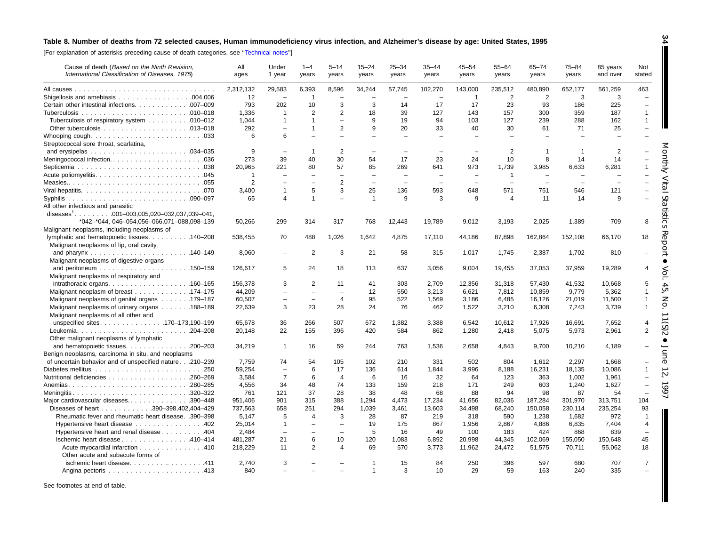#### <span id="page-33-0"></span>Table 8. Number of deaths from 72 selected causes, Human immunodeficiency virus infection, and Alzheimer's disease by age: United States, 1995

[For explanation of asterisks preceding cause-of-death categories, see [''Technical](#page-72-0) notes'']

| Cause of death (Based on the Ninth Revision,<br>International Classification of Diseases, 1975) | All<br>ages    | Under<br>1 year          | $1 - 4$<br>years         | $5 - 14$<br>years        | $15 - 24$<br>years       | $25 - 34$<br>years       | $35 - 44$<br>years       | $45 - 54$<br>years       | $55 - 64$<br>years | $65 - 74$<br>years       | $75 - 84$<br>years | 85 years<br>and over | Not<br>stated            |
|-------------------------------------------------------------------------------------------------|----------------|--------------------------|--------------------------|--------------------------|--------------------------|--------------------------|--------------------------|--------------------------|--------------------|--------------------------|--------------------|----------------------|--------------------------|
|                                                                                                 | 2,312,132      | 29,583                   | 6,393                    | 8,596                    | 34,244                   | 57,745                   | 102,270                  | 143,000                  | 235,512            | 480,890                  | 652,177            | 561,259              | 463                      |
|                                                                                                 | 12             | $\overline{\phantom{0}}$ | $\overline{1}$           |                          |                          |                          |                          | $\overline{1}$           | 2                  | $\overline{2}$           | 3                  | 3                    | $\overline{\phantom{0}}$ |
| Certain other intestinal infections. 007-009                                                    | 793            | 202                      | 10                       | 3                        | 3                        | 14                       | 17                       | 17                       | 23                 | 93                       | 186                | 225                  | $\overline{\phantom{m}}$ |
|                                                                                                 | 1,336          | $\mathbf{1}$             | 2                        | $\overline{2}$           | 18                       | 39                       | 127                      | 143                      | 157                | 300                      | 359                | 187                  | $\mathbf{1}$             |
| Tuberculosis of respiratory system 010–012                                                      | 1.044          | 1                        | $\mathbf{1}$             | $\overline{\phantom{m}}$ | 9                        | 19                       | 94                       | 103                      | 127                | 239                      | 288                | 162                  | $\mathbf{1}$             |
|                                                                                                 | 292            | $\equiv$                 | $\mathbf{1}$             | $\overline{2}$           | 9                        | 20                       | 33                       | 40                       | 30                 | 61                       | 71                 | 25                   | $\equiv$                 |
| Streptococcal sore throat, scarlatina,                                                          | 6              | 6                        |                          |                          |                          |                          |                          |                          |                    |                          |                    |                      |                          |
|                                                                                                 | 9              | $\overline{\phantom{m}}$ | $\overline{1}$           | $\overline{2}$           | $\overline{\phantom{a}}$ | $\overline{\phantom{m}}$ | $\overline{\phantom{0}}$ | $\overline{\phantom{0}}$ | $\overline{2}$     | $\mathbf 1$              | -1                 | $\overline{2}$       |                          |
| Meningococcal infection036                                                                      | 273            | 39                       | 40                       | 30                       | 54                       | 17                       | 23                       | 24                       | 10                 | 8                        | 14                 | 14                   |                          |
|                                                                                                 | 20,965         | 221                      | 80                       | 57                       | 85                       | 269                      | 641                      | 973                      | 1,739              | 3,985                    | 6,633              | 6,281                | 1                        |
|                                                                                                 | $\overline{1}$ | $\overline{\phantom{0}}$ |                          |                          |                          |                          |                          |                          | $\mathbf{1}$       |                          |                    |                      |                          |
|                                                                                                 | 2              | $\equiv$                 | $\equiv$                 | 2                        | $\equiv$                 | $\equiv$                 | $\sim$                   | $\sim$                   | $\equiv$           | $\overline{\phantom{0}}$ | $\equiv$           |                      |                          |
|                                                                                                 | 3,400          | 1                        | 5                        | 3                        | 25                       | 136                      | 593                      | 648                      | 571                | 751                      | 546                | 121                  |                          |
|                                                                                                 | 65             | 4                        | $\mathbf{1}$             | $\overline{\phantom{0}}$ | $\mathbf{1}$             | 9                        | 3                        | 9                        | $\overline{4}$     | 11                       | 14                 | 9                    |                          |
| All other infectious and parasitic                                                              |                |                          |                          |                          |                          |                          |                          |                          |                    |                          |                    |                      |                          |
| diseases <sup>1</sup> 001-003,005,020-032,037,039-041,                                          |                |                          |                          |                          |                          |                          |                          |                          |                    |                          |                    |                      |                          |
| *042-*044, 046-054,056-066,071-088,098-139                                                      | 50,266         | 299                      | 314                      | 317                      | 768                      | 12,443                   | 19,789                   | 9,012                    | 3,193              | 2,025                    | 1,389              | 709                  | 8                        |
| Malignant neoplasms, including neoplasms of                                                     |                |                          |                          |                          |                          |                          |                          |                          |                    |                          |                    |                      |                          |
| lymphatic and hematopoietic tissues. 140–208                                                    | 538.455        | 70                       | 488                      | 1,026                    | 1.642                    | 4,875                    | 17,110                   | 44,186                   | 87,898             | 162,864                  | 152,108            | 66.170               | 18                       |
| Malignant neoplasms of lip, oral cavity,                                                        |                |                          |                          |                          |                          |                          |                          |                          |                    |                          |                    |                      |                          |
|                                                                                                 | 8,060          | $\overline{\phantom{0}}$ | 2                        | 3                        | 21                       | 58                       | 315                      | 1,017                    | 1,745              | 2,387                    | 1,702              | 810                  |                          |
| Malignant neoplasms of digestive organs                                                         |                |                          |                          |                          |                          |                          |                          |                          |                    |                          |                    |                      |                          |
|                                                                                                 | 126,617        | 5                        | 24                       | 18                       | 113                      | 637                      | 3,056                    | 9,004                    | 19,455             | 37,053                   | 37,959             | 19,289               | 4                        |
| Malignant neoplasms of respiratory and                                                          |                |                          |                          |                          |                          |                          |                          |                          |                    |                          |                    |                      |                          |
|                                                                                                 | 156,378        | 3                        | $\overline{2}$           | 11                       | 41                       | 303                      | 2,709                    | 12,356                   | 31,318             | 57,430                   | 41,532             | 10,668               | 5                        |
| Malignant neoplasm of breast 174–175                                                            | 44.209         | $\overline{\phantom{0}}$ | $\overline{\phantom{a}}$ | $\overline{\phantom{0}}$ | 12                       | 550                      | 3.213                    | 6.621                    | 7.812              | 10.859                   | 9.779              | 5,362                | $\sigma$<br>1            |
| Malignant neoplasms of genital organs 179–187                                                   | 60,507         | $\overline{\phantom{0}}$ | $\overline{\phantom{a}}$ | $\overline{4}$           | 95                       | 522                      | 1,569                    | 3,186                    | 6,485              | 16,126                   | 21,019             | 11,500               | $\overline{1}$           |
| Malignant neoplasms of urinary organs 188–189                                                   | 22,639         | 3                        | 23                       | 28                       | 24                       | 76                       | 462                      | 1,522                    | 3,210              | 6,308                    | 7,243              | 3,739                | O<br>$\overline{1}$      |
| Malignant neoplasms of all other and<br>unspecified sites170–173,190–199                        | 65,678         | 36                       | 266                      | 507                      | 672                      | 1,382                    | 3,388                    | 6,542                    | 10,612             | 17,926                   | 16,691             | 7,652                | $\overline{4}$           |
|                                                                                                 |                | 22                       | 155                      | 396                      | 420                      | 584                      | 862                      |                          | 2,418              | 5,075                    | 5,973              |                      | $\overline{2}$           |
| Other malignant neoplasms of lymphatic                                                          | 20,148         |                          |                          |                          |                          |                          |                          | 1,280                    |                    |                          |                    | 2,961                |                          |
| and hematopoietic tissues. 200–203                                                              | 34,219         | $\mathbf{1}$             | 16                       | 59                       | 244                      | 763                      | 1,536                    | 2,658                    | 4,843              | 9,700                    | 10,210             | 4,189                |                          |
| Benign neoplasms, carcinoma in situ, and neoplasms                                              |                |                          |                          |                          |                          |                          |                          |                          |                    |                          |                    |                      |                          |
| of uncertain behavior and of unspecified nature.210-239                                         | 7,759          | 74                       | 54                       | 105                      | 102                      | 210                      | 331                      | 502                      | 804                | 1,612                    | 2,297              | 1,668                |                          |
|                                                                                                 | 59,254         | $\overline{\phantom{m}}$ | 6                        | 17                       | 136                      | 614                      | 1,844                    | 3,996                    | 8,188              | 16,231                   | 18,135             | 10,086               | 1                        |
|                                                                                                 | 3,584          | $\overline{7}$           | 6                        | $\overline{4}$           | 6                        | 16                       | 32                       | 64                       | 123                | 363                      | 1,002              | 1,961                |                          |
|                                                                                                 | 4,556          | 34                       | 48                       | 74                       | 133                      | 159                      | 218                      | 171                      | 249                | 603                      | 1,240              | 1,627                |                          |
| Meningitis320–322                                                                               | 761            | 121                      | 37                       | 28                       | 38                       | 48                       | 68                       | 88                       | 94                 | 98                       | 87                 | 54                   |                          |
| Major cardiovascular diseases390-448                                                            | 951,406        | 901                      | 315                      | 388                      | 1.294                    | 4,473                    | 17.234                   | 41,656                   | 82,036             | 187,284                  | 301,970            | 313,751              | 104                      |
| Diseases of heart 390-398,402,404-429                                                           | 737,563        | 658                      | 251                      | 294                      | 1,039                    | 3,461                    | 13,603                   | 34,498                   | 68,240             | 150,058                  | 230,114            | 235,254              | 93                       |
| Rheumatic fever and rheumatic heart disease. .390-398                                           | 5.147          | 5                        | $\overline{4}$           | 3                        | 28                       | 87                       | 219                      | 318                      | 590                | 1.238                    | 1.682              | 972                  | $\overline{1}$           |
| Hypertensive heart disease 402                                                                  | 25,014         | $\mathbf{1}$             | $\overline{\phantom{a}}$ | $\overline{\phantom{a}}$ | 19                       | 175                      | 867                      | 1,956                    | 2,867              | 4,886                    | 6,835              | 7,404                | $\overline{4}$           |
| Hypertensive heart and renal disease 404                                                        | 2,484          | $\overline{\phantom{0}}$ |                          |                          | 5                        | 16                       | 49                       | 100                      | 183                | 424                      | 868                | 839                  | $\overline{\phantom{a}}$ |
| Ischemic heart disease 410-414                                                                  | 481,287        | 21                       | 6                        | 10                       | 120                      | 1,083                    | 6,892                    | 20,998                   | 44,345             | 102,069                  | 155,050            | 150,648              | 45                       |
| Acute myocardial infarction 410                                                                 | 218,229        | 11                       | $\overline{2}$           | $\boldsymbol{\varDelta}$ | 69                       | 570                      | 3,773                    | 11,962                   | 24,472             | 51,575                   | 70,711             | 55,062               | 18                       |
| Other acute and subacute forms of                                                               |                |                          |                          |                          |                          |                          |                          |                          |                    |                          |                    |                      |                          |
| ischemic heart disease. 411                                                                     | 2.740          | 3                        |                          |                          | -1                       | 15                       | 84                       | 250                      | 396                | 597                      | 680                | 707                  | $\overline{7}$           |
|                                                                                                 | 840            |                          |                          |                          | $\overline{1}$           | 3                        | 10                       | 29                       | 59                 | 163                      | 240                | 335                  |                          |

See footnotes at end of table.

**34**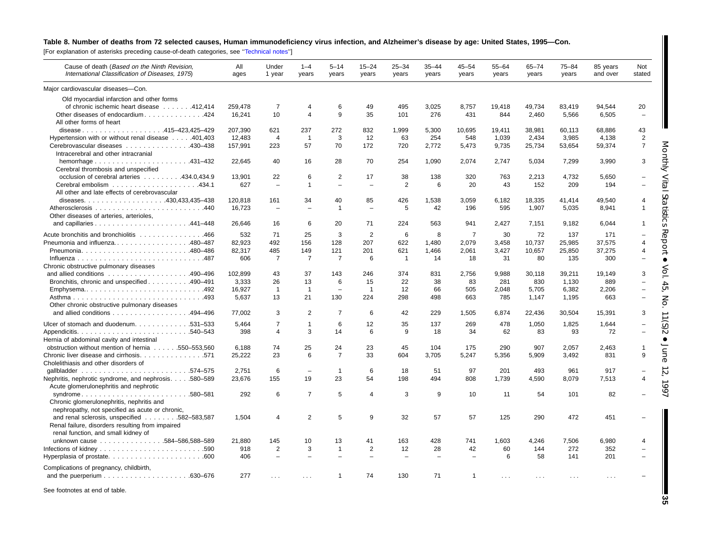#### Table 8. Number of deaths from 72 selected causes, Human immunodeficiency virus infection, and Alzheimer's disease by age: United States, 1995-Con.

[For explanation of asterisks preceding cause-of-death categories, see '['Technical](#page-72-0) notes'']

| Cause of death (Based on the Ninth Revision,<br>International Classification of Diseases, 1975) | All<br>ages | Under<br>1 year          | $1 - 4$<br>years         | $5 - 14$<br>years        | $15 - 24$<br>years       | 25–34<br>years | $35 - 44$<br>years | $45 - 54$<br>years | 55-64<br>years | $65 - 74$<br>years | $75 - 84$<br>years | 85 years<br>and over | Not<br>stated  |
|-------------------------------------------------------------------------------------------------|-------------|--------------------------|--------------------------|--------------------------|--------------------------|----------------|--------------------|--------------------|----------------|--------------------|--------------------|----------------------|----------------|
| Major cardiovascular diseases-Con.                                                              |             |                          |                          |                          |                          |                |                    |                    |                |                    |                    |                      |                |
| Old myocardial infarction and other forms                                                       |             |                          |                          |                          |                          |                |                    |                    |                |                    |                    |                      |                |
| of chronic ischemic heart disease 412,414                                                       | 259,478     | 7                        | 4                        | 6                        | 49                       | 495            | 3,025              | 8.757              | 19.418         | 49,734             | 83.419             | 94,544               | 20             |
| Other diseases of endocardium. 424                                                              | 16,241      | 10                       | $\overline{\mathbf{4}}$  | 9                        | 35                       | 101            | 276                | 431                | 844            | 2,460              | 5,566              | 6,505                |                |
| All other forms of heart                                                                        |             |                          |                          |                          |                          |                |                    |                    |                |                    |                    |                      |                |
| disease415-423,425-429                                                                          | 207,390     | 621                      | 237                      | 272                      | 832                      | 1,999          | 5,300              | 10,695             | 19,411         | 38,981             | 60,113             | 68,886               | 43             |
| Hypertension with or without renal disease 401,403                                              | 12,483      | $\overline{4}$           | $\mathbf{1}$             | 3                        | 12                       | 63             | 254                | 548                | 1,039          | 2,434              | 3,985              | 4,138                | $\overline{2}$ |
| Cerebrovascular diseases 430-438                                                                | 157,991     | 223                      | 57                       | 70                       | 172                      | 720            | 2,772              | 5,473              | 9,735          | 25,734             | 53,654             | 59,374               | $\overline{7}$ |
| Intracerebral and other intracranial                                                            |             |                          |                          |                          |                          |                |                    |                    |                |                    |                    |                      |                |
|                                                                                                 | 22.645      | 40                       | 16                       | 28                       | 70                       | 254            | 1,090              | 2,074              | 2,747          | 5,034              | 7,299              | 3,990                | 3              |
| Cerebral thrombosis and unspecified                                                             |             |                          |                          |                          |                          |                |                    |                    |                |                    |                    |                      |                |
| occlusion of cerebral arteries 434.0,434.9                                                      | 13,901      | 22                       | 6                        | $\overline{2}$           | 17                       | 38             | 138                | 320                | 763            | 2,213              | 4,732              | 5,650                |                |
|                                                                                                 | 627         | $\equiv$                 | $\mathbf{1}$             | $\equiv$                 | $\equiv$                 | $\overline{2}$ | 6                  | 20                 | 43             | 152                | 209                | 194                  |                |
| All other and late effects of cerebrovascular                                                   |             |                          |                          |                          |                          |                |                    |                    |                |                    |                    |                      | S              |
|                                                                                                 | 120,818     | 161                      | 34                       | 40                       | 85                       | 426            | 1,538              | 3,059              | 6,182          | 18,335             | 41,414             | 49,540               |                |
|                                                                                                 | 16,723      | $\overline{\phantom{a}}$ |                          | 1                        | $\overline{\phantom{0}}$ | 5              | 42                 | 196                | 595            | 1,907              | 5,035              | 8,941                |                |
| Other diseases of arteries, arterioles,                                                         |             |                          |                          |                          |                          |                |                    |                    |                |                    |                    |                      | ನ              |
|                                                                                                 | 26,646      | 16                       | 6                        | 20                       | 71                       | 224            | 563                | 941                | 2,427          | 7,151              | 9,182              | 6,044                | ᄍ              |
| Acute bronchitis and bronchiolitis 466                                                          | 532         | 71                       | 25                       | 3                        | $\overline{2}$           | 6              | 8                  | $\overline{7}$     | 30             | 72                 | 137                | 171                  |                |
| Pneumonia and influenza480–487                                                                  | 82,923      | 492                      | 156                      | 128                      | 207                      | 622            | 1.480              | 2.079              | 3.458          | 10.737             | 25,985             | 37,575               | ℧              |
|                                                                                                 | 82,317      | 485                      | 149                      | 121                      | 201                      | 621            | 1,466              | 2,061              | 3,427          | 10,657             | 25,850             | 37,275               |                |
|                                                                                                 | 606         | $\overline{7}$           | 7                        | $\overline{7}$           | 6                        | $\overline{1}$ | 14                 | 18                 | 31             | 80                 | 135                | 300                  |                |
| Chronic obstructive pulmonary diseases                                                          |             |                          |                          |                          |                          |                |                    |                    |                |                    |                    |                      |                |
|                                                                                                 | 102.899     | 43                       | 37                       | 143                      | 246                      | 374            | 831                | 2.756              | 9.988          | 30.118             | 39,211             | 19.149               |                |
| Bronchitis, chronic and unspecified 490–491                                                     | 3,333       | 26                       | 13                       | 6                        | 15                       | 22             | 38                 | 83                 | 281            | 830                | 1,130              | 889                  |                |
| Emphysema492                                                                                    | 16,927      | $\overline{1}$           | $\overline{1}$           | $\overline{\phantom{a}}$ | $\overline{1}$           | 12             | 66                 | 505                | 2,048          | 5,705              | 6,382              | 2,206                | CЛ             |
| Asthma493                                                                                       | 5,637       | 13                       | 21                       | 130                      | 224                      | 298            | 498                | 663                | 785            | 1,147              | 1,195              | 663                  | Z              |
| Other chronic obstructive pulmonary diseases                                                    |             |                          |                          |                          |                          |                |                    |                    |                |                    |                    |                      |                |
| and allied conditions 494-496                                                                   | 77,002      | 3                        | 2                        | 7                        | 6                        | 42             | 229                | 1,505              | 6,874          | 22,436             | 30,504             | 15,391               | З              |
| Ulcer of stomach and duodenum. 531–533                                                          | 5.464       | $\overline{7}$           | $\mathbf{1}$             | 6                        | 12                       | 35             | 137                | 269                | 478            | 1,050              | 1,825              | 1,644                | ာ              |
|                                                                                                 | 398         | $\overline{4}$           | 3                        | 14                       | 6                        | 9              | 18                 | 34                 | 62             | 83                 | 93                 | 72                   | ಸ              |
| Hernia of abdominal cavity and intestinal                                                       |             |                          |                          |                          |                          |                |                    |                    |                |                    |                    |                      |                |
| obstruction without mention of hernia 550-553,560                                               | 6.188       | 74                       | 25                       | 24                       | 23                       | 45             | 104                | 175                | 290            | 907                | 2.057              | 2.463                |                |
| Chronic liver disease and cirrhosis. 571                                                        | 25,222      | 23                       | 6                        | 7                        | 33                       | 604            | 3,705              | 5,247              | 5,356          | 5,909              | 3.492              | 831                  | q<br>⊐         |
| Cholelithiasis and other disorders of                                                           |             |                          |                          |                          |                          |                |                    |                    |                |                    |                    |                      | $\mathbb{O}$   |
|                                                                                                 | 2,751       | 6                        | $\overline{\phantom{m}}$ | $\overline{1}$           | 6                        | 18             | 51                 | 97                 | 201            | 493                | 961                | 917                  | $\sim$         |
| Nephritis, nephrotic syndrome, and nephrosis. 580-589                                           | 23.676      | 155                      | 19                       | 23                       | 54                       | 198            | 494                | 808                | 1,739          | 4,590              | 8,079              | 7,513                |                |
| Acute glomerulonephritis and nephrotic                                                          |             |                          |                          |                          |                          |                |                    |                    |                |                    |                    |                      | Ğ              |
| syndrome580-581                                                                                 | 292         | 6                        | $\overline{7}$           | 5                        | $\boldsymbol{\Delta}$    | 3              | 9                  | 10                 | 11             | 54                 | 101                | 82                   |                |
| Chronic glomerulonephritis, nephritis and                                                       |             |                          |                          |                          |                          |                |                    |                    |                |                    |                    |                      |                |
| nephropathy, not specified as acute or chronic,                                                 |             |                          |                          |                          |                          |                |                    |                    |                |                    |                    |                      |                |
| and renal sclerosis, unspecified<br>.582-583,587                                                | 1,504       | $\overline{4}$           | $\overline{2}$           | 5                        | 9                        | 32             | 57                 | 57                 | 125            | 290                | 472                | 451                  |                |
| Renal failure, disorders resulting from impaired                                                |             |                          |                          |                          |                          |                |                    |                    |                |                    |                    |                      |                |
| renal function, and small kidney of                                                             |             |                          |                          |                          |                          |                |                    |                    |                |                    |                    |                      |                |
| unknown cause 584-586,588-589                                                                   | 21,880      | 145                      | 10                       | 13                       | 41                       | 163            | 428                | 741                | 1,603          | 4,246              | 7,506              | 6,980                | 4              |
|                                                                                                 | 918         | 2                        | 3                        | $\mathbf{1}$             | 2                        | 12             | 28                 | 42                 | 60             | 144                | 272                | 352                  |                |
|                                                                                                 | 406         | $\overline{\phantom{0}}$ |                          |                          |                          |                |                    |                    | 6              | 58                 | 141                | 201                  |                |
| Complications of pregnancy, childbirth,                                                         |             |                          |                          |                          |                          |                |                    |                    |                |                    |                    |                      |                |
|                                                                                                 | 277         |                          |                          | 1                        | 74                       | 130            | 71                 | 1                  | $\cdots$       | $\cdots$           | $\cdots$           | $\ldots$             |                |
|                                                                                                 |             |                          |                          |                          |                          |                |                    |                    |                |                    |                    |                      |                |

See footnotes at end of table.

**35**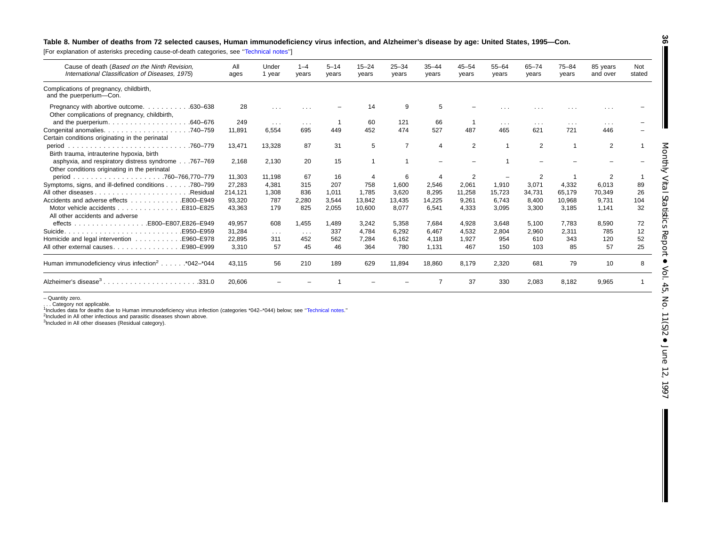#### Table 8. Number of deaths from 72 selected causes, Human immunodeficiency virus infection, and Alzheimer's disease by age: United States, 1995-Con.

[For explanation of asterisks preceding cause-of-death categories, see [''Technical](#page-72-0) notes'']

| Cause of death (Based on the Ninth Revision,<br>International Classification of Diseases, 1975).    | All<br>ages | Under<br>1 year         | $1 - 4$<br>years        | $5 - 14$<br>years | $15 - 24$<br>years | $25 - 34$<br>years | $35 - 44$<br>years | $45 - 54$<br>years | $55 - 64$<br>years      | 65-74<br>years | $75 - 84$<br>years   | 85 years<br>and over | Not<br>stated |
|-----------------------------------------------------------------------------------------------------|-------------|-------------------------|-------------------------|-------------------|--------------------|--------------------|--------------------|--------------------|-------------------------|----------------|----------------------|----------------------|---------------|
| Complications of pregnancy, childbirth,<br>and the puerperium-Con.                                  |             |                         |                         |                   |                    |                    |                    |                    |                         |                |                      |                      |               |
| Pregnancy with abortive outcome.<br>.630–638<br>Other complications of pregnancy, childbirth,       | 28          | $\cdots$                |                         |                   | 14                 | 9                  | 5                  |                    |                         |                | .                    |                      |               |
| .640-676<br>and the puerperium.                                                                     | 249         | $\sim 100$              | $\sim 100$ km s $^{-1}$ |                   | 60                 | 121                | 66                 |                    | $\sim 100$ km s $^{-1}$ | $\cdots$       | $\sim$ $\sim$ $\sim$ | $\cdots$             |               |
| Congenital anomalies.<br>.740–759<br>Certain conditions originating in the perinatal                | 11.891      | 6.554                   | 695                     | 449               | 452                | 474                | 527                | 487                | 465                     | 621            | 721                  | 446                  |               |
| .760–779<br>period<br>Birth trauma, intrauterine hypoxia, birth                                     | 13,471      | 13,328                  | 87                      | 31                | 5                  | $\overline{7}$     | 4                  | 2                  |                         | 2              | 1                    | $\overline{2}$       |               |
| asphyxia, and respiratory distress syndrome767-769<br>Other conditions originating in the perinatal | 2.168       | 2.130                   | 20                      | 15                |                    |                    |                    |                    |                         |                |                      |                      |               |
|                                                                                                     | 11.303      | 11.198                  | 67                      | 16                |                    | 6                  | 4                  | 2                  |                         | 2              |                      |                      |               |
| Symptoms, signs, and ill-defined conditions 780–799                                                 | 27,283      | 4,381                   | 315                     | 207               | 758                | 1,600              | 2,546              | 2,061              | 1,910                   | 3,071          | 4,332                | 6,013                | 89            |
| .Residual                                                                                           | 214.121     | 1,308                   | 836                     | 1.011             | 1.785              | 3,620              | 8,295              | 11,258             | 15.723                  | 34.731         | 65,179               | 70,349               | 26            |
|                                                                                                     | 93.320      | 787                     | 2,280                   | 3,544             | 13,842             | 13,435             | 14,225             | 9,261              | 6.743                   | 8.400          | 10,968               | 9,731                | 104           |
| Motor vehicle accidents<br>E810-E825<br>All other accidents and adverse                             | 43.363      | 179                     | 825                     | 2,055             | 10,600             | 8,077              | 6,541              | 4,333              | 3,095                   | 3,300          | 3.185                | 1,141                | 32            |
| .E800-E807.E826-E949<br>$effects \ldots \ldots \ldots \ldots$                                       | 49.957      | 608                     | 1,455                   | ,489              | 3,242              | 5,358              | 7.684              | 4,928              | 3,648                   | 5.100          | 7.783                | 8,590                | 72            |
| E950-E959.                                                                                          | 31.284      | $\sim 100$ km s $^{-1}$ | $\sim$ $\sim$ $\sim$    | 337               | 4,784              | 6,292              | 6,467              | 4,532              | 2,804                   | 2,960          | 2,311                | 785                  | 12            |
| Homicide and legal intervention<br>E960–E978.                                                       | 22,895      | 311                     | 452                     | 562               | 7.284              | 6,162              | 4,118              | 1,927              | 954                     | 610            | 343                  | 120                  | 52            |
| All other external causes<br>E980–E999.                                                             | 3.310       | 57                      | 45                      | 46                | 364                | 780                | 1,131              | 467                | 150                     | 103            | 85                   | 57                   | 25            |
| Human immunodeficiency virus infection <sup>2</sup> * 042-* 044                                     | 43.115      | 56                      | 210                     | 189               | 629                | 11,894             | 18,860             | 8.179              | 2,320                   | 681            | 79                   | 10                   | 8             |
| Alzheimer's disease <sup>3</sup> 331.0                                                              | 20.606      |                         |                         |                   |                    |                    |                    | 37                 | 330                     | 2,083          | 8,182                | 9,965                |               |

– Quantity zero.

. . . Category not applicable. 1Includes data for deaths due to Human immunodeficiency virus infection (categories \*042–\*044) below; see [''Technical](#page-72-0) notes.''

<sup>2</sup>Included in All other infectious and parasitic diseases shown above.

3Included in All other diseases (Residual category).

**36**

 $\blacksquare$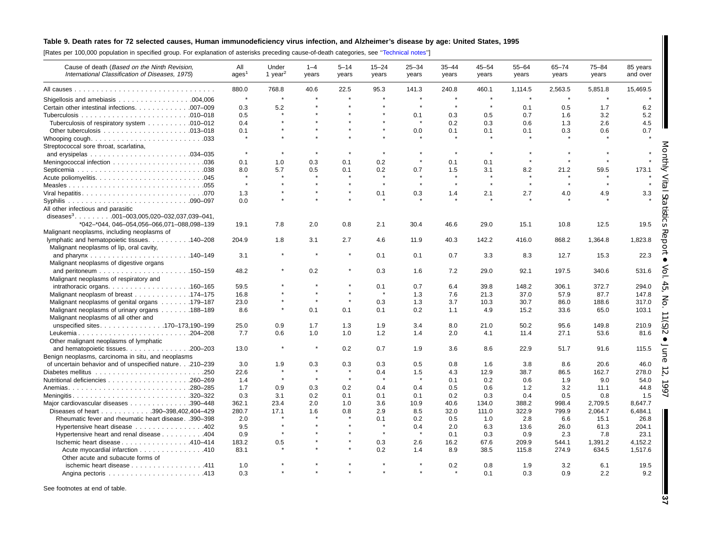## Table 9. Death rates for 72 selected causes, Human immunodeficiency virus infection, and Alzheimer's disease by age: United States, 1995

[Rates per 100,000 population in specified group. For explanation of asterisks preceding cause-of-death categories, see [''Technical](#page-72-0) notes'']

| Cause of death (Based on the Ninth Revision,<br>International Classification of Diseases, 1975). | All<br>ages <sup>1</sup> | Under<br>1 year <sup>2</sup> | $1 - 4$<br>years | $5 - 14$<br>years | $15 - 24$<br>years | $25 - 34$<br>years | $35 - 44$<br>years | $45 - 54$<br>years   | $55 - 64$<br>years | $65 - 74$<br>years | $75 - 84$<br>years | 85 years<br>and over        |
|--------------------------------------------------------------------------------------------------|--------------------------|------------------------------|------------------|-------------------|--------------------|--------------------|--------------------|----------------------|--------------------|--------------------|--------------------|-----------------------------|
|                                                                                                  | 880.0                    | 768.8                        | 40.6             | 22.5              | 95.3               | 141.3              | 240.8              | 460.1                | 1,114.5            | 2,563.5            | 5,851.8            | 15,469.5                    |
|                                                                                                  | $\star$                  |                              |                  |                   |                    | $\star$            | $\star$            |                      |                    | $\star$            |                    |                             |
| Certain other intestinal infections. 007-009                                                     | 0.3                      | 5.2                          |                  |                   |                    | $\star$            | $\star$            |                      | 0.1                | 0.5                | 1.7                | 6.2                         |
|                                                                                                  | 0.5                      |                              |                  |                   |                    | 0.1                | 0.3                | 0.5                  | 0.7                | 1.6                | 3.2                | 5.2                         |
| Tuberculosis of respiratory system 010–012                                                       | 0.4                      |                              |                  |                   |                    |                    | 0.2                | 0.3                  | 0.6                | 1.3                | 2.6                | 4.5                         |
|                                                                                                  | 0.1                      |                              |                  |                   |                    | 0.0                | 0.1                | 0.1                  | 0.1                | 0.3                | 0.6                | 0.7                         |
|                                                                                                  | $\pmb{\ast}$             |                              |                  |                   |                    |                    |                    |                      |                    |                    |                    |                             |
| Streptococcal sore throat, scarlatina,                                                           |                          |                              |                  |                   |                    |                    |                    |                      |                    |                    |                    |                             |
|                                                                                                  | $\star$                  |                              |                  |                   |                    |                    |                    | $\star$              |                    |                    |                    |                             |
|                                                                                                  | 0.1                      | 1.0                          | 0.3              | 0.1               | 0.2                | $\star$            | 0.1                | 0.1                  |                    |                    |                    |                             |
|                                                                                                  | 8.0                      | 5.7                          | 0.5              | 0.1               | 0.2                | 0.7                | 1.5                | 3.1                  | 8.2                | 21.2               | 59.5               | 173.1                       |
|                                                                                                  |                          |                              |                  |                   |                    |                    |                    |                      |                    |                    |                    |                             |
|                                                                                                  | $\star$                  |                              |                  |                   |                    | $\bullet$          | $\star$            | $\ddot{\phantom{1}}$ | $\bullet$          | $\star$            |                    |                             |
|                                                                                                  |                          |                              |                  |                   |                    |                    |                    |                      |                    |                    |                    |                             |
|                                                                                                  | 1.3                      |                              |                  |                   | 0.1                | 0.3                | 1.4                | 2.1                  | 2.7                | 4.0                | 4.9                | 3.3                         |
|                                                                                                  | 0.0                      |                              |                  |                   |                    |                    |                    |                      |                    |                    |                    |                             |
| All other infectious and parasitic                                                               |                          |                              |                  |                   |                    |                    |                    |                      |                    |                    |                    |                             |
| diseases <sup>3</sup> 001-003,005,020-032,037,039-041,                                           |                          |                              |                  |                   |                    |                    |                    |                      |                    |                    |                    |                             |
| *042-*044, 046-054,056-066,071-088,098-139                                                       | 19.1                     | 7.8                          | 2.0              | 0.8               | 2.1                | 30.4               | 46.6               | 29.0                 | 15.1               | 10.8               | 12.5               | 19.5                        |
| Malignant neoplasms, including neoplasms of                                                      |                          |                              |                  |                   |                    |                    |                    |                      |                    |                    |                    |                             |
| lymphatic and hematopoietic tissues. 140-208                                                     | 204.9                    | 1.8                          | 3.1              | 2.7               | 4.6                | 11.9               | 40.3               | 142.2                | 416.0              | 868.2              | 1,364.8            | 1,823.8<br>Ŏ                |
| Malignant neoplasms of lip, oral cavity,                                                         |                          |                              |                  |                   |                    |                    |                    |                      |                    |                    |                    |                             |
|                                                                                                  | 3.1                      |                              |                  | $\star$           | 0.1                | 0.1                | 0.7                | 3.3                  | 8.3                | 12.7               | 15.3               | 22.3                        |
| Malignant neoplasms of digestive organs                                                          |                          |                              |                  |                   |                    |                    |                    |                      |                    |                    |                    |                             |
|                                                                                                  | 48.2                     |                              | 0.2              |                   | 0.3                | 1.6                | 7.2                | 29.0                 | 92.1               | 197.5              | 340.6              | 531.6                       |
| Malignant neoplasms of respiratory and                                                           |                          |                              |                  |                   |                    |                    |                    |                      |                    |                    |                    |                             |
|                                                                                                  | 59.5                     |                              |                  | $\pmb{\ast}$      | 0.1                | 0.7                | 6.4                | 39.8                 | 148.2              | 306.1              | 372.7              | 294.0                       |
| Malignant neoplasm of breast 174–175                                                             | 16.8                     |                              |                  | $\star$           |                    | 1.3                | 7.6                | 21.3                 | 37.0               | 57.9               | 87.7               | 147.8                       |
| Malignant neoplasms of genital organs 179–187                                                    | 23.0                     |                              |                  | $\star$           | 0.3                | 1.3                | 3.7                | 10.3                 | 30.7               | 86.0               | 188.6              | 317.0                       |
| Malignant neoplasms of urinary organs 188–189                                                    | 8.6                      | $\star$                      | 0.1              | 0.1               | 0.1                | 0.2                | 1.1                | 4.9                  | 15.2               | 33.6               | 65.0               | 103.1                       |
| Malignant neoplasms of all other and                                                             |                          |                              |                  |                   |                    |                    |                    |                      |                    |                    |                    |                             |
| unspecified sites170-173,190-199                                                                 | 25.0                     | 0.9                          | 1.7              | 1.3               | 1.9                | 3.4                | 8.0                | 21.0                 | 50.2               | 95.6               | 149.8              | $\widehat{\omega}$<br>210.9 |
| Leukemia204-208<br>Other malignant neoplasms of lymphatic                                        | 7.7                      | 0.6                          | 1.0              | 1.0               | 1.2                | 1.4                | 2.0                | 4.1                  | 11.4               | 27.1               | 53.6               | 81.6                        |
| and hematopoietic tissues. 200-203                                                               | 13.0                     |                              |                  | 0.2               | 0.7                | 1.9                | 3.6                | 8.6                  | 22.9               | 51.7               | 91.6               | 115.5                       |
| Benign neoplasms, carcinoma in situ, and neoplasms                                               |                          |                              |                  |                   |                    |                    |                    |                      |                    |                    |                    |                             |
| of uncertain behavior and of unspecified nature.210-239                                          | 3.0                      | 1.9                          | 0.3              | 0.3               | 0.3                | 0.5                | 0.8                | 1.6                  | 3.8                | 8.6                | 20.6               | 46.0                        |
|                                                                                                  | 22.6                     | $\star$                      | $\star$          | $\star$           | 0.4                | 1.5                | 4.3                | 12.9                 | 38.7               | 86.5               | 162.7              | 278.0                       |
|                                                                                                  | 1.4                      | $\star$                      | $\star$          | $\star$           |                    | $\star$            | 0.1                | 0.2                  | 0.6                | 1.9                | 9.0                | 54.0                        |
| Anemias280-285                                                                                   | 1.7                      | 0.9                          | 0.3              | 0.2               | 0.4                | 0.4                | 0.5                | 0.6                  | 1.2                | 3.2                | 11.1               | 44.8                        |
| Meningitis320-322                                                                                | 0.3                      | 3.1                          | 0.2              | 0.1               | 0.1                | 0.1                | 0.2                | 0.3                  | 0.4                | 0.5                | 0.8                | 1.5                         |
|                                                                                                  |                          |                              |                  |                   |                    |                    |                    |                      |                    |                    |                    |                             |
| Major cardiovascular diseases 390-448                                                            | 362.1                    | 23.4                         | 2.0              | 1.0               | 3.6<br>2.9         | 10.9               | 40.6               | 134.0                | 388.2              | 998.4              | 2,709.5            | 8,647.7                     |
| Diseases of heart 390-398,402,404-429                                                            | 280.7                    | 17.1                         | 1.6              | 0.8               |                    | 8.5                | 32.0               | 111.0                | 322.9              | 799.9              | 2,064.7            | 6,484.1                     |
| Rheumatic fever and rheumatic heart disease. .390-398                                            | 2.0                      |                              |                  |                   | 0.1                | 0.2                | 0.5                | 1.0                  | 2.8                | 6.6                | 15.1               | 26.8                        |
| Hypertensive heart disease 402                                                                   | 9.5                      | $\star$                      |                  |                   | $\star$            | 0.4<br>$\star$     | 2.0                | 6.3                  | 13.6               | 26.0               | 61.3               | 204.1                       |
| Hypertensive heart and renal disease 404                                                         | 0.9                      |                              |                  | $\star$           |                    |                    | 0.1                | 0.3                  | 0.9                | 2.3                | 7.8                | 23.1                        |
| lschemic heart disease 410-414                                                                   | 183.2                    | 0.5                          |                  |                   | 0.3                | 2.6                | 16.2               | 67.6                 | 209.9              | 544.1              | 1,391.2            | 4,152.2                     |
| Acute myocardial infarction 410<br>Other acute and subacute forms of                             | 83.1                     |                              |                  |                   | 0.2                | 1.4                | 8.9                | 38.5                 | 115.8              | 274.9              | 634.5              | 1,517.6                     |
| ischemic heart disease 411                                                                       | 1.0                      |                              |                  |                   |                    |                    | 0.2                | 0.8                  | 1.9                | 3.2                | 6.1                | 19.5                        |
|                                                                                                  | 0.3                      |                              |                  |                   |                    |                    |                    | 0.1                  | 0.3                | 0.9                | 2.2                | 9.2                         |

See footnotes at end of table.

**37**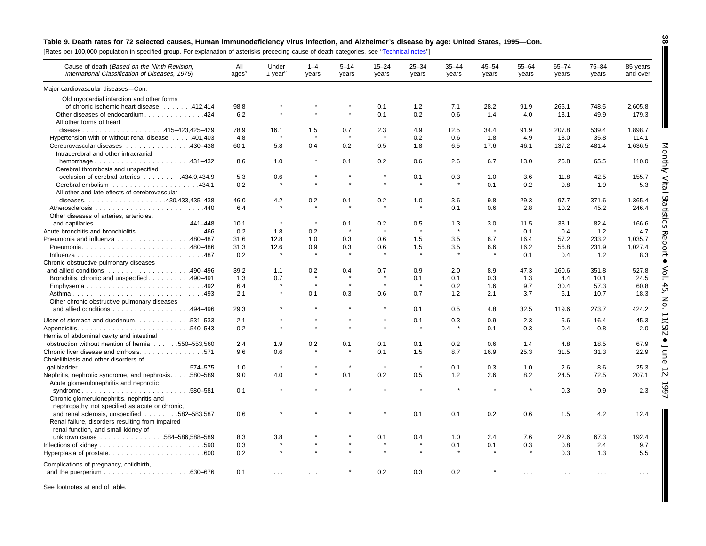## Table 9. Death rates for 72 selected causes, Human immunodeficiency virus infection, and Alzheimer's disease by age: United States, 1995-Con.

[Rates per 100,000 population in specified group. For explanation of asterisks preceding cause-of-death categories, see '['Technical](#page-72-0) notes'']

| Cause of death (Based on the Ninth Revision,<br>International Classification of Diseases, 1975) | All<br>ages <sup>1</sup> | Under<br>1 year <sup>2</sup> | $1 - 4$<br>years | $5 - 14$<br>years | $15 - 24$<br>years | $25 - 34$<br>years | $35 - 44$<br>years | $45 - 54$<br>years | $55 - 64$<br>years   | $65 - 74$<br>years   | $75 - 84$<br>years | 85 years<br>and over |
|-------------------------------------------------------------------------------------------------|--------------------------|------------------------------|------------------|-------------------|--------------------|--------------------|--------------------|--------------------|----------------------|----------------------|--------------------|----------------------|
| Major cardiovascular diseases-Con.                                                              |                          |                              |                  |                   |                    |                    |                    |                    |                      |                      |                    |                      |
| Old myocardial infarction and other forms                                                       |                          |                              |                  |                   |                    |                    |                    |                    |                      |                      |                    |                      |
| of chronic ischemic heart disease 412,414                                                       | 98.8                     |                              |                  |                   | 0.1                | 1.2                | 7.1                | 28.2               | 91.9                 | 265.1                | 748.5              | 2,605.8              |
| Other diseases of endocardium424                                                                | 6.2                      |                              |                  |                   | 0.1                | 0.2                | 0.6                | 1.4                | 4.0                  | 13.1                 | 49.9               | 179.3                |
| All other forms of heart                                                                        |                          |                              |                  |                   |                    |                    |                    |                    |                      |                      |                    |                      |
| disease415-423,425-429                                                                          | 78.9                     | 16.1                         | 1.5              | 0.7               | 2.3                | 4.9                | 12.5               | 34.4               | 91.9                 | 207.8                | 539.4              | 1,898.7              |
| Hypertension with or without renal disease 401,403                                              | 4.8                      |                              |                  |                   |                    | 0.2                | 0.6                | 1.8                | 4.9                  | 13.0                 | 35.8               | 114.1                |
| Cerebrovascular diseases 430-438                                                                | 60.1                     | 5.8                          | 0.4              | 0.2               | 0.5                | 1.8                | 6.5                | 17.6               | 46.1                 | 137.2                | 481.4              | 1,636.5              |
| Intracerebral and other intracranial                                                            |                          |                              |                  |                   |                    |                    |                    |                    |                      |                      |                    |                      |
|                                                                                                 | 8.6                      | 1.0                          | $\pmb{\ast}$     | 0.1               | 0.2                | 0.6                | 2.6                | 6.7                | 13.0                 | 26.8                 | 65.5               | 110.0                |
| Cerebral thrombosis and unspecified                                                             |                          |                              |                  |                   |                    |                    |                    |                    |                      |                      |                    |                      |
| occlusion of cerebral arteries 434.0.434.9                                                      | 5.3                      | 0.6                          |                  |                   |                    | 0.1                | 0.3                | 1.0                | 3.6                  | 11.8                 | 42.5               | 155.7                |
|                                                                                                 | 0.2                      |                              | $\star$          |                   | $\star$            |                    |                    | 0.1                | 0.2                  | 0.8                  | 1.9                | 5.3                  |
| All other and late effects of cerebrovascular                                                   |                          |                              |                  |                   |                    |                    |                    |                    |                      |                      |                    |                      |
|                                                                                                 | 46.0                     | 4.2                          | 0.2              | 0.1               | 0.2                | 1.0                | 3.6                | 9.8                | 29.3                 | 97.7                 | 371.6              | 1,365.4              |
|                                                                                                 | 6.4                      |                              |                  |                   |                    |                    | 0.1                | 0.6                | 2.8                  | 10.2                 | 45.2               | 246.4                |
| Other diseases of arteries, arterioles,                                                         |                          |                              |                  |                   |                    |                    |                    |                    |                      |                      |                    |                      |
|                                                                                                 | 10.1                     | $\star$                      | $\star$          | 0.1               | 0.2                | 0.5                | 1.3                | 3.0                | 11.5                 | 38.1                 | 82.4               | 166.6                |
| Acute bronchitis and bronchiolitis 466                                                          | 0.2                      | 1.8                          | 0.2              | ÷                 |                    |                    | $\rightarrow$      |                    | 0.1                  | 0.4                  | 1.2                | 4.7                  |
| Pneumonia and influenza 480–487                                                                 | 31.6                     | 12.8                         | 1.0              | 0.3               | 0.6                | 1.5                | 3.5                | 6.7                | 16.4                 | 57.2                 | 233.2              | 1,035.7              |
|                                                                                                 | 31.3                     | 12.6                         | 0.9              | 0.3               | 0.6                | 1.5                | 3.5                | 6.6                | 16.2                 | 56.8                 | 231.9              | 1,027.4              |
|                                                                                                 | 0.2                      |                              |                  |                   |                    |                    |                    |                    | 0.1                  | 0.4                  | 1.2                | 8.3                  |
| Chronic obstructive pulmonary diseases                                                          |                          |                              |                  |                   |                    |                    |                    |                    |                      |                      |                    |                      |
| and allied conditions $\ldots \ldots \ldots \ldots \ldots \ldots$ . 490-496                     | 39.2                     | 1.1                          | 0.2              | 0.4               | 0.7                | 0.9                | 2.0                | 8.9                | 47.3                 | 160.6                | 351.8              | 527.8                |
| Bronchitis, chronic and unspecified 490-491                                                     | 1.3                      | 0.7                          |                  |                   |                    | 0.1                | 0.1                | 0.3                | 1.3                  | 4.4                  | 10.1               | 24.5                 |
| Emphysema492                                                                                    | 6.4                      | $\star$                      | $\star$          | $\star$           | $\star$            | $\star$            | 0.2                | 1.6                | 9.7                  | 30.4                 | 57.3               | 60.8                 |
|                                                                                                 | 2.1                      | $\star$                      | 0.1              | 0.3               | 0.6                | 0.7                | 1.2                | 2.1                | 3.7                  | 6.1                  | 10.7               | 18.3                 |
| Other chronic obstructive pulmonary diseases                                                    |                          |                              |                  |                   |                    |                    |                    |                    |                      |                      |                    |                      |
| and allied conditions 494-496                                                                   | 29.3                     |                              |                  |                   |                    | 0.1                | 0.5                | 4.8                | 32.5                 | 119.6                | 273.7              | 424.2                |
|                                                                                                 |                          |                              |                  |                   | $\star$            |                    |                    |                    |                      |                      |                    |                      |
| Ulcer of stomach and duodenum. 531–533                                                          | 2.1                      |                              |                  |                   |                    | 0.1                | 0.3                | 0.9                | 2.3                  | 5.6                  | 16.4               | 45.3                 |
|                                                                                                 | 0.2                      |                              |                  |                   |                    |                    |                    | 0.1                | 0.3                  | 0.4                  | 0.8                | 2.0                  |
| Hernia of abdominal cavity and intestinal                                                       |                          |                              |                  |                   |                    |                    |                    |                    |                      |                      |                    |                      |
| obstruction without mention of hernia 550–553,560                                               | 2.4                      | 1.9                          | 0.2              | 0.1               | 0.1                | 0.1                | 0.2                | 0.6                | 1.4                  | 4.8                  | 18.5               | 67.9                 |
| Chronic liver disease and cirrhosis. 571                                                        | 9.6                      | 0.6                          |                  |                   | 0.1                | 1.5                | 8.7                | 16.9               | 25.3                 | 31.5                 | 31.3               | 22.9                 |
| Cholelithiasis and other disorders of                                                           |                          | $\pmb{\ast}$                 |                  | $\star$           | $\star$            | $\star$            |                    |                    |                      |                      |                    |                      |
|                                                                                                 | 1.0                      |                              | $\star$          |                   |                    |                    | 0.1                | 0.3                | 1.0                  | 2.6                  | 8.6                | 25.3                 |
| Nephritis, nephrotic syndrome, and nephrosis. 580-589                                           | 9.0                      | 4.0                          |                  | 0.1               | 0.2                | 0.5                | 1.2                | 2.6                | 8.2                  | 24.5                 | 72.5               | 207.1                |
| Acute glomerulonephritis and nephrotic                                                          |                          |                              |                  |                   |                    |                    |                    |                    | $\star$              |                      |                    |                      |
| syndrome580-581                                                                                 | 0.1                      |                              |                  |                   |                    |                    |                    |                    |                      | 0.3                  | 0.9                | 2.3                  |
| Chronic glomerulonephritis, nephritis and                                                       |                          |                              |                  |                   |                    |                    |                    |                    |                      |                      |                    |                      |
| nephropathy, not specified as acute or chronic,                                                 |                          |                              |                  |                   |                    |                    |                    |                    |                      |                      |                    |                      |
| and renal sclerosis, unspecified 582-583,587                                                    | 0.6                      |                              |                  |                   |                    | 0.1                | 0.1                | 0.2                | 0.6                  | 1.5                  | 4.2                | 12.4                 |
| Renal failure, disorders resulting from impaired                                                |                          |                              |                  |                   |                    |                    |                    |                    |                      |                      |                    |                      |
| renal function, and small kidney of                                                             |                          |                              |                  |                   |                    |                    |                    |                    |                      |                      |                    |                      |
| unknown cause 584-586,588-589                                                                   | 8.3                      | 3.8                          |                  |                   | 0.1                | 0.4                | 1.0                | 2.4                | 7.6                  | 22.6                 | 67.3               | 192.4                |
|                                                                                                 | 0.3                      |                              |                  |                   |                    |                    | 0.1                | 0.1                | 0.3                  | 0.8                  | 2.4                | 9.7                  |
| Hyperplasia of prostate600                                                                      | 0.2                      |                              |                  |                   |                    |                    |                    |                    |                      | 0.3                  | 1.3                | 5.5                  |
| Complications of pregnancy, childbirth,                                                         |                          |                              |                  |                   |                    |                    |                    |                    |                      |                      |                    |                      |
|                                                                                                 | 0.1                      | $\cdots$                     |                  |                   | 0.2                | 0.3                | 0.2                |                    | $\sim$ $\sim$ $\sim$ |                      |                    | $\sim 100$           |
|                                                                                                 |                          |                              |                  |                   |                    |                    |                    |                    |                      | $\sim$ $\sim$ $\sim$ | $\sim$ $\sim$      |                      |

See footnotes at end of table.

**38** ı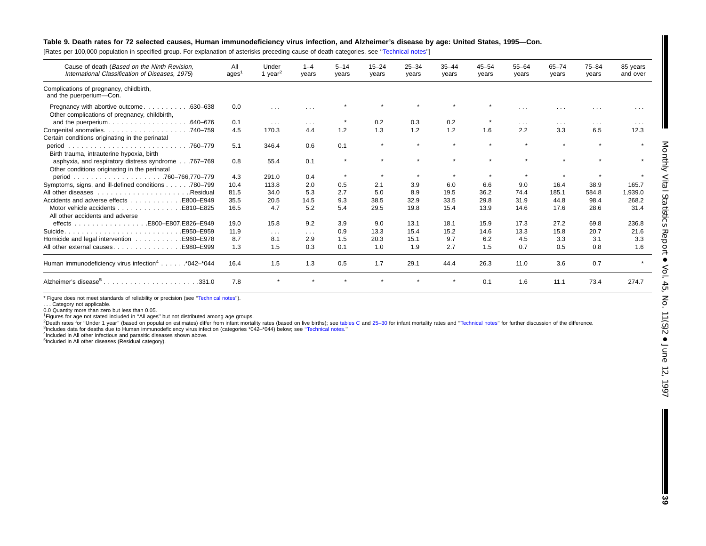#### Table 9. Death rates for 72 selected causes, Human immunodeficiency virus infection, and Alzheimer's disease by age: United States, 1995-Con.

[Rates per 100,000 population in specified group. For explanation of asterisks preceding cause-of-death categories, see '['Technical](#page-72-0) notes'']

| Cause of death (Based on the Ninth Revision,<br>International Classification of Diseases, 1975).    | All<br>ages | Under<br>1 year <sup>2</sup> | $1 - 4$<br>years        | $5 - 14$<br>years | $15 - 24$<br>years | $25 - 34$<br>years | $35 - 44$<br>years | $45 - 54$<br>years | $55 - 64$<br>years   | $65 - 74$<br>years      | $75 - 84$<br>years      | 85 years<br>and over |
|-----------------------------------------------------------------------------------------------------|-------------|------------------------------|-------------------------|-------------------|--------------------|--------------------|--------------------|--------------------|----------------------|-------------------------|-------------------------|----------------------|
| Complications of pregnancy, childbirth,<br>and the puerperium-Con.                                  |             |                              |                         |                   |                    |                    |                    |                    |                      |                         |                         |                      |
| Pregnancy with abortive outcome<br>.630–638<br>Other complications of pregnancy, childbirth,        | 0.0         | $\sim 100$                   | $\sim$ $\sim$ $\sim$    |                   |                    | $\bullet$          | $\bullet$          | $\star$            | $\sim$ $\sim$ $\sim$ |                         | $\cdots$                | $\cdots$             |
| and the puerperium.<br>.640–676                                                                     | 0.1         | $\sim$ $\sim$ $\sim$         | $\sim 100$ km s $^{-1}$ |                   | 0.2                | 0.3                | 0.2                |                    | $\sim$ $\sim$ $\sim$ | $\cdots$                | $\sim 100$ km s $^{-1}$ | $\sim$ $\sim$ $\sim$ |
|                                                                                                     | 4.5         | 170.3                        | 4.4                     | 1.2               | 1.3                | 1.2                | 1.2                | 1.6                | 2.2                  | 3.3                     | 6.5                     | 12.3                 |
| Certain conditions originating in the perinatal                                                     |             |                              |                         |                   |                    |                    |                    |                    |                      |                         |                         |                      |
| .760–779<br>period<br>Birth trauma, intrauterine hypoxia, birth                                     | 5.1         | 346.4                        | 0.6                     | 0.1               | $\star$            | $\bullet$          | $\star$            | $\bullet$          | $\star$              | $\mathbf{d}_\mathrm{F}$ | $\mathbf{d}$            |                      |
| asphyxia, and respiratory distress syndrome767-769<br>Other conditions originating in the perinatal | 0.8         | 55.4                         | 0.1                     | $\star$           |                    | $\bullet$          |                    |                    |                      |                         |                         |                      |
|                                                                                                     | 4.3         | 291.0                        | 0.4                     | $\star$           |                    |                    |                    |                    |                      |                         |                         |                      |
| Symptoms, signs, and ill-defined conditions<br>.780–799                                             | 10.4        | 113.8                        | 2.0                     | 0.5               | 2.1                | 3.9                | 6.0                | 6.6                | 9.0                  | 16.4                    | 38.9                    | 165.7                |
| .Residual                                                                                           | 81.5        | 34.0                         | 5.3                     | 2.7               | 5.0                | 8.9                | 19.5               | 36.2               | 74.4                 | 185.1                   | 584.8                   | 1.939.0              |
| Accidents and adverse effects<br>E800-E949                                                          | 35.5        | 20.5                         | 14.5                    | 9.3               | 38.5               | 32.9               | 33.5               | 29.8               | 31.9                 | 44.8                    | 98.4                    | 268.2                |
| Motor vehicle accidents<br>E810-E825<br>All other accidents and adverse                             | 16.5        | 4.7                          | 5.2                     | 5.4               | 29.5               | 19.8               | 15.4               | 13.9               | 14.6                 | 17.6                    | 28.6                    | 31.4                 |
|                                                                                                     | 19.0        | 15.8                         | 9.2                     | 3.9               | 9.0                | 13.1               | 18.1               | 15.9               | 17.3                 | 27.2                    | 69.8                    | 236.8                |
| E950-E959.                                                                                          | 11.9        | $\sim$ $\sim$ $\sim$         | $\sim 100$ km s $^{-1}$ | 0.9               | 13.3               | 15.4               | 15.2               | 14.6               | 13.3                 | 15.8                    | 20.7                    | 21.6                 |
| Homicide and legal intervention<br>E960-E978.                                                       | 8.7         | 8.1                          | 2.9                     | 1.5               | 20.3               | 15.1               | 9.7                | 6.2                | 4.5                  | 3.3                     | 3.1                     | 3.3                  |
| All other external causes.<br>E980-E999.                                                            | 1.3         | 1.5                          | 0.3                     | 0.1               | 1.0                | 1.9                | 2.7                | 1.5                | 0.7                  | 0.5                     | 0.8                     | 1.6                  |
| Human immunodeficiency virus infection <sup>4</sup> *042-*044                                       | 16.4        | 1.5                          | 1.3                     | 0.5               | 1.7                | 29.1               | 44.4               | 26.3               | 11.0                 | 3.6                     | 0.7                     |                      |
| Alzheimer's disease <sup>5</sup><br>.331.0                                                          | 7.8         |                              |                         |                   |                    | $\cdot$            | $\star$            | 0.1                | 1.6                  | 11.1                    | 73.4                    | 274.7                |

\* Figure does not meet standards of reliability or precision (see "Technical notes").

. . . Category not applicable.

0.0 Quantity more than zero but less than 0.05.

1Figures for age not stated included in ''All ages'' but not distributed among age groups.

<sup>2</sup>Death rates for "Under 1 year" (based on population estimates) differ from infant mortality rates (based on live births); see [tables](#page-10-0) C and 25-30 for infant mortality rates and "Technical notes" for further discussion of

3Includes data for deaths due to Human immunodeficiency virus infection (categories \*042–\*044) below; see [''Technical](#page-72-0) notes.''

<sup>4</sup>Included in All other infectious and parasitic diseases shown above.

5Included in All other diseases (Residual category).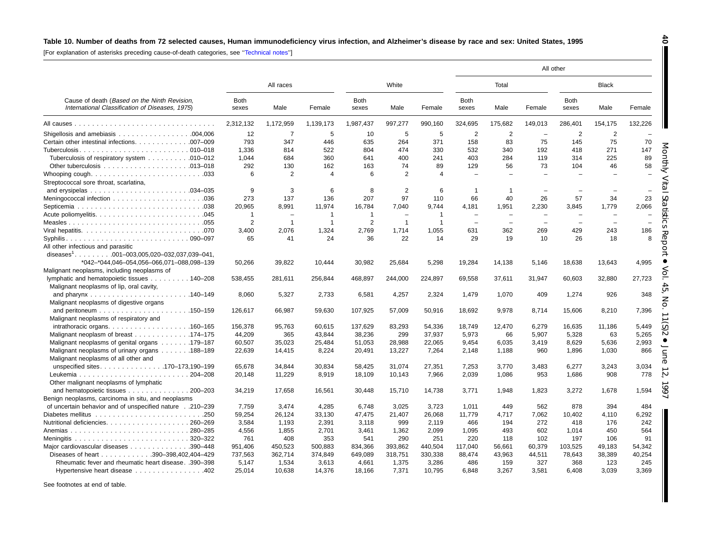## Table 10. Number of deaths from 72 selected causes, Human immunodeficiency virus infection, and Alzheimer's disease by race and sex: United States, 1995

[For explanation of asterisks preceding cause-of-death categories, see [''Technical](#page-72-0) notes'']

|                                                                                                 |                      |                |                |                      |                |                |                          |                          |                          | All other            |                          |                          |
|-------------------------------------------------------------------------------------------------|----------------------|----------------|----------------|----------------------|----------------|----------------|--------------------------|--------------------------|--------------------------|----------------------|--------------------------|--------------------------|
|                                                                                                 |                      | All races      |                |                      | White          |                |                          | Total                    |                          |                      | <b>Black</b>             |                          |
| Cause of death (Based on the Ninth Revision,<br>International Classification of Diseases, 1975) | <b>Both</b><br>sexes | Male           | Female         | <b>Both</b><br>sexes | Male           | Female         | <b>Both</b><br>sexes     | Male                     | Female                   | <b>Both</b><br>sexes | Male                     | Female                   |
|                                                                                                 | 2,312,132            | 1,172,959      | 1,139,173      | 1,987,437            | 997,277        | 990,160        | 324,695                  | 175,682                  | 149,013                  | 286,401              | 154,175                  | 132,226                  |
|                                                                                                 | 12                   | $\overline{7}$ | 5              | 10                   | 5              | 5              | $\overline{2}$           | 2                        | $\overline{\phantom{a}}$ | 2                    | $\overline{2}$           |                          |
| Certain other intestinal infections. 007-009                                                    | 793                  | 347            | 446            | 635                  | 264            | 371            | 158                      | 83                       | 75                       | 145                  | 75                       | 70                       |
|                                                                                                 | 1,336                | 814            | 522            | 804                  | 474            | 330            | 532                      | 340                      | 192                      | 418                  | 271                      | 147                      |
| Tuberculosis of respiratory system 010–012                                                      | 1,044                | 684            | 360            | 641                  | 400            | 241            | 403                      | 284                      | 119                      | 314                  | 225                      | 89                       |
|                                                                                                 | 292                  | 130            | 162            | 163                  | 74             | 89             | 129                      | 56                       | 73                       | 104                  | 46                       | 58                       |
|                                                                                                 | 6                    | 2              | $\overline{4}$ | 6                    | 2              | $\overline{4}$ |                          |                          |                          |                      |                          |                          |
| Streptococcal sore throat, scarlatina,                                                          |                      |                |                |                      |                |                |                          |                          |                          |                      |                          |                          |
|                                                                                                 | 9                    | 3              | 6              | 8                    | $\overline{2}$ | 6              | -1                       |                          |                          |                      |                          | $\overline{\phantom{0}}$ |
|                                                                                                 | 273                  | 137            | 136            | 207                  | 97             | 110            | 66                       | 40                       | 26                       | 57                   | 34                       | 23                       |
|                                                                                                 | 20.965               | 8.991          | 11,974         | 16,784               | 7.040          | 9.744          | 4.181                    | 1.951                    | 2,230                    | 3,845                | 1,779                    | 2,066                    |
|                                                                                                 | $\mathbf 1$          |                |                | -1                   |                | $\overline{1}$ |                          |                          |                          |                      |                          |                          |
|                                                                                                 | $\overline{2}$       | $\overline{1}$ | $\overline{1}$ | $\overline{2}$       | $\mathbf{1}$   | $\overline{1}$ | $\overline{\phantom{0}}$ | $\overline{\phantom{0}}$ | ÷                        | $\equiv$             | $\overline{\phantom{0}}$ | $\overline{\phantom{0}}$ |
|                                                                                                 | 3,400                | 2,076          | 1,324          | 2,769                | 1.714          | 1,055          | 631                      | 362                      | 269                      | 429                  | 243                      | 186                      |
| All other infectious and parasitic                                                              | 65                   | 41             | 24             | 36                   | 22             | 14             | 29                       | 19                       | 10                       | 26                   | 18                       | 8                        |
| diseases <sup>1</sup> . 001-003,005,020-032,037,039-041,                                        |                      |                |                |                      |                |                |                          |                          |                          |                      |                          |                          |
| *042-*044,046-054,056-066,071-088,098-139                                                       | 50,266               | 39,822         | 10,444         | 30,982               | 25,684         | 5,298          | 19,284                   | 14,138                   | 5,146                    | 18,638               | 13,643                   | 4,995                    |
| Malignant neoplasms, including neoplasms of                                                     |                      |                |                |                      |                |                |                          |                          |                          |                      |                          |                          |
| lymphatic and hematopoietic tissues 140–208                                                     | 538,455              | 281,611        | 256,844        | 468,897              | 244,000        | 224,897        | 69,558                   | 37,611                   | 31,947                   | 60,603               | 32,880                   | 27,723                   |
| Malignant neoplasms of lip, oral cavity,                                                        |                      |                |                |                      |                |                |                          |                          |                          |                      |                          |                          |
|                                                                                                 | 8,060                | 5,327          | 2,733          | 6,581                | 4,257          | 2,324          | 1,479                    | 1,070                    | 409                      | 1,274                | 926                      | 348                      |
| Malignant neoplasms of digestive organs                                                         |                      |                |                |                      |                |                |                          |                          |                          |                      |                          |                          |
|                                                                                                 | 126.617              | 66.987         | 59.630         | 107,925              | 57.009         | 50,916         | 18.692                   | 9.978                    | 8.714                    | 15,606               | 8,210                    | 7,396                    |
| Malignant neoplasms of respiratory and                                                          |                      |                |                |                      |                |                |                          |                          |                          |                      |                          |                          |
|                                                                                                 | 156,378              | 95.763         | 60.615         | 137,629              | 83,293         | 54.336         | 18.749                   | 12.470                   | 6.279                    | 16,635               | 11.186                   | 5,449                    |
| Malignant neoplasm of breast 174–175                                                            | 44,209               | 365            | 43,844         | 38,236               | 299            | 37,937         | 5,973                    | 66                       | 5,907                    | 5,328                | 63                       | 5,265                    |
| Malignant neoplasms of genital organs 179–187                                                   | 60,507               | 35,023         | 25,484         | 51,053               | 28,988         | 22,065         | 9,454                    | 6,035                    | 3,419                    | 8,629                | 5,636                    | 2,993                    |
| Malignant neoplasms of urinary organs 188–189                                                   | 22,639               | 14,415         | 8,224          | 20,491               | 13,227         | 7,264          | 2.148                    | 1,188                    | 960                      | 1,896                | 1,030                    | 866                      |
| Malignant neoplasms of all other and                                                            |                      |                |                |                      |                |                |                          |                          |                          |                      |                          |                          |
| unspecified sites170-173,190-199                                                                | 65.678               | 34.844         | 30.834         | 58.425               | 31.074         | 27.351         | 7.253                    | 3.770                    | 3.483                    | 6.277                | 3.243                    | 3,034                    |
|                                                                                                 | 20,148               | 11,229         | 8,919          | 18,109               | 10,143         | 7,966          | 2,039                    | 1,086                    | 953                      | 1,686                | 908                      | 778                      |
| Other malignant neoplasms of lymphatic                                                          |                      |                |                |                      |                |                |                          |                          |                          |                      |                          |                          |
| and hematopoietic tissues 200–203                                                               | 34,219               | 17,658         | 16,561         | 30,448               | 15,710         | 14,738         | 3.771                    | 1,948                    | 1,823                    | 3,272                | 1,678                    | 1,594                    |
|                                                                                                 |                      |                |                |                      |                |                |                          |                          |                          |                      |                          |                          |
| Benign neoplasms, carcinoma in situ, and neoplasms                                              |                      |                |                |                      |                |                |                          | 449                      |                          |                      | 394                      |                          |
| of uncertain behavior and of unspecified nature210-239                                          | 7,759                | 3,474          | 4,285          | 6,748                | 3,025          | 3,723          | 1,011                    |                          | 562                      | 878                  |                          | 484                      |
|                                                                                                 | 59,254               | 26.124         | 33,130         | 47.475               | 21.407         | 26.068         | 11.779                   | 4.717                    | 7,062                    | 10,402               | 4,110                    | 6,292                    |
|                                                                                                 | 3,584                | 1,193          | 2,391          | 3,118                | 999            | 2,119          | 466                      | 194                      | 272                      | 418                  | 176                      | 242                      |
|                                                                                                 | 4,556                | 1,855          | 2,701          | 3,461                | 1,362          | 2,099          | 1,095                    | 493                      | 602                      | 1,014                | 450                      | 564                      |
|                                                                                                 | 761                  | 408            | 353            | 541                  | 290            | 251            | 220                      | 118                      | 102                      | 197                  | 106                      | 91                       |
| Major cardiovascular diseases 390-448                                                           | 951,406              | 450,523        | 500,883        | 834,366              | 393,862        | 440,504        | 117,040                  | 56,661                   | 60,379                   | 103,525              | 49,183                   | 54,342                   |
| Diseases of heart 390-398,402,404-429                                                           | 737,563              | 362,714        | 374,849        | 649,089              | 318,751        | 330,338        | 88,474                   | 43,963                   | 44,511                   | 78,643               | 38,389                   | 40,254                   |
| Rheumatic fever and rheumatic heart disease. .390-398                                           | 5,147                | 1,534          | 3,613          | 4,661                | 1,375          | 3,286          | 486                      | 159                      | 327                      | 368                  | 123                      | 245                      |
| Hypertensive heart disease 402                                                                  | 25.014               | 10.638         | 14.376         | 18.166               | 7,371          | 10.795         | 6.848                    | 3.267                    | 3.581                    | 6.408                | 3.039                    | 3.369                    |

See footnotes at end of table.

**40**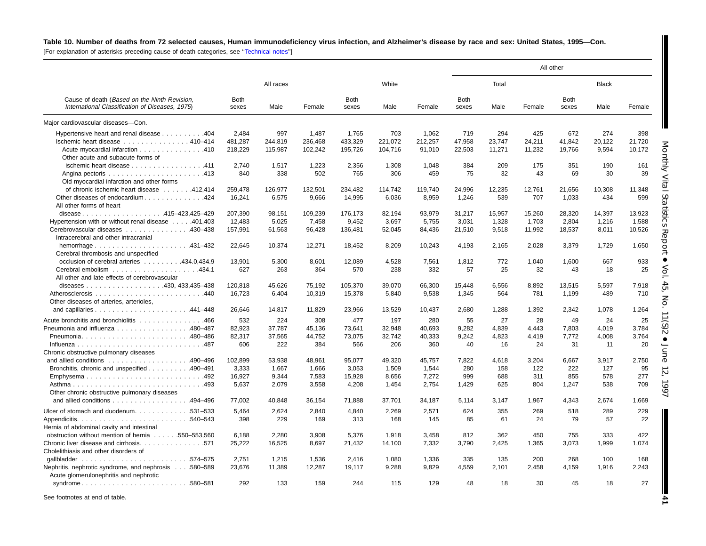#### Table 10. Number of deaths from 72 selected causes, Human immunodeficiency virus infection, and Alzheimer's disease by race and sex: United States, 1995-Con.

[For explanation of asterisks preceding cause-of-death categories, see [''Technical](#page-72-0) notes'']

|                                                                                                 |                      |           |         |                      |         |         |               |        |        | All other            |              |        |
|-------------------------------------------------------------------------------------------------|----------------------|-----------|---------|----------------------|---------|---------|---------------|--------|--------|----------------------|--------------|--------|
|                                                                                                 |                      | All races |         |                      | White   |         |               | Total  |        |                      | <b>Black</b> |        |
| Cause of death (Based on the Ninth Revision,<br>International Classification of Diseases, 1975) | <b>Both</b><br>sexes | Male      | Female  | <b>Both</b><br>sexes | Male    | Female  | Both<br>sexes | Male   | Female | <b>Both</b><br>sexes | Male         | Female |
| Major cardiovascular diseases-Con.                                                              |                      |           |         |                      |         |         |               |        |        |                      |              |        |
| Hypertensive heart and renal disease 404                                                        | 2.484                | 997       | 1.487   | 1,765                | 703     | 1,062   | 719           | 294    | 425    | 672                  | 274          | 398    |
| Ischemic heart disease 410-414                                                                  | 481,287              | 244,819   | 236,468 | 433,329              | 221,072 | 212,257 | 47,958        | 23,747 | 24,211 | 41,842               | 20,122       | 21,720 |
| Acute myocardial infarction 410<br>Other acute and subacute forms of                            | 218,229              | 115,987   | 102,242 | 195,726              | 104,716 | 91,010  | 22,503        | 11,271 | 11,232 | 19,766               | 9,594        | 10,172 |
| ischemic heart disease 411                                                                      | 2.740                | 1,517     | 1,223   | 2,356                | 1,308   | 1,048   | 384           | 209    | 175    | 351                  | 190          | 161    |
| Old myocardial infarction and other forms                                                       | 840                  | 338       | 502     | 765                  | 306     | 459     | 75            | 32     | 43     | 69                   | 30           | 39     |
| of chronic ischemic heart disease 412,414                                                       | 259.478              | 126.977   | 132.501 | 234.482              | 114.742 | 119.740 | 24.996        | 12.235 | 12,761 | 21,656               | 10,308       | 11,348 |
| Other diseases of endocardium424<br>All other forms of heart                                    | 16,241               | 6,575     | 9,666   | 14,995               | 6,036   | 8,959   | 1,246         | 539    | 707    | 1,033                | 434          | 599    |
| disease415-423,425-429                                                                          | 207,390              | 98,151    | 109,239 | 176,173              | 82,194  | 93,979  | 31,217        | 15,957 | 15,260 | 28,320               | 14,397       | 13,923 |
| Hypertension with or without renal disease 401,403                                              | 12,483               | 5,025     | 7,458   | 9,452                | 3,697   | 5,755   | 3,031         | 1,328  | 1,703  | 2,804                | 1,216        | 1,588  |
| Cerebrovascular diseases 430-438<br>Intracerebral and other intracranial                        | 157,991              | 61,563    | 96,428  | 136,481              | 52,045  | 84,436  | 21,510        | 9,518  | 11,992 | 18,537               | 8,011        | 10,526 |
| Cerebral thrombosis and unspecified                                                             | 22.645               | 10.374    | 12.271  | 18.452               | 8.209   | 10.243  | 4.193         | 2.165  | 2.028  | 3.379                | 1.729        | 1.650  |
| occlusion of cerebral arteries 434.0.434.9                                                      | 13.901               | 5,300     | 8,601   | 12,089               | 4,528   | 7,561   | 1,812         | 772    | 1,040  | 1,600                | 667          | 933    |
| All other and late effects of cerebrovascular                                                   | 627                  | 263       | 364     | 570                  | 238     | 332     | 57            | 25     | 32     | 43                   | 18           | 25     |
|                                                                                                 | 120,818              | 45,626    | 75,192  | 105,370              | 39,070  | 66,300  | 15,448        | 6,556  | 8,892  | 13,515               | 5,597        | 7,918  |
| Other diseases of arteries, arterioles.                                                         | 16,723               | 6,404     | 10,319  | 15,378               | 5,840   | 9,538   | 1,345         | 564    | 781    | 1,199                | 489          | 710    |
|                                                                                                 | 26,646               | 14,817    | 11,829  | 23,966               | 13,529  | 10,437  | 2,680         | 1,288  | 1,392  | 2,342                | 1,078        | 1,264  |
| Acute bronchitis and bronchiolitis 466                                                          | 532                  | 224       | 308     | 477                  | 197     | 280     | 55            | 27     | 28     | 49                   | 24           | 25     |
| Pneumonia and influenza 480-487                                                                 | 82,923               | 37,787    | 45,136  | 73,641               | 32,948  | 40.693  | 9,282         | 4,839  | 4,443  | 7,803                | 4,019        | 3,784  |
| Pneumonia480-486                                                                                | 82,317               | 37,565    | 44,752  | 73,075               | 32,742  | 40,333  | 9,242         | 4,823  | 4,419  | 7,772                | 4,008        | 3,764  |
| Chronic obstructive pulmonary diseases                                                          | 606                  | 222       | 384     | 566                  | 206     | 360     | 40            | 16     | 24     | 31                   | 11           | 20     |
|                                                                                                 | 102.899              | 53,938    | 48,961  | 95,077               | 49,320  | 45,757  | 7.822         | 4.618  | 3,204  | 6,667                | 3,917        | 2,750  |
| Bronchitis, chronic and unspecified 490–491                                                     | 3,333                | 1,667     | 1,666   | 3,053                | 1,509   | 1,544   | 280           | 158    | 122    | 222                  | 127          | 95     |
|                                                                                                 | 16,927               | 9,344     | 7,583   | 15,928               | 8,656   | 7,272   | 999           | 688    | 311    | 855                  | 578          | 277    |
| Other chronic obstructive pulmonary diseases                                                    | 5.637                | 2,079     | 3,558   | 4,208                | 1,454   | 2,754   | 1,429         | 625    | 804    | 1,247                | 538          | 709    |
| and allied conditions $\ldots \ldots \ldots \ldots \ldots$ 494–496                              | 77,002               | 40,848    | 36,154  | 71,888               | 37,701  | 34,187  | 5,114         | 3,147  | 1,967  | 4,343                | 2,674        | 1,669  |
| Ulcer of stomach and duodenum. 531–533                                                          | 5.464                | 2,624     | 2.840   | 4,840                | 2,269   | 2,571   | 624           | 355    | 269    | 518                  | 289          | 229    |
| Hernia of abdominal cavity and intestinal                                                       | 398                  | 229       | 169     | 313                  | 168     | 145     | 85            | 61     | 24     | 79                   | 57           | 22     |
| obstruction without mention of hernia 550–553,560                                               | 6,188                | 2,280     | 3,908   | 5,376                | 1,918   | 3,458   | 812           | 362    | 450    | 755                  | 333          | 422    |
| Chronic liver disease and cirrhosis. 571<br>Cholelithiasis and other disorders of               | 25,222               | 16,525    | 8,697   | 21,432               | 14,100  | 7,332   | 3,790         | 2,425  | 1,365  | 3,073                | 1,999        | 1,074  |
|                                                                                                 | 2.751                | 1.215     | 1.536   | 2.416                | 1.080   | 1.336   | 335           | 135    | 200    | 268                  | 100          | 168    |
| Nephritis, nephrotic syndrome, and nephrosis 580-589<br>Acute glomerulonephritis and nephrotic  | 23,676               | 11,389    | 12,287  | 19,117               | 9,288   | 9,829   | 4,559         | 2,101  | 2,458  | 4,159                | 1,916        | 2,243  |
| syndrome580-581                                                                                 | 292                  | 133       | 159     | 244                  | 115     | 129     | 48            | 18     | 30     | 45                   | 18           | 27     |

See footnotes at end of table.

June 12, 1997

**41**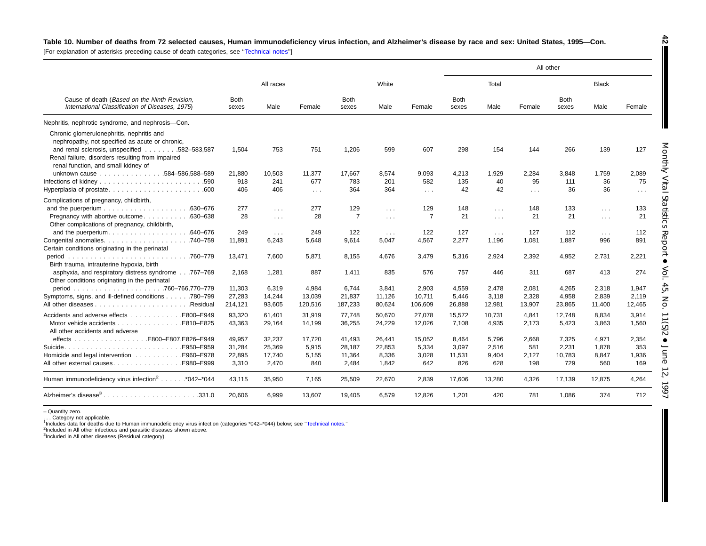#### Table 10. Number of deaths from 72 selected causes, Human immunodeficiency virus infection, and Alzheimer's disease by race and sex: United States, 1995-Con.

[For explanation of asterisks preceding cause-of-death categories, see "Technical notes"]

|                                                                                                                                                                                                                                         |                      |                      |            |                      |            |                |                      |            |            | All other            |                      |          |  |
|-----------------------------------------------------------------------------------------------------------------------------------------------------------------------------------------------------------------------------------------|----------------------|----------------------|------------|----------------------|------------|----------------|----------------------|------------|------------|----------------------|----------------------|----------|--|
|                                                                                                                                                                                                                                         |                      | All races            |            |                      | White      |                |                      | Total      |            |                      | <b>Black</b>         |          |  |
| Cause of death (Based on the Ninth Revision,<br>International Classification of Diseases, 1975)                                                                                                                                         | <b>Both</b><br>sexes | Male                 | Female     | <b>Both</b><br>sexes | Male       | Female         | <b>Both</b><br>sexes | Male       | Female     | <b>Both</b><br>sexes | Male                 | Female   |  |
| Nephritis, nephrotic syndrome, and nephrosis-Con.                                                                                                                                                                                       |                      |                      |            |                      |            |                |                      |            |            |                      |                      |          |  |
| Chronic glomerulonephritis, nephritis and<br>nephropathy, not specified as acute or chronic,<br>and renal sclerosis, unspecified 582-583,587<br>Renal failure, disorders resulting from impaired<br>renal function, and small kidney of | 1.504                | 753                  | 751        | 1,206                | 599        | 607            | 298                  | 154        | 144        | 266                  | 139                  | 127      |  |
| unknown cause 584-586,588-589                                                                                                                                                                                                           | 21,880               | 10,503               | 11,377     | 17,667               | 8,574      | 9,093          | 4,213                | 1,929      | 2,284      | 3,848                | 1,759                | 2,089    |  |
|                                                                                                                                                                                                                                         | 918                  | 241                  | 677        | 783                  | 201        | 582            | 135                  | 40         | 95         | 111                  | 36                   | 75       |  |
|                                                                                                                                                                                                                                         | 406                  | 406                  | $\sim 100$ | 364                  | 364        | $\sim 100$     | 42                   | 42         | $\sim 100$ | 36                   | 36                   | $\cdots$ |  |
| Complications of pregnancy, childbirth,                                                                                                                                                                                                 |                      |                      |            |                      |            |                |                      |            |            |                      |                      |          |  |
|                                                                                                                                                                                                                                         | 277                  | $\sim 100$           | 277        | 129                  | $\sim 100$ | 129            | 148                  | $\sim 100$ | 148        | 133                  | $\sim 100$           | 133      |  |
| Pregnancy with abortive outcome<br>.630-638<br>Other complications of pregnancy, childbirth,                                                                                                                                            | 28                   | $\sim 100$           | 28         | $\overline{7}$       | $\sim 100$ | $\overline{7}$ | 21                   | $\sim 100$ | 21         | 21                   | $\sim 100$           | 21       |  |
| and the puerperium.<br>.640-676                                                                                                                                                                                                         | 249                  | $\sim$ $\sim$ $\sim$ | 249        | 122                  | $\sim 100$ | 122            | 127                  | $\sim 100$ | 127        | 112                  | $\sim$ $\sim$ $\sim$ | 112      |  |
| Certain conditions originating in the perinatal                                                                                                                                                                                         | 11,891               | 6,243                | 5,648      | 9,614                | 5,047      | 4,567          | 2,277                | 1,196      | 1,081      | 1,887                | 996                  | 891      |  |
| .760-779<br>period<br>Birth trauma, intrauterine hypoxia, birth                                                                                                                                                                         | 13,471               | 7,600                | 5,871      | 8,155                | 4.676      | 3,479          | 5,316                | 2,924      | 2,392      | 4,952                | 2,731                | 2,221    |  |
| asphyxia, and respiratory distress syndrome767-769<br>Other conditions originating in the perinatal                                                                                                                                     | 2,168                | 1,281                | 887        | 1,411                | 835        | 576            | 757                  | 446        | 311        | 687                  | 413                  | 274      |  |
|                                                                                                                                                                                                                                         | 11,303               | 6.319                | 4,984      | 6.744                | 3,841      | 2.903          | 4,559                | 2,478      | 2,081      | 4.265                | 2,318                | 1,947    |  |
| Symptoms, signs, and ill-defined conditions 780–799                                                                                                                                                                                     | 27,283               | 14,244               | 13,039     | 21,837               | 11,126     | 10,711         | 5,446                | 3,118      | 2,328      | 4,958                | 2,839                | 2,119    |  |
| .Residual                                                                                                                                                                                                                               | 214,121              | 93,605               | 120,516    | 187,233              | 80,624     | 106,609        | 26,888               | 12,981     | 13,907     | 23,865               | 11,400               | 12,465   |  |
| Accidents and adverse effects E800-E949                                                                                                                                                                                                 | 93.320               | 61.401               | 31.919     | 77.748               | 50.670     | 27.078         | 15,572               | 10.731     | 4.841      | 12.748               | 8.834                | 3,914    |  |
| Motor vehicle accidents<br>E810-E825<br>All other accidents and adverse                                                                                                                                                                 | 43,363               | 29,164               | 14,199     | 36,255               | 24,229     | 12,026         | 7,108                | 4,935      | 2,173      | 5,423                | 3,863                | 1,560    |  |
|                                                                                                                                                                                                                                         | 49,957               | 32,237               | 17,720     | 41,493               | 26,441     | 15,052         | 8,464                | 5,796      | 2,668      | 7,325                | 4,971                | 2,354    |  |
|                                                                                                                                                                                                                                         | 31,284               | 25,369               | 5,915      | 28,187               | 22,853     | 5,334          | 3,097                | 2,516      | 581        | 2,231                | 1,878                | 353      |  |
| Homicide and legal intervention E960-E978                                                                                                                                                                                               | 22,895               | 17,740               | 5,155      | 11,364               | 8,336      | 3,028          | 11,531               | 9,404      | 2,127      | 10,783               | 8,847                | 1,936    |  |
|                                                                                                                                                                                                                                         | 3,310                | 2,470                | 840        | 2,484                | 1,842      | 642            | 826                  | 628        | 198        | 729                  | 560                  | 169      |  |
| Human immunodeficiency virus infection <sup>2</sup> *042-*044                                                                                                                                                                           | 43.115               | 35,950               | 7,165      | 25,509               | 22,670     | 2,839          | 17,606               | 13,280     | 4,326      | 17,139               | 12,875               | 4,264    |  |
| Alzheimer's disease <sup>3</sup> 331.0                                                                                                                                                                                                  | 20,606               | 6,999                | 13,607     | 19,405               | 6,579      | 12,826         | 1,201                | 420        | 781        | 1.086                | 374                  | 712      |  |

– Quantity zero.

. . . Category not applicable. 1Includes data for deaths due to Human immunodeficiency virus infection (categories \*042–\*044) below; see [''Technical](#page-72-0) notes.''

<sup>2</sup>Included in All other infectious and parasitic diseases shown above.

3Included in All other diseases (Residual category).

**42**

T

StatisticsReport • Vol. 45, No. 11(S)2  $\bullet$ June 12,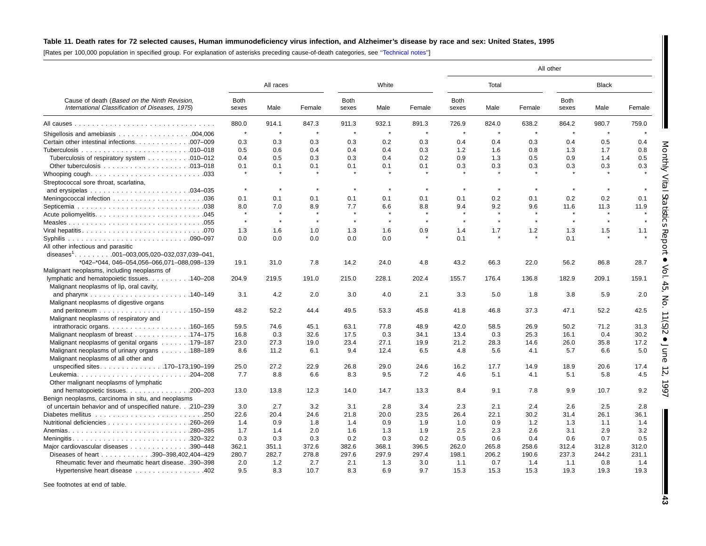## Table 11. Death rates for 72 selected causes, Human immunodeficiency virus infection, and Alzheimer's disease by race and sex: United States, 1995

[Rates per 100,000 population in specified group. For explanation of asterisks preceding cause-of-death categories, see [''Technical](#page-72-0) notes'']

|                                                                                                 |                      |           |         |                      |            |         | All other            |                |         |                      |              |        |
|-------------------------------------------------------------------------------------------------|----------------------|-----------|---------|----------------------|------------|---------|----------------------|----------------|---------|----------------------|--------------|--------|
|                                                                                                 |                      | All races |         |                      | White      |         |                      | Total          |         |                      | <b>Black</b> |        |
| Cause of death (Based on the Ninth Revision,<br>International Classification of Diseases, 1975) | <b>Both</b><br>sexes | Male      | Female  | <b>Both</b><br>sexes | Male       | Female  | <b>Both</b><br>sexes | Male           | Female  | <b>Both</b><br>sexes | Male         | Female |
|                                                                                                 | 880.0                | 914.1     | 847.3   | 911.3                | 932.1      | 891.3   | 726.9                | 824.0          | 638.2   | 864.2                | 980.7        | 759.0  |
|                                                                                                 | $\pmb{\ast}$         | $\star$   | $\star$ | $\star$              | $\star$    | $\star$ | $\star$              | $\star$        | $\star$ | $\star$              | $\star$      |        |
| Certain other intestinal infections. 007-009                                                    | 0.3                  | 0.3       | 0.3     | 0.3                  | 0.2        | 0.3     | 0.4                  | 0.4            | 0.3     | 0.4                  | 0.5          | 0.4    |
|                                                                                                 | 0.5                  | 0.6       | 0.4     | 0.4                  | 0.4        | 0.3     | 1.2                  | 1.6            | 0.8     | 1.3                  | 1.7          | 0.8    |
| Tuberculosis of respiratory system 010–012                                                      | 0.4                  | 0.5       | 0.3     | 0.3                  | 0.4        | 0.2     | 0.9                  | 1.3            | 0.5     | 0.9                  | 1.4          | 0.5    |
|                                                                                                 | 0.1                  | 0.1       | 0.1     | 0.1                  | 0.1        | 0.1     | 0.3                  | 0.3            | 0.3     | 0.3                  | 0.3          | 0.3    |
|                                                                                                 | $\pmb{\ast}$         |           |         |                      |            |         |                      |                |         |                      |              |        |
| Streptococcal sore throat, scarlatina,                                                          |                      |           |         |                      |            |         |                      |                |         |                      |              |        |
|                                                                                                 | $\pmb{\ast}$         | $\star$   | $\star$ | $\star$              | $\star$    | $\star$ | $\star$              | $\star$        | $\star$ | $\star$              | $\star$      |        |
|                                                                                                 | 0.1                  | 0.1       | 0.1     | 0.1                  | 0.1        | 0.1     | 0.1                  | 0.2            | 0.1     | 0.2                  | 0.2          | 0.1    |
|                                                                                                 | 8.0                  | 7.0       | 8.9     | 7.7                  | 6.6        | 8.8     | 9.4                  | 9.2            | 9.6     | 11.6                 | 11.3         | 11.9   |
|                                                                                                 |                      | $\star$   |         |                      |            |         |                      | $\star$        | $\star$ |                      |              |        |
|                                                                                                 | $\star$              | $\star$   | $\star$ | $\star$              | $\star$    | $\star$ | $\star$              | $\star$        | $\star$ | $\star$              | $\star$      |        |
|                                                                                                 |                      |           |         |                      |            |         |                      |                |         |                      |              |        |
|                                                                                                 | 1.3                  | 1.6       | 1.0     | 1.3                  | 1.6<br>0.0 | 0.9     | 1.4                  | 1.7<br>$\star$ | 1.2     | 1.3<br>0.1           | 1.5          | 1.1    |
| All other infectious and parasitic                                                              | 0.0                  | 0.0       | 0.0     | 0.0                  |            |         | 0.1                  |                |         |                      |              |        |
| diseases <sup>1</sup> . 001-003,005,020-032,037,039-041,                                        |                      |           |         |                      |            |         |                      |                |         |                      |              |        |
| *042-*044, 046-054,056-066,071-088,098-139                                                      | 19.1                 | 31.0      | 7.8     | 14.2                 | 24.0       | 4.8     | 43.2                 | 66.3           | 22.0    | 56.2                 | 86.8         | 28.7   |
| Malignant neoplasms, including neoplasms of                                                     |                      |           |         |                      |            |         |                      |                |         |                      |              |        |
| lymphatic and hematopoietic tissues. 140–208                                                    | 204.9                | 219.5     | 191.0   | 215.0                | 228.1      | 202.4   | 155.7                | 176.4          | 136.8   | 182.9                | 209.1        | 159.1  |
| Malignant neoplasms of lip, oral cavity,                                                        |                      |           |         |                      |            |         |                      |                |         |                      |              |        |
|                                                                                                 | 3.1                  | 4.2       | 2.0     | 3.0                  | 4.0        | 2.1     | 3.3                  | 5.0            | 1.8     | 3.8                  | 5.9          | 2.0    |
| Malignant neoplasms of digestive organs                                                         |                      |           |         |                      |            |         |                      |                |         |                      |              |        |
|                                                                                                 | 48.2                 | 52.2      | 44.4    | 49.5                 | 53.3       | 45.8    | 41.8                 | 46.8           | 37.3    | 47.1                 | 52.2         | 42.5   |
| Malignant neoplasms of respiratory and                                                          |                      |           |         |                      |            |         |                      |                |         |                      |              |        |
| $intrathoracic organs. \ldots \ldots \ldots \ldots \ldots \ldots \ldots \ldots 160-165$         | 59.5                 | 74.6      | 45.1    | 63.1                 | 77.8       | 48.9    | 42.0                 | 58.5           | 26.9    | 50.2                 | 71.2         | 31.3   |
| Malignant neoplasm of breast 174–175                                                            | 16.8                 | 0.3       | 32.6    | 17.5                 | 0.3        | 34.1    | 13.4                 | 0.3            | 25.3    | 16.1                 | 0.4          | 30.2   |
| Malignant neoplasms of genital organs 179–187                                                   | 23.0                 | 27.3      | 19.0    | 23.4                 | 27.1       | 19.9    | 21.2                 | 28.3           | 14.6    | 26.0                 | 35.8         | 17.2   |
| Malignant neoplasms of urinary organs 188–189                                                   | 8.6                  | 11.2      | 6.1     | 9.4                  | 12.4       | 6.5     | 4.8                  | 5.6            | 4.1     | 5.7                  | 6.6          | 5.0    |
| Malignant neoplasms of all other and                                                            |                      |           |         |                      |            |         |                      |                |         |                      |              |        |
| unspecified sites170-173,190-199                                                                | 25.0                 | 27.2      | 22.9    | 26.8                 | 29.0       | 24.6    | 16.2                 | 17.7           | 14.9    | 18.9                 | 20.6         | 17.4   |
| Leukemia<br>$.204 - 208$                                                                        | 7.7                  | 8.8       | 6.6     | 8.3                  | 9.5        | 7.2     | 4.6                  | 5.1            | 4.1     | 5.1                  | 5.8          | 4.5    |
| Other malignant neoplasms of lymphatic                                                          |                      |           |         |                      |            |         |                      |                |         |                      |              |        |
| and hematopoietic tissues. $\ldots$ . 200–203                                                   | 13.0                 | 13.8      | 12.3    | 14.0                 | 14.7       | 13.3    | 8.4                  | 9.1            | 7.8     | 9.9                  | 10.7         | 9.2    |
| Benign neoplasms, carcinoma in situ, and neoplasms                                              |                      |           |         |                      |            |         |                      |                |         |                      |              |        |
| of uncertain behavior and of unspecified nature.210-239                                         | 3.0                  | 2.7       | 3.2     | 3.1                  | 2.8        | 3.4     | 2.3                  | 2.1            | 2.4     | 2.6                  | 2.5          | 2.8    |
|                                                                                                 | 22.6                 | 20.4      | 24.6    | 21.8                 | 20.0       | 23.5    | 26.4                 | 22.1           | 30.2    | 31.4                 | 26.1         | 36.1   |
|                                                                                                 | 1.4                  | 0.9       | 1.8     | 1.4                  | 0.9        | 1.9     | 1.0                  | 0.9            | 1.2     | 1.3                  | 1.1          | 1.4    |
|                                                                                                 | 1.7                  | 1.4       | 2.0     | 1.6                  | 1.3        | 1.9     | 2.5                  | 2.3            | 2.6     | 3.1                  | 2.9          | 3.2    |
| Meningitis320–322                                                                               | 0.3                  | 0.3       | 0.3     | 0.2                  | 0.3        | 0.2     | 0.5                  | 0.6            | 0.4     | 0.6                  | 0.7          | 0.5    |
| Major cardiovascular diseases<br>$.390 - 448$                                                   | 362.1                | 351.1     | 372.6   | 382.6                | 368.1      | 396.5   | 262.0                | 265.8          | 258.6   | 312.4                | 312.8        | 312.0  |
| Diseases of heart 390-398,402,404-429                                                           | 280.7                | 282.7     | 278.8   | 297.6                | 297.9      | 297.4   | 198.1                | 206.2          | 190.6   | 237.3                | 244.2        | 231.1  |
| Rheumatic fever and rheumatic heart disease. .390-398                                           | 2.0                  | 1.2       | 2.7     | 2.1                  | 1.3        | 3.0     | 1.1                  | 0.7            | 1.4     | 1.1                  | 0.8          | 1.4    |
| Hypertensive heart disease                                                                      | 9.5                  | 8.3       | 10.7    | 8.3                  | 6.9        | 9.7     | 15.3                 | 15.3           | 15.3    | 19.3                 | 19.3         | 19.3   |

See footnotes at end of table.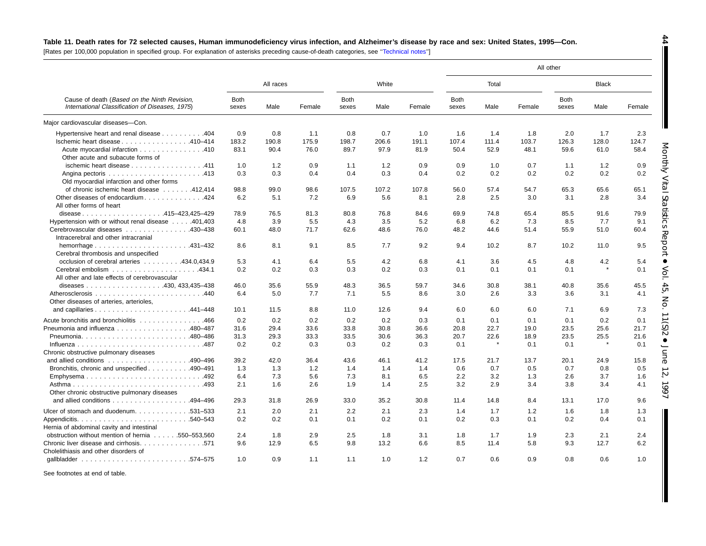## Table 11. Death rates for 72 selected causes, Human immunodeficiency virus infection, and Alzheimer's disease by race and sex: United States, 1995-Con.

[Rates per 100,000 population in specified group. For explanation of asterisks preceding cause-of-death categories, see '['Technical](#page-72-0) notes'']

|                                                                                                                                             |                      |           |        |                      |       |        |                      |       |        | All other            |              |        |
|---------------------------------------------------------------------------------------------------------------------------------------------|----------------------|-----------|--------|----------------------|-------|--------|----------------------|-------|--------|----------------------|--------------|--------|
| Cause of death (Based on the Ninth Revision,<br>International Classification of Diseases, 1975)<br>Hypertensive heart and renal disease 404 |                      | All races |        |                      | White |        |                      | Total |        |                      | <b>Black</b> |        |
|                                                                                                                                             | <b>Both</b><br>sexes | Male      | Female | <b>Both</b><br>sexes | Male  | Female | <b>Both</b><br>sexes | Male  | Female | <b>Both</b><br>sexes | Male         | Female |
| Major cardiovascular diseases-Con.                                                                                                          |                      |           |        |                      |       |        |                      |       |        |                      |              |        |
|                                                                                                                                             | 0.9                  | 0.8       | 1.1    | 0.8                  | 0.7   | 1.0    | 1.6                  | 1.4   | 1.8    | 2.0                  | 1.7          | 2.3    |
| Ischemic heart disease 410–414                                                                                                              | 183.2                | 190.8     | 175.9  | 198.7                | 206.6 | 191.1  | 107.4                | 111.4 | 103.7  | 126.3                | 128.0        | 124.7  |
| Acute myocardial infarction 410<br>Other acute and subacute forms of                                                                        | 83.1                 | 90.4      | 76.0   | 89.7                 | 97.9  | 81.9   | 50.4                 | 52.9  | 48.1   | 59.6                 | 61.0         | 58.4   |
| ischemic heart disease 411                                                                                                                  | 1.0                  | 1.2       | 0.9    | 1.1                  | 1.2   | 0.9    | 0.9                  | 1.0   | 0.7    | 1.1                  | 1.2          | 0.9    |
| Old myocardial infarction and other forms                                                                                                   | 0.3                  | 0.3       | 0.4    | 0.4                  | 0.3   | 0.4    | 0.2                  | 0.2   | 0.2    | 0.2                  | 0.2          | 0.2    |
| of chronic ischemic heart disease 412.414                                                                                                   | 98.8                 | 99.0      | 98.6   | 107.5                | 107.2 | 107.8  | 56.0                 | 57.4  | 54.7   | 65.3                 | 65.6         | 65.1   |
| Other diseases of endocardium424<br>All other forms of heart                                                                                | 6.2                  | 5.1       | 7.2    | 6.9                  | 5.6   | 8.1    | 2.8                  | 2.5   | 3.0    | 3.1                  | 2.8          | 3.4    |
| disease415-423,425-429                                                                                                                      | 78.9                 | 76.5      | 81.3   | 80.8                 | 76.8  | 84.6   | 69.9                 | 74.8  | 65.4   | 85.5                 | 91.6         | 79.9   |
| Hypertension with or without renal disease 401,403                                                                                          | 4.8                  | 3.9       | 5.5    | 4.3                  | 3.5   | 5.2    | 6.8                  | 6.2   | 7.3    | 8.5                  | 7.7          | 9.1    |
| Cerebrovascular diseases 430–438<br>Intracerebral and other intracranial                                                                    | 60.1                 | 48.0      | 71.7   | 62.6                 | 48.6  | 76.0   | 48.2                 | 44.6  | 51.4   | 55.9                 | 51.0         | 60.4   |
| hemorrhage $\ldots \ldots \ldots \ldots \ldots \ldots$<br>Cerebral thrombosis and unspecified                                               | 8.6                  | 8.1       | 9.1    | 8.5                  | 7.7   | 9.2    | 9.4                  | 10.2  | 8.7    | 10.2                 | 11.0         | 9.5    |
| occlusion of cerebral arteries 434.0.434.9                                                                                                  | 5.3                  | 4.1       | 6.4    | 5.5                  | 4.2   | 6.8    | 4.1                  | 3.6   | 4.5    | 4.8                  | 4.2          | 5.4    |
| All other and late effects of cerebrovascular                                                                                               | 0.2                  | 0.2       | 0.3    | 0.3                  | 0.2   | 0.3    | 0.1                  | 0.1   | 0.1    | 0.1                  | $\star$      | 0.1    |
|                                                                                                                                             | 46.0                 | 35.6      | 55.9   | 48.3                 | 36.5  | 59.7   | 34.6                 | 30.8  | 38.1   | 40.8                 | 35.6         | 45.5   |
| Other diseases of arteries, arterioles,                                                                                                     | 6.4                  | 5.0       | 7.7    | 7.1                  | 5.5   | 8.6    | 3.0                  | 2.6   | 3.3    | 3.6                  | 3.1          | 4.1    |
|                                                                                                                                             | 10.1                 | 11.5      | 8.8    | 11.0                 | 12.6  | 9.4    | 6.0                  | 6.0   | 6.0    | 7.1                  | 6.9          | 7.3    |
| Acute bronchitis and bronchiolitis 466                                                                                                      | 0.2                  | 0.2       | 0.2    | 0.2                  | 0.2   | 0.3    | 0.1                  | 0.1   | 0.1    | 0.1                  | 0.2          | 0.1    |
| Pneumonia and influenza 480–487                                                                                                             | 31.6                 | 29.4      | 33.6   | 33.8                 | 30.8  | 36.6   | 20.8                 | 22.7  | 19.0   | 23.5                 | 25.6         | 21.7   |
| Pneumonia480-486                                                                                                                            | 31.3                 | 29.3      | 33.3   | 33.5                 | 30.6  | 36.3   | 20.7                 | 22.6  | 18.9   | 23.5                 | 25.5         | 21.6   |
|                                                                                                                                             | 0.2                  | 0.2       | 0.3    | 0.3                  | 0.2   | 0.3    | 0.1                  |       | 0.1    | 0.1                  | $\pmb{\ast}$ | 0.1    |
| Chronic obstructive pulmonary diseases                                                                                                      |                      |           |        |                      |       |        |                      |       |        |                      |              |        |
| and allied conditions $\ldots \ldots \ldots \ldots \ldots \ldots$ 490-496                                                                   | 39.2                 | 42.0      | 36.4   | 43.6                 | 46.1  | 41.2   | 17.5                 | 21.7  | 13.7   | 20.1                 | 24.9         | 15.8   |
| Bronchitis, chronic and unspecified 490–491                                                                                                 | 1.3                  | 1.3       | 1.2    | 1.4                  | 1.4   | 1.4    | 0.6                  | 0.7   | 0.5    | 0.7                  | 0.8          | 0.5    |
| Emphysema492                                                                                                                                | 6.4                  | 7.3       | 5.6    | 7.3                  | 8.1   | 6.5    | 2.2                  | 3.2   | 1.3    | 2.6                  | 3.7          | 1.6    |
| Other chronic obstructive pulmonary diseases                                                                                                | 2.1                  | 1.6       | 2.6    | 1.9                  | 1.4   | 2.5    | 3.2                  | 2.9   | 3.4    | 3.8                  | 3.4          | 4.1    |
| and allied conditions $\ldots \ldots \ldots \ldots \ldots$ 494–496                                                                          | 29.3                 | 31.8      | 26.9   | 33.0                 | 35.2  | 30.8   | 11.4                 | 14.8  | 8.4    | 13.1                 | 17.0         | 9.6    |
| Ulcer of stomach and duodenum. 531-533                                                                                                      | 2.1                  | 2.0       | 2.1    | 2.2                  | 2.1   | 2.3    | 1.4                  | 1.7   | 1.2    | 1.6                  | 1.8          | 1.3    |
| Hernia of abdominal cavity and intestinal                                                                                                   | 0.2                  | 0.2       | 0.1    | 0.1                  | 0.2   | 0.1    | 0.2                  | 0.3   | 0.1    | 0.2                  | 0.4          | 0.1    |
| obstruction without mention of hernia 550–553,560                                                                                           | 2.4                  | 1.8       | 2.9    | 2.5                  | 1.8   | 3.1    | 1.8                  | 1.7   | 1.9    | 2.3                  | 2.1          | 2.4    |
| Chronic liver disease and cirrhosis. 571<br>Cholelithiasis and other disorders of                                                           | 9.6                  | 12.9      | 6.5    | 9.8                  | 13.2  | 6.6    | 8.5                  | 11.4  | 5.8    | 9.3                  | 12.7         | 6.2    |
|                                                                                                                                             | 1.0                  | 0.9       | 1.1    | 1.1                  | 1.0   | 1.2    | 0.7                  | 0.6   | 0.9    | 0.8                  | 0.6          | 1.0    |

See footnotes at end of table.

Monthly Vital

Statistics

Report •

Vol. 45, No. 11(S)2

 $\bullet$ 

June 12, 1997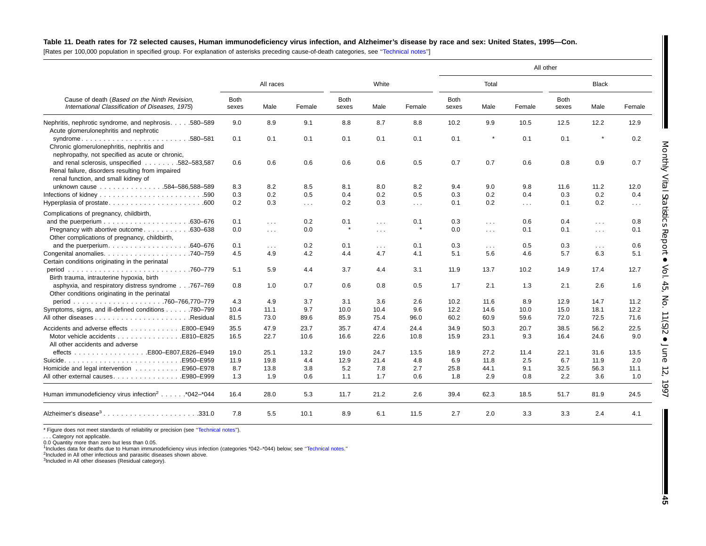#### Table 11. Death rates for 72 selected causes, Human immunodeficiency virus infection, and Alzheimer's disease by race and sex: United States, 1995-Con.

[Rates per 100,000 population in specified group. For explanation of asterisks preceding cause-of-death categories, see [''Technical](#page-72-0) notes'']

|                                                                                                                                         |               |                      |                         |                      |                         |           |                      |                      |            | All other            |                      |            |
|-----------------------------------------------------------------------------------------------------------------------------------------|---------------|----------------------|-------------------------|----------------------|-------------------------|-----------|----------------------|----------------------|------------|----------------------|----------------------|------------|
| Cause of death (Based on the Ninth Revision,<br>International Classification of Diseases, 1975).                                        |               | All races            |                         |                      | White                   |           |                      | Total                |            |                      | <b>Black</b>         |            |
|                                                                                                                                         | Both<br>sexes | Male                 | Female                  | <b>Both</b><br>sexes | Male                    | Female    | <b>Both</b><br>sexes | Male                 | Female     | <b>Both</b><br>sexes | Male                 | Female     |
| Nephritis, nephrotic syndrome, and nephrosis. 580-589<br>Acute glomerulonephritis and nephrotic                                         | 9.0           | 8.9                  | 9.1                     | 8.8                  | 8.7                     | 8.8       | 10.2                 | 9.9                  | 10.5       | 12.5                 | 12.2                 | 12.9       |
| syndrome580-581<br>Chronic glomerulonephritis, nephritis and<br>nephropathy, not specified as acute or chronic,                         | 0.1           | 0.1                  | 0.1                     | 0.1                  | 0.1                     | 0.1       | 0.1                  |                      | 0.1        | 0.1                  |                      | 0.2        |
| and renal sclerosis, unspecified 582-583,587<br>Renal failure, disorders resulting from impaired<br>renal function, and small kidney of | 0.6           | 0.6                  | 0.6                     | 0.6                  | 0.6                     | 0.5       | 0.7                  | 0.7                  | 0.6        | 0.8                  | 0.9                  | 0.7        |
| unknown cause 584-586,588-589                                                                                                           | 8.3           | 8.2                  | 8.5                     | 8.1                  | 8.0                     | 8.2       | 9.4                  | 9.0                  | 9.8        | 11.6                 | 11.2                 | 12.0       |
|                                                                                                                                         | 0.3           | 0.2                  | 0.5                     | 0.4                  | 0.2                     | 0.5       | 0.3                  | 0.2                  | 0.4        | 0.3                  | 0.2                  | 0.4        |
|                                                                                                                                         | 0.2           | 0.3                  | $\sim 100$ km s $^{-1}$ | 0.2                  | 0.3                     | $\sim 10$ | 0.1                  | 0.2                  | $\sim 100$ | 0.1                  | 0.2                  | $\ldots$ . |
| Complications of pregnancy, childbirth,                                                                                                 |               |                      |                         |                      |                         |           |                      |                      |            |                      |                      |            |
|                                                                                                                                         | 0.1           | $\sim 100$           | 0.2                     | 0.1                  | $\sim$                  | 0.1       | 0.3                  | $\sim 100$           | 0.6        | 0.4                  | $\sim 100$           | 0.8        |
| Pregnancy with abortive outcome630-638<br>Other complications of pregnancy, childbirth,                                                 | 0.0           | $\sim 100$           | 0.0                     |                      | $\sim 100$ km s $^{-1}$ | $\star$   | 0.0                  | $\sim 100$           | 0.1        | 0.1                  | $\sim 100$           | 0.1        |
|                                                                                                                                         | 0.1           | $\sim$ $\sim$ $\sim$ | 0.2                     | 0.1                  | $\sim$ $\sim$ $\sim$    | 0.1       | 0.3                  | $\sim$ $\sim$ $\sim$ | 0.5        | 0.3                  | $\sim$ $\sim$ $\sim$ | 0.6        |
|                                                                                                                                         | 4.5           | 4.9                  | 4.2                     | 4.4                  | 4.7                     | 4.1       | 5.1                  | 5.6                  | 4.6        | 5.7                  | 6.3                  | 5.1        |
| Certain conditions originating in the perinatal                                                                                         |               |                      |                         |                      |                         |           |                      |                      |            |                      |                      |            |
| Birth trauma, intrauterine hypoxia, birth                                                                                               | 5.1           | 5.9                  | 4.4                     | 3.7                  | 4.4                     | 3.1       | 11.9                 | 13.7                 | 10.2       | 14.9                 | 17.4                 | 12.7       |
| asphyxia, and respiratory distress syndrome767-769<br>Other conditions originating in the perinatal                                     | 0.8           | 1.0                  | 0.7                     | 0.6                  | 0.8                     | 0.5       | 1.7                  | 2.1                  | 1.3        | 2.1                  | 2.6                  | 1.6        |
|                                                                                                                                         | 4.3           | 4.9                  | 3.7                     | 3.1                  | 3.6                     | 2.6       | 10.2                 | 11.6                 | 8.9        | 12.9                 | 14.7                 | 11.2       |
| Symptoms, signs, and ill-defined conditions 780-799                                                                                     | 10.4          | 11.1                 | 9.7                     | 10.0                 | 10.4                    | 9.6       | 12.2                 | 14.6                 | 10.0       | 15.0                 | 18.1                 | 12.2       |
|                                                                                                                                         | 81.5          | 73.0                 | 89.6                    | 85.9                 | 75.4                    | 96.0      | 60.2                 | 60.9                 | 59.6       | 72.0                 | 72.5                 | 71.6       |
| Accidents and adverse effects E800–E949                                                                                                 | 35.5          | 47.9                 | 23.7                    | 35.7                 | 47.4                    | 24.4      | 34.9                 | 50.3                 | 20.7       | 38.5                 | 56.2                 | 22.5       |
|                                                                                                                                         | 16.5          | 22.7                 | 10.6                    | 16.6                 | 22.6                    | 10.8      | 15.9                 | 23.1                 | 9.3        | 16.4                 | 24.6                 | 9.0        |
| All other accidents and adverse                                                                                                         |               |                      |                         |                      |                         |           |                      |                      |            |                      |                      |            |
|                                                                                                                                         | 19.0          | 25.1                 | 13.2                    | 19.0                 | 24.7                    | 13.5      | 18.9                 | 27.2                 | 11.4       | 22.1                 | 31.6                 | 13.5       |
| E950-E959.                                                                                                                              | 11.9          | 19.8                 | 4.4                     | 12.9                 | 21.4                    | 4.8       | 6.9                  | 11.8                 | 2.5        | 6.7                  | 11.9                 | 2.0        |
|                                                                                                                                         | 8.7           | 13.8                 | 3.8                     | 5.2                  | 7.8                     | 2.7       | 25.8                 | 44.1                 | 9.1        | 32.5                 | 56.3                 | 11.1       |
|                                                                                                                                         | 1.3           | 1.9                  | 0.6                     | 1.1                  | 1.7                     | 0.6       | 1.8                  | 2.9                  | 0.8        | 2.2                  | 3.6                  | 1.0        |
| Human immunodeficiency virus infection <sup>2</sup> *042-*044                                                                           | 16.4          | 28.0                 | 5.3                     | 11.7                 | 21.2                    | 2.6       | 39.4                 | 62.3                 | 18.5       | 51.7                 | 81.9                 | 24.5       |
| Alzheimer's disease <sup>3</sup> 331.0                                                                                                  | 7.8           | 5.5                  | 10.1                    | 8.9                  | 6.1                     | 11.5      | 2.7                  | 2.0                  | 3.3        | 3.3                  | 2.4                  | 4.1        |

\* Figure does not meet standards of reliability or precision (see "Technical notes").

. . . Category not applicable.

0.0 Quantity more than zero but less than 0.05.

1Includes data for deaths due to Human immunodeficiency virus infection (categories \*042–\*044) below; see [''Technical](#page-72-0) notes.''

<sup>2</sup>Included in All other infectious and parasitic diseases shown above.

3Included in All other diseases (Residual category).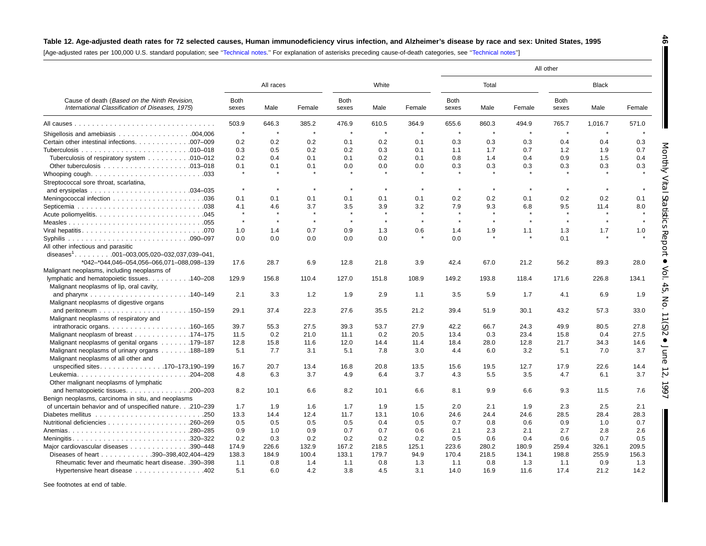## Table 12. Age-adjusted death rates for 72 selected causes, Human immunodeficiency virus infection, and Alzheimer's disease by race and sex: United States, 1995

**46**

П

[Age-adjusted rates per 100,000 U.S. standard population; see [''Technical](#page-72-0) notes.'' For explanation of asterisks preceding cause-of-death categories, see [''Technical](#page-72-0) notes'']

|                                                                                                 |               |           |         |               |         |         |               |         |              | All other            |              |        |
|-------------------------------------------------------------------------------------------------|---------------|-----------|---------|---------------|---------|---------|---------------|---------|--------------|----------------------|--------------|--------|
|                                                                                                 |               | All races |         |               | White   |         |               | Total   |              |                      | <b>Black</b> |        |
| Cause of death (Based on the Ninth Revision,<br>International Classification of Diseases, 1975) | Both<br>sexes | Male      | Female  | Both<br>sexes | Male    | Female  | Both<br>sexes | Male    | Female       | <b>Both</b><br>sexes | Male         | Female |
|                                                                                                 | 503.9         | 646.3     | 385.2   | 476.9         | 610.5   | 364.9   | 655.6         | 860.3   | 494.9        | 765.7                | 1,016.7      | 571.0  |
|                                                                                                 | $\star$       | $\star$   | $\star$ | $\star$       | $\star$ | $\star$ | $\star$       | $\star$ | $\star$      | $\star$              | $\star$      |        |
| Certain other intestinal infections. 007-009                                                    | 0.2           | 0.2       | 0.2     | 0.1           | 0.2     | 0.1     | 0.3           | 0.3     | 0.3          | 0.4                  | 0.4          | 0.3    |
|                                                                                                 | 0.3           | 0.5       | 0.2     | 0.2           | 0.3     | 0.1     | 1.1           | 1.7     | 0.7          | 1.2                  | 1.9          | 0.7    |
| Tuberculosis of respiratory system 010-012                                                      | 0.2           | 0.4       | 0.1     | 0.1           | 0.2     | 0.1     | 0.8           | 1.4     | 0.4          | 0.9                  | 1.5          | 0.4    |
|                                                                                                 | 0.1           | 0.1       | 0.1     | 0.0           | 0.0     | 0.0     | 0.3           | 0.3     | 0.3          | 0.3                  | 0.3          | 0.3    |
|                                                                                                 | $\star$       |           |         |               |         |         |               |         |              |                      |              |        |
| Streptococcal sore throat, scarlatina,                                                          |               |           |         |               |         |         |               |         |              |                      |              |        |
|                                                                                                 | $\pmb{\ast}$  | $\star$   | $\star$ | $\star$       | $\star$ | $\star$ | $\star$       | $\star$ | $\pmb{\ast}$ | $\star$              | $\star$      |        |
|                                                                                                 | 0.1           | 0.1       | 0.1     | 0.1           | 0.1     | 0.1     | 0.2           | 0.2     | 0.1          | 0.2                  | 0.2          | 0.1    |
|                                                                                                 | 4.1           | 4.6       | 3.7     | 3.5           | 3.9     | 3.2     | 7.9           | 9.3     | 6.8          | 9.5                  | 11.4         | 8.0    |
|                                                                                                 | $\star$       | $\star$   | $\star$ | $\star$       | $\star$ | $\star$ | $\star$       | $\star$ | $\star$      | $\star$              | $\star$      |        |
|                                                                                                 | $\star$       | $\star$   | $\star$ | $\star$       | $\star$ | $\star$ | $\star$       | $\star$ | $\star$      | $\star$              | $\star$      |        |
|                                                                                                 | 1.0           | 1.4       | 0.7     | 0.9           | 1.3     | 0.6     | 1.4           | 1.9     | 1.1          | 1.3                  | 1.7          | 1.0    |
|                                                                                                 | 0.0           | 0.0       | 0.0     | 0.0           | 0.0     | $\star$ | 0.0           | $\star$ | $\star$      | 0.1                  |              |        |
| All other infectious and parasitic                                                              |               |           |         |               |         |         |               |         |              |                      |              |        |
|                                                                                                 |               |           |         |               |         |         |               |         |              |                      |              |        |
| *042-*044,046-054,056-066,071-088,098-139                                                       | 17.6          | 28.7      | 6.9     | 12.8          | 21.8    | 3.9     | 42.4          | 67.0    | 21.2         | 56.2                 | 89.3         | 28.0   |
| Malignant neoplasms, including neoplasms of                                                     |               |           |         |               |         |         |               |         |              |                      |              |        |
| lymphatic and hematopoietic tissues. 140–208                                                    | 129.9         | 156.8     | 110.4   | 127.0         | 151.8   | 108.9   | 149.2         | 193.8   | 118.4        | 171.6                | 226.8        | 134.1  |
| Malignant neoplasms of lip, oral cavity,                                                        |               |           |         |               |         |         |               |         |              |                      |              |        |
|                                                                                                 | 2.1           | 3.3       | 1.2     | 1.9           | 2.9     | 1.1     | 3.5           | 5.9     | 1.7          | 4.1                  | 6.9          | 1.9    |
| Malignant neoplasms of digestive organs                                                         |               |           |         |               |         |         |               |         |              |                      |              |        |
|                                                                                                 | 29.1          | 37.4      | 22.3    | 27.6          | 35.5    | 21.2    | 39.4          | 51.9    | 30.1         | 43.2                 | 57.3         | 33.0   |
| Malignant neoplasms of respiratory and                                                          |               |           |         |               |         |         |               |         |              |                      |              |        |
| $intrathoracic organs. \ldots \ldots \ldots \ldots \ldots \ldots \ldots \ldots 160-165$         | 39.7          | 55.3      | 27.5    | 39.3          | 53.7    | 27.9    | 42.2          | 66.7    | 24.3         | 49.9                 | 80.5         | 27.8   |
| Malignant neoplasm of breast 174–175                                                            | 11.5          | 0.2       | 21.0    | 11.1          | 0.2     | 20.5    | 13.4          | 0.3     | 23.4         | 15.8                 | 0.4          | 27.5   |
| Malignant neoplasms of genital organs 179–187                                                   | 12.8          | 15.8      | 11.6    | 12.0          | 14.4    | 11.4    | 18.4          | 28.0    | 12.8         | 21.7                 | 34.3         | 14.6   |
| Malignant neoplasms of urinary organs 188-189                                                   | 5.1           | 7.7       | 3.1     | 5.1           | 7.8     | 3.0     | 4.4           | 6.0     | 3.2          | 5.1                  | 7.0          | 3.7    |
| Malignant neoplasms of all other and                                                            |               |           |         |               |         |         |               |         |              |                      |              |        |
| unspecified sites170-173,190-199                                                                | 16.7          | 20.7      | 13.4    | 16.8          | 20.8    | 13.5    | 15.6          | 19.5    | 12.7         | 17.9                 | 22.6         | 14.4   |
| $.204 - 208$                                                                                    | 4.8           | 6.3       | 3.7     | 4.9           | 6.4     | 3.7     | 4.3           | 5.5     | 3.5          | 4.7                  | 6.1          | 3.7    |
| Other malignant neoplasms of lymphatic                                                          |               |           |         |               |         |         |               |         |              |                      |              |        |
| and hematopoietic tissues.<br>$.200 - 203$                                                      | 8.2           | 10.1      | 6.6     | 8.2           | 10.1    | 6.6     | 8.1           | 9.9     | 6.6          | 9.3                  | 11.5         | 7.6    |
| Benign neoplasms, carcinoma in situ, and neoplasms                                              |               |           |         |               |         |         |               |         |              |                      |              |        |
| of uncertain behavior and of unspecified nature.210-239                                         | 1.7           | 1.9       | 1.6     | 1.7           | 1.9     | 1.5     | 2.0           | 2.1     | 1.9          | 2.3                  | 2.5          | 2.1    |
|                                                                                                 | 13.3          | 14.4      | 12.4    | 11.7          | 13.1    | 10.6    | 24.6          | 24.4    | 24.6         | 28.5                 | 28.4         | 28.3   |
|                                                                                                 | 0.5           | 0.5       | 0.5     | 0.5           | 0.4     | 0.5     | 0.7           | 0.8     | 0.6          | 0.9                  | 1.0          | 0.7    |
|                                                                                                 | 0.9           | 1.0       | 0.9     | 0.7           | 0.7     | 0.6     | 2.1           | 2.3     | 2.1          | 2.7                  | 2.8          | 2.6    |
|                                                                                                 | 0.2           | 0.3       | 0.2     | 0.2           | 0.2     | 0.2     | 0.5           | 0.6     | 0.4          | 0.6                  | 0.7          | 0.5    |
| Meningitis320-322<br>Major cardiovascular diseases<br>.390-448                                  | 174.9         | 226.6     | 132.9   | 167.2         | 218.5   | 125.1   | 223.6         | 280.2   | 180.9        | 259.4                | 326.1        | 209.5  |
|                                                                                                 | 138.3         |           |         |               | 179.7   |         | 170.4         | 218.5   |              |                      | 255.9        |        |
| Diseases of heart 390-398,402,404-429                                                           |               | 184.9     | 100.4   | 133.1         |         | 94.9    |               |         | 134.1        | 198.8                |              | 156.3  |
| Rheumatic fever and rheumatic heart disease. .390-398                                           | 1.1           | 0.8       | 1.4     | 1.1           | 0.8     | 1.3     | 1.1           | 0.8     | 1.3          | 1.1                  | 0.9          | 1.3    |
| Hypertensive heart disease                                                                      | 5.1           | 6.0       | 4.2     | 3.8           | 4.5     | 3.1     | 14.0          | 16.9    | 11.6         | 17.4                 | 21.2         | 14.2   |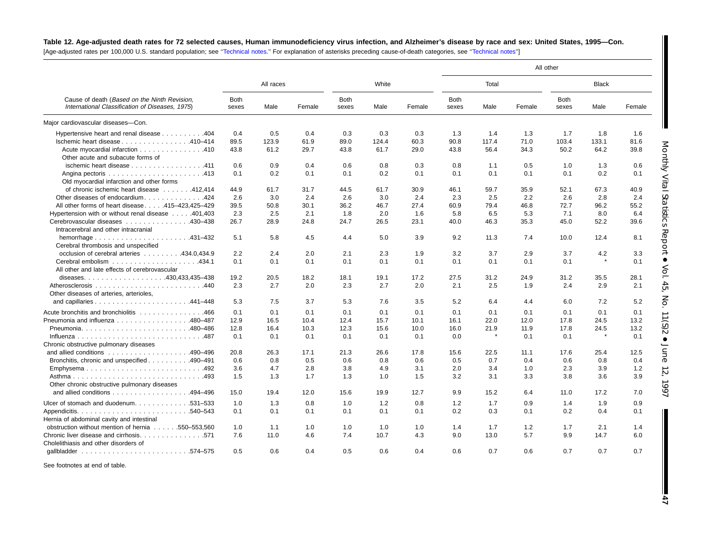## Table 12. Age-adjusted death rates for 72 selected causes, Human immunodeficiency virus infection, and Alzheimer's disease by race and sex: United States, 1995-Con.

[Age-adjusted rates per 100,000 U.S. standard population; see [''Technical](#page-72-0) notes.'' For explanation of asterisks preceding cause-of-death categories, see '['Technical](#page-72-0) notes'']

|                                                                                                  |                      |           |        |                      |       |        |               |              |        | All other            |         |        |
|--------------------------------------------------------------------------------------------------|----------------------|-----------|--------|----------------------|-------|--------|---------------|--------------|--------|----------------------|---------|--------|
| Cause of death (Based on the Ninth Revision,<br>International Classification of Diseases, 1975). |                      | All races |        |                      | White |        |               | Total        |        |                      | Black   |        |
|                                                                                                  | <b>Both</b><br>sexes | Male      | Female | <b>Both</b><br>sexes | Male  | Female | Both<br>sexes | Male         | Female | <b>Both</b><br>sexes | Male    | Female |
| Major cardiovascular diseases-Con.                                                               |                      |           |        |                      |       |        |               |              |        |                      |         |        |
| Hypertensive heart and renal disease 404                                                         | 0.4                  | 0.5       | 0.4    | 0.3                  | 0.3   | 0.3    | 1.3           | 1.4          | 1.3    | 1.7                  | 1.8     | 1.6    |
| Ischemic heart disease 410-414                                                                   | 89.5                 | 123.9     | 61.9   | 89.0                 | 124.4 | 60.3   | 90.8          | 117.4        | 71.0   | 103.4                | 133.1   | 81.6   |
| Acute myocardial infarction 410<br>Other acute and subacute forms of                             | 43.8                 | 61.2      | 29.7   | 43.8                 | 61.7  | 29.0   | 43.8          | 56.4         | 34.3   | 50.2                 | 64.2    | 39.8   |
| ischemic heart disease 411                                                                       | 0.6                  | 0.9       | 0.4    | 0.6                  | 0.8   | 0.3    | 0.8           | 1.1          | 0.5    | 1.0                  | 1.3     | 0.6    |
| Old myocardial infarction and other forms                                                        | 0.1                  | 0.2       | 0.1    | 0.1                  | 0.2   | 0.1    | 0.1           | 0.1          | 0.1    | 0.1                  | 0.2     | 0.1    |
| of chronic ischemic heart disease 412,414                                                        | 44.9                 | 61.7      | 31.7   | 44.5                 | 61.7  | 30.9   | 46.1          | 59.7         | 35.9   | 52.1                 | 67.3    | 40.9   |
| Other diseases of endocardium424                                                                 | 2.6                  | 3.0       | 2.4    | 2.6                  | 3.0   | 2.4    | 2.3           | 2.5          | 2.2    | 2.6                  | 2.8     | 2.4    |
| All other forms of heart disease415-423,425-429                                                  | 39.5                 | 50.8      | 30.1   | 36.2                 | 46.7  | 27.4   | 60.9          | 79.4         | 46.8   | 72.7                 | 96.2    | 55.2   |
| Hypertension with or without renal disease 401,403                                               | 2.3                  | 2.5       | 2.1    | 1.8                  | 2.0   | 1.6    | 5.8           | 6.5          | 5.3    | 7.1                  | 8.0     | 6.4    |
| Cerebrovascular diseases 430–438                                                                 | 26.7                 | 28.9      | 24.8   | 24.7                 | 26.5  | 23.1   | 40.0          | 46.3         | 35.3   | 45.0                 | 52.2    | 39.6   |
| Intracerebral and other intracranial                                                             |                      |           |        |                      |       |        |               |              |        |                      |         |        |
| Cerebral thrombosis and unspecified                                                              | 5.1                  | 5.8       | 4.5    | 4.4                  | 5.0   | 3.9    | 9.2           | 11.3         | 7.4    | 10.0                 | 12.4    | 8.1    |
| occlusion of cerebral arteries 434.0.434.9                                                       | 2.2                  | 2.4       | 2.0    | 2.1                  | 2.3   | 1.9    | 3.2           | 3.7          | 2.9    | 3.7                  | 4.2     | 3.3    |
| All other and late effects of cerebrovascular                                                    | 0.1                  | 0.1       | 0.1    | 0.1                  | 0.1   | 0.1    | 0.1           | 0.1          | 0.1    | 0.1                  | $\star$ | 0.1    |
|                                                                                                  | 19.2                 | 20.5      | 18.2   | 18.1                 | 19.1  | 17.2   | 27.5          | 31.2         | 24.9   | 31.2                 | 35.5    | 28.1   |
| Other diseases of arteries, arterioles,                                                          | 2.3                  | 2.7       | 2.0    | 2.3                  | 2.7   | 2.0    | 2.1           | 2.5          | 1.9    | 2.4                  | 2.9     | 2.1    |
|                                                                                                  | 5.3                  | 7.5       | 3.7    | 5.3                  | 7.6   | 3.5    | 5.2           | 6.4          | 4.4    | 6.0                  | 7.2     | 5.2    |
| Acute bronchitis and bronchiolitis 466                                                           | 0.1                  | 0.1       | 0.1    | 0.1                  | 0.1   | 0.1    | 0.1           | 0.1          | 0.1    | 0.1                  | 0.1     | 0.1    |
| Pneumonia and influenza 480–487                                                                  | 12.9                 | 16.5      | 10.4   | 12.4                 | 15.7  | 10.1   | 16.1          | 22.0         | 12.0   | 17.8                 | 24.5    | 13.2   |
| Pneumonia480-486                                                                                 | 12.8                 | 16.4      | 10.3   | 12.3                 | 15.6  | 10.0   | 16.0          | 21.9         | 11.9   | 17.8                 | 24.5    | 13.2   |
|                                                                                                  | 0.1                  | 0.1       | 0.1    | 0.1                  | 0.1   | 0.1    | 0.0           | $\pmb{\ast}$ | 0.1    | 0.1                  | $\star$ | 0.1    |
| Chronic obstructive pulmonary diseases                                                           |                      |           |        |                      |       |        |               |              |        |                      |         |        |
| and allied conditions $\ldots \ldots \ldots \ldots \ldots \ldots$ . 490-496                      | 20.8                 | 26.3      | 17.1   | 21.3                 | 26.6  | 17.8   | 15.6          | 22.5         | 11.1   | 17.6                 | 25.4    | 12.5   |
| Bronchitis, chronic and unspecified 490–491                                                      | 0.6                  | 0.8       | 0.5    | 0.6                  | 0.8   | 0.6    | 0.5           | 0.7          | 0.4    | 0.6                  | 0.8     | 0.4    |
| Emphysema492                                                                                     | 3.6                  | 4.7       | 2.8    | 3.8                  | 4.9   | 3.1    | 2.0           | 3.4          | 1.0    | 2.3                  | 3.9     | 1.2    |
| Other chronic obstructive pulmonary diseases                                                     | 1.5                  | 1.3       | 1.7    | 1.3                  | 1.0   | 1.5    | 3.2           | 3.1          | 3.3    | 3.8                  | 3.6     | 3.9    |
| and allied conditions 494-496                                                                    | 15.0                 | 19.4      | 12.0   | 15.6                 | 19.9  | 12.7   | 9.9           | 15.2         | 6.4    | 11.0                 | 17.2    | 7.0    |
|                                                                                                  |                      |           |        |                      | 1.2   |        |               | 1.7          | 0.9    |                      |         | 0.9    |
| Ulcer of stomach and duodenum. 531–533                                                           | 1.0                  | 1.3       | 0.8    | 1.0                  |       | 0.8    | 1.2           |              |        | 1.4                  | 1.9     |        |
| Hernia of abdominal cavity and intestinal                                                        | 0.1                  | 0.1       | 0.1    | 0.1                  | 0.1   | 0.1    | 0.2           | 0.3          | 0.1    | 0.2                  | 0.4     | 0.1    |
| obstruction without mention of hernia 550–553.560                                                | 1.0                  | 1.1       | 1.0    | 1.0                  | 1.0   | 1.0    | 1.4           | 1.7          | 1.2    | 1.7                  | 2.1     | 1.4    |
| Chronic liver disease and cirrhosis. 571<br>Cholelithiasis and other disorders of                | 7.6                  | 11.0      | 4.6    | 7.4                  | 10.7  | 4.3    | 9.0           | 13.0         | 5.7    | 9.9                  | 14.7    | 6.0    |
|                                                                                                  | 0.5                  | 0.6       | 0.4    | 0.5                  | 0.6   | 0.4    | 0.6           | 0.7          | 0.6    | 0.7                  | 0.7     | 0.7    |

See footnotes at end of table.

**47**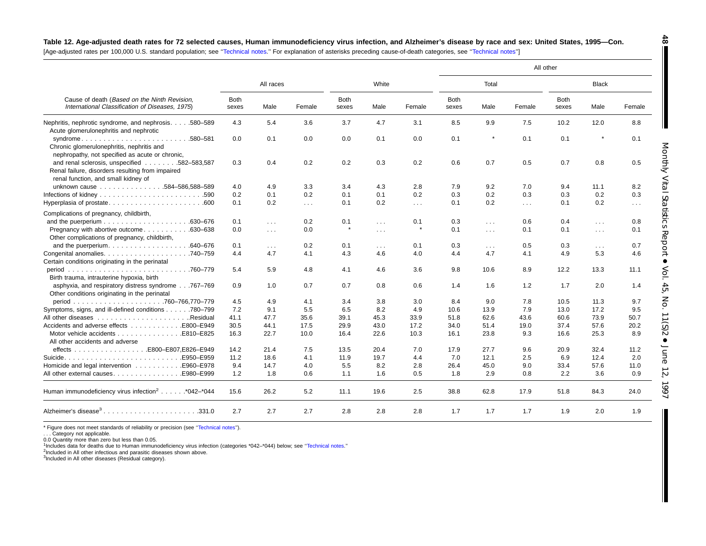| Table 12. Age-adjusted death rates for 72 selected causes, Human immunodeficiency virus infection, and Alzheimer's disease by race and sex: United States, 1995—Con.                                                          |  |
|-------------------------------------------------------------------------------------------------------------------------------------------------------------------------------------------------------------------------------|--|
| [Assimilions] services and AOO AOO LLO interference services are the services of the services are served to serve the services of the services of the services of the service of the service of the service of the service of |  |

| [Age-adjusted rates per 100,000 U.S. standard population; see "Technical notes." For explanation of asterisks preceding cause-of-death categories, see "Technical notes" |  |  |  |  |
|--------------------------------------------------------------------------------------------------------------------------------------------------------------------------|--|--|--|--|
|--------------------------------------------------------------------------------------------------------------------------------------------------------------------------|--|--|--|--|

|                                                                                                                                         |                      |              |                      |               |                         |                      |                      |                      | All other  |                      |              |               |
|-----------------------------------------------------------------------------------------------------------------------------------------|----------------------|--------------|----------------------|---------------|-------------------------|----------------------|----------------------|----------------------|------------|----------------------|--------------|---------------|
|                                                                                                                                         |                      | All races    |                      |               | White                   |                      |                      | Total                |            |                      | <b>Black</b> |               |
| Cause of death (Based on the Ninth Revision,<br>International Classification of Diseases, 1975)                                         | <b>Both</b><br>sexes | Male         | Female               | Both<br>sexes | Male                    | Female               | <b>Both</b><br>sexes | Male                 | Female     | <b>Both</b><br>sexes | Male         | Female        |
| Nephritis, nephrotic syndrome, and nephrosis.580–589<br>Acute glomerulonephritis and nephrotic                                          | 4.3                  | 5.4          | 3.6                  | 3.7           | 4.7                     | 3.1                  | 8.5                  | 9.9                  | 7.5        | 10.2                 | 12.0         | 8.8           |
| syndrome580-581<br>Chronic glomerulonephritis, nephritis and<br>nephropathy, not specified as acute or chronic,                         | 0.0                  | 0.1          | 0.0                  | 0.0           | 0.1                     | 0.0                  | 0.1                  | $\star$              | 0.1        | 0.1                  |              | 0.1           |
| and renal sclerosis, unspecified 582-583,587<br>Renal failure, disorders resulting from impaired<br>renal function, and small kidney of | 0.3                  | 0.4          | 0.2                  | 0.2           | 0.3                     | 0.2                  | 0.6                  | 0.7                  | 0.5        | 0.7                  | 0.8          | 0.5           |
| unknown cause 584-586,588-589                                                                                                           | 4.0                  | 4.9          | 3.3                  | 3.4           | 4.3                     | 2.8                  | 7.9                  | 9.2                  | 7.0        | 9.4                  | 11.1         | 8.2           |
|                                                                                                                                         | 0.2                  | 0.1          | 0.2                  | 0.1           | 0.1                     | 0.2                  | 0.3                  | 0.2                  | 0.3        | 0.3                  | 0.2          | 0.3           |
| Hyperplasia of prostate600                                                                                                              | 0.1                  | 0.2          | $\sim$ $\sim$ $\sim$ | 0.1           | 0.2                     | $\sim$ $\sim$ $\sim$ | 0.1                  | 0.2                  | $\sim 100$ | 0.1                  | 0.2          | $\sim$ $\sim$ |
| Complications of pregnancy, childbirth,                                                                                                 |                      |              |                      |               |                         |                      |                      |                      |            |                      |              |               |
|                                                                                                                                         | 0.1                  | $\sim 100$   | 0.2                  | 0.1           | $\sim 100$              | 0.1                  | 0.3                  | $\sim 100$           | 0.6        | 0.4                  | $\sim 100$   | 0.8           |
| Pregnancy with abortive outcome<br>$.630 - 638$                                                                                         | 0.0                  | $\sim 100$   | 0.0                  |               | $\sim 100$ km s $^{-1}$ |                      | 0.1                  | $\sim$ $\sim$ $\sim$ | 0.1        | 0.1                  | $\sim 100$   | 0.1           |
| Other complications of pregnancy, childbirth,                                                                                           |                      |              |                      |               |                         |                      |                      |                      |            |                      |              |               |
| and the puerperium. $\ldots$ . 640–676                                                                                                  | 0.1                  | $\mathbf{r}$ | 0.2                  | 0.1           | $\sim 100$              | 0.1                  | 0.3                  | $\sim$ $\sim$ $\sim$ | 0.5        | 0.3                  | $\cdots$     | 0.7           |
|                                                                                                                                         | 4.4                  | 4.7          | 4.1                  | 4.3           | 4.6                     | 4.0                  | 4.4                  | 4.7                  | 4.1        | 4.9                  | 5.3          | 4.6           |
| Certain conditions originating in the perinatal                                                                                         |                      |              |                      |               |                         |                      |                      |                      |            |                      |              |               |
| Birth trauma, intrauterine hypoxia, birth                                                                                               | 5.4                  | 5.9          | 4.8                  | 4.1           | 4.6                     | 3.6                  | 9.8                  | 10.6                 | 8.9        | 12.2                 | 13.3         | 11.1          |
| asphyxia, and respiratory distress syndrome767-769<br>Other conditions originating in the perinatal                                     | 0.9                  | 1.0          | 0.7                  | 0.7           | 0.8                     | 0.6                  | 1.4                  | 1.6                  | 1.2        | 1.7                  | 2.0          | 1.4           |
|                                                                                                                                         | 4.5                  | 4.9          | 4.1                  | 3.4           | 3.8                     | 3.0                  | 8.4                  | 9.0                  | 7.8        | 10.5                 | 11.3         | 9.7           |
| Symptoms, signs, and ill-defined conditions 780–799                                                                                     | 7.2                  | 9.1          | 5.5                  | 6.5           | 8.2                     | 4.9                  | 10.6                 | 13.9                 | 7.9        | 13.0                 | 17.2         | 9.5           |
|                                                                                                                                         | 41.1                 | 47.7         | 35.6                 | 39.1          | 45.3                    | 33.9                 | 51.8                 | 62.6                 | 43.6       | 60.6                 | 73.9         | 50.7          |
| Accidents and adverse effects E800–E949                                                                                                 | 30.5                 | 44.1         | 17.5                 | 29.9          | 43.0                    | 17.2                 | 34.0                 | 51.4                 | 19.0       | 37.4                 | 57.6         | 20.2          |
| Motor vehicle accidents E810-E825                                                                                                       | 16.3                 | 22.7         | 10.0                 | 16.4          | 22.6                    | 10.3                 | 16.1                 | 23.8                 | 9.3        | 16.6                 | 25.3         | 8.9           |
| All other accidents and adverse                                                                                                         |                      |              |                      |               |                         |                      |                      |                      |            |                      |              |               |
|                                                                                                                                         | 14.2                 | 21.4         | 7.5                  | 13.5          | 20.4                    | 7.0                  | 17.9                 | 27.7                 | 9.6        | 20.9                 | 32.4         | 11.2          |
|                                                                                                                                         | 11.2                 | 18.6         | 4.1                  | 11.9          | 19.7                    | 4.4                  | 7.0                  | 12.1                 | 2.5        | 6.9                  | 12.4         | 2.0           |
|                                                                                                                                         | 9.4                  | 14.7         | 4.0                  | 5.5           | 8.2                     | 2.8                  | 26.4                 | 45.0                 | 9.0        | 33.4                 | 57.6         | 11.0          |
|                                                                                                                                         | 1.2                  | 1.8          | 0.6                  | 1.1           | 1.6                     | 0.5                  | 1.8                  | 2.9                  | 0.8        | 2.2                  | 3.6          | 0.9           |
| Human immunodeficiency virus infection <sup>2</sup> *042-*044                                                                           | 15.6                 | 26.2         | 5.2                  | 11.1          | 19.6                    | 2.5                  | 38.8                 | 62.8                 | 17.9       | 51.8                 | 84.3         | 24.0          |
| Alzheimer's disease <sup>3</sup> 331.0                                                                                                  | 2.7                  | 2.7          | 2.7                  | 2.8           | 2.8                     | 2.8                  | 1.7                  | 1.7                  | 1.7        | 1.9                  | 2.0          | 1.9           |

\* Figure does not meet standards of reliability or precision (see [''Technical](#page-72-0) notes''). . . . Category not applicable.

0.0 Quantity more than zero but less than 0.05.<br><sup>1</sup>Includes data for deaths due to Human immunodeficiency virus infection (categories \*042–\*044) below; see "Technical notes."<br><sup>2</sup>Included in All other infectious and parasit

3Included in All other diseases (Residual category).

I

**48**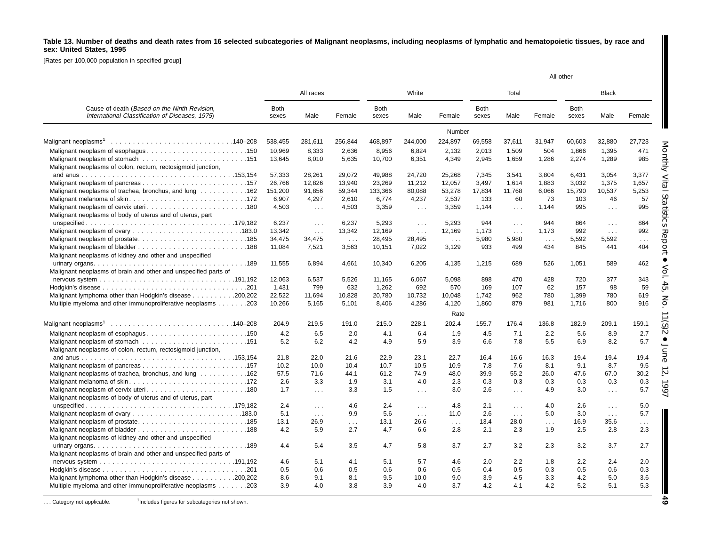#### Table 13. Number of deaths and death rates from 16 selected subcategories of Malignant neoplasms, including neoplasms of lymphatic and hematopoietic tissues, by race and **sex: United States, 1995**

[Rates per 100,000 population in specified group]

|                                                                                                  |                      |            |                      |                      |                      |           | All other            |                      |            |                      |               |               |
|--------------------------------------------------------------------------------------------------|----------------------|------------|----------------------|----------------------|----------------------|-----------|----------------------|----------------------|------------|----------------------|---------------|---------------|
|                                                                                                  |                      | All races  |                      |                      | White                |           |                      | Total                |            |                      | <b>Black</b>  |               |
| Cause of death (Based on the Ninth Revision,<br>International Classification of Diseases, 1975). | <b>Both</b><br>sexes | Male       | Female               | <b>Both</b><br>sexes | Male                 | Female    | <b>Both</b><br>sexes | Male                 | Female     | <b>Both</b><br>sexes | Male          | Female        |
|                                                                                                  |                      |            |                      |                      |                      | Number    |                      |                      |            |                      |               |               |
|                                                                                                  | 538,455              | 281,611    | 256,844              | 468,897              | 244,000              | 224,897   | 69,558               | 37,611               | 31,947     | 60,603               | 32,880        | 27,723        |
|                                                                                                  | 10,969               | 8,333      | 2,636                | 8,956                | 6,824                | 2,132     | 2,013                | 1,509                | 504        | 1,866                | 1,395         | 471           |
|                                                                                                  | 13,645               | 8,010      | 5.635                | 10,700               | 6,351                | 4,349     | 2,945                | 1.659                | 1,286      | 2,274                | 1,289         | 985           |
| Malignant neoplasms of colon, rectum, rectosigmoid junction,                                     |                      |            |                      |                      |                      |           |                      |                      |            |                      |               |               |
|                                                                                                  | 57,333               | 28,261     | 29,072               | 49,988               | 24,720               | 25.268    | 7,345                | 3,541                | 3,804      | 6,431                | 3,054         | 3,377         |
|                                                                                                  | 26,766               | 12,826     | 13,940               | 23,269               | 11,212               | 12,057    | 3,497                | 1,614                | 1,883      | 3,032                | 1,375         | 1,657         |
| Malignant neoplasms of trachea, bronchus, and lung 162                                           | 151,200              | 91,856     | 59,344               | 133,366              | 80,088               | 53,278    | 17,834               | 11,768               | 6,066      | 15,790               | 10,537        | 5,253         |
|                                                                                                  | 6,907                | 4,297      | 2,610                | 6,774                | 4,237                | 2,537     | 133                  | 60                   | 73         | 103                  | 46            | 57            |
|                                                                                                  | 4,503                | $\sim 100$ | 4,503                | 3,359                | $\cdots$             | 3,359     | 1,144                | .                    | 1,144      | 995                  | $\ldots$      | 995           |
| Malignant neoplasms of body of uterus and of uterus, part                                        |                      |            |                      |                      |                      |           |                      |                      |            |                      |               |               |
|                                                                                                  | 6,237                | $\sim 100$ | 6,237                | 5,293                | $\sim 10$            | 5,293     | 944                  | $\sim 10$            | 944        | 864                  | $\sim 100$    | 864           |
|                                                                                                  | 13,342               | $\sim 100$ | 13,342               | 12,169               | $\sim 100$           | 12,169    | 1,173                | $\sim 100$           | 1,173      | 992                  | $\sim 100$    | 992           |
|                                                                                                  | 34,475               | 34,475     | $\sim 100$           | 28.495               | 28,495               | $\sim 10$ | 5,980                | 5,980                | $\sim 100$ | 5,592                | 5,592         | $\sim$ $\sim$ |
|                                                                                                  | 11,084               | 7,521      | 3,563                | 10,151               | 7,022                | 3,129     | 933                  | 499                  | 434        | 845                  | 441           | 404           |
| Malignant neoplasms of kidney and other and unspecified                                          |                      |            |                      |                      |                      |           |                      |                      |            |                      |               |               |
|                                                                                                  | 11,555               |            | 4,661                | 10,340               |                      | 4,135     |                      | 689                  | 526        | 1,051                | 589           | 462           |
|                                                                                                  |                      | 6,894      |                      |                      | 6,205                |           | 1,215                |                      |            |                      |               |               |
| Malignant neoplasms of brain and other and unspecified parts of                                  |                      |            |                      |                      |                      |           |                      |                      |            |                      |               |               |
|                                                                                                  | 12,063               | 6,537      | 5,526                | 11,165               | 6,067                | 5,098     | 898                  | 470                  | 428        | 720                  | 377           | 343           |
|                                                                                                  | 1,431                | 799        | 632                  | 1,262                | 692                  | 570       | 169                  | 107                  | 62         | 157                  | 98            | 59            |
| Malignant lymphoma other than Hodgkin's disease 200,202                                          | 22,522               | 11,694     | 10.828               | 20,780               | 10,732               | 10.048    | 1,742                | 962                  | 780        | 1,399                | 780           | 619           |
| Multiple myeloma and other immunoproliferative neoplasms 203                                     | 10,266               | 5.165      | 5.101                | 8.406                | 4,286                | 4,120     | 1,860                | 879                  | 981        | 1.716                | 800           | 916           |
|                                                                                                  |                      |            |                      |                      |                      | Rate      |                      |                      |            |                      |               |               |
|                                                                                                  | 204.9                | 219.5      | 191.0                | 215.0                | 228.1                | 202.4     | 155.7                | 176.4                | 136.8      | 182.9                | 209.1         | 159.1         |
|                                                                                                  | 4.2                  | 6.5        | 2.0                  | 4.1                  | 6.4                  | 1.9       | 4.5                  | 7.1                  | 2.2        | 5.6                  | 8.9           | 2.7           |
|                                                                                                  | 5.2                  | 6.2        | 4.2                  | 4.9                  | 5.9                  | 3.9       | 6.6                  | 7.8                  | 5.5        | 6.9                  | 8.2           | 5.7           |
| Malignant neoplasms of colon, rectum, rectosigmoid junction,                                     |                      |            |                      |                      |                      |           |                      |                      |            |                      |               |               |
|                                                                                                  | 21.8                 | 22.0       | 21.6                 | 22.9                 | 23.1                 | 22.7      | 16.4                 | 16.6                 | 16.3       | 19.4                 | 19.4          | 19.4          |
|                                                                                                  | 10.2                 | 10.0       | 10.4                 | 10.7                 | 10.5                 | 10.9      | 7.8                  | 7.6                  | 8.1        | 9.1                  | 8.7           | 9.5           |
| Malignant neoplasms of trachea, bronchus, and lung 162                                           | 57.5                 | 71.6       | 44.1                 | 61.2                 | 74.9                 | 48.0      | 39.9                 | 55.2                 | 26.0       | 47.6                 | 67.0          | 30.2          |
|                                                                                                  |                      |            |                      |                      |                      |           |                      |                      |            |                      |               |               |
|                                                                                                  | 2.6                  | 3.3        | 1.9                  | 3.1                  | 4.0                  | 2.3       | 0.3                  | 0.3                  | 0.3        | 0.3                  | 0.3           | 0.3           |
|                                                                                                  | 1.7                  | $\sim 100$ | 3.3                  | 1.5                  | $\sim$ $\sim$ $\sim$ | 3.0       | 2.6                  | $\sim$ $\sim$ $\sim$ | 4.9        | 3.0                  | $\sim$ $\sim$ | 5.7           |
| Malignant neoplasms of body of uterus and of uterus, part                                        |                      |            |                      |                      |                      |           |                      |                      |            |                      |               |               |
|                                                                                                  | 2.4                  | $\cdots$   | 4.6                  | 2.4                  | $\sim 100$           | 4.8       | 2.1                  | $\sim 100$           | 4.0        | 2.6                  | $\sim 100$    | 5.0           |
|                                                                                                  | 5.1                  | $\sim 100$ | 9.9                  | 5.6                  | $\sim 100$           | 11.0      | 2.6                  | $\sim 100$           | 5.0        | 3.0                  | $\sim 100$    | 5.7           |
|                                                                                                  | 13.1                 | 26.9       | $\sim$ $\sim$ $\sim$ | 13.1                 | 26.6                 | $\ldots$  | 13.4                 | 28.0                 | $\sim 100$ | 16.9                 | 35.6          | $\sim 100$    |
|                                                                                                  | 4.2                  | 5.9        | 2.7                  | 4.7                  | 6.6                  | 2.8       | 2.1                  | 2.3                  | 1.9        | 2.5                  | 2.8           | 2.3           |
| Malignant neoplasms of kidney and other and unspecified                                          |                      |            |                      |                      |                      |           |                      |                      |            |                      |               |               |
|                                                                                                  | 4.4                  | 5.4        | 3.5                  | 4.7                  | 5.8                  | 3.7       | 2.7                  | 3.2                  | 2.3        | 3.2                  | 3.7           | 2.7           |
| Malignant neoplasms of brain and other and unspecified parts of                                  |                      |            |                      |                      |                      |           |                      |                      |            |                      |               |               |
|                                                                                                  | 4.6                  | 5.1        | 4.1                  | 5.1                  | 5.7                  | 4.6       | 2.0                  | 2.2                  | 1.8        | 2.2                  | 2.4           | 2.0           |
|                                                                                                  | 0.5                  | 0.6        | 0.5                  | 0.6                  | 0.6                  | 0.5       | 0.4                  | 0.5                  | 0.3        | 0.5                  | 0.6           | 0.3           |
| Malignant lymphoma other than Hodgkin's disease 200,202                                          | 8.6                  | 9.1        | 8.1                  | 9.5                  | 10.0                 | 9.0       | 3.9                  | 4.5                  | 3.3        | 4.2                  | 5.0           | 3.6           |
| Multiple myeloma and other immunoproliferative neoplasms 203                                     | 3.9                  | 4.0        | 3.8                  | 3.9                  | 4.0                  | 3.7       | 4.2                  | 4.1                  | 4.2        | 5.2                  | 5.1           | 5.3           |
|                                                                                                  |                      |            |                      |                      |                      |           |                      |                      |            |                      |               |               |

... Category not applicable. <sup>1</sup>Includes figures for subcategories not shown.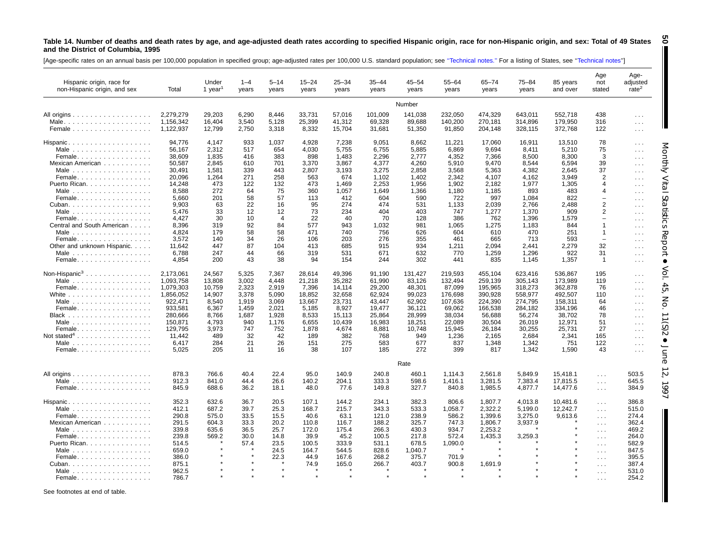#### Table 14. Number of deaths and death rates by age, and age-adjusted death rates according to specified Hispanic origin, race for non-Hispanic origin, and sex: Total of 49 States **and the District of Columbia, 1995 50**

[Age-specific rates on an annual basis per 100,000 population in specified group; age-adjusted rates per 100,000 U.S. standard population; see "Technical notes." For a listing of States, see "Technical notes"]

| Hispanic origin, race for<br>non-Hispanic origin, and sex | Total     | Under<br>1 year | $1 - 4$<br>years | $5 - 14$<br>years | $15 - 24$<br>years | $25 - 34$<br>years | $35 - 44$<br>years | 45–54<br>years | $55 - 64$<br>years | $65 - 74$<br>years | 75-84<br>years | 85 years<br>and over | Age<br>not<br>stated     | Age-<br>adjusted<br>rate <sup>2</sup> |
|-----------------------------------------------------------|-----------|-----------------|------------------|-------------------|--------------------|--------------------|--------------------|----------------|--------------------|--------------------|----------------|----------------------|--------------------------|---------------------------------------|
|                                                           |           |                 |                  |                   |                    |                    |                    | Number         |                    |                    |                |                      |                          |                                       |
|                                                           | 2.279.279 | 29.203          | 6.290            | 8,446             | 33,731             | 57,016             | 101,009            | 141,038        | 232,050            | 474,329            | 643,011        | 552,718              | 438                      | $\cdots$                              |
|                                                           | 1.156.342 | 16,404          | 3,540            | 5,128             | 25,399             | 41,312             | 69,328             | 89,688         | 140,200            | 270,181            | 314,896        | 179,950              | 316                      | $\sim$ $\sim$ $\sim$                  |
| Female                                                    | 1,122,937 | 12,799          | 2,750            | 3,318             | 8,332              | 15,704             | 31,681             | 51,350         | 91,850             | 204,148            | 328,115        | 372,768              | 122                      | $\sim$ $\sim$ $\sim$                  |
| $H$ ispanic                                               | 94.776    | 4.147           | 933              | 1,037             | 4.928              | 7,238              | 9,051              | 8.662          | 11.221             | 17.060             | 16,911         | 13.510               | 78                       | $\cdots$                              |
| Male $\ldots \ldots \ldots \ldots \ldots$                 | 56,167    | 2,312           | 517              | 654               | 4,030              | 5,755              | 6,755              | 5,885          | 6,869              | 9,694              | 8,411          | 5,210                | 75                       | $\sim 100$                            |
| Female                                                    | 38.609    | 1.835           | 416              | 383               | 898                | 1.483              | 2,296              | 2.777          | 4.352              | 7.366              | 8.500          | 8.300                | 3                        | $\sim$ $\sim$ $\sim$                  |
| Mexican American                                          | 50,587    | 2,845           | 610              | 701               | 3,370              | 3,867              | 4,377              | 4,260          | 5,910              | 9,470              | 8,544          | 6,594                | 39                       | $\sim$ $\sim$ $\sim$                  |
| Male $\ldots \ldots \ldots \ldots \ldots$                 | 30,491    | 1,581           | 339              | 443               | 2,807              | 3,193              | 3,275              | 2,858          | 3,568              | 5,363              | 4,382          | 2,645                | 37                       |                                       |
| Female                                                    | 20.096    | 1.264           | 271              | 258               | 563                | 674                | 1.102              | 1.402          | 2.342              | 4.107              | 4.162          | 3.949                | 2                        | $\cdots$                              |
|                                                           |           | 473             | 122              |                   | 473                |                    | 2,253              |                |                    |                    | 1,977          |                      |                          | $\sim$ $\sim$ $\sim$                  |
| Puerto Rican.                                             | 14,248    |                 |                  | 132               |                    | 1,469              |                    | 1,956          | 1,902              | 2,182              |                | 1,305                | 4                        | $\cdots$                              |
| Male $\ldots \ldots \ldots \ldots \ldots$                 | 8,588     | 272             | 64               | 75                | 360                | 1,057              | 1,649              | 1,366          | 1,180              | 1,185              | 893            | 483                  | 4                        | $\sim$ $\sim$ $\sim$                  |
| Female                                                    | 5,660     | 201             | 58               | 57                | 113                | 412                | 604                | 590            | 722                | 997                | 1,084          | 822                  | $\overline{\phantom{0}}$ | $\cdots$                              |
| Cuban                                                     | 9,903     | 63              | 22               | 16                | 95                 | 274                | 474                | 531            | 1,133              | 2,039              | 2,766          | 2,488                | $\overline{2}$           | $\sim$ $\sim$ $\sim$                  |
| Male $\ldots \ldots \ldots \ldots \ldots$                 | 5.476     | 33              | 12               | 12                | 73                 | 234                | 404                | 403            | 747                | 1.277              | 1.370          | 909                  | 2                        | $\cdots$                              |
| Female                                                    | 4,427     | 30              | 10               | $\overline{4}$    | 22                 | 40                 | 70                 | 128            | 386                | 762                | 1,396          | 1,579                |                          | $\cdots$                              |
| Central and South American                                | 8,396     | 319             | 92               | 84                | 577                | 943                | 1,032              | 981            | 1,065              | 1,275              | 1,183          | 844                  | $\overline{1}$           | $\cdots$                              |
|                                                           | 4.824     | 179             | 58               | 58                | 471                | 740                | 756                | 626            | 604                | 610                | 470            | 251                  | $\overline{1}$           | $\sim$ $\sim$ $\sim$                  |
| Female                                                    | 3,572     | 140             | 34               | 26                | 106                | 203                | 276                | 355            | 461                | 665                | 713            | 593                  | $\overline{\phantom{m}}$ | $\cdots$                              |
| Other and unknown Hispanic.                               | 11,642    | 447             | 87               | 104               | 413                | 685                | 915                | 934            | 1,211              | 2,094              | 2,441          | 2,279                | 32                       | $\sim 10$                             |
| Male                                                      | 6.788     | 247             | 44               | 66                | 319                | 531                | 671                | 632            | 770                | 1,259              | 1,296          | 922                  | 31                       | $\cdots$                              |
| Female.                                                   | 4,854     | 200             | 43               | 38                | 94                 | 154                | 244                | 302            | 441                | 835                | 1,145          | 1,357                | $\overline{1}$           | $\sim$ $\sim$                         |
|                                                           |           |                 |                  |                   |                    |                    |                    |                |                    |                    |                |                      |                          |                                       |
| Non-Hispanic <sup>3</sup>                                 | 2,173,061 | 24.567          | 5.325            | 7.367             | 28.614             | 49.396             | 91.190             | 131.427        | 219.593            | 455,104            | 623.416        | 536.867              | 195                      | $\cdots$                              |
| Male $\ldots \ldots \ldots \ldots \ldots$                 | 1.093.758 | 13,808          | 3,002            | 4.448             | 21,218             | 35,282             | 61,990             | 83,126         | 132,494            | 259,139            | 305,143        | 173,989              | 119                      | $\cdots$                              |
| Female                                                    | 1,079,303 | 10,759          | 2,323            | 2,919             | 7,396              | 14,114             | 29,200             | 48,301         | 87,099             | 195,965            | 318,273        | 362,878              | 76                       | $\sim$ $\sim$ $\sim$                  |
| White $\ldots$                                            | 1.856.052 | 14.907          | 3.378            | 5.090             | 18.852             | 32.658             | 62.924             | 99.023         | 176.698            | 390.928            | 558.977        | 492.507              | 110                      | $\cdots$                              |
| Male $\ldots$                                             | 922,471   | 8,540           | 1,919            | 3,069             | 13,667             | 23,731             | 43,447             | 62,902         | 107,636            | 224,390            | 274,795        | 158,311              | 64                       | $\cdots$                              |
| Female.                                                   | 933,581   | 6,367           | 1,459            | 2,021             | 5,185              | 8,927              | 19,477             | 36,121         | 69,062             | 166,538            | 284,182        | 334,196              | 46                       | $\cdots$                              |
|                                                           | 280.666   | 8.766           | 1.687            | 1.928             | 8.533              | 15.113             | 25.864             | 28.999         | 38.034             | 56.688             | 56,274         | 38.702               | 78                       | $\sim$ $\sim$ $\sim$                  |
| Male                                                      | 150,871   | 4,793           | 940              | 1,176             | 6,655              | 10,439             | 16,983             | 18,251         | 22,089             | 30,504             | 26,019         | 12,971               | 51                       | $\sim$ $\sim$ $\sim$                  |
| Female.                                                   | 129,795   | 3,973           | 747              | 752               | 1,878              | 4,674              | 8,881              | 10,748         | 15,945             | 26,184             | 30,255         | 25,731               | 27                       | $\sim$ $\sim$ $\sim$                  |
| Not stated <sup>4</sup>                                   | 11.442    | 489             | 32               | 42                | 189                | 382                | 768                | 949            | 1,236              | 2.165              | 2,684          | 2,341                | 165                      |                                       |
|                                                           | 6,417     | 284             | 21               | 26                | 151                | 275                | 583                | 677            | 837                | 1,348              | 1,342          | 751                  | 122                      | $\sim$ $\sim$                         |
| Female.                                                   | 5.025     | 205             | 11               | 16                | 38                 | 107                | 185                | 272            | 399                | 817                | 1.342          | 1.590                | 43                       | $\sim$ $\sim$ $\sim$                  |
|                                                           |           |                 |                  |                   |                    |                    |                    |                |                    |                    |                |                      |                          | $\sim$ $\sim$ $\sim$                  |
|                                                           |           |                 |                  |                   |                    |                    |                    | Rate           |                    |                    |                |                      |                          |                                       |
| All origins $\ldots \ldots \ldots \ldots \ldots$          | 878.3     | 766.6           | 40.4             | 22.4              | 95.0               | 140.9              | 240.8              | 460.1          | 1,114.3            | 2,561.8            | 5,849.9        | 15,418.1             | $\sim 100$               | 503.5                                 |
| Male $\ldots$                                             | 912.3     | 841.0           | 44.4             | 26.6              | 140.2              | 204.1              | 333.3              | 598.6          | 1.416.1            | 3,281.5            | 7,383.4        | 17,815.5             | $\sim 100$               | 645.5                                 |
| Female                                                    | 845.9     | 688.6           | 36.2             | 18.1              | 48.0               | 77.6               | 149.8              | 327.7          | 840.8              | 1,985.5            | 4,877.7        | 14,477.6             | $\sim 100$               | 384.9                                 |
|                                                           | 352.3     | 632.6           | 36.7             | 20.5              | 107.1              | 144.2              | 234.1              | 382.3          | 806.6              |                    | 4,013.8        | 10,481.6             |                          | 386.8                                 |
| Hispanic                                                  |           |                 |                  |                   |                    |                    |                    |                |                    | 1,807.7            |                |                      | $\cdots$                 |                                       |
| Male $\ldots \ldots \ldots \ldots \ldots$                 | 412.1     | 687.2           | 39.7             | 25.3              | 168.7              | 215.7              | 343.3              | 533.3          | 1,058.7            | 2,322.2            | 5,199.0        | 12,242.7             | $\sim$ $\sim$            | 515.0                                 |
| Female.                                                   | 290.8     | 575.0           | 33.5             | 15.5              | 40.6               | 63.1               | 121.0              | 238.9          | 586.2              | 1,399.6            | 3,275.0        | 9,613.6              | $\sim 100$               | 274.4                                 |
| Mexican American                                          | 291.5     | 604.3           | 33.3             | 20.2              | 110.8              | 116.7              | 188.2              | 325.7          | 747.3              | 1,806.7            | 3,937.9        |                      | $\cdots$                 | 362.4                                 |
|                                                           | 339.8     | 635.6           | 36.5             | 25.7              | 172.0              | 175.4              | 266.3              | 430.3          | 934.7              | 2,253.2            |                |                      | $\sim 100$               | 469.2                                 |
| Female                                                    | 239.8     | 569.2           | 30.0             | 14.8              | 39.9               | 45.2               | 100.5              | 217.8          | 572.4              | 1,435.3            | 3,259.3        |                      | $\sim$ $\sim$ $\sim$     | 264.0                                 |
| Puerto Rican.                                             | 514.5     |                 | 57.4             | 23.5              | 100.5              | 333.9              | 531.1              | 678.5          | 1,090.0            |                    |                |                      | $\sim$ $\sim$            | 582.9                                 |
|                                                           | 659.0     |                 |                  | 24.5              | 164.7              | 544.5              | 828.6              | 1,040.7        |                    |                    |                |                      | $\sim 100$               | 847.5                                 |
| Female                                                    | 386.0     |                 |                  | 22.3              | 44.9               | 167.6              | 268.2              | 375.7          | 701.9              |                    |                |                      | $\sim 100$               | 395.5                                 |
| Cuban.                                                    | 875.1     |                 |                  |                   | 74.9               | 165.0              | 266.7              | 403.7          | 900.8              | 1,691.9            |                |                      | $\sim 100$               | 387.4                                 |
| Male                                                      | 962.5     |                 |                  |                   |                    |                    |                    |                |                    |                    |                |                      | $\sim 100$               | 531.0                                 |
| Female <b>Exercise Security Security Security</b>         | 7867      |                 |                  |                   |                    |                    |                    |                |                    |                    |                |                      |                          | 2542                                  |

Monthly Vital

I

Statistics

Report •

Vol. 45, No. 11(S)2

 $\bullet$ 

June 12, 1997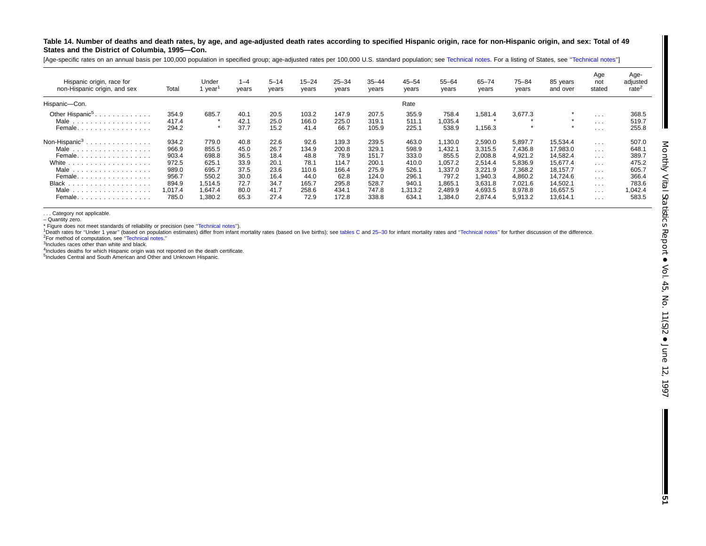Table 14. Number of deaths and death rates, by age, and age-adjusted death rates according to specified Hispanic origin, race for non-Hispanic origin, and sex: Total of 49 **States and the District of Columbia, 1995—Con.**

[Age-specific rates on an annual basis per 100,000 population in specified group; age-adjusted rates per 100,000 U.S. standard population; see [Technical](#page-72-0) notes. For a listing of States, see "Technical notes'']

| Hispanic origin, race for<br>non-Hispanic origin, and sex                                                                                    | Total                                                                           | Under<br>year                                                                       | $1 - 4$<br>years                                                     | $5 - 14$<br>years                                                    | $15 - 24$<br>years                                                       | $25 - 34$<br>years                                                          | $35 - 44$<br>years                                                            | $45 - 54$<br>years                                                             | $55 - 64$<br>years                                                                     | $65 - 74$<br>years                                                                              | 75–84<br>years                                                                                  | 85 years<br>and over                                                                                     | Age<br>not<br>stated                                                                                                                     | Age-<br>adjusted<br>rate $\leq$                                                 |
|----------------------------------------------------------------------------------------------------------------------------------------------|---------------------------------------------------------------------------------|-------------------------------------------------------------------------------------|----------------------------------------------------------------------|----------------------------------------------------------------------|--------------------------------------------------------------------------|-----------------------------------------------------------------------------|-------------------------------------------------------------------------------|--------------------------------------------------------------------------------|----------------------------------------------------------------------------------------|-------------------------------------------------------------------------------------------------|-------------------------------------------------------------------------------------------------|----------------------------------------------------------------------------------------------------------|------------------------------------------------------------------------------------------------------------------------------------------|---------------------------------------------------------------------------------|
| Hispanic-Con.                                                                                                                                |                                                                                 |                                                                                     |                                                                      |                                                                      |                                                                          |                                                                             |                                                                               | Rate                                                                           |                                                                                        |                                                                                                 |                                                                                                 |                                                                                                          |                                                                                                                                          |                                                                                 |
| Other Hispanic <sup>5</sup> .<br>Male<br>.<br>Female                                                                                         | 354.9<br>417.4<br>294.2                                                         | 685.7                                                                               | 40.1<br>42.1<br>37.7                                                 | 20.5<br>25.0<br>15.2                                                 | 103.2<br>166.0<br>41.4                                                   | 147.9<br>225.0<br>66.7                                                      | 207.5<br>319.1<br>105.9                                                       | 355.9<br>511.1<br>225.1                                                        | 758.4<br>0.035.4<br>538.9                                                              | 1.581.4<br>1,156.3                                                                              | 3,677.3                                                                                         | $\star$<br>$\star$<br>$\star$                                                                            | $\cdots$<br>$\sim$ $\sim$ $\sim$<br>$\cdots$                                                                                             | 368.5<br>519.7<br>255.8                                                         |
| Non-Hispanic <sup>3</sup><br>.<br>Male<br>.<br>Female<br>White<br>.<br>Male<br>.<br>Female<br><b>Black</b><br>.<br>Male<br>.<br>Female.<br>. | 934.2<br>966.9<br>903.4<br>972.5<br>989.0<br>956.7<br>894.9<br>1.017.4<br>785.0 | 779.0<br>855.5<br>698.8<br>625.1<br>695.7<br>550.2<br>1.514.5<br>1.647.4<br>1,380.2 | 40.8<br>45.0<br>36.5<br>33.9<br>37.5<br>30.0<br>72.7<br>80.0<br>65.3 | 22.6<br>26.7<br>18.4<br>20.1<br>23.6<br>16.4<br>34.7<br>41.7<br>27.4 | 92.6<br>134.9<br>48.8<br>78.1<br>110.6<br>44.0<br>165.7<br>258.6<br>72.9 | 139.3<br>200.8<br>78.9<br>114.7<br>166.4<br>62.8<br>295.8<br>434.1<br>172.8 | 239.5<br>329.1<br>151.7<br>200.1<br>275.9<br>124.0<br>528.7<br>747.8<br>338.8 | 463.0<br>598.9<br>333.0<br>410.0<br>526.<br>296.1<br>940.1<br>1,313.2<br>634.1 | 130.0<br>.432.1<br>855.5<br>1,057.2<br>,337.0<br>797.2<br>0.865.7<br>2,489.9<br>.384.0 | 2,590.0<br>3,315.5<br>2,008.8<br>2,514.4<br>3,221.9<br>1.940.3<br>3,631.8<br>4,693.5<br>2,874.4 | 5,897.7<br>7,436.8<br>4,921.2<br>5,836.9<br>7,368.2<br>4,860.2<br>7,021.6<br>8,978.8<br>5,913.2 | 15,534.4<br>17,983.0<br>14,582.4<br>15,677.4<br>18,157.7<br>14.724.6<br>14,502.1<br>16.657.5<br>13,614.1 | $\cdots$<br>$\sim$ $\sim$ $\sim$<br>$\sim$ $\sim$ $\sim$<br>$\cdots$<br>$\cdots$<br>$\cdots$<br>$\sim$ 10 $\sim$<br>$\cdots$<br>$\cdots$ | 507.0<br>648.1<br>389.7<br>475.2<br>605.7<br>366.4<br>783.6<br>1,042.4<br>583.5 |

. . . Category not applicable.

– Quantity zero.

\* Figure does not meet standards of reliability or precision (see [''Technical](#page-72-0) notes'').

<sup>1</sup>Death rates for "Under 1 year" (based on population estimates) differ from infant mortality rates (based on live births); see [tables](#page-10-0) C and 25-30 for infant mortality rates and "Technical notes" for further discussion of

2For method of computation, see [''Technical](#page-72-0) notes.''

3Includes races other than white and black.

<sup>4</sup>Includes deaths for which Hispanic origin was not reported on the death certificate.

<sup>5</sup>Includes Central and South American and Other and Unknown Hispanic.

**51**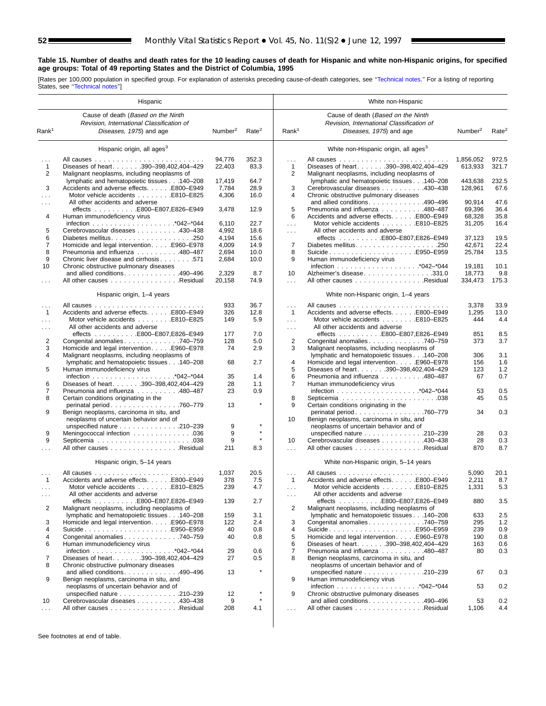## **Table 15. Number of deaths and death rates for the 10 leading causes of death for Hispanic and white non-Hispanic origins, for specified age groups: Total of 49 reporting States and the District of Columbia, 1995**

[Rates per 100,000 population in specified group. For explanation of asterisks preceding cause-of-death categories, see [''Technical notes.'](#page-72-0)' For a listing of reporting States, see [''Technical notes''\]](#page-72-0)

|                      | Hispanic                                                                                   |                     |                   |                      | White non-Hispanic                                                                         |                     |                   |
|----------------------|--------------------------------------------------------------------------------------------|---------------------|-------------------|----------------------|--------------------------------------------------------------------------------------------|---------------------|-------------------|
|                      | Cause of death (Based on the Ninth                                                         |                     |                   |                      | Cause of death (Based on the Ninth                                                         |                     |                   |
|                      | Revision, International Classification of                                                  |                     |                   |                      | Revision, International Classification of                                                  |                     |                   |
| Rank <sup>1</sup>    | Diseases, 1975) and age                                                                    | Number <sup>2</sup> | Rate <sup>2</sup> | Rank <sup>1</sup>    | Diseases, 1975) and age                                                                    | Number <sup>2</sup> | Rate <sup>2</sup> |
|                      | Hispanic origin, all ages <sup>3</sup>                                                     |                     |                   |                      | White non-Hispanic origin, all ages <sup>3</sup>                                           |                     |                   |
| $\sim$ $\sim$        |                                                                                            | 94,776              | 352.3             | .                    |                                                                                            | 1,856,052           | 972.5             |
| $\mathbf{1}$         | Diseases of heart. 390-398,402,404-429                                                     | 22,403              | 83.3              | 1                    | Diseases of heart. 390-398,402,404-429                                                     | 613,933             | 321.7             |
| 2                    | Malignant neoplasms, including neoplasms of                                                |                     |                   | 2                    | Malignant neoplasms, including neoplasms of                                                |                     |                   |
|                      | lymphatic and hematopoietic tissues 140-208                                                | 17,419              | 64.7              |                      | lymphatic and hematopoietic tissues 140-208                                                | 443,638             | 232.5             |
| 3                    | Accidents and adverse effects. E800-E949                                                   | 7,784               | 28.9              | 3                    | Cerebrovascular diseases 430-438                                                           | 128,961             | 67.6              |
| $\cdots$             | Motor vehicle accidents E810-E825                                                          | 4,306               | 16.0              | 4                    | Chronic obstructive pulmonary diseases                                                     |                     |                   |
| $\cdots$             | All other accidents and adverse<br>effects E800-E807,E826-E949                             | 3,478               | 12.9              | 5                    | and allied conditions. 490-496<br>Pneumonia and influenza 480-487                          | 90,914<br>69,396    | 47.6<br>36.4      |
| 4                    | Human immunodeficiency virus                                                               |                     |                   | 6                    | Accidents and adverse effects. E800-E949                                                   | 68,328              | 35.8              |
|                      |                                                                                            | 6,110               | 22.7              | $\sim$ .             | Motor vehicle accidents E810-E825                                                          | 31,205              | 16.4              |
| 5                    | Cerebrovascular diseases 430-438                                                           | 4,992               | 18.6              | $\cdots$             | All other accidents and adverse                                                            |                     |                   |
| 6                    |                                                                                            | 4,194               | 15.6              |                      | effects E800-E807,E826-E949                                                                | 37,123              | 19.5              |
| 7                    | Homicide and legal intervention. E960–E978                                                 | 4,009               | 14.9              | 7                    |                                                                                            | 42,671              | 22.4              |
| 8                    | Pneumonia and influenza 480-487                                                            | 2,694               | 10.0              | 8                    | SuicideE950–E959                                                                           | 25,784              | 13.5              |
| 9                    | Chronic liver disease and cirrhosis 571                                                    | 2,684               | 10.0              | 9                    | Human immunodeficiency virus                                                               |                     |                   |
| 10                   | Chronic obstructive pulmonary diseases                                                     |                     |                   |                      |                                                                                            | 19.181              | 10.1              |
|                      | and allied conditions. 490-496                                                             | 2,329               | 8.7               | 10                   | Alzheimer's disease331.0                                                                   | 18,773              | 9.8               |
| .                    | All other causes Residual                                                                  | 20,158              | 74.9              | $\sim$ .             | All other causes Residual                                                                  | 334,473             | 175.3             |
|                      | Hispanic origin, 1-4 years                                                                 |                     |                   |                      | White non-Hispanic origin, 1-4 years                                                       |                     |                   |
| $\sim$ $\sim$        |                                                                                            | 933                 | 36.7              | $\sim$ $\sim$        |                                                                                            | 3,378               | 33.9              |
| $\mathbf{1}$         | Accidents and adverse effects. E800-E949                                                   | 326                 | 12.8              | $\mathbf{1}$         | Accidents and adverse effects. E800-E949                                                   | 1,295               | 13.0              |
| $\sim 10$ .          | Motor vehicle accidents E810–E825                                                          | 149                 | 5.9               | $\sim 10$            | Motor vehicle accidents E810-E825                                                          | 444                 | 4.4               |
| $\cdots$             | All other accidents and adverse                                                            |                     |                   | $\ldots$             | All other accidents and adverse                                                            |                     |                   |
|                      | effects E800-E807,E826-E949                                                                | 177                 | 7.0               |                      | effects E800-E807,E826-E949                                                                | 851                 | 8.5               |
| 2                    | Congenital anomalies740-759                                                                | 128                 | 5.0               | 2                    | Congenital anomalies 740–759                                                               | 373                 | 3.7               |
| 3                    | Homicide and legal intervention. E960–E978                                                 | 74                  | 2.9               | 3                    | Malignant neoplasms, including neoplasms of                                                |                     |                   |
| 4                    | Malignant neoplasms, including neoplasms of                                                |                     |                   |                      | lymphatic and hematopoietic tissues 140-208                                                | 306                 | 3.1               |
| 5                    | lymphatic and hematopoietic tissues 140-208<br>Human immunodeficiency virus                | 68                  | 2.7               | 4<br>5               | Homicide and legal intervention. E960-E978<br>Diseases of heart. 390-398,402,404-429       | 156<br>123          | 1.6<br>1.2        |
|                      |                                                                                            | 35                  | 1.4               | 6                    | Pneumonia and influenza 480-487                                                            | 67                  | 0.7               |
| 6                    | Diseases of heart. 390-398,402,404-429                                                     | 28                  | 1.1               | $\overline{7}$       | Human immunodeficiency virus                                                               |                     |                   |
| 7                    | Pneumonia and influenza 480-487                                                            | 23                  | 0.9               |                      |                                                                                            | 53                  | 0.5               |
| 8                    | Certain conditions originating in the                                                      |                     |                   | 8                    |                                                                                            | 45                  | 0.5               |
|                      | perinatal period760-779                                                                    | 13                  |                   | 9                    | Certain conditions originating in the                                                      |                     |                   |
| 9                    | Benign neoplasms, carcinoma in situ, and                                                   |                     |                   |                      | perinatal period760-779                                                                    | 34                  | 0.3               |
|                      | neoplasms of uncertain behavior and of                                                     |                     |                   | 10                   | Benign neoplasms, carcinoma in situ, and                                                   |                     |                   |
|                      | unspecified nature 210-239                                                                 | 9                   | $\star$           |                      | neoplasms of uncertain behavior and of                                                     |                     |                   |
| 9                    | Meningococcal infection 036                                                                | 9                   |                   |                      | unspecified nature 210-239                                                                 | 28                  | 0.3               |
| 9                    |                                                                                            | 9                   |                   | 10                   | Cerebrovascular diseases 430-438                                                           | 28                  | 0.3               |
| .                    | All other causes Residual                                                                  | 211                 | 8.3               | $\cdots$             | All other causes Residual                                                                  | 870                 | 8.7               |
|                      | Hispanic origin, 5-14 years                                                                |                     |                   |                      | White non-Hispanic origin, 5-14 years                                                      |                     |                   |
|                      | All causes                                                                                 | 1,037               | 20.5              | $\cdots$             |                                                                                            | 5,090               | 20.1              |
| $\mathbf{1}$         | Accidents and adverse effects. E800-E949                                                   | 378                 | 7.5               | 1                    | Accidents and adverse effects. E800-E949                                                   | 2,211               | 8.7               |
| $\sim$ $\sim$ $\sim$ | Motor vehicle accidents E810–E825                                                          | 239                 | 4.7               | $\sim 100$           |                                                                                            | 1,331               | 5.3               |
| $\sim$ $\sim$        | All other accidents and adverse                                                            |                     |                   | $\sim$ $\sim$ $\sim$ | All other accidents and adverse                                                            |                     |                   |
|                      | effects E800-E807,E826-E949                                                                | 139                 | 2.7               |                      | effects E800-E807,E826-E949                                                                | 880                 | 3.5               |
| 2                    | Malignant neoplasms, including neoplasms of<br>lymphatic and hematopoietic tissues 140-208 | 159                 | 3.1               | 2                    | Malignant neoplasms, including neoplasms of<br>lymphatic and hematopoietic tissues 140-208 | 633                 | 2.5               |
| 3                    | Homicide and legal intervention. E960-E978                                                 | 122                 | 2.4               | 3                    | Congenital anomalies 740–759                                                               | 295                 | 1.2               |
| $\overline{4}$       | SuicideE950–E959                                                                           | 40                  | 0.8               | 4                    | SuicideE950–E959                                                                           | 239                 | 0.9               |
| 4                    | Congenital anomalies 740-759                                                               | 40                  | 0.8               | 5                    | Homicide and legal interventionE960-E978                                                   | 190                 | 0.8               |
| 6                    | Human immunodeficiency virus                                                               |                     |                   | 6                    | Diseases of heart. 390-398,402,404-429                                                     | 163                 | 0.6               |
|                      |                                                                                            | 29                  | 0.6               | 7                    | Pneumonia and influenza 480-487                                                            | 80                  | 0.3               |
| 7                    | Diseases of heart. 390-398,402,404-429                                                     | 27                  | 0.5               | 8                    | Benign neoplasms, carcinoma in situ, and                                                   |                     |                   |
| 8                    | Chronic obstructive pulmonary diseases                                                     |                     |                   |                      | neoplasms of uncertain behavior and of                                                     |                     |                   |
|                      | and allied conditions490-496                                                               | 13                  | $\star$           |                      | unspecified nature 210-239                                                                 | 67                  | 0.3               |
| 9                    | Benign neoplasms, carcinoma in situ, and                                                   |                     |                   | 9                    | Human immunodeficiency virus                                                               |                     |                   |
|                      | neoplasms of uncertain behavior and of                                                     |                     |                   |                      |                                                                                            | 53                  | 0.2               |
|                      | unspecified nature $\ldots$ , , ,  .210-239                                                | 12                  | $\star$           | 9                    | Chronic obstructive pulmonary diseases                                                     |                     |                   |
| 10                   | Cerebrovascular diseases 430-438                                                           | 9                   |                   |                      | and allied conditions. 490-496                                                             | 53                  | 0.2               |
| $\ldots$             | All other causes Residual                                                                  | 208                 | 4.1               | $\ldots$             | All other causes Residual                                                                  | 1,106               | 4.4               |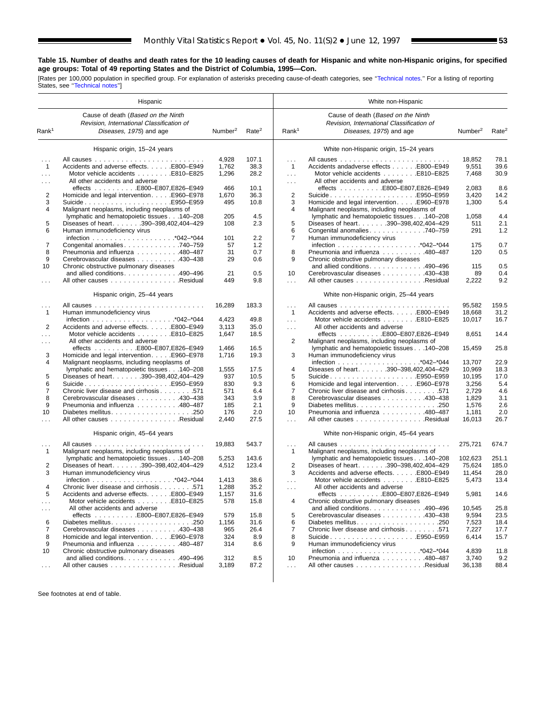■

## **Table 15. Number of deaths and death rates for the 10 leading causes of death for Hispanic and white non-Hispanic origins, for specified age groups: Total of 49 reporting States and the District of Columbia, 1995—Con.**

[Rates per 100,000 population in specified group. For explanation of asterisks preceding cause-of-death categories, see "Technical notes." For a listing of reporting<br>States, see "Technical notes"]

|                   | Hispanic                                                                                                   |                     |                   |                   | White non-Hispanic                                                                                         |                     |                   |
|-------------------|------------------------------------------------------------------------------------------------------------|---------------------|-------------------|-------------------|------------------------------------------------------------------------------------------------------------|---------------------|-------------------|
| Rank <sup>1</sup> | Cause of death (Based on the Ninth<br>Revision, International Classification of<br>Diseases, 1975) and age | Number <sup>2</sup> | Rate <sup>2</sup> | Rank <sup>1</sup> | Cause of death (Based on the Ninth<br>Revision, International Classification of<br>Diseases, 1975) and age | Number <sup>2</sup> | Rate <sup>2</sup> |
|                   | Hispanic origin, 15-24 years                                                                               |                     |                   |                   | White non-Hispanic origin, 15-24 years                                                                     |                     |                   |
| .                 |                                                                                                            | 4,928               | 107.1             | $\mathbf{1}$      |                                                                                                            | 18,852              | 78.1              |
| $\mathbf{1}$      | Accidents and adverse effects. E800-E949                                                                   | 1,762               | 38.3              | $\mathbf{1}$      | Accidents andadverse effects E800-E949                                                                     | 9,551               | 39.6              |
| $\cdots$          | Motor vehicle accidents E810-E825                                                                          | 1,296               | 28.2              | $\sim 100$        | Motor vehicle accidents E810-E825                                                                          | 7,468               | 30.9              |
| $\cdots$          | All other accidents and adverse                                                                            |                     |                   | $\cdots$          | All other accidents and adverse                                                                            |                     |                   |
|                   |                                                                                                            | 466                 | 10.1              |                   | effects E800-E807,E826-E949                                                                                | 2,083               | 8.6               |
| 2                 | Homicide and legal intervention. E960-E978                                                                 | 1,670               | 36.3              | $\overline{2}$    | SuicideE950-E959                                                                                           | 3,420               | 14.2              |
| 3                 | SuicideE950-E959                                                                                           | 495                 | 10.8              | 3                 | Homicide and legal intervention. E960-E978                                                                 | 1,300               | 5.4               |
| 4                 | Malignant neoplasms, including neoplasms of                                                                |                     |                   | 4                 | Malignant neoplasms, including neoplasms of                                                                |                     |                   |
|                   | lymphatic and hematopoietic tissues 140-208                                                                | 205                 | 4.5               |                   | lymphatic and hematopoietic tissues 140-208                                                                | 1,058               | 4.4               |
| 5                 | Diseases of heart. 390-398,402,404-429                                                                     | 108                 | 2.3               | 5                 | Diseases of heart. 390-398,402,404-429                                                                     | 511                 | 2.1               |
| 6                 | Human immunodeficiency virus                                                                               |                     |                   | 6                 | Congenital anomalies 740-759                                                                               | 291                 | 1.2               |
|                   |                                                                                                            | 101                 | 2.2               | 7                 | Human immunodeficiency virus                                                                               |                     |                   |
| 7                 | Congenital anomalies 740–759                                                                               | 57                  | 1.2               |                   |                                                                                                            | 175                 | 0.7               |
| 8                 | Pneumonia and influenza 480-487                                                                            | 31                  | 0.7               | 8                 | Pneumonia and influenza 480-487                                                                            | 120                 | 0.5               |
| 9                 | Cerebrovascular diseases 430-438                                                                           | 29                  | 0.6               | 9                 | Chronic obstructive pulmonary diseases                                                                     |                     |                   |
| 10                | Chronic obstructive pulmonary diseases                                                                     |                     |                   |                   | and allied conditions490-496                                                                               | 115                 | 0.5               |
|                   | and allied conditions. 490–496                                                                             | 21                  | 0.5               | 10                | Cerebrovascular diseases 430-438                                                                           | 89                  | 0.4               |
| .                 | All other causes Residual                                                                                  | 449                 | 9.8               | .                 | All other causes Residual                                                                                  | 2,222               | 9.2               |
|                   | Hispanic origin, 25-44 years                                                                               |                     |                   |                   | White non-Hispanic origin, 25-44 years                                                                     |                     |                   |
| .                 |                                                                                                            | 16,289              | 183.3             | .                 |                                                                                                            | 95,582              | 159.5             |
| $\mathbf{1}$      | Human immunodeficiency virus                                                                               |                     |                   | $\mathbf{1}$      | Accidents and adverse effects. E800-E949                                                                   | 18,668              | 31.2              |
|                   |                                                                                                            | 4,423               | 49.8              | $\cdots$          | Motor vehicle accidents E810-E825                                                                          | 10,017              | 16.7              |
| 2                 | Accidents and adverse effects. E800-E949                                                                   | 3,113               | 35.0              | a a la            | All other accidents and adverse                                                                            |                     |                   |
| .                 | Motor vehicle accidents E810-E825                                                                          | 1,647               | 18.5              |                   | effects E800-E807,E826-E949                                                                                | 8,651               | 14.4              |
| .                 | All other accidents and adverse                                                                            |                     |                   | 2                 | Malignant neoplasms, including neoplasms of                                                                |                     |                   |
|                   |                                                                                                            | 1,466               | 16.5              |                   | lymphatic and hematopoietic tissues 140-208                                                                | 15,459              | 25.8              |
| 3                 | Homicide and legal intervention. E960–E978                                                                 | 1,716               | 19.3              | 3                 | Human immunodeficiency virus                                                                               |                     |                   |
| 4                 | Malignant neoplasms, including neoplasms of                                                                |                     |                   |                   |                                                                                                            | 13,707              | 22.9              |
|                   | lymphatic and hematopoietic tissues 140–208                                                                | 1,555               | 17.5              | $\overline{4}$    | Diseases of heart. 390-398,402,404-429                                                                     | 10,969              | 18.3              |
| 5                 | Diseases of heart. 390-398,402,404-429                                                                     | 937                 | 10.5              | 5                 | SuicideE950-E959                                                                                           | 10,195              | 17.0              |
| 6                 | SuicideE950–E959                                                                                           | 830                 | 9.3               | 6                 | Homicide and legal intervention. E960-E978                                                                 | 3,256               | 5.4               |
| $\overline{7}$    | Chronic liver disease and cirrhosis 571                                                                    | 571                 | 6.4               | $\overline{7}$    | Chronic liver disease and cirrhosis 571                                                                    | 2,729               | 4.6               |
| 8                 | Cerebrovascular diseases 430-438                                                                           | 343                 | 3.9               | 8                 | Cerebrovascular diseases 430-438                                                                           | 1,829               | 3.1               |
| 9                 | Pneumonia and influenza 480-487                                                                            | 185                 | 2.1               | 9                 |                                                                                                            | 1,576               | 2.6               |
| 10                |                                                                                                            | 176                 | 2.0               | 10                | Pneumonia and influenza 480-487                                                                            | 1,181               | 2.0               |
| .                 | All other causes Residual                                                                                  | 2,440               | 27.5              | $\sim$            | All other causes Residual                                                                                  | 16,013              | 26.7              |
|                   | Hispanic origin, 45-64 years                                                                               |                     |                   |                   | White non-Hispanic origin, 45-64 years                                                                     |                     |                   |
| .                 |                                                                                                            | 19,883              | 543.7             | $\cdots$          |                                                                                                            | 275,721             | 674.7             |
| $\mathbf{1}$      | Malignant neoplasms, including neoplasms of                                                                |                     |                   | $\mathbf{1}$      | Malignant neoplasms, including neoplasms of                                                                |                     |                   |
|                   | lymphatic and hematopoietic tissues 140-208                                                                | 5,253               | 143.6             |                   | lymphatic and hematopoietic tissues 140-208                                                                | 102,623             | 251.1             |
| 2                 | Diseases of heart. 390-398,402,404-429                                                                     | 4,512               | 123.4             | 2                 | Diseases of heart. 390-398,402,404-429                                                                     | 75,624              | 185.0             |
| 3                 | Human immunodeficiency virus                                                                               |                     |                   | 3                 | Accidents and adverse effects. E800-E949                                                                   | 11,454              | 28.0              |
|                   |                                                                                                            | 1,413               | 38.6              | in a              | Motor vehicle accidents E810-E825                                                                          | 5,473               | 13.4              |
| Δ                 | Chronic liver disease and cirrhosis 571                                                                    | 1,288               | 35.2              |                   | All other accidents and adverse                                                                            |                     |                   |
| 5                 | Accidents and adverse effects. E800-E949                                                                   | 1,157               | 31.6              |                   |                                                                                                            | 5,981               | 14.6              |
| $\cdots$          | Motor vehicle accidents E810-E825                                                                          | 578                 | 15.8              | 4                 | Chronic obstructive pulmonary diseases                                                                     |                     |                   |
|                   | All other accidents and adverse                                                                            |                     |                   |                   | and allied conditions. $\ldots$ . 490–496                                                                  | 10,545              | 25.8              |
| $\sim$ $\sim$     | effects E800-E807,E826-E949                                                                                | 579                 | 15.8              | 5                 | Cerebrovascular diseases 430-438                                                                           | 9,594               | 23.5              |
| 6                 |                                                                                                            | 1,156               | 31.6              | 6                 | Diabetes mellitus250                                                                                       | 7,523               | 18.4              |
| 7                 | Cerebrovascular diseases 430-438                                                                           |                     | 26.4              | 7                 |                                                                                                            |                     |                   |
| 8                 | Homicide and legal intervention. E960-E978                                                                 | 965<br>324          | 8.9               | 8                 | Chronic liver disease and cirrhosis 571                                                                    | 7,227<br>6,414      | 17.7<br>15.7      |
|                   |                                                                                                            |                     |                   | 9                 |                                                                                                            |                     |                   |
| 9                 | Pneumonia and influenza 480-487                                                                            | 314                 | 8.6               |                   | Human immunodeficiency virus                                                                               |                     |                   |
| 10                | Chronic obstructive pulmonary diseases<br>and allied conditions. 490-496                                   |                     |                   | 10                | Pneumonia and influenza 480-487                                                                            | 4,839               | 11.8              |
|                   |                                                                                                            | 312                 | 8.5               |                   |                                                                                                            | 3,740               | 9.2               |
| $\sim$ $\sim$     | All other causes Residual                                                                                  | 3,189               | 87.2              | .                 | All other causes Residual                                                                                  | 36,138              | 88.4              |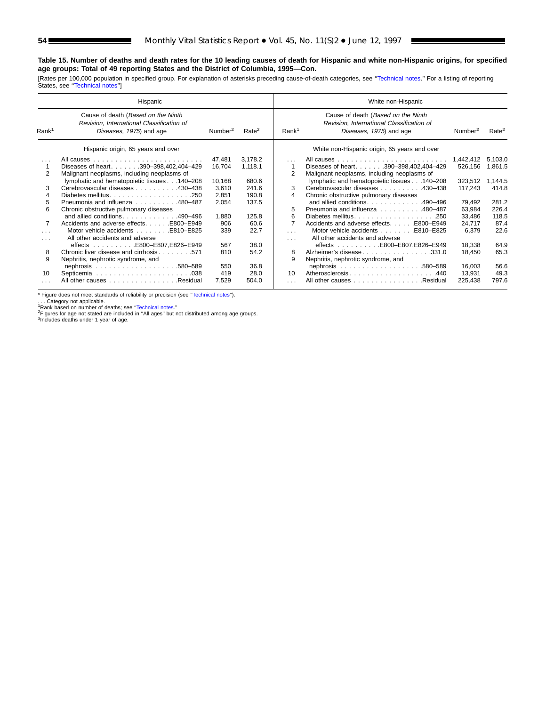### **Table 15. Number of deaths and death rates for the 10 leading causes of death for Hispanic and white non-Hispanic origins, for specified age groups: Total of 49 reporting States and the District of Columbia, 1995—Con.**

[Rates per 100,000 population in specified group. For explanation of asterisks preceding cause-of-death categories, see "Technical notes." For a listing of reporting States, see "Technical notes"]

|                   | Hispanic                                                                                                   |                     |                   |                   | White non-Hispanic                                                                                         |                     |                   |
|-------------------|------------------------------------------------------------------------------------------------------------|---------------------|-------------------|-------------------|------------------------------------------------------------------------------------------------------------|---------------------|-------------------|
| Rank <sup>1</sup> | Cause of death (Based on the Ninth<br>Revision, International Classification of<br>Diseases, 1975) and age | Number <sup>2</sup> | Rate <sup>2</sup> | Rank <sup>1</sup> | Cause of death (Based on the Ninth<br>Revision, International Classification of<br>Diseases, 1975) and age | Number <sup>2</sup> | Rate <sup>2</sup> |
|                   | Hispanic origin, 65 years and over                                                                         |                     |                   |                   | White non-Hispanic origin, 65 years and over                                                               |                     |                   |
| $\cdots$          |                                                                                                            | 47.481              | 3.178.2           | $\cdots$          |                                                                                                            | 1.442.412           | 5.103.0           |
|                   | Diseases of heart390-398,402,404-429                                                                       | 16,704              | 1,118.1           |                   | Diseases of heart390-398,402,404-429                                                                       | 526,156             | 1,861.5           |
| 2                 | Malignant neoplasms, including neoplasms of                                                                |                     |                   | 2                 | Malignant neoplasms, including neoplasms of                                                                |                     |                   |
|                   | lymphatic and hematopoietic tissues 140-208                                                                | 10,168              | 680.6             |                   | lymphatic and hematopoietic tissues 140-208                                                                | 323,512             | 1.144.5           |
| 3                 | Cerebrovascular diseases 430–438                                                                           | 3,610               | 241.6             | 3                 | Cerebrovascular diseases 430–438                                                                           | 117,243             | 414.8             |
|                   | Diabetes mellitus250                                                                                       | 2,851               | 190.8             | 4                 | Chronic obstructive pulmonary diseases                                                                     |                     |                   |
| 5.                | Pneumonia and influenza 480–487                                                                            | 2,054               | 137.5             |                   | and allied conditions490-496                                                                               | 79,492              | 281.2             |
| 6                 | Chronic obstructive pulmonary diseases                                                                     |                     |                   | 5                 | Pneumonia and influenza 480-487                                                                            | 63,984              | 226.4             |
|                   | and allied conditions490-496                                                                               | 1,880               | 125.8             | 6                 | Diabetes mellitus<br>.250                                                                                  | 33,486              | 118.5             |
|                   | Accidents and adverse effects. E800-E949                                                                   | 906                 | 60.6              | 7                 | Accidents and adverse effects. E800–E949                                                                   | 24,717              | 87.4              |
| $\cdots$          | Motor vehicle accidents E810–E825                                                                          | 339                 | 22.7              | $\cdots$          | Motor vehicle accidents E810-E825                                                                          | 6,379               | 22.6              |
| $\cdots$          | All other accidents and adverse                                                                            |                     |                   | $\cdots$          | All other accidents and adverse                                                                            |                     |                   |
|                   | effects E800-E807,E826-E949                                                                                | 567                 | 38.0              |                   | effects E800-E807,E826-E949                                                                                | 18,338              | 64.9              |
| 8                 | Chronic liver disease and cirrhosis571                                                                     | 810                 | 54.2              | 8                 | Alzheimer's disease331.0                                                                                   | 18,450              | 65.3              |
| 9                 | Nephritis, nephrotic syndrome, and                                                                         |                     |                   | 9                 | Nephritis, nephrotic syndrome, and                                                                         |                     |                   |
|                   |                                                                                                            | 550                 | 36.8              |                   |                                                                                                            | 16,003              | 56.6              |
| 10                |                                                                                                            | 419                 | 28.0              | 10                | Atherosclerosis440                                                                                         | 13,931              | 49.3              |
|                   | All other causes Residual                                                                                  | 7,529               | 504.0             | .                 | All other causes Residual                                                                                  | 225,438             | 797.6             |

\* Figure does not meet standards of reliability or precision (see [''Technical notes''\).](#page-72-0)

. . . Category not applicable.<br><sup>1</sup>Rank based on number of deaths; see "Technical notes."<br><sup>2</sup>Figures for age not stated are included in "All ages" but not distributed among age groups.<br><sup>3</sup>Includes deaths under 1 year of age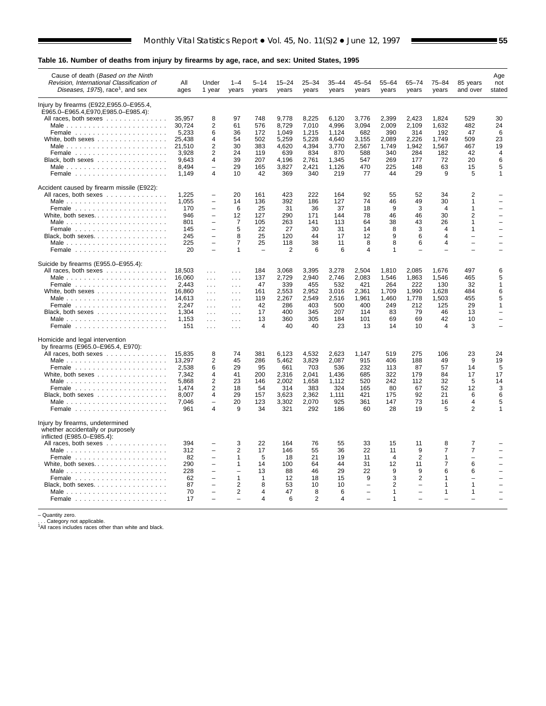## **Table 16. Number of deaths from injury by firearms by age, race, and sex: United States, 1995**

| Cause of death (Based on the Ninth<br>Revision, International Classification of<br>Diseases, 1975), race <sup>1</sup> , and sex | All<br>ages     | Under<br>1 year                            | $1 - 4$<br>years             | 5–14<br>years  | $15 - 24$<br>years | 25–34<br>years | 35–44<br>years | 45–54<br>years | $55 - 64$<br>years | 65–74<br>years           | $75 - 84$<br>years      | 85 years<br>and over          | Age<br>not<br>stated     |
|---------------------------------------------------------------------------------------------------------------------------------|-----------------|--------------------------------------------|------------------------------|----------------|--------------------|----------------|----------------|----------------|--------------------|--------------------------|-------------------------|-------------------------------|--------------------------|
| Injury by firearms (E922, E955.0–E955.4,                                                                                        |                 |                                            |                              |                |                    |                |                |                |                    |                          |                         |                               |                          |
| E965.0-E965.4, E970, E985.0-E985.4):                                                                                            |                 |                                            |                              |                |                    |                |                |                |                    |                          |                         |                               |                          |
| All races, both sexes                                                                                                           | 35,957          | 8                                          | 97                           | 748            | 9,778              | 8,225          | 6,120          | 3,776          | 2,399              | 2,423                    | 1,824                   | 529                           | 30                       |
|                                                                                                                                 | 30.724          | $\overline{2}$                             | 61                           | 576            | 8.729              | 7.010          | 4.996          | 3,094          | 2.009              | 2.109                    | 1.632                   | 482                           | 24                       |
|                                                                                                                                 | 5,233<br>25,438 | 6<br>4                                     | 36<br>54                     | 172<br>502     | 1,049<br>5,259     | 1,215<br>5,228 | 1,124<br>4,640 | 682<br>3,155   | 390<br>2,089       | 314<br>2,226             | 192<br>1,749            | 47<br>509                     | 6<br>23                  |
| Male                                                                                                                            | 21,510          | $\overline{2}$                             | 30                           | 383            | 4,620              | 4,394          | 3,770          | 2,567          | 1,749              | 1,942                    | 1,567                   | 467                           | 19                       |
| Female $\ldots$ ,                                                                                                               | 3.928           | $\overline{2}$                             | 24                           | 119            | 639                | 834            | 870            | 588            | 340                | 284                      | 182                     | 42                            | $\overline{\mathbf{4}}$  |
| Black, both sexes                                                                                                               | 9,643           | 4                                          | 39                           | 207            | 4,196              | 2,761          | 1,345          | 547            | 269                | 177                      | 72                      | 20                            | 6                        |
|                                                                                                                                 | 8,494           | $\overline{\phantom{0}}$                   | 29                           | 165            | 3,827              | 2,421          | 1,126          | 470            | 225                | 148                      | 63                      | 15                            | 5                        |
| Female $\ldots \ldots \ldots \ldots \ldots \ldots$                                                                              | 1.149           | 4                                          | 10                           | 42             | 369                | 340            | 219            | 77             | 44                 | 29                       | 9                       | 5                             | 1                        |
| Accident caused by firearm missile (E922):                                                                                      |                 |                                            |                              |                |                    |                |                |                |                    |                          |                         |                               |                          |
| All races, both sexes                                                                                                           | 1,225           | L,                                         | 20                           | 161            | 423                | 222            | 164            | 92             | 55                 | 52                       | 34                      | $\overline{c}$                |                          |
|                                                                                                                                 | 1,055           | $\overline{\phantom{0}}$                   | 14                           | 136            | 392                | 186            | 127            | 74             | 46                 | 49                       | 30                      | $\mathbf{1}$                  |                          |
|                                                                                                                                 | 170             | $\overline{\phantom{0}}$                   | 6                            | 25             | 31                 | 36             | 37             | 18             | 9                  | 3                        | 4                       | $\mathbf{1}$                  |                          |
| White, both sexes                                                                                                               | 946             | $\overline{\phantom{0}}$<br>$\overline{a}$ | 12                           | 127            | 290                | 171            | 144            | 78             | 46                 | 46                       | 30                      | 2                             | $\overline{\phantom{0}}$ |
|                                                                                                                                 | 801<br>145      | $\overline{a}$                             | $\overline{7}$<br>5          | 105<br>22      | 263<br>27          | 141<br>30      | 113<br>31      | 64<br>14       | 38<br>8            | 43<br>3                  | 26<br>4                 | $\mathbf 1$<br>$\mathbf{1}$   |                          |
|                                                                                                                                 | 245             | $\overline{\phantom{0}}$                   | 8                            | 25             | 120                | 44             | 17             | 12             | 9                  | 6                        | $\overline{\mathbf{A}}$ | $\overline{\phantom{0}}$      |                          |
| Male                                                                                                                            | 225             | $\equiv$                                   | $\overline{7}$               | 25             | 118                | 38             | 11             | 8              | 8                  | 6                        | $\overline{4}$          |                               |                          |
|                                                                                                                                 | 20              | $\overline{\phantom{0}}$                   | 1                            |                | 2                  | 6              | 6              | $\overline{4}$ | $\mathbf{1}$       |                          |                         |                               |                          |
| Suicide by firearms (E955.0-E955.4):                                                                                            |                 |                                            |                              |                |                    |                |                |                |                    |                          |                         |                               |                          |
| All races, both sexes                                                                                                           | 18,503          | $\ldots$                                   | $\sim$ $\sim$ $\sim$         | 184            | 3,068              | 3,395          | 3,278          | 2,504          | 1,810              | 2,085                    | 1,676                   | 497                           | 6                        |
|                                                                                                                                 | 16,060          | $\sim$ $\sim$                              | $\sim$ $\sim$ $\sim$         | 137            | 2,729              | 2,940          | 2,746          | 2,083          | 1,546              | 1,863                    | 1,546                   | 465                           | 5                        |
|                                                                                                                                 | 2.443           | $\sim 100$                                 | $\ldots$                     | 47             | 339                | 455            | 532            | 421            | 264                | 222                      | 130                     | 32                            | 1                        |
| White, both sexes                                                                                                               | 16,860          | $\sim 100$                                 | $\sim$ $\sim$ $\sim$         | 161            | 2,553              | 2,952          | 3,016          | 2,361          | 1,709              | 1,990                    | 1,628                   | 484                           | 6                        |
|                                                                                                                                 | 14,613<br>2.247 | $\ldots$                                   | $\sim 10$                    | 119<br>42      | 2,267              | 2,549<br>403   | 2,516<br>500   | 1,961<br>400   | 1,460<br>249       | 1,778<br>212             | 1,503                   | 455<br>29                     | 5<br>$\mathbf{1}$        |
| Black, both sexes                                                                                                               | 1.304           | $\ldots$<br>$\sim 100$                     | $\sim$ $\sim$<br>$\sim 10$ . | 17             | 286<br>400         | 345            | 207            | 114            | 83                 | 79                       | 125<br>46               | 13                            |                          |
|                                                                                                                                 | 1,153           | $\sim 100$                                 | $\sim$ $\sim$ $\sim$         | 13             | 360                | 305            | 184            | 101            | 69                 | 69                       | 42                      | 10                            |                          |
|                                                                                                                                 | 151             | $\sim 10$                                  | $\sim$ $\sim$ $\sim$         | 4              | 40                 | 40             | 23             | 13             | 14                 | 10                       | $\overline{4}$          | 3                             |                          |
| Homicide and legal intervention                                                                                                 |                 |                                            |                              |                |                    |                |                |                |                    |                          |                         |                               |                          |
| by firearms (E965.0-E965.4, E970):                                                                                              |                 |                                            |                              |                |                    |                |                |                |                    |                          |                         |                               |                          |
| All races, both sexes                                                                                                           | 15,835          | 8                                          | 74                           | 381            | 6,123              | 4,532          | 2,623          | 1,147          | 519                | 275                      | 106                     | 23                            | 24                       |
|                                                                                                                                 | 13,297          | $\overline{2}$                             | 45                           | 286            | 5.462              | 3,829          | 2.087          | 915            | 406                | 188                      | 49                      | 9                             | 19                       |
|                                                                                                                                 | 2,538           | 6                                          | 29                           | 95             | 661                | 703            | 536            | 232            | 113                | 87                       | 57                      | 14                            | 5                        |
|                                                                                                                                 | 7,342           | 4<br>$\overline{2}$                        | 41<br>23                     | 200            | 2,316              | 2,041          | 1,436          | 685            | 322                | 179                      | 84                      | 17                            | 17                       |
| Male                                                                                                                            | 5,868<br>1.474  | $\overline{2}$                             | 18                           | 146<br>54      | 2,002<br>314       | 1,658<br>383   | 1,112<br>324   | 520<br>165     | 242<br>80          | 112<br>67                | 32<br>52                | 5<br>12                       | 14<br>3                  |
| Black, both sexes                                                                                                               | 8,007           | 4                                          | 29                           | 157            | 3,623              | 2,362          | 1,111          | 421            | 175                | 92                       | 21                      | 6                             | 6                        |
|                                                                                                                                 | 7,046           | L.                                         | 20                           | 123            | 3,302              | 2,070          | 925            | 361            | 147                | 73                       | 16                      | 4                             | 5                        |
|                                                                                                                                 | 961             | 4                                          | 9                            | 34             | 321                | 292            | 186            | 60             | 28                 | 19                       | 5                       | $\overline{2}$                | 1                        |
| Injury by firearms, undetermined                                                                                                |                 |                                            |                              |                |                    |                |                |                |                    |                          |                         |                               |                          |
| whether accidentally or purposely                                                                                               |                 |                                            |                              |                |                    |                |                |                |                    |                          |                         |                               |                          |
| inflicted (E985.0-E985.4):                                                                                                      |                 |                                            |                              |                |                    |                |                |                |                    |                          |                         |                               |                          |
| All races, both sexes                                                                                                           | 394             |                                            | 3                            | 22             | 164                | 76             | 55             | 33             | 15                 | 11                       | 8                       | 7                             |                          |
| Male                                                                                                                            | 312             | $\equiv$                                   | 2                            | 17             | 146                | 55             | 36             | 22             | 11                 | 9                        | 7                       | 7                             |                          |
|                                                                                                                                 | 82              | $\overline{a}$<br>$\overline{\phantom{0}}$ | $\mathbf{1}$<br>1            | 5<br>14        | 18                 | 21<br>64       | 19<br>44       | 11             | $\overline{4}$     | $\overline{2}$           | 1<br>$\overline{7}$     | $\overline{\phantom{a}}$<br>6 |                          |
|                                                                                                                                 | 290<br>228      | $\overline{\phantom{0}}$                   | $\overline{\phantom{0}}$     | 13             | 100<br>88          | 46             | 29             | 31<br>22       | 12<br>9            | 11<br>9                  | 6                       | 6                             |                          |
|                                                                                                                                 | 62              | $\overline{\phantom{0}}$                   | 1                            | 1              | 12                 | 18             | 15             | 9              | 3                  | 2                        | 1                       | ÷                             |                          |
| Black, both sexes.                                                                                                              | 87              | $\overline{a}$                             | $\overline{2}$               | 8              | 53                 | 10             | 10             | L,             | $\overline{2}$     | ÷                        | 1                       | $\mathbf{1}$                  |                          |
|                                                                                                                                 | 70              | $\overline{a}$                             | $\overline{2}$               | $\overline{4}$ | 47                 | 8              | 6              |                | $\mathbf{1}$       | $\overline{\phantom{0}}$ | $\mathbf{1}$            | $\mathbf{1}$                  |                          |
|                                                                                                                                 | 17              |                                            |                              | 4              | 6                  | 2              | 4              |                | $\overline{1}$     |                          |                         |                               |                          |
|                                                                                                                                 |                 |                                            |                              |                |                    |                |                |                |                    |                          |                         |                               |                          |

– Quantity zero.<br>. . . Category not applicable.<br><sup>1</sup>All races includes races other than white and black.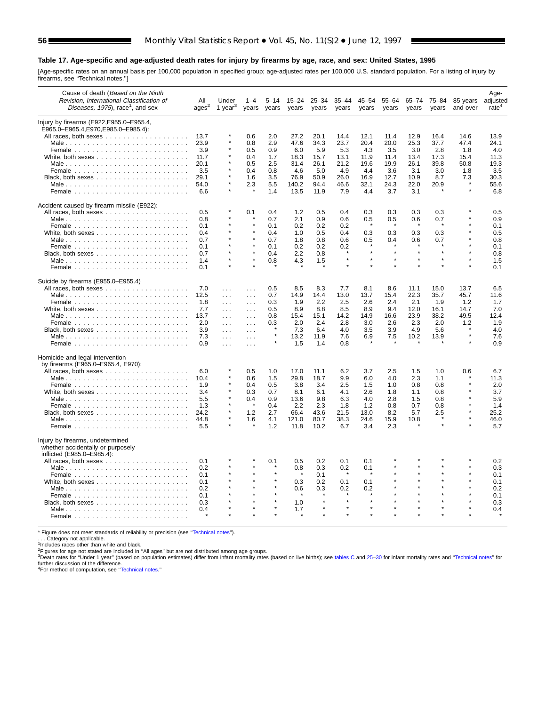#### **Table 17. Age-specific and age-adjusted death rates for injury by firearms by age, race, and sex: United States, 1995**

[Age-specific rates on an annual basis per 100,000 population in specified group; age-adjusted rates per 100,000 U.S. standard population. For a listing of injury by firearms, see [''Technical notes.''\]](#page-72-0)

| Cause of death (Based on the Ninth<br>Revision, International Classification of<br>Diseases, 1975), race <sup>1</sup> , and sex | All<br>ages <sup>2</sup> | Under<br>1 year $3$ | years         | years   | 15–24<br>years | 25–34<br>years | 35–44<br>years | 45–54<br>years | $55 - 64$<br>years | $65 - 74$<br>years | 75-84<br>years | 85 years<br>and over | Age-<br>adjusted<br>rate <sup>4</sup> |
|---------------------------------------------------------------------------------------------------------------------------------|--------------------------|---------------------|---------------|---------|----------------|----------------|----------------|----------------|--------------------|--------------------|----------------|----------------------|---------------------------------------|
| Injury by firearms (E922, E955.0–E955.4,                                                                                        |                          |                     |               |         |                |                |                |                |                    |                    |                |                      |                                       |
| E965.0-E965.4,E970,E985.0-E985.4):                                                                                              |                          |                     |               |         |                |                |                |                |                    |                    |                |                      |                                       |
|                                                                                                                                 | 13.7                     |                     | 0.6           | 2.0     | 27.2           | 20.1           | 14.4           | 12.1           | 11.4               | 12.9               | 16.4           | 14.6                 | 13.9                                  |
|                                                                                                                                 | 23.9                     |                     | 0.8           | 2.9     | 47.6           | 34.3           | 23.7           | 20.4           | 20.0               | 25.3               | 37.7           | 47.4                 | 24.1                                  |
|                                                                                                                                 | 3.9                      |                     | 0.5           | 0.9     | 6.0            | 5.9            | 5.3            | 4.3            | 3.5                | 3.0                | 2.8            | 1.8                  | 4.0                                   |
|                                                                                                                                 | 11.7                     |                     | 0.4           | 1.7     | 18.3           | 15.7           | 13.1           | 11.9           | 11.4               | 13.4               | 17.3           | 15.4                 | 11.3                                  |
|                                                                                                                                 | 20.1                     |                     | 0.5           | 2.5     | 31.4           | 26.1           | 21.2           | 19.6           | 19.9               | 26.1               | 39.8           | 50.8                 | 19.3                                  |
|                                                                                                                                 | 3.5                      |                     | 0.4           | 0.8     | 4.6            | 5.0            | 4.9            | 4.4            | 3.6                | 3.1                | 3.0            | 1.8                  | 3.5                                   |
|                                                                                                                                 | 29.1                     |                     | 1.6           | 3.5     | 76.9           | 50.9           | 26.0           | 16.9           | 12.7               | 10.9               | 8.7            | 7.3                  | 30.3                                  |
|                                                                                                                                 | 54.0                     |                     | 2.3           | 5.5     | 140.2          | 94.4           | 46.6           | 32.1           | 24.3               | 22.0               | 20.9           |                      | 55.6                                  |
|                                                                                                                                 | 6.6                      |                     |               | 1.4     | 13.5           | 11.9           | 7.9            | 4.4            | 3.7                | 3.1                |                |                      | 6.8                                   |
| Accident caused by firearm missile (E922):                                                                                      |                          |                     |               |         |                |                |                |                |                    |                    |                |                      |                                       |
|                                                                                                                                 | 0.5                      |                     | 0.1           | 0.4     | 1.2            | 0.5            | 0.4            | 0.3            | 0.3                | 0.3                | 0.3            |                      | 0.5                                   |
|                                                                                                                                 | 0.8                      |                     |               | 0.7     | 2.1            | 0.9            | 0.6            | 0.5            | 0.5                | 0.6                | 0.7            |                      | 0.9                                   |
|                                                                                                                                 | 0.1                      |                     |               | 0.1     | 0.2            | 0.2            | 0.2            |                |                    |                    |                |                      | 0.1                                   |
|                                                                                                                                 | 0.4                      |                     |               | 0.4     | 1.0            | 0.5            | 0.4            | 0.3            | 0.3                | 0.3                | 0.3            |                      | 0.5                                   |
|                                                                                                                                 | 0.7                      |                     |               | 0.7     | 1.8            | 0.8            | 0.6            | 0.5            | 0.4                | 0.6                | 0.7            |                      | 0.8                                   |
|                                                                                                                                 | 0.1                      |                     |               | 0.1     | 0.2            | 0.2            | 0.2            |                |                    |                    |                |                      | 0.1                                   |
|                                                                                                                                 | 0.7                      |                     |               | 0.4     | 2.2            | 0.8            |                |                |                    |                    |                |                      | 0.8                                   |
|                                                                                                                                 | 1.4                      |                     |               | 0.8     | 4.3            | 1.5            |                |                |                    |                    |                |                      | 1.5                                   |
|                                                                                                                                 | 0.1                      |                     |               |         |                |                |                |                |                    |                    |                |                      | 0.1                                   |
| Suicide by firearms (E955.0-E955.4)                                                                                             |                          |                     |               |         |                |                |                |                |                    |                    |                |                      |                                       |
|                                                                                                                                 | 7.0                      | $\sim$ .            | $\sim 100$    | 0.5     | 8.5            | 8.3            | 7.7            | 8.1            | 8.6                | 11.1               | 15.0           | 13.7                 | 6.5                                   |
|                                                                                                                                 | 12.5                     | $\sim$ $\sim$       | $\sim$ $\sim$ | 0.7     | 14.9           | 14.4           | 13.0           | 13.7           | 15.4               | 22.3               | 35.7           | 45.7                 | 11.6                                  |
|                                                                                                                                 | 1.8                      | $\cdots$            | $\ldots$      | 0.3     | 1.9            | 2.2            | 2.5            | 2.6            | 2.4                | 2.1                | 1.9            | 1.2                  | 1.7                                   |
|                                                                                                                                 | 7.7                      | $\sim 100$          | $\sim 100$    | 0.5     | 8.9            | 8.8            | 8.5            | 8.9            | 9.4                | 12.0               | 16.1           | 14.7                 | 7.0                                   |
|                                                                                                                                 | 13.7                     | $\cdots$            | $\ldots$      | 0.8     | 15.4           | 15.1           | 14.2           | 14.9           | 16.6               | 23.9               | 38.2           | 49.5                 | 12.4                                  |
|                                                                                                                                 | 2.0                      | $\sim 100$          | $\sim$ $\sim$ | 0.3     | 2.0            | 2.4            | 2.8            | 3.0            | 2.6                | 2.3                | 2.0            | 1.2                  | 1.9                                   |
|                                                                                                                                 | 3.9                      | $\ldots$            | $\sim 100$    |         | 7.3            | 6.4            | 4.0            | 3.5            | 3.9                | 4.9                | 5.6            |                      | 4.0                                   |
|                                                                                                                                 | 7.3                      | $\sim 10$           | $\sim 100$    | $\star$ | 13.2           | 11.9           | 7.6            | 6.9            | 7.5                | 10.2               | 13.9           |                      | 7.6                                   |
|                                                                                                                                 | 0.9                      | $\sim$ .            | $\sim 100$    |         | 1.5            | 1.4            | 0.8            |                |                    |                    |                |                      | 0.9                                   |
| Homicide and legal intervention                                                                                                 |                          |                     |               |         |                |                |                |                |                    |                    |                |                      |                                       |
| by firearms (E965.0-E965.4, E970):                                                                                              |                          |                     |               |         |                |                |                |                |                    |                    |                |                      |                                       |
|                                                                                                                                 | 6.0                      |                     | 0.5           | 1.0     | 17.0           | 11.1           | 6.2            | 3.7            | 2.5                | 1.5                | 1.0            | 0.6                  | 6.7                                   |
|                                                                                                                                 | 10.4                     |                     | 0.6           | 1.5     | 29.8           | 18.7           | 9.9            | 6.0            | 4.0                | 2.3                | 1.1            |                      | 11.3                                  |
|                                                                                                                                 | 1.9                      |                     | 0.4           | 0.5     | 3.8            | 3.4            | 2.5            | 1.5            | 1.0                | 0.8                | 0.8            |                      | 2.0                                   |
| White, both sexes $\ldots \ldots \ldots \ldots \ldots \ldots$                                                                   | 3.4                      |                     | 0.3           | 0.7     | 8.1            | 6.1            | 4.1            | 2.6            | 1.8                | 1.1                | 0.8            |                      | 3.7                                   |
|                                                                                                                                 | 5.5                      |                     | 0.4           | 0.9     | 13.6           | 9.8            | 6.3            | 4.0            | 2.8                | 1.5                | 0.8            |                      | 5.9                                   |
|                                                                                                                                 | 1.3                      |                     |               | 0.4     | 2.2            | 2.3            | 1.8            | 1.2            | 0.8                | 0.7                | 0.8            |                      | 1.4                                   |
|                                                                                                                                 | 24.2                     |                     | 1.2           | 2.7     | 66.4           | 43.6           | 21.5           | 13.0           | 8.2                | 5.7                | 2.5            |                      | 25.2                                  |
|                                                                                                                                 | 44.8                     |                     | 1.6           | 4.1     | 121.0          | 80.7           | 38.3           | 24.6           | 15.9               | 10.8               |                |                      | 46.0                                  |
|                                                                                                                                 | 5.5                      |                     |               | 1.2     | 11.8           | 10.2           | 6.7            | 3.4            | 2.3                |                    |                |                      | 5.7                                   |
| Injury by firearms, undetermined<br>whether accidentally or purposely                                                           |                          |                     |               |         |                |                |                |                |                    |                    |                |                      |                                       |
| inflicted (E985.0-E985.4):                                                                                                      | 0.1                      |                     |               | 0.1     | 0.5            | 0.2            | 0.1            | 0.1            |                    |                    |                |                      | 0.2                                   |
|                                                                                                                                 | 0.2                      |                     |               |         | 0.8            | 0.3            | 0.2            | 0.1            |                    |                    |                |                      | 0.3                                   |
|                                                                                                                                 | 0.1                      |                     |               |         |                | 0.1            |                |                |                    |                    |                |                      | 0.1                                   |
|                                                                                                                                 | 0.1                      |                     |               |         | 0.3            | 0.2            | 0.1            | 0.1            |                    |                    |                |                      | 0.1                                   |
|                                                                                                                                 | 0.2                      |                     |               |         | 0.6            | 0.3            | 0.2            | 0.2            |                    |                    |                |                      | 0.2                                   |
|                                                                                                                                 | 0.1                      |                     |               |         |                |                |                |                |                    |                    |                |                      | 0.1                                   |
|                                                                                                                                 | 0.3                      |                     |               |         | 1.0            |                |                |                |                    |                    |                |                      | 0.3                                   |
| Male                                                                                                                            | 0.4                      |                     |               |         | 1.7            |                |                |                |                    |                    |                |                      | 0.4                                   |
|                                                                                                                                 |                          |                     |               |         |                |                |                |                |                    |                    |                |                      |                                       |
|                                                                                                                                 |                          |                     |               |         |                |                |                |                |                    |                    |                |                      |                                       |

\* Figure does not meet standards of reliability or precision (see [''Technical notes''\).](#page-72-0)

. . . Category not applicable.<br><sup>1</sup>Includes races other than white and black.<br><sup>2</sup>Figures for age not stated are included in "All ages" but are not distributed among age groups.

<sup>3</sup>Death rates for "Under 1 year" (based on population estimates) differ from infant mortality rates (based on live births); see [tables C](#page-10-0) and [25–30](#page-65-0) for infant mortality rates and "Technical notes" for<br>further discussion of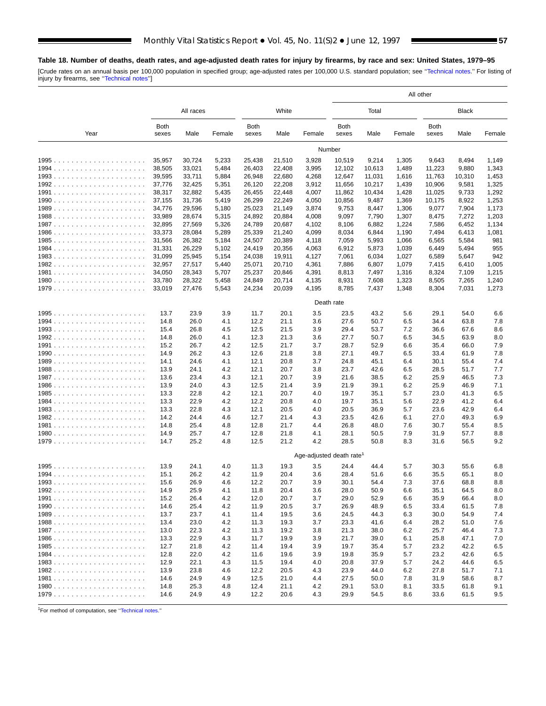#### **Table 18. Number of deaths, death rates, and age-adjusted death rates for injury by firearms, by race and sex: United States, 1979–95**

ш

[Crude rates on an annual basis per 100,000 population in specified group; age-adjusted rates per 100,000 U.S. standard population; see "Technical notes." For listing of<br>injury by firearms, see "Technical notes"]

|      |                      |                  |                |                      |                  |                         | All other            |                 |                |                      |                |                |
|------|----------------------|------------------|----------------|----------------------|------------------|-------------------------|----------------------|-----------------|----------------|----------------------|----------------|----------------|
|      |                      | All races        |                |                      | White            |                         |                      | Total           |                |                      | <b>Black</b>   |                |
| Year | <b>Both</b><br>sexes | Male             | Female         | <b>Both</b><br>sexes | Male             | Female                  | <b>Both</b><br>sexes | Male            | Female         | <b>Both</b><br>sexes | Male           | Female         |
|      |                      |                  |                |                      |                  |                         | Number               |                 |                |                      |                |                |
|      | 35,957               | 30,724           | 5,233          | 25,438               | 21,510           | 3,928                   | 10,519               | 9,214           | 1,305          | 9,643                | 8,494          | 1,149          |
|      | 38,505               | 33,021           | 5,484          | 26,403               | 22,408           | 3,995                   | 12,102               | 10,613          | 1,489          | 11,223               | 9,880          | 1,343          |
|      | 39,595               | 33,711           | 5,884          | 26,948               | 22,680           | 4,268                   | 12,647               | 11,031          | 1,616          | 11,763               | 10,310         | 1,453          |
|      | 37,776               | 32,425           | 5,351          | 26,120               | 22,208           | 3,912                   | 11,656               | 10,217          | 1,439          | 10,906               | 9,581          | 1,325          |
|      | 38,317<br>37,155     | 32,882<br>31,736 | 5,435<br>5,419 | 26,455<br>26,299     | 22,448<br>22,249 | 4,007<br>4,050          | 11,862<br>10,856     | 10,434<br>9,487 | 1,428<br>1,369 | 11,025<br>10,175     | 9,733<br>8,922 | 1,292<br>1,253 |
|      | 34,776               | 29,596           | 5,180          | 25,023               | 21,149           | 3,874                   | 9,753                | 8,447           | 1,306          | 9,077                | 7,904          | 1,173          |
|      | 33,989               | 28,674           | 5,315          | 24,892               | 20,884           | 4,008                   | 9,097                | 7,790           | 1,307          | 8,475                | 7,272          | 1,203          |
|      | 32,895               | 27,569           | 5,326          | 24,789               | 20,687           | 4,102                   | 8,106                | 6,882           | 1,224          | 7,586                | 6,452          | 1,134          |
|      | 33,373               | 28,084           | 5,289          | 25,339               | 21,240           | 4,099                   | 8,034                | 6,844           | 1,190          | 7,494                | 6,413          | 1,081          |
|      | 31,566               | 26,382           | 5,184          | 24,507               | 20,389           | 4,118                   | 7,059                | 5,993           | 1,066          | 6,565                | 5,584          | 981            |
|      | 31,331               | 26,229           | 5,102          | 24,419               | 20,356           | 4,063                   | 6,912                | 5,873           | 1,039          | 6,449                | 5,494          | 955            |
|      | 31,099               | 25,945           | 5,154          | 24,038               | 19,911           | 4,127                   | 7,061                | 6,034           | 1,027          | 6,589                | 5,647          | 942            |
|      | 32,957<br>34,050     | 27,517<br>28,343 | 5,440<br>5,707 | 25,071<br>25,237     | 20,710<br>20,846 | 4,361<br>4,391          | 7,886<br>8,813       | 6,807<br>7,497  | 1,079<br>1,316 | 7,415<br>8,324       | 6,410<br>7,109 | 1,005<br>1,215 |
|      | 33,780               | 28,322           | 5,458          | 24,849               | 20,714           | 4,135                   | 8,931                | 7,608           | 1,323          | 8,505                | 7,265          | 1,240          |
|      | 33,019               | 27,476           | 5,543          | 24,234               | 20,039           | 4,195                   | 8,785                | 7,437           | 1,348          | 8,304                | 7,031          | 1,273          |
|      |                      |                  |                |                      |                  |                         | Death rate           |                 |                |                      |                |                |
|      | 13.7                 | 23.9             | 3.9            | 11.7                 | 20.1             | 3.5                     | 23.5                 | 43.2            | 5.6            | 29.1                 | 54.0           | 6.6            |
|      | 14.8                 | 26.0             | 4.1            | 12.2                 | 21.1             | 3.6                     | 27.6                 | 50.7            | 6.5            | 34.4                 | 63.8           | 7.8            |
|      | 15.4                 | 26.8             | 4.5            | 12.5                 | 21.5             | 3.9                     | 29.4                 | 53.7            | 7.2            | 36.6                 | 67.6           | 8.6            |
|      | 14.8                 | 26.0             | 4.1            | 12.3                 | 21.3             | 3.6                     | 27.7                 | 50.7            | 6.5            | 34.5                 | 63.9           | 8.0            |
|      | 15.2                 | 26.7             | 4.2            | 12.5                 | 21.7             | 3.7                     | 28.7                 | 52.9            | 6.6            | 35.4                 | 66.0           | 7.9            |
|      | 14.9                 | 26.2             | 4.3            | 12.6                 | 21.8             | 3.8                     | 27.1                 | 49.7            | 6.5            | 33.4                 | 61.9           | 7.8            |
|      | 14.1                 | 24.6             | 4.1            | 12.1                 | 20.8             | 3.7                     | 24.8                 | 45.1            | 6.4            | 30.1                 | 55.4           | 7.4            |
|      | 13.9<br>13.6         | 24.1<br>23.4     | 4.2<br>4.3     | 12.1<br>12.1         | 20.7<br>20.7     | 3.8<br>3.9              | 23.7<br>21.6         | 42.6<br>38.5    | 6.5<br>6.2     | 28.5<br>25.9         | 51.7<br>46.5   | 7.7<br>7.3     |
|      | 13.9                 | 24.0             | 4.3            | 12.5                 | 21.4             | 3.9                     | 21.9                 | 39.1            | 6.2            | 25.9                 | 46.9           | 7.1            |
|      | 13.3                 | 22.8             | 4.2            | 12.1                 | 20.7             | 4.0                     | 19.7                 | 35.1            | 5.7            | 23.0                 | 41.3           | 6.5            |
|      | 13.3                 | 22.9             | 4.2            | 12.2                 | 20.8             | 4.0                     | 19.7                 | 35.1            | 5.6            | 22.9                 | 41.2           | 6.4            |
|      | 13.3                 | 22.8             | 4.3            | 12.1                 | 20.5             | 4.0                     | 20.5                 | 36.9            | 5.7            | 23.6                 | 42.9           | 6.4            |
|      | 14.2                 | 24.4             | 4.6            | 12.7                 | 21.4             | 4.3                     | 23.5                 | 42.6            | 6.1            | 27.0                 | 49.3           | 6.9            |
|      | 14.8                 | 25.4             | 4.8            | 12.8                 | 21.7             | 4.4                     | 26.8                 | 48.0            | 7.6            | 30.7                 | 55.4           | 8.5            |
|      | 14.9                 | 25.7             | 4.7            | 12.8                 | 21.8             | 4.1                     | 28.1                 | 50.5            | 7.9            | 31.9                 | 57.7           | 8.8            |
|      | 14.7                 | 25.2             | 4.8            | 12.5                 | 21.2             | 4.2                     | 28.5                 | 50.8            | 8.3            | 31.6                 | 56.5           | 9.2            |
|      |                      |                  |                |                      |                  | Age-adjusted death rate |                      |                 |                |                      |                |                |
|      | 13.9                 | 24.1             | 4.0            | 11.3                 | 19.3             | 3.5                     | 24.4                 | 44.4            | 5.7            | 30.3                 | 55.6           | 6.8            |
|      | 15.1                 | 26.2             | 4.2            | 11.9                 | 20.4             | 3.6                     | 28.4                 | 51.6            | 6.6            | 35.5                 | 65.1           | 8.0            |
| 1993 | 15.6<br>14.9         | 26.9<br>25.9     | 4.6<br>4.1     | 12.2<br>11.8         | 20.7<br>20.4     | 3.9<br>3.6              | 30.1<br>28.0         | 54.4<br>50.9    | 7.3<br>6.6     | 37.6<br>35.1         | 68.8<br>64.5   | 8.8<br>8.0     |
|      | 15.2                 | 26.4             | 4.2            | 12.0                 | 20.7             | 3.7                     | 29.0                 | 52.9            | 6.6            | 35.9                 | 66.4           | 8.0            |
|      | 14.6                 | 25.4             | 4.2            | 11.9                 | 20.5             | 3.7                     | 26.9                 | 48.9            | 6.5            | 33.4                 | 61.5           | 7.8            |
|      | 13.7                 | 23.7             | 4.1            | 11.4                 | 19.5             | 3.6                     | 24.5                 | 44.3            | 6.3            | 30.0                 | 54.9           | 7.4            |
|      | 13.4                 | 23.0             | 4.2            | 11.3                 | 19.3             | 3.7                     | 23.3                 | 41.6            | 6.4            | 28.2                 | 51.0           | 7.6            |
|      | 13.0                 | 22.3             | 4.2            | 11.3                 | 19.2             | 3.8                     | 21.3                 | 38.0            | 6.2            | 25.7                 | 46.4           | 7.3            |
|      | 13.3                 | 22.9             | 4.3            | 11.7                 | 19.9             | 3.9                     | 21.7                 | 39.0            | 6.1            | 25.8                 | 47.1           | 7.0            |
|      | 12.7                 | 21.8             | 4.2            | 11.4                 | 19.4             | 3.9                     | 19.7                 | 35.4            | 5.7            | 23.2                 | 42.2           | 6.5            |
|      | 12.8                 | 22.0             | 4.2            | 11.6                 | 19.6             | 3.9                     | 19.8                 | 35.9            | 5.7            | 23.2                 | 42.6           | 6.5            |
|      | 12.9                 | 22.1             | 4.3            | 11.5                 | 19.4             | 4.0                     | 20.8                 | 37.9            | 5.7            | 24.2                 | 44.6           | 6.5            |
|      | 13.9                 | 23.8             | 4.6            | 12.2                 | 20.5             | 4.3                     | 23.9                 | 44.0            | 6.2            | 27.8                 | 51.7           | 7.1            |
|      | 14.6<br>14.8         | 24.9<br>25.3     | 4.9<br>4.8     | 12.5<br>12.4         | 21.0<br>21.1     | 4.4<br>4.2              | 27.5<br>29.1         | 50.0<br>53.0    | 7.8<br>8.1     | 31.9<br>33.5         | 58.6<br>61.8   | 8.7<br>9.1     |
|      | 14.6                 | 24.9             | 4.9            | 12.2                 | 20.6             | 4.3                     | 29.9                 | 54.5            | 8.6            | 33.6                 | 61.5           | 9.5            |

1For method of computation, see [''Technical notes.''](#page-72-0)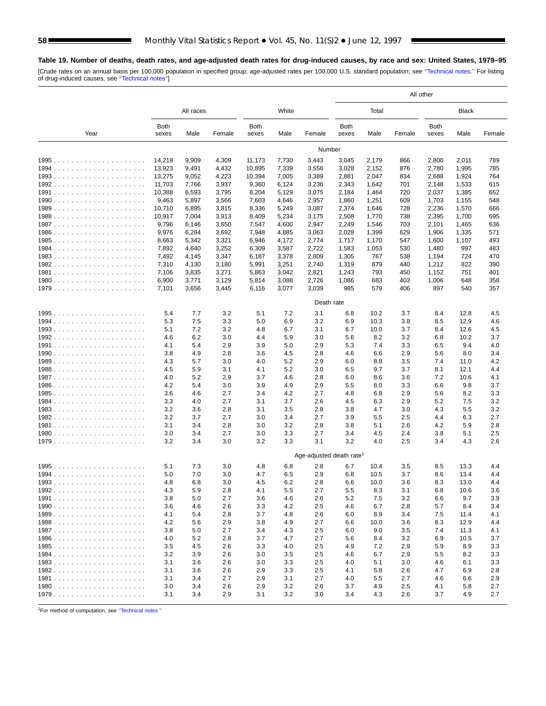**Table 19. Number of deaths, death rates, and age-adjusted death rates for drug-induced causes, by race and sex: United States, 1979–95**

[Crude rates on an annual basis per 100,000 population in specified group; age-adjusted rates per 100,000 U.S. standard population; see "Technical notes." For listing<br>of drug-induced causes, see "Technical notes"]

|        |                 |                |                |                      |                |                         | All other            |                |            |                      |                |            |
|--------|-----------------|----------------|----------------|----------------------|----------------|-------------------------|----------------------|----------------|------------|----------------------|----------------|------------|
|        |                 | All races      |                |                      | White          |                         |                      | Total          |            |                      | <b>Black</b>   |            |
| Year   | Both<br>sexes   | Male           | Female         | <b>Both</b><br>sexes | Male           | Female                  | <b>Both</b><br>sexes | Male           | Female     | <b>Both</b><br>sexes | Male           | Female     |
|        |                 |                |                |                      |                | Number                  |                      |                |            |                      |                |            |
|        | 14,218          | 9,909          | 4,309          | 11,173               | 7,730          | 3,443                   | 3,045                | 2,179          | 866        | 2,800                | 2,011          | 789        |
|        | 13,923          | 9,491          | 4,432          | 10,895               | 7,339          | 3,556                   | 3,028                | 2,152          | 876        | 2,780                | 1,995          | 785        |
|        | 13,275          | 9,052          | 4,223          | 10,394               | 7,005          | 3,389                   | 2,881                | 2,047          | 834        | 2,688                | 1,924          | 764        |
|        | 11,703          | 7,766          | 3,937          | 9,360                | 6,124          | 3,236                   | 2,343                | 1,642          | 701        | 2,148                | 1,533          | 615<br>652 |
|        | 10,388<br>9,463 | 6,593<br>5,897 | 3,795<br>3,566 | 8,204<br>7,603       | 5,129<br>4,646 | 3,075<br>2,957          | 2,184<br>1,860       | 1,464<br>1,251 | 720<br>609 | 2,037<br>1,703       | 1,385<br>1,155 | 548        |
|        | 10,710          | 6,895          | 3,815          | 8,336                | 5,249          | 3,087                   | 2,374                | 1,646          | 728        | 2,236                | 1,570          | 666        |
|        | 10,917          | 7,004          | 3,913          | 8,409                | 5,234          | 3,175                   | 2,508                | 1,770          | 738        | 2,395                | 1,700          | 695        |
|        | 9,796           | 6,146          | 3,650          | 7,547                | 4,600          | 2,947                   | 2,249                | 1,546          | 703        | 2,101                | 1,465          | 636        |
|        | 9,976           | 6,284          | 3,692          | 7,948                | 4,885          | 3,063                   | 2,028                | 1,399          | 629        | 1,906                | 1,335          | 571        |
|        | 8,663           | 5,342          | 3,321          | 6,946                | 4,172          | 2,774                   | 1,717                | 1,170          | 547        | 1,600                | 1,107          | 493        |
|        | 7,892           | 4,640          | 3,252          | 6,309                | 3,587          | 2,722                   | 1,583                | 1,053          | 530        | 1,480                | 997            | 483        |
|        | 7,492           | 4,145          | 3,347          | 6,187                | 3,378          | 2,809                   | 1,305                | 767            | 538        | 1,194                | 724            | 470        |
|        | 7,310           | 4,130          | 3,180          | 5,991                | 3,251          | 2,740                   | 1,319                | 879            | 440<br>450 | 1,212                | 822<br>751     | 390<br>401 |
|        | 7,106<br>6,900  | 3,835<br>3,771 | 3,271<br>3,129 | 5,863<br>5,814       | 3,042<br>3,088 | 2,821<br>2,726          | 1,243<br>1,086       | 793<br>683     | 403        | 1,152<br>1,006       | 648            | 358        |
|        | 7,101           | 3,656          | 3,445          | 6,116                | 3,077          | 3,039                   | 985                  | 579            | 406        | 897                  | 540            | 357        |
|        |                 |                |                |                      |                | Death rate              |                      |                |            |                      |                |            |
|        | 5.4             | 7.7            | 3.2            | 5.1                  | 7.2            | 3.1                     | 6.8                  | 10.2           | 3.7        | 8.4                  | 12.8           | 4.5        |
|        | 5.3             | 7.5            | 3.3            | 5.0                  | 6.9            | 3.2                     | 6.9                  | 10.3           | 3.8        | 8.5                  | 12.9           | 4.6        |
|        | 5.1             | 7.2            | 3.2            | 4.8                  | 6.7            | 3.1                     | 6.7                  | 10.0           | 3.7        | 8.4                  | 12.6           | 4.5        |
|        | 4.6             | 6.2            | 3.0            | 4.4                  | 5.9            | 3.0                     | 5.6                  | 8.2            | 3.2        | 6.8                  | 10.2           | 3.7        |
|        | 4.1             | 5.4            | 2.9            | 3.9                  | 5.0            | 2.9                     | 5.3                  | 7.4            | 3.3        | 6.5                  | 9.4            | 4.0        |
|        | 3.8             | 4.9            | 2.8            | 3.6                  | 4.5            | 2.8                     | 4.6                  | 6.6            | 2.9        | 5.6                  | 8.0            | 3.4        |
|        | 4.3             | 5.7            | 3.0            | 4.0                  | 5.2            | 2.9                     | 6.0                  | 8.8            | 3.5        | 7.4                  | 11.0           | 4.2        |
|        | 4.5             | 5.9            | 3.1            | 4.1                  | 5.2            | 3.0                     | 6.5                  | 9.7            | 3.7        | 8.1                  | 12.1           | 4.4        |
|        | 4.0             | 5.2            | 2.9            | 3.7                  | 4.6            | 2.8                     | 6.0                  | 8.6            | 3.6        | 7.2                  | 10.6           | 4.1        |
|        | 4.2             | 5.4            | 3.0            | 3.9                  | 4.9            | 2.9<br>2.7              | 5.5                  | 8.0            | 3.3        | 6.6<br>5.6           | 9.8            | 3.7        |
|        | 3.6<br>3.3      | 4.6<br>4.0     | 2.7<br>2.7     | 3.4<br>3.1           | 4.2<br>3.7     | 2.6                     | 4.8<br>4.5           | 6.8<br>6.3     | 2.9<br>2.9 | 5.2                  | 8.2<br>7.5     | 3.3<br>3.2 |
|        | 3.2             | 3.6            | 2.8            | 3.1                  | 3.5            | 2.8                     | 3.8                  | 4.7            | 3.0        | 4.3                  | 5.5            | 3.2        |
|        | 3.2             | 3.7            | 2.7            | 3.0                  | 3.4            | 2.7                     | 3.9                  | 5.5            | 2.5        | 4.4                  | 6.3            | 2.7        |
|        | 3.1             | 3.4            | 2.8            | 3.0                  | 3.2            | 2.8                     | 3.8                  | 5.1            | 2.6        | 4.2                  | 5.9            | 2.8        |
|        | 3.0             | 3.4            | 2.7            | 3.0                  | 3.3            | 2.7                     | 3.4                  | 4.5            | 2.4        | 3.8                  | 5.1            | 2.5        |
|        | 3.2             | 3.4            | 3.0            | 3.2                  | 3.3            | 3.1                     | 3.2                  | 4.0            | 2.5        | 3.4                  | 4.3            | 2.6        |
|        |                 |                |                |                      |                | Age-adjusted death rate |                      |                |            |                      |                |            |
|        | 5.1             | 7.3            | 3.0            | 4.8                  | 6.8            | 2.8                     | 6.7                  | 10.4           | 3.5        | 8.5                  | 13.3           | 4.4        |
|        | 5.0<br>4.8      | 7.0<br>6.8     | 3.0<br>3.0     | 4.7<br>4.5           | 6.5<br>6.2     | 2.9<br>2.8              | 6.8<br>6.6           | 10.5<br>10.0   | 3.7<br>3.6 | 8.6<br>8.3           | 13.4<br>13.0   | 4.4<br>4.4 |
| $1993$ | 4.3             | 5.9            | 2.8            | 4.1                  | 5.5            | 2.7                     | 5.5                  | 8.3            | 3.1        | 6.8                  | 10.6           | 3.6        |
|        | 3.8             | 5.0            | 2.7            | 3.6                  | 4.6            | 2.6                     | 5.2                  | 7.5            | 3.2        | 6.6                  | 9.7            | 3.9        |
|        | 3.6             | 4.6            | 2.6            | 3.3                  | 4.2            | 2.5                     | 4.6                  | 6.7            | 2.8        | 5.7                  | 8.4            | 3.4        |
|        | 4.1             | 5.4            | 2.8            | 3.7                  | 4.8            | 2.6                     | 6.0                  | 8.9            | 3.4        | 7.5                  | 11.4           | 4.1        |
|        | 4.2             | 5.6            | 2.9            | 3.8                  | 4.9            | 2.7                     | 6.6                  | 10.0           | 3.6        | 8.3                  | 12.9           | 4.4        |
|        | 3.8             | 5.0            | 2.7            | 3.4                  | 4.3            | 2.5                     | 6.0                  | 9.0            | 3.5        | 7.4                  | 11.3           | 4.1        |
|        | 4.0             | 5.2            | 2.8            | 3.7                  | 4.7            | 2.7                     | 5.6                  | 8.4            | 3.2        | 6.9                  | 10.5           | 3.7        |
|        | 3.5             | 4.5            | 2.6            | 3.3                  | 4.0            | 2.5                     | 4.9                  | 7.2            | 2.9        | 5.9                  | 8.9            | 3.3        |
|        | 3.2             | 3.9            | 2.6            | 3.0                  | 3.5            | 2.5                     | 4.6                  | 6.7            | 2.9        | 5.5                  | 8.2            | 3.3        |
|        | 3.1             | 3.6            | 2.6            | 3.0                  | 3.3            | 2.5                     | 4.0                  | 5.1            | 3.0        | 4.6                  | 6.1            | 3.3        |
|        | 3.1<br>3.1      | 3.6<br>3.4     | 2.6            | 2.9<br>2.9           | 3.3<br>3.1     | 2.5                     | 4.1                  | 5.8            | 2.6<br>2.7 | 4.7                  | 6.9            | 2.8        |
|        | 3.0             | 3.4            | 2.7<br>2.6     | 2.9                  | 3.2            | 2.7<br>2.6              | 4.0<br>3.7           | 5.5<br>4.9     | 2.5        | 4.6<br>4.1           | 6.6<br>5.8     | 2.9<br>2.7 |
|        | 3.1             | 3.4            | 2.9            | 3.1                  | 3.2            | 3.0                     | 3.4                  | 4.3            | 2.6        | 3.7                  | 4.9            | 2.7        |

1For method of computation, see [''Technical notes.''](#page-72-0)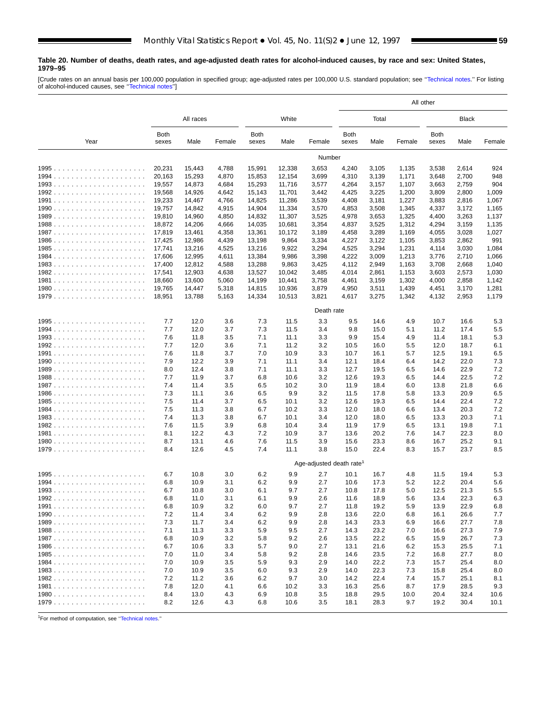#### **Table 20. Number of deaths, death rates, and age-adjusted death rates for alcohol-induced causes, by race and sex: United States, 1979–95**

[Crude rates on an annual basis per 100,000 population in specified group; age-adjusted rates per 100,000 U.S. standard population; see "Technical notes." For listing<br>of alcohol-induced causes, see "Technical notes"]

|      |                      |                  |                |                      |                  |                                      |                      | All other      |                |                      |                |                |  |
|------|----------------------|------------------|----------------|----------------------|------------------|--------------------------------------|----------------------|----------------|----------------|----------------------|----------------|----------------|--|
|      |                      | All races        |                |                      | White            |                                      |                      | Total          |                |                      | Black          |                |  |
| Year | <b>Both</b><br>sexes | Male             | Female         | <b>Both</b><br>sexes | Male             | Female                               | <b>Both</b><br>sexes | Male           | Female         | <b>Both</b><br>sexes | Male           | Female         |  |
|      |                      |                  |                |                      |                  | Number                               |                      |                |                |                      |                |                |  |
|      | 20,231               | 15,443           | 4,788          | 15,991               | 12,338           | 3,653                                | 4,240                | 3,105          | 1,135          | 3,538                | 2,614          | 924            |  |
|      | 20,163               | 15,293           | 4,870          | 15,853               | 12,154           | 3,699                                | 4,310                | 3,139          | 1,171          | 3,648                | 2,700          | 948            |  |
|      | 19,557               | 14,873           | 4,684          | 15,293               | 11,716           | 3,577                                | 4,264                | 3,157          | 1,107          | 3,663                | 2,759          | 904            |  |
|      | 19,568<br>19,233     | 14,926<br>14,467 | 4,642<br>4,766 | 15,143<br>14,825     | 11,701<br>11,286 | 3,442<br>3,539                       | 4,425<br>4,408       | 3,225<br>3,181 | 1,200<br>1,227 | 3,809<br>3,883       | 2,800<br>2,816 | 1,009<br>1,067 |  |
|      | 19,757               | 14,842           | 4,915          | 14,904               | 11,334           | 3,570                                | 4,853                | 3,508          | 1,345          | 4,337                | 3,172          | 1,165          |  |
|      | 19,810               | 14,960           | 4,850          | 14,832               | 11,307           | 3,525                                | 4,978                | 3,653          | 1,325          | 4,400                | 3,263          | 1,137          |  |
|      | 18,872               | 14,206           | 4,666          | 14,035               | 10,681           | 3,354                                | 4,837                | 3,525          | 1,312          | 4,294                | 3,159          | 1,135          |  |
|      | 17,819               | 13,461           | 4,358          | 13,361               | 10,172           | 3,189                                | 4,458                | 3,289          | 1,169          | 4,055                | 3,028          | 1,027          |  |
|      | 17,425               | 12,986           | 4,439          | 13,198               | 9,864            | 3,334                                | 4,227                | 3,122          | 1,105          | 3,853                | 2,862          | 991            |  |
|      | 17,741               | 13,216           | 4,525          | 13,216               | 9,922            | 3,294                                | 4,525                | 3,294          | 1,231          | 4,114                | 3,030          | 1,084          |  |
|      | 17,606               | 12,995           | 4,611          | 13,384               | 9,986            | 3,398                                | 4,222                | 3,009          | 1,213          | 3,776                | 2,710          | 1,066          |  |
|      | 17,400               | 12,812           | 4,588          | 13,288               | 9,863            | 3,425                                | 4,112                | 2,949          | 1,163          | 3,708                | 2,668          | 1,040          |  |
|      | 17,541<br>18,660     | 12,903<br>13,600 | 4,638<br>5,060 | 13,527<br>14,199     | 10,042<br>10,441 | 3,485<br>3,758                       | 4,014<br>4,461       | 2,861<br>3,159 | 1,153<br>1,302 | 3,603<br>4,000       | 2,573<br>2,858 | 1,030<br>1,142 |  |
|      | 19,765               | 14,447           | 5,318          | 14,815               | 10,936           | 3,879                                | 4,950                | 3,511          | 1,439          | 4,451                | 3,170          | 1,281          |  |
|      | 18,951               | 13,788           | 5,163          | 14,334               | 10,513           | 3,821                                | 4,617                | 3,275          | 1,342          | 4,132                | 2,953          | 1,179          |  |
|      |                      |                  |                |                      |                  | Death rate                           |                      |                |                |                      |                |                |  |
|      | 7.7                  | 12.0             | 3.6            | 7.3                  | 11.5             | 3.3                                  | 9.5                  | 14.6           | 4.9            | 10.7                 | 16.6           | 5.3            |  |
|      | 7.7                  | 12.0             | 3.7            | 7.3                  | 11.5             | 3.4                                  | 9.8                  | 15.0           | 5.1            | 11.2                 | 17.4           | 5.5            |  |
|      | 7.6                  | 11.8             | 3.5            | 7.1                  | 11.1             | 3.3                                  | 9.9                  | 15.4           | 4.9            | 11.4                 | 18.1           | 5.3            |  |
|      | 7.7                  | 12.0             | 3.6            | 7.1                  | 11.2             | 3.2                                  | 10.5                 | 16.0           | 5.5            | 12.0                 | 18.7           | 6.1            |  |
|      | 7.6                  | 11.8             | 3.7            | 7.0                  | 10.9             | 3.3                                  | 10.7                 | 16.1           | 5.7            | 12.5                 | 19.1           | 6.5            |  |
|      | 7.9                  | 12.2             | 3.9            | 7.1                  | 11.1             | 3.4                                  | 12.1                 | 18.4           | 6.4            | 14.2                 | 22.0           | 7.3            |  |
|      | 8.0                  | 12.4             | 3.8            | 7.1                  | 11.1             | 3.3                                  | 12.7                 | 19.5           | 6.5            | 14.6                 | 22.9           | 7.2            |  |
|      | 7.7<br>7.4           | 11.9             | 3.7<br>3.5     | 6.8<br>6.5           | 10.6             | 3.2<br>3.0                           | 12.6                 | 19.3           | 6.5            | 14.4                 | 22.5<br>21.8   | 7.2<br>6.6     |  |
|      | 7.3                  | 11.4<br>11.1     | 3.6            | 6.5                  | 10.2<br>9.9      | 3.2                                  | 11.9<br>11.5         | 18.4<br>17.8   | 6.0<br>5.8     | 13.8<br>13.3         | 20.9           | 6.5            |  |
|      | 7.5                  | 11.4             | 3.7            | 6.5                  | 10.1             | 3.2                                  | 12.6                 | 19.3           | 6.5            | 14.4                 | 22.4           | 7.2            |  |
|      | 7.5                  | 11.3             | 3.8            | 6.7                  | 10.2             | 3.3                                  | 12.0                 | 18.0           | 6.6            | 13.4                 | 20.3           | 7.2            |  |
|      | 7.4                  | 11.3             | 3.8            | 6.7                  | 10.1             | 3.4                                  | 12.0                 | 18.0           | 6.5            | 13.3                 | 20.3           | 7.1            |  |
|      | 7.6                  | 11.5             | 3.9            | 6.8                  | 10.4             | 3.4                                  | 11.9                 | 17.9           | 6.5            | 13.1                 | 19.8           | 7.1            |  |
|      | 8.1                  | 12.2             | 4.3            | 7.2                  | 10.9             | 3.7                                  | 13.6                 | 20.2           | 7.6            | 14.7                 | 22.3           | 8.0            |  |
|      | 8.7                  | 13.1             | 4.6            | 7.6                  | 11.5             | 3.9                                  | 15.6                 | 23.3           | 8.6            | 16.7                 | 25.2           | 9.1            |  |
|      | 8.4                  | 12.6             | 4.5            | 7.4                  | 11.1             | 3.8                                  | 15.0                 | 22.4           | 8.3            | 15.7                 | 23.7           | 8.5            |  |
|      |                      |                  |                |                      |                  | Age-adjusted death rate <sup>1</sup> |                      |                |                |                      |                |                |  |
|      | 6.7                  | 10.8             | 3.0            | 6.2                  | 9.9              | 2.7                                  | 10.1                 | 16.7           | 4.8            | 11.5                 | 19.4           | 5.3            |  |
|      | 6.8<br>6.7           | 10.9<br>10.8     | 3.1<br>3.0     | 6.2<br>6.1           | 9.9<br>9.7       | 2.7<br>2.7                           | 10.6<br>10.8         | 17.3<br>17.8   | 5.2<br>5.0     | 12.2<br>12.5         | 20.4<br>21.3   | 5.6<br>5.5     |  |
|      | 6.8                  | 11.0             | 3.1            | 6.1                  | 9.9              | 2.6                                  | 11.6                 | 18.9           | 5.6            | 13.4                 | 22.3           | 6.3            |  |
|      | 6.8                  | 10.9             | 3.2            | 6.0                  | 9.7              | 2.7                                  | 11.8                 | 19.2           | 5.9            | 13.9                 | 22.9           | 6.8            |  |
|      | 7.2                  | 11.4             | 3.4            | 6.2                  | 9.9              | 2.8                                  | 13.6                 | 22.0           | 6.8            | 16.1                 | 26.6           | 7.7            |  |
|      | 7.3                  | 11.7             | 3.4            | 6.2                  | 9.9              | 2.8                                  | 14.3                 | 23.3           | 6.9            | 16.6                 | 27.7           | 7.8            |  |
|      | 7.1                  | 11.3             | 3.3            | 5.9                  | 9.5              | 2.7                                  | 14.3                 | 23.2           | 7.0            | 16.6                 | 27.3           | 7.9            |  |
|      | 6.8                  | 10.9             | 3.2            | 5.8                  | 9.2              | 2.6                                  | 13.5                 | 22.2           | 6.5            | 15.9                 | 26.7           | 7.3            |  |
|      | 6.7                  | 10.6             | 3.3            | 5.7                  | 9.0              | 2.7                                  | 13.1                 | 21.6           | 6.2            | 15.3                 | 25.5           | 7.1            |  |
|      | 7.0                  | 11.0             | 3.4            | 5.8                  | 9.2              | 2.8                                  | 14.6                 | 23.5           | 7.2            | 16.8                 | 27.7           | 8.0            |  |
|      | 7.0                  | 10.9             | 3.5            | 5.9                  | 9.3              | 2.9                                  | 14.0                 | 22.2           | 7.3            | 15.7                 | 25.4           | 8.0            |  |
|      | 7.0                  | 10.9             | 3.5            | 6.0                  | 9.3              | 2.9                                  | 14.0                 | 22.3           | 7.3            | 15.8                 | 25.4           | 8.0            |  |
|      | 7.2<br>7.8           | 11.2<br>12.0     | 3.6<br>4.1     | 6.2<br>6.6           | 9.7<br>10.2      | 3.0<br>3.3                           | 14.2<br>16.3         | 22.4<br>25.6   | 7.4<br>8.7     | 15.7<br>17.9         | 25.1<br>28.5   | 8.1<br>9.3     |  |
|      | 8.4                  | 13.0             | 4.3            | 6.9                  | 10.8             | 3.5                                  | 18.8                 | 29.5           | 10.0           | 20.4                 | 32.4           | 10.6           |  |
|      | 8.2                  | 12.6             | 4.3            | 6.8                  | 10.6             | 3.5                                  | 18.1                 | 28.3           | 9.7            | 19.2                 | 30.4           | 10.1           |  |

1For method of computation, see [''Technical notes.''](#page-72-0)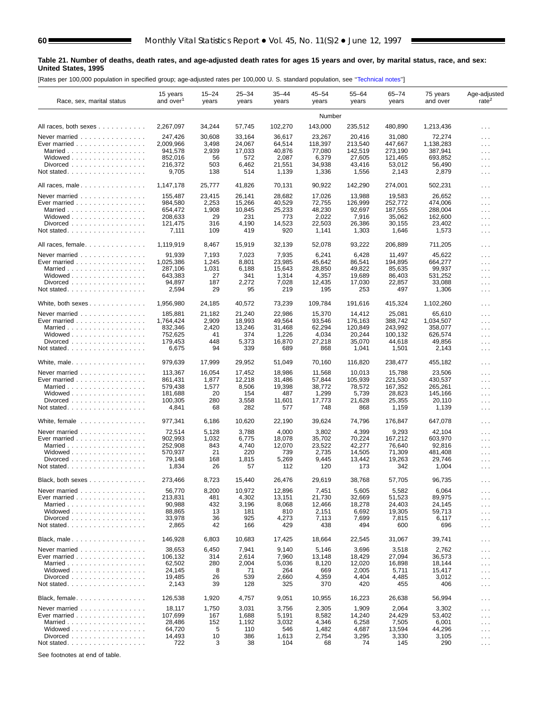#### **Table 21. Number of deaths, death rates, and age-adjusted death rates for ages 15 years and over, by marital status, race, and sex: United States, 1995**

[Rates per 100,000 population in specified group; age-adjusted rates per 100,000 U. S. standard population, see [''Technical notes''\]](#page-72-0)

| Race, sex, marital status                                    | 15 years<br>and over <sup>1</sup> | $15 - 24$<br>years | $25 - 34$<br>years | $35 - 44$<br>years | $45 - 54$<br>years | $55 - 64$<br>years | $65 - 74$<br>years | 75 years<br>and over | Age-adjusted<br>rate <sup>2</sup> |
|--------------------------------------------------------------|-----------------------------------|--------------------|--------------------|--------------------|--------------------|--------------------|--------------------|----------------------|-----------------------------------|
|                                                              |                                   |                    |                    |                    | Number             |                    |                    |                      |                                   |
| All races, both sexes                                        | 2,267,097                         | 34,244             | 57,745             | 102,270            | 143,000            | 235,512            | 480,890            | 1,213,436            | $\cdots$                          |
| Never married                                                | 247,426                           | 30,608             | 33,164             | 36,617             | 23,267             | 20,416             | 31,080             | 72,274               | $\cdots$                          |
| Ever married $\ldots \ldots \ldots \ldots \ldots$            | 2,009,966                         | 3,498              | 24,067             | 64,514             | 118,397            | 213,540            | 447,667            | 1,138,283            | $\cdots$                          |
| Married                                                      | 941,578                           | 2,939              | 17,033             | 40,876             | 77,080             | 142,519            | 273.190            | 387.941              | $\sim$ $\sim$ $\sim$              |
| Widowed                                                      | 852,016                           | 56<br>503          | 572<br>6,462       | 2,087<br>21,551    | 6,379              | 27,605<br>43,416   | 121,465<br>53,012  | 693,852              | $\cdots$                          |
| Divorced                                                     | 216,372<br>9,705                  | 138                | 514                | 1,139              | 34,938<br>1,336    | 1,556              | 2,143              | 56,490<br>2,879      | $\cdots$<br>.                     |
|                                                              |                                   |                    |                    |                    |                    |                    |                    |                      |                                   |
| All races, male                                              | 1.147.178                         | 25,777             | 41,826             | 70,131             | 90,922             | 142,290            | 274,001            | 502,231              | $\cdots$                          |
| Never married                                                | 155,487                           | 23,415             | 26,141             | 28,682             | 17,026             | 13,988             | 19,583             | 26.652               | $\cdots$                          |
| Ever married $\ldots$ ,                                      | 984,580                           | 2,253              | 15,266             | 40,529             | 72,755             | 126,999            | 252,772            | 474,006              | $\cdots$                          |
| Married                                                      | 654,472                           | 1,908              | 10,845             | 25,233             | 48,230             | 92,697             | 187,555            | 288,004              | $\sim$ $\sim$                     |
| Widowed<br>Divorced                                          | 208,633<br>121,475                | 29<br>316          | 231<br>4,190       | 773<br>14,523      | 2,022<br>22,503    | 7,916<br>26,386    | 35,062<br>30,155   | 162,600<br>23,402    | $\cdots$                          |
|                                                              | 7,111                             | 109                | 419                | 920                | 1,141              | 1,303              | 1,646              | 1,573                | .<br>$\cdots$                     |
|                                                              |                                   |                    |                    |                    |                    |                    |                    |                      |                                   |
| All races, female.                                           | 1,119,919                         | 8,467              | 15,919             | 32,139             | 52,078             | 93,222             | 206,889            | 711,205              | $\cdots$                          |
| Never married                                                | 91,939                            | 7,193              | 7,023              | 7,935              | 6,241              | 6,428              | 11,497             | 45,622               | $\cdots$                          |
| Ever married                                                 | 1,025,386                         | 1,245              | 8,801              | 23,985             | 45,642             | 86,541             | 194,895            | 664.277              | $\cdots$                          |
| Married                                                      | 287.106                           | 1,031              | 6,188              | 15,643             | 28.850             | 49.822             | 85.635             | 99,937               | .                                 |
| Widowed<br>Divorced                                          | 643,383<br>94,897                 | 27<br>187          | 341<br>2,272       | 1,314<br>7,028     | 4,357<br>12,435    | 19,689<br>17,030   | 86,403<br>22,857   | 531,252<br>33,088    | $\cdots$                          |
| Not stated.                                                  | 2,594                             | 29                 | 95                 | 219                | 195                | 253                | 497                | 1,306                | .<br>.                            |
|                                                              |                                   |                    |                    |                    |                    |                    |                    |                      |                                   |
| White, both sexes                                            | 1,956,980                         | 24,185             | 40,572             | 73,239             | 109,784            | 191,616            | 415,324            | 1,102,260            | $\cdots$                          |
| Never married                                                | 185,881                           | 21,182             | 21,240             | 22,986             | 15,370             | 14,412             | 25,081             | 65,610               | $\cdots$                          |
| Ever married                                                 | 1,764,424                         | 2,909              | 18,993             | 49,564             | 93,546             | 176,163            | 388,742            | 1,034,507            | $\cdots$                          |
| Married                                                      | 832,346                           | 2,420              | 13,246             | 31.468             | 62.294             | 120.849            | 243.992            | 358,077              | $\cdots$                          |
| Widowed<br>Divorced                                          | 752,625<br>179,453                | 41<br>448          | 374<br>5,373       | 1,226<br>16,870    | 4,034<br>27,218    | 20,244<br>35,070   | 100,132<br>44,618  | 626,574<br>49,856    | $\cdots$                          |
|                                                              | 6,675                             | 94                 | 339                | 689                | 868                | 1,041              | 1,501              | 2,143                | .<br>$\cdots$                     |
|                                                              |                                   |                    |                    |                    |                    |                    |                    |                      |                                   |
| White, male                                                  | 979,639                           | 17,999             | 29,952             | 51,049             | 70,160             | 116,820            | 238,477            | 455,182              | $\cdots$                          |
| Never married                                                | 113,367                           | 16,054             | 17,452             | 18,986             | 11,568             | 10,013             | 15,788             | 23,506               | $\cdots$                          |
| Ever married                                                 | 861,431                           | 1,877              | 12,218             | 31,486             | 57,844             | 105,939            | 221,530            | 430,537              | $\cdots$                          |
| Married                                                      | 579,438                           | 1,577              | 8,506              | 19,398             | 38,772             | 78,572             | 167,352            | 265,261              | $\sim$ .                          |
| Widowed<br>Divorced                                          | 181,688<br>100,305                | 20<br>280          | 154<br>3,558       | 487<br>11,601      | 1,299<br>17,773    | 5,739<br>21,628    | 28,823<br>25,355   | 145,166<br>20,110    | $\cdots$                          |
| Not stated.                                                  | 4,841                             | 68                 | 282                | 577                | 748                | 868                | 1,159              | 1,139                | $\cdots$<br>$\cdots$              |
|                                                              |                                   |                    |                    |                    |                    |                    |                    |                      |                                   |
| White, female                                                | 977,341                           | 6,186              | 10,620             | 22,190             | 39,624             | 74,796             | 176,847            | 647,078              | $\cdots$                          |
| Never married                                                | 72,514                            | 5,128              | 3,788              | 4,000              | 3,802              | 4,399              | 9,293              | 42,104               | $\cdots$                          |
| Ever married $\ldots \ldots \ldots \ldots$                   | 902,993                           | 1,032              | 6,775              | 18,078             | 35,702             | 70,224             | 167,212            | 603.970              | $\cdots$                          |
| Married                                                      | 252,908                           | 843                | 4.740              | 12,070             | 23,522             | 42,277             | 76,640             | 92,816               | $\cdots$                          |
| Widowed<br>Divorced                                          | 570.937<br>79,148                 | 21<br>168          | 220<br>1,815       | 739<br>5,269       | 2,735<br>9,445     | 14,505<br>13,442   | 71,309<br>19,263   | 481,408<br>29,746    | $\cdots$                          |
| Not stated                                                   | 1,834                             | 26                 | 57                 | 112                | 120                | 173                | 342                | 1,004                | $\cdots$<br>$\sim$ $\sim$         |
|                                                              |                                   |                    |                    |                    |                    |                    |                    |                      |                                   |
| Black, both sexes                                            | 273,466                           | 8,723              | 15,440             | 26,476             | 29,619             | 38,768             | 57,705             | 96,735               | $\cdots$                          |
| Never married                                                | 56,770                            | 8,200              | 10,972             | 12,896             | 7,451              | 5,605              | 5,582              | 6,064                | $\cdots$                          |
| Ever married $\ldots \ldots \ldots \ldots \ldots$            | 213,831                           | 481                | 4,302              | 13,151             | 21,730             | 32,669             | 51,523             | 89,975               | $\cdots$                          |
| Married                                                      | 90,988                            | 432<br>13          | 3,196<br>181       | 8,068              | 12,466             | 18,278             | 24,403             | 24,145               | .                                 |
| Widowed<br>Divorced                                          | 88,865<br>33,978                  | 36                 | 925                | 810<br>4,273       | 2,151<br>7,113     | 6,692<br>7,699     | 19,305<br>7,815    | 59,713<br>6,117      | $\cdots$<br>$\sim$ $\sim$ $\sim$  |
| Not stated. $\ldots$                                         | 2,865                             | 42                 | 166                | 429                | 438                | 494                | 600                | 696                  | $\sim$ $\sim$                     |
|                                                              |                                   |                    |                    |                    |                    |                    |                    |                      |                                   |
| Black, male                                                  | 146,928                           | 6,803              | 10,683             | 17,425             | 18,664             | 22,545             | 31,067             | 39,741               | .                                 |
| Never married                                                | 38,653                            | 6,450              | 7,941              | 9,140              | 5,146              | 3,696              | 3,518              | 2,762                | $\cdots$                          |
| Ever married $\ldots \ldots \ldots \ldots \ldots$            | 106,132                           | 314                | 2,614              | 7,960              | 13,148             | 18,429             | 27,094             | 36,573               | $\cdots$                          |
| Married<br>Widowed $\ldots$ , $\ldots$ , $\ldots$ , $\ldots$ | 62,502<br>24,145                  | 280<br>8           | 2,004<br>71        | 5,036<br>264       | 8,120<br>669       | 12,020<br>2,005    | 16,898<br>5,711    | 18,144<br>15,417     | .                                 |
| Divorced                                                     | 19,485                            | 26                 | 539                | 2,660              | 4,359              | 4,404              | 4,485              | 3,012                | $\cdots$<br>$\cdots$              |
| Not stated. $\ldots$                                         | 2,143                             | 39                 | 128                | 325                | 370                | 420                | 455                | 406                  | $\sim$ $\sim$                     |
|                                                              |                                   |                    |                    |                    |                    |                    |                    |                      |                                   |
| Black, female                                                | 126,538                           | 1,920              | 4,757              | 9,051              | 10,955             | 16,223             | 26,638             | 56,994               | $\cdots$                          |
| Never married $\ldots \ldots \ldots \ldots$                  | 18,117                            | 1,750              | 3,031              | 3,756              | 2,305              | 1,909              | 2,064              | 3,302                | $\cdots$                          |
| Ever married $\ldots \ldots \ldots \ldots \ldots$            | 107,699                           | 167                | 1,688              | 5,191              | 8,582              | 14,240             | 24,429             | 53,402               | $\cdots$                          |
| Married<br>Widowed                                           | 28,486<br>64,720                  | 152<br>5           | 1,192<br>110       | 3,032<br>546       | 4,346<br>1,482     | 6,258<br>4,687     | 7,505<br>13,594    | 6,001<br>44,296      | .                                 |
|                                                              | 14,493                            | 10                 | 386                | 1,613              | 2,754              | 3,295              | 3,330              | 3,105                | $\cdots$<br>$\cdots$              |
|                                                              | 722                               | 3                  | 38                 | 104                | 68                 | 74                 | 145                | 290                  | $\sim$ $\sim$                     |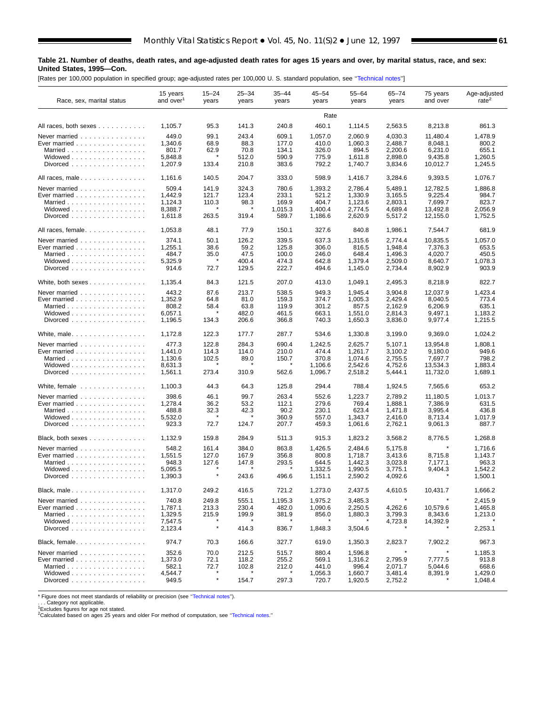### **Table 21. Number of deaths, death rates, and age-adjusted death rates for ages 15 years and over, by marital status, race, and sex: United States, 1995—Con.**

[Rates per 100,000 population in specified group; age-adjusted rates per 100,000 U. S. standard population, see [''Technical notes''\]](#page-72-0)

■

| Race, sex, marital status                         | 15 years<br>and over <sup>1</sup> | $15 - 24$<br>years | $25 - 34$<br>years | $35 - 44$<br>years | $45 - 54$<br>years | 55-64<br>years     | $65 - 74$<br>years | 75 years<br>and over | Age-adjusted<br>rate <sup>2</sup> |
|---------------------------------------------------|-----------------------------------|--------------------|--------------------|--------------------|--------------------|--------------------|--------------------|----------------------|-----------------------------------|
|                                                   |                                   |                    |                    |                    | Rate               |                    |                    |                      |                                   |
| All races, both sexes                             | 1,105.7                           | 95.3               | 141.3              | 240.8              | 460.1              | 1,114.5            | 2,563.5            | 8,213.8              | 861.3                             |
| Never married                                     | 449.0                             | 99.1               | 243.4              | 609.1              | 1,057.0            | 2,060.9            | 4,030.3            | 11,480.4             | 1,478.9                           |
| Ever married                                      | 1,340.6                           | 68.9               | 88.3               | 177.0              | 410.0              | 1,060.3            | 2,488.7            | 8,048.1              | 800.2                             |
| Married                                           | 801.7                             | 62.9               | 70.8               | 134.1              | 326.0              | 894.5              | 2,200.6            | 6,231.0              | 655.1                             |
| Widowed                                           | 5,848.8                           |                    | 512.0              | 590.9              | 775.9              | 1,611.8            | 2,898.0            | 9,435.8              | 1,260.5                           |
| Divorced                                          | 1,207.9                           | 133.4              | 210.8              | 383.6              | 792.2              | 1,740.7            | 3,834.6            | 10,012.7             | 1,245.5                           |
| All races, male                                   | 1,161.6                           | 140.5              | 204.7              | 333.0              | 598.9              | 1,416.7            | 3,284.6            | 9,393.5              | 1,076.7                           |
| Never married                                     | 509.4                             | 141.9              | 324.3              | 780.6              | 1,393.2            | 2,786.4            | 5,489.1            | 12.782.5             | 1,886.8                           |
| Ever married                                      | 1,442.9                           | 121.7              | 123.4              | 233.1              | 521.2              | 1,330.9            | 3,165.5            | 9,225.4              | 984.7                             |
| Married                                           | 1,124.3                           | 110.3              | 98.3               | 169.9              | 404.7              | 1,123.6            | 2,803.1            | 7,699.7              | 823.7                             |
| Widowed<br>Divorced                               | 8,388.7<br>1,611.8                | 263.5              | 319.4              | 1,015.3<br>589.7   | 1,400.4<br>1,186.6 | 2,774.5<br>2,620.9 | 4,689.4<br>5,517.2 | 13,492.8<br>12,155.0 | 2,056.9<br>1,752.5                |
|                                                   |                                   |                    |                    |                    |                    |                    |                    |                      |                                   |
| All races, female                                 | 1,053.8                           | 48.1               | 77.9               | 150.1              | 327.6              | 840.8              | 1,986.1            | 7,544.7              | 681.9                             |
| Never married                                     | 374.1                             | 50.1               | 126.2              | 339.5              | 637.3              | 1,315.6            | 2,774.4            | 10,835.5             | 1,057.0                           |
| Ever married                                      | 1,255.1                           | 38.6               | 59.2               | 125.8              | 306.0              | 816.5              | 1,948.4            | 7,376.3              | 653.5                             |
| Married                                           | 484.7                             | 35.0<br>$\star$    | 47.5               | 100.0              | 246.0              | 648.4              | 1,496.3            | 4,020.7              | 450.5                             |
| Widowed<br>Divorced                               | 5,325.9<br>914.6                  | 72.7               | 400.4<br>129.5     | 474.3<br>222.7     | 642.8<br>494.6     | 1,379.4<br>1,145.0 | 2,509.0<br>2,734.4 | 8,640.7<br>8,902.9   | 1,078.3<br>903.9                  |
|                                                   |                                   |                    |                    |                    |                    |                    |                    |                      |                                   |
| White, both sexes                                 | 1,135.4                           | 84.3               | 121.5              | 207.0              | 413.0              | 1,049.1            | 2,495.3            | 8,218.9              | 822.7                             |
| Never married                                     | 443.2                             | 87.6               | 213.7              | 538.5              | 949.3              | 1,945.4            | 3,904.8            | 12,037.9             | 1,423.4                           |
| Ever married $\ldots \ldots \ldots \ldots \ldots$ | 1,352.9                           | 64.8               | 81.0               | 159.3              | 374.7              | 1,005.3            | 2.429.4            | 8,040.5              | 773.4                             |
| Married                                           | 808.2                             | 58.4               | 63.8               | 119.9              | 301.2              | 857.5              | 2,162.9            | 6,206.9              | 635.1                             |
| Widowed                                           | 6,057.1                           |                    | 482.0              | 461.5              | 663.1              | 1,551.0            | 2.814.3            | 9,497.1              | 1,183.2                           |
| Divorced $\ldots$                                 | 1,196.5                           | 134.3              | 206.6              | 366.8              | 740.3              | 1,650.3            | 3,836.0            | 9,977.4              | 1,215.5                           |
| White, male.                                      | 1,172.8                           | 122.3              | 177.7              | 287.7              | 534.6              | 1,330.8            | 3,199.0            | 9,369.0              | 1,024.2                           |
| Never married                                     | 477.3                             | 122.8              | 284.3              | 690.4              | 1,242.5            | 2,625.7            | 5,107.1            | 13,954.8             | 1,808.1                           |
| Ever married                                      | 1,441.0                           | 114.3              | 114.0              | 210.0              | 474.4              | 1,261.7            | 3,100.2            | 9,180.0              | 949.6                             |
| Married                                           | 1,130.6                           | 102.5              | 89.0               | 150.7              | 370.8              | 1,074.6            | 2,755.5            | 7,697.7              | 798.2                             |
| Widowed                                           | 8,631.3                           |                    |                    |                    | 1,106.6            | 2,542.6            | 4,752.6            | 13,534.3             | 1,883.4                           |
| Divorced                                          | 1,561.1                           | 273.4              | 310.9              | 562.6              | 1,096.7            | 2,518.2            | 5,444.1            | 11,732.0             | 1,689.1                           |
| White, female                                     | 1,100.3                           | 44.3               | 64.3               | 125.8              | 294.4              | 788.4              | 1,924.5            | 7,565.6              | 653.2                             |
| Never married                                     | 398.6                             | 46.1               | 99.7               | 263.4              | 552.6              | 1,223.7            | 2,789.2            | 11,180.5             | 1,013.7                           |
| Ever married $\ldots \ldots \ldots \ldots \ldots$ | 1,278.4                           | 36.2               | 53.2               | 112.1              | 279.6              | 769.4              | 1,888.1            | 7,386.9              | 631.5                             |
| Married                                           | 488.8                             | 32.3               | 42.3               | 90.2               | 230.1              | 623.4              | 1,471.8            | 3,995.4              | 436.8                             |
| Widowed                                           | 5,532.0                           |                    |                    | 360.9              | 557.0              | 1,343.7            | 2,416.0            | 8,713.4              | 1,017.9                           |
| Divorced                                          | 923.3                             | 72.7               | 124.7              | 207.7              | 459.3              | 1,061.6            | 2,762.1            | 9,061.3              | 887.7                             |
| Black, both sexes                                 | 1,132.9                           | 159.8              | 284.9              | 511.3              | 915.3              | 1,823.2            | 3,568.2            | 8,776.5              | 1,268.8                           |
| Never married $\ldots \ldots \ldots \ldots$       | 548.2                             | 161.4              | 384.0              | 863.8              | 1,426.5            | 2,484.6            | 5,175.8            | $\star$              | 1.716.6                           |
| Ever married $\ldots \ldots \ldots \ldots \ldots$ | 1,551.5                           | 127.0              | 167.9              | 356.8              | 800.8              | 1,718.7            | 3,413.6            | 8,715.8              | 1,143.7                           |
| Married                                           | 948.3                             | 127.6              | 147.8              | 293.5              | 644.5              | 1,442.3            | 3,023.8            | 7,177.1              | 963.3                             |
| Widowed<br>Divorced                               | 5,095.5<br>1,390.3                |                    | 243.6              | 496.6              | 1,332.5<br>1,151.1 | 1,990.5<br>2,590.2 | 3,775.1<br>4,092.6 | 9,404.3              | 1,542.2<br>1,500.1                |
| Black, male $\ldots \ldots \ldots \ldots \ldots$  | 1,317.0                           | 249.2              | 416.5              | 721.2              | 1,273.0            | 2,437.5            | 4,610.5            | 10,431.7             | 1,666.2                           |
| Never married                                     | 740.8                             | 249.8              | 555.1              | 1,195.3            | 1,975.2            | 3,485.3            | $\star$            |                      | 2,415.9                           |
| Ever married $\ldots \ldots \ldots \ldots \ldots$ | 1,787.1                           | 213.3              | 230.4              | 482.0              | 1,090.6            | 2,250.5            | 4,262.6            | 10,579.6             | 1,465.8                           |
| Married                                           | 1,329.5                           | 215.9              | 199.9              | 381.9              | 856.0              | 1,880.3            | 3,799.3            | 8,343.6              | 1,213.0                           |
| Widowed $\ldots$ , $\ldots$ , $\ldots$ , $\ldots$ | 7,547.5                           |                    |                    |                    |                    |                    | 4,723.8            | 14,392.9             |                                   |
| Divorced                                          | 2,123.4                           |                    | 414.3              | 836.7              | 1,848.3            | 3,504.6            |                    |                      | 2,253.1                           |
| Black, female                                     | 974.7                             | 70.3               | 166.6              | 327.7              | 619.0              | 1,350.3            | 2,823.7            | 7,902.2              | 967.3                             |
| Never married $\ldots \ldots \ldots \ldots$       | 352.6                             | 70.0               | 212.5              | 515.7              | 880.4              | 1,596.8            | $\pmb{\ast}$       | $\star$              | 1,185.3                           |
| Ever married $\ldots$ ,                           | 1,373.0                           | 72.1               | 118.2              | 255.2              | 569.1              | 1,316.2            | 2,795.9            | 7,777.5              | 913.8                             |
| Married                                           | 582.1                             | 72.7               | 102.8              | 212.0              | 441.0              | 996.4              | 2,071.7            | 5,044.6              | 668.6                             |
| Widowed                                           | 4,544.7                           |                    |                    |                    | 1,056.3            | 1,660.7            | 3,481.4            | 8,391.9              | 1,429.0                           |
| Divorced                                          | 949.5                             | $\pmb{\ast}$       | 154.7              | 297.3              | 720.7              | 1,920.5            | 2,752.2            |                      | 1,048.4                           |

\* Figure does not meet standards of reliability or precision (see "Technical notes").<br>. . . Category not applicable.<br><sup>1</sup>Excludes figures for age not stated.<br><sup>2</sup>Calculated based on ages 25 years and older For method of comp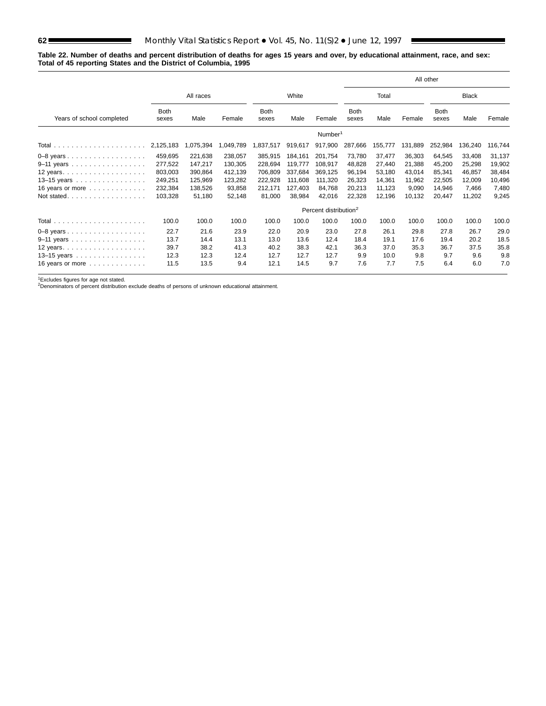$\sim$ 

#### **Table 22. Number of deaths and percent distribution of deaths for ages 15 years and over, by educational attainment, race, and sex: Total of 45 reporting States and the District of Columbia, 1995**

|                           |                      |           |           |                      |         |                                   |                      |         |         | All other            |              |         |
|---------------------------|----------------------|-----------|-----------|----------------------|---------|-----------------------------------|----------------------|---------|---------|----------------------|--------------|---------|
|                           |                      | All races |           |                      | White   |                                   |                      | Total   |         |                      | <b>Black</b> |         |
| Years of school completed | <b>Both</b><br>sexes | Male      | Female    | <b>Both</b><br>sexes | Male    | Female                            | <b>Both</b><br>sexes | Male    | Female  | <b>Both</b><br>sexes | Male         | Female  |
|                           |                      |           |           |                      |         | Number <sup>1</sup>               |                      |         |         |                      |              |         |
|                           | 2,125,183            | 1,075,394 | 1,049,789 | ,837,517             | 919,617 | 917,900                           | 287,666              | 155,777 | 131,889 | 252,984              | 136,240      | 116,744 |
| $0-8$ years               | 459,695              | 221,638   | 238,057   | 385,915              | 184,161 | 201,754                           | 73,780               | 37,477  | 36,303  | 64,545               | 33,408       | 31,137  |
| 9-11 years                | 277,522              | 147,217   | 130,305   | 228,694              | 119.777 | 108,917                           | 48,828               | 27,440  | 21,388  | 45,200               | 25,298       | 19,902  |
| 12 years                  | 803,003              | 390,864   | 412,139   | 706,809              | 337.684 | 369,125                           | 96,194               | 53,180  | 43,014  | 85,341               | 46,857       | 38,484  |
| 13-15 years               | 249,251              | 125,969   | 123,282   | 222,928              | 111,608 | 111,320                           | 26,323               | 14,361  | 11,962  | 22,505               | 12,009       | 10,496  |
| 16 years or more          | 232,384              | 138,526   | 93,858    | 212,171              | 127,403 | 84,768                            | 20,213               | 11,123  | 9,090   | 14,946               | 7,466        | 7,480   |
| Not stated                | 103,328              | 51,180    | 52,148    | 81,000               | 38,984  | 42,016                            | 22,328               | 12,196  | 10,132  | 20.447               | 11,202       | 9,245   |
|                           |                      |           |           |                      |         | Percent distribution <sup>2</sup> |                      |         |         |                      |              |         |
|                           | 100.0                | 100.0     | 100.0     | 100.0                | 100.0   | 100.0                             | 100.0                | 100.0   | 100.0   | 100.0                | 100.0        | 100.0   |
| $0-8$ years               | 22.7                 | 21.6      | 23.9      | 22.0                 | 20.9    | 23.0                              | 27.8                 | 26.1    | 29.8    | 27.8                 | 26.7         | 29.0    |
| $9-11$ years              | 13.7                 | 14.4      | 13.1      | 13.0                 | 13.6    | 12.4                              | 18.4                 | 19.1    | 17.6    | 19.4                 | 20.2         | 18.5    |
| 12 years                  | 39.7                 | 38.2      | 41.3      | 40.2                 | 38.3    | 42.1                              | 36.3                 | 37.0    | 35.3    | 36.7                 | 37.5         | 35.8    |
| 13-15 years               | 12.3                 | 12.3      | 12.4      | 12.7                 | 12.7    | 12.7                              | 9.9                  | 10.0    | 9.8     | 9.7                  | 9.6          | 9.8     |
| 16 years or more          | 11.5                 | 13.5      | 9.4       | 12.1                 | 14.5    | 9.7                               | 7.6                  | 7.7     | 7.5     | 6.4                  | 6.0          | 7.0     |

1Excludes figures for age not stated. 2Denominators of percent distribution exclude deaths of persons of unknown educational attainment.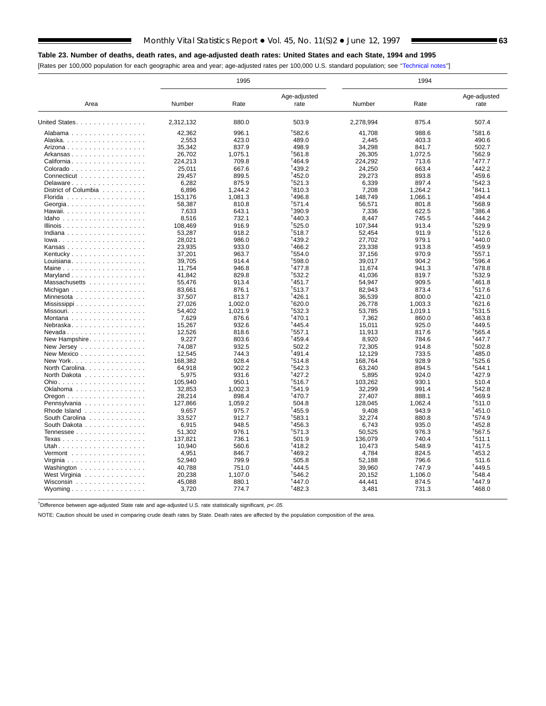## **Table 23. Number of deaths, death rates, and age-adjusted death rates: United States and each State, 1994 and 1995**

[Rates per 100,000 population for each geographic area and year; age-adjusted rates per 100,000 U.S. standard population; see [''Technical notes''\]](#page-72-0)

|                                                          |           | 1995    |                      |           | 1994    |                      |
|----------------------------------------------------------|-----------|---------|----------------------|-----------|---------|----------------------|
| Area                                                     | Number    | Rate    | Age-adjusted<br>rate | Number    | Rate    | Age-adjusted<br>rate |
| United States.                                           | 2,312,132 | 880.0   | 503.9                | 2,278,994 | 875.4   | 507.4                |
| Alabama                                                  | 42.362    | 996.1   | <sup>†</sup> 582.6   | 41.708    | 988.6   | <sup>+</sup> 581.6   |
| Alaska.                                                  | 2,553     | 423.0   | 489.0                | 2.445     | 403.3   | 490.6                |
| Arizona                                                  | 35,342    | 837.9   | 498.9                | 34,298    | 841.7   | 502.7                |
| Arkansas                                                 | 26,702    | 1,075.1 | <sup>†</sup> 561.8   | 26,305    | 1,072.5 | <sup>†</sup> 562.9   |
| California                                               | 224,213   | 709.8   | <sup>†</sup> 464.9   | 224,292   | 713.6   | <sup>†</sup> 477.7   |
| Colorado                                                 | 25,011    | 667.6   | $*439.2$             | 24,250    | 663.4   | 1442.2               |
| Connecticut                                              | 29,457    | 899.5   | 1452.0               | 29,273    | 893.8   | $*459.6$             |
|                                                          | 6.282     | 875.9   | $+521.3$             | 6.339     | 897.4   | $+542.3$             |
| Delaware                                                 |           |         | $*810.3$             |           |         | †841.1               |
| District of Columbia                                     | 6,896     | 1,244.2 |                      | 7,208     | 1,264.2 |                      |
| Florida                                                  | 153,176   | 1,081.3 | <sup>†</sup> 496.8   | 148,749   | 1,066.1 | <sup>+</sup> 494.4   |
| Georgia                                                  | 58,387    | 810.8   | $+571.4$             | 56,571    | 801.8   | $+568.9$             |
| Hawaii                                                   | 7,633     | 643.1   | $+390.9$             | 7,336     | 622.5   | 1386.4               |
| Idaho                                                    | 8,516     | 732.1   | 1440.3               | 8.447     | 745.5   | <sup>+</sup> 444.2   |
| Illinois                                                 | 108,469   | 916.9   | 1525.0               | 107,344   | 913.4   | <sup>†</sup> 529.9   |
| Indiana                                                  | 53,287    | 918.2   | $*518.7$             | 52,454    | 911.9   | $+512.6$             |
| lowa                                                     | 28,021    | 986.0   | $+439.2$             | 27,702    | 979.1   | $*440.0$             |
| Kansas                                                   | 23,935    | 933.0   | <sup>†</sup> 466.2   | 23,338    | 913.8   | <sup>†</sup> 459.9   |
| Kentucky                                                 | 37,201    | 963.7   | 1554.0               | 37,156    | 970.9   | $+557.1$             |
| Louisiana                                                | 39,705    | 914.4   | <sup>†</sup> 598.0   | 39,017    | 904.2   | <sup>†</sup> 596.4   |
| Maine                                                    | 11,754    | 946.8   | <sup>†</sup> 477.8   | 11,674    | 941.3   | <sup>†</sup> 478.8   |
| Maryland $\ldots \ldots \ldots \ldots \ldots$            | 41.842    | 829.8   | $+532.2$             | 41,036    | 819.7   | <sup>+</sup> 532.9   |
| Massachusetts                                            | 55,476    | 913.4   | $*451.7$             | 54.947    | 909.5   | 1461.8               |
| Michigan                                                 | 83,661    | 876.1   | $+513.7$             | 82,943    | 873.4   | <sup>+</sup> 517.6   |
| Minnesota                                                | 37,507    | 813.7   | 1426.1               | 36,539    | 800.0   | <sup>+</sup> 421.0   |
|                                                          |           | 1,002.0 | 1620.0               |           | 1,003.3 | 1621.6               |
|                                                          | 27,026    |         |                      | 26,778    |         | $+531.5$             |
| Missouri                                                 | 54,402    | 1,021.9 | $+532.3$             | 53,785    | 1.019.1 |                      |
| Montana                                                  | 7,629     | 876.6   | $*470.1$             | 7,362     | 860.0   | <sup>†</sup> 463.8   |
| Nebraska                                                 | 15,267    | 932.6   | $*445.4$             | 15,011    | 925.0   | <sup>†</sup> 449.5   |
| $N$ evada $\ldots$ $\ldots$ $\ldots$ $\ldots$ $\ldots$ . | 12,526    | 818.6   | $+557.1$             | 11,913    | 817.6   | $+565.4$             |
| New Hampshire                                            | 9,227     | 803.6   | $*459.4$             | 8,920     | 784.6   | <sup>+</sup> 447.7   |
| New Jersey $\dots$ , $\dots$ , $\dots$ , $\dots$ ,       | 74.087    | 932.5   | 502.2                | 72,305    | 914.8   | <sup>+</sup> 502.8   |
| New Mexico                                               | 12.545    | 744.3   | $*491.4$             | 12.129    | 733.5   | $*485.0$             |
| New York                                                 | 168,382   | 928.4   | $+514.8$             | 168,764   | 928.9   | <sup>+</sup> 525.6   |
| North Carolina.                                          | 64,918    | 902.2   | $+542.3$             | 63,240    | 894.5   | $+544.1$             |
| North Dakota                                             | 5,975     | 931.6   | $*427.2$             | 5.895     | 924.0   | $*427.9$             |
|                                                          | 105.940   | 950.1   | $*516.7$             | 103.262   | 930.1   | 510.4                |
| Oklahoma                                                 | 32.853    | 1.002.3 | $+541.9$             | 32.299    | 991.4   | <sup>+</sup> 542.8   |
| $O$ regon $\ldots \ldots \ldots \ldots \ldots$           | 28,214    | 898.4   | $*470.7$             | 27,407    | 888.1   | <sup>†</sup> 469.9   |
| Pennsylvania                                             | 127,866   | 1.059.2 | 504.8                | 128.045   | 1.062.4 | $+511.0$             |
| Rhode Island                                             | 9.657     | 975.7   | $+455.9$             | 9.408     | 943.9   | $*451.0$             |
| South Carolina                                           | 33.527    | 912.7   | †583.1               | 32.274    | 880.8   | <sup>†</sup> 574.9   |
|                                                          |           | 948.5   | $*456.3$             |           | 935.0   | $*452.8$             |
| South Dakota                                             | 6.915     |         |                      | 6.743     |         |                      |
| Tennessee                                                | 51,302    | 976.1   | 1571.3               | 50,525    | 976.3   | $+567.5$             |
| Texas                                                    | 137,821   | 736.1   | 501.9                | 136,079   | 740.4   | $+511.1$             |
|                                                          | 10.940    | 560.6   | <sup>†</sup> 418.2   | 10.473    | 548.9   | $*417.5$             |
| Vermont                                                  | 4.951     | 846.7   | $*469.2$             | 4.784     | 824.5   | $+453.2$             |
| Virginia                                                 | 52.940    | 799.9   | 505.8                | 52,188    | 796.6   | 511.6                |
| Washington                                               | 40,788    | 751.0   | <sup>†</sup> 444.5   | 39,960    | 747.9   | <sup>†</sup> 449.5   |
| West Virginia                                            | 20,238    | 1.107.0 | $+546.2$             | 20,152    | 1.106.0 | $+548.4$             |
| Wisconsin $\ldots \ldots \ldots \ldots$                  | 45.088    | 880.1   | $*447.0$             | 44.441    | 874.5   | $*447.9$             |
| Wyoming $\ldots \ldots \ldots \ldots \ldots$             | 3,720     | 774.7   | $*482.3$             | 3,481     | 731.3   | <sup>+</sup> 468.0   |
|                                                          |           |         |                      |           |         |                      |

†Difference between age-adjusted State rate and age-adjusted U.S. rate statistically significant, <sup>p</sup>< .05.

NOTE: Caution should be used in comparing crude death rates by State. Death rates are affected by the population composition of the area.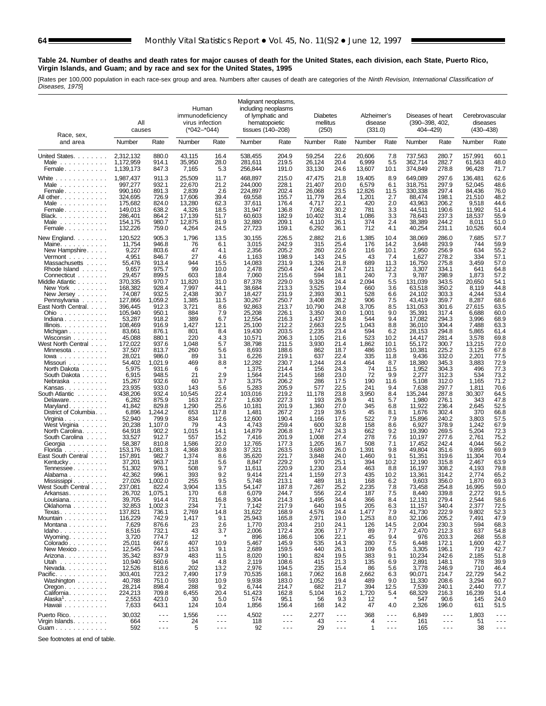#### **Table 24. Number of deaths and death rates for major causes of death for the United States, each division, each State, Puerto Rico, Virgin Islands, and Guam; and by race and sex for the United States, 1995**

[Rates per 100,000 population in each race-sex group and area. Numbers after causes of death are categories of the Ninth Revision, International Classification of Diseases, 1975]

| Race, sex,                                                                                                                                                                                                                                                                                                                                                                                                                                                       | All<br>causes                                                                                                                                                                                                                                                                                              |                                                                                                                                                                                                                                                                                  | Human<br>immunodeficiency<br>virus infection<br>$(*042 - *044)$                                                                                                                                                             |                                                                                                                                                                                                                        | Malignant neoplasms,<br>including neoplasms<br>of lymphatic and<br>hematopoietic<br>tissues (140–208)                                                                                                                                                                                        |                                                                                                                                                                                                                                                                            | <b>Diabetes</b><br>mellitus<br>(250)                                                                                                                                                                                                               |                                                                                                                                                                                                                                              | Alzheimer's<br>disease<br>(331.0)                                                                                                                                                                                       |                                                                                                                                                                                                                           | Diseases of heart<br>$(390 - 398, 402,$<br>404-429)                                                                                                                                                                                                                                             |                                                                                                                                                                                                                                                                            | Cerebrovascular<br>diseases<br>$(430 - 438)$                                                                                                                                                                                                                   |                                                                                                                                                                                                                                              |
|------------------------------------------------------------------------------------------------------------------------------------------------------------------------------------------------------------------------------------------------------------------------------------------------------------------------------------------------------------------------------------------------------------------------------------------------------------------|------------------------------------------------------------------------------------------------------------------------------------------------------------------------------------------------------------------------------------------------------------------------------------------------------------|----------------------------------------------------------------------------------------------------------------------------------------------------------------------------------------------------------------------------------------------------------------------------------|-----------------------------------------------------------------------------------------------------------------------------------------------------------------------------------------------------------------------------|------------------------------------------------------------------------------------------------------------------------------------------------------------------------------------------------------------------------|----------------------------------------------------------------------------------------------------------------------------------------------------------------------------------------------------------------------------------------------------------------------------------------------|----------------------------------------------------------------------------------------------------------------------------------------------------------------------------------------------------------------------------------------------------------------------------|----------------------------------------------------------------------------------------------------------------------------------------------------------------------------------------------------------------------------------------------------|----------------------------------------------------------------------------------------------------------------------------------------------------------------------------------------------------------------------------------------------|-------------------------------------------------------------------------------------------------------------------------------------------------------------------------------------------------------------------------|---------------------------------------------------------------------------------------------------------------------------------------------------------------------------------------------------------------------------|-------------------------------------------------------------------------------------------------------------------------------------------------------------------------------------------------------------------------------------------------------------------------------------------------|----------------------------------------------------------------------------------------------------------------------------------------------------------------------------------------------------------------------------------------------------------------------------|----------------------------------------------------------------------------------------------------------------------------------------------------------------------------------------------------------------------------------------------------------------|----------------------------------------------------------------------------------------------------------------------------------------------------------------------------------------------------------------------------------------------|
| and area                                                                                                                                                                                                                                                                                                                                                                                                                                                         | Number                                                                                                                                                                                                                                                                                                     | Rate                                                                                                                                                                                                                                                                             | Number                                                                                                                                                                                                                      | Rate                                                                                                                                                                                                                   | Number                                                                                                                                                                                                                                                                                       | Rate                                                                                                                                                                                                                                                                       | Number                                                                                                                                                                                                                                             | Rate                                                                                                                                                                                                                                         | Number                                                                                                                                                                                                                  | Rate                                                                                                                                                                                                                      | Number                                                                                                                                                                                                                                                                                          | Rate                                                                                                                                                                                                                                                                       | Number                                                                                                                                                                                                                                                         | Rate                                                                                                                                                                                                                                         |
| United States.<br>Male $\ldots$<br>Female                                                                                                                                                                                                                                                                                                                                                                                                                        | 2,312,132<br>1,172,959<br>1,139,173                                                                                                                                                                                                                                                                        | 880.0<br>914.1<br>847.3                                                                                                                                                                                                                                                          | 43,115<br>35,950<br>7,165                                                                                                                                                                                                   | 16.4<br>28.0<br>5.3                                                                                                                                                                                                    | 538,455<br>281,611<br>256,844                                                                                                                                                                                                                                                                | 204.9<br>219.5<br>191.0                                                                                                                                                                                                                                                    | 59,254<br>26,124<br>33,130                                                                                                                                                                                                                         | 22.6<br>20.4<br>24.6                                                                                                                                                                                                                         | 20,606<br>6,999<br>13,607                                                                                                                                                                                               | 7.8<br>5.5<br>10.1                                                                                                                                                                                                        | 737,563<br>362,714<br>374,849                                                                                                                                                                                                                                                                   | 280.7<br>282.7<br>278.8                                                                                                                                                                                                                                                    | 157,991<br>61,563<br>96,428                                                                                                                                                                                                                                    | 60.1<br>48.0<br>71.7                                                                                                                                                                                                                         |
| White<br>Male $\ldots$<br>Female<br>All other.<br>Male $\ldots$ , $\ldots$ , $\ldots$<br>Female<br>Black.<br>Male $\ldots$<br>Female                                                                                                                                                                                                                                                                                                                             | 1,987,437<br>997,277<br>990.160<br>324,695<br>175,682<br>149.013<br>286.401<br>154,175<br>132,226                                                                                                                                                                                                          | 911.3<br>932.1<br>891.3<br>726.9<br>824.0<br>638.2<br>864.2<br>980.7<br>759.0                                                                                                                                                                                                    | 25,509<br>22,670<br>2,839<br>17,606<br>13,280<br>4,326<br>17,139<br>12,875<br>4,264                                                                                                                                         | 11.7<br>21.2<br>2.6<br>39.4<br>62.3<br>18.5<br>51.7<br>81.9<br>24.5                                                                                                                                                    | 468,897<br>244,000<br>224,897<br>69,558<br>37,611<br>31,947<br>60,603<br>32,880<br>27,723                                                                                                                                                                                                    | 215.0<br>228.1<br>202.4<br>155.7<br>176.4<br>136.8<br>182.9<br>209.1<br>159.1                                                                                                                                                                                              | 47,475<br>21,407<br>26,068<br>11,779<br>4,717<br>7,062<br>10,402<br>4,110<br>6,292                                                                                                                                                                 | 21.8<br>20.0<br>23.5<br>26.4<br>22.1<br>30.2<br>31.4<br>26.1<br>36.1                                                                                                                                                                         | 19,405<br>6,579<br>12,826<br>1,201<br>420<br>781<br>1,086<br>374<br>712                                                                                                                                                 | 8.9<br>6.1<br>11.5<br>2.7<br>2.0<br>3.3<br>3.3<br>2.4<br>4.1                                                                                                                                                              | 649,089<br>318,751<br>330,338<br>88,474<br>43,963<br>44,511<br>78,643<br>38,389<br>40,254                                                                                                                                                                                                       | 297.6<br>297.9<br>297.4<br>198.1<br>206.2<br>190.6<br>237.3<br>244.2<br>231.1                                                                                                                                                                                              | 136,481<br>52,045<br>84,436<br>21,510<br>9,518<br>11,992<br>18,537<br>8,011<br>10,526                                                                                                                                                                          | 62.6<br>48.6<br>76.0<br>48.2<br>44.6<br>51.4<br>55.9<br>51.0<br>60.4                                                                                                                                                                         |
| New England<br>Maine<br>New Hampshire.<br>$Vermont$<br>Massachusetts<br>Rhode Island<br>Connecticut<br>Middle Atlantic<br>New York<br>New Jersey<br>Pennsylvania<br>East North Central<br>$Ohio$<br>Indiana<br>IIIinois.<br>Michigan<br>Wisconsin<br>West North Central<br>Minnesota<br>$lowa \dots \dots \dots$<br>Missouri<br>North Dakota<br>South Dakota<br>Nebraska<br>Kansas<br>South Atlantic<br>Delaware<br>Maryland<br>District of Columbia<br>Virginia | 120,522<br>11,754<br>9,227<br>4,951<br>55,476<br>9,657<br>29,457<br>370,335<br>168,382<br>74,087<br>127,866<br>396,445<br>105,940<br>53,287<br>108,469<br>83,661<br>45,088<br>172,022<br>37,507<br>28,021<br>54,402<br>5,975<br>6,915<br>15,267<br>23.935<br>438,206<br>6,282<br>41,842<br>6,896<br>52,940 | 905.3<br>946.8<br>803.6<br>846.7<br>913.4<br>975.7<br>899.5<br>970.7<br>928.4<br>932.5<br>1,059.2<br>912.3<br>950.1<br>918.2<br>916.9<br>876.1<br>880.1<br>937.6<br>813.7<br>986.0<br>1,021.9<br>931.6<br>948.5<br>932.6<br>933.0<br>932.4<br>875.9<br>829.8<br>1,244.2<br>799.9 | 1,796<br>76<br>47<br>27<br>944<br>99<br>603<br>11,820<br>7,997<br>2,438<br>1,385<br>3,721<br>884<br>389<br>1,427<br>801<br>220<br>1,048<br>260<br>89<br>469<br>6<br>21<br>60<br>143<br>10,545<br>163<br>1,290<br>653<br>834 | 13.5<br>6.1<br>4.1<br>4.6<br>15.5<br>10.0<br>18.4<br>31.0<br>44.1<br>30.7<br>11.5<br>8.6<br>7.9<br>6.7<br>12.1<br>8.4<br>4.3<br>5.7<br>5.6<br>3.1<br>8.8<br>2.9<br>3.7<br>5.6<br>22.4<br>22.7<br>25.6<br>117.8<br>12.6 | 30,155<br>3,015<br>2,356<br>1,163<br>14,083<br>2,478<br>7,060<br>87,378<br>38,684<br>18,427<br>30,267<br>92,863<br>25,208<br>12,554<br>25,100<br>19,430<br>10,571<br>38,798<br>8,693<br>6,226<br>12,282<br>1,375<br>1,564<br>3,375<br>5,283<br>103,016<br>1,630<br>10,181<br>1,481<br>12,600 | 226.5<br>242.9<br>205.2<br>198.9<br>231.9<br>250.4<br>215.6<br>229.0<br>213.3<br>231.9<br>250.7<br>213.7<br>226.1<br>216.3<br>212.2<br>203.5<br>206.3<br>211.5<br>188.6<br>219.1<br>230.7<br>214.4<br>214.5<br>206.2<br>205.9<br>219.2<br>227.3<br>201.9<br>267.2<br>190.4 | 2,882<br>315<br>260<br>143<br>1,326<br>244<br>594<br>9,326<br>3,525<br>2,393<br>3,408<br>10,790<br>3,350<br>1,437<br>2,663<br>2,235<br>1,105<br>3,930<br>862<br>637<br>1,244<br>156<br>168<br>286<br>577<br>11,178<br>193<br>1,360<br>219<br>1,166 | 21.6<br>25.4<br>22.6<br>24.5<br>21.8<br>24.7<br>18.1<br>24.4<br>19.4<br>30.1<br>28.2<br>24.8<br>30.0<br>24.8<br>22.5<br>23.4<br>21.6<br>21.4<br>18.7<br>22.4<br>23.4<br>24.3<br>23.0<br>17.5<br>22.5<br>23.8<br>26.9<br>27.0<br>39.5<br>17.6 | 1,385<br>176<br>116<br>43<br>689<br>121<br>240<br>2,094<br>660<br>528<br>906<br>3,705<br>1,001<br>544<br>1,043<br>594<br>523<br>1,862<br>486<br>335<br>464<br>74<br>72<br>190<br>241<br>3,950<br>41<br>345<br>45<br>522 | 10.4<br>14.2<br>10.1<br>7.4<br>11.3<br>12.2<br>7.3<br>5.5<br>3.6<br>6.6<br>7.5<br>8.5<br>9.0<br>9.4<br>8.8<br>6.2<br>10.2<br>10.1<br>10.5<br>11.8<br>8.7<br>11.5<br>9.9<br>11.6<br>9.4<br>8.4<br>5.7<br>6.8<br>8.1<br>7.9 | 38,069<br>3,648<br>2,950<br>1,627<br>16,750<br>3,307<br>9,787<br>131,039<br>63.518<br>24,102<br>43,419<br>131.053<br>35,391<br>17,082<br>36,010<br>28,153<br>14,417<br>55,172<br>10,381<br>9,436<br>18,380<br>1,952<br>2,277<br>5,108<br>7,638<br>135,244<br>1,980<br>11,922<br>1,676<br>15,896 | 286.0<br>293.9<br>256.9<br>278.2<br>275.8<br>334.1<br>298.9<br>343.5<br>350.2<br>303.3<br>359.7<br>301.6<br>317.4<br>294.3<br>304.4<br>294.8<br>281.4<br>300.7<br>225.2<br>332.0<br>345.3<br>304.3<br>312.3<br>312.0<br>297.7<br>287.8<br>276.1<br>236.4<br>302.4<br>240.2 | 7,685<br>744<br>634<br>334<br>3,459<br>641<br>1,873<br>20,650<br>8,119<br>4,244<br>8,287<br>27,615<br>6,688<br>3,996<br>7,488<br>5,865<br>3,578<br>13,215<br>3,125<br>2,201<br>3,883<br>496<br>534<br>1,165<br>1,811<br>30,307<br>343<br>2,645<br>370<br>3,803 | 57.7<br>59.9<br>55.2<br>57.1<br>57.0<br>64.8<br>57.2<br>54.1<br>44.8<br>53.4<br>68.6<br>63.5<br>60.0<br>68.9<br>63.3<br>61.4<br>69.8<br>72.0<br>67.8<br>77.5<br>72.9<br>77.3<br>73.2<br>71.2<br>70.6<br>64.5<br>47.8<br>52.5<br>66.8<br>57.5 |
| West Virginia<br>North Carolina.<br>South Carolina<br>Georgia<br>Florida<br>$\mathcal{L}$ . The set of the set of $\mathcal{L}$<br>East South Central<br>Kentucky<br>Tennessee<br>Alabama<br>Mississippi<br>West South Central<br>Arkansas<br>Louisiana.<br>Oklahoma<br>Texas.<br>Mountain                                                                                                                                                                       | 20,238<br>64,918<br>33,527<br>58,387<br>153,176<br>157,891<br>37,201<br>51,302<br>42,362<br>27,026<br>237,081<br>26,702<br>39,705<br>32,853<br>137,821<br>116,229                                                                                                                                          | 1,107.0<br>902.2<br>912.7<br>810.8<br>1,081.3<br>982.7<br>963.7<br>976.1<br>996.1<br>1,002.0<br>822.4<br>1,075.1<br>914.4<br>1,002.3<br>736.1<br>742.9                                                                                                                           | 79<br>1,015<br>557<br>1,586<br>4,368<br>1,374<br>218<br>508<br>393<br>255<br>3,904<br>170<br>731<br>234<br>2,769<br>1,417                                                                                                   | 4.3<br>14.1<br>15.2<br>22.0<br>30.8<br>8.6<br>5.6<br>9.7<br>9.2<br>9.5<br>13.5<br>6.8<br>16.8<br>7.1<br>14.8<br>9.1                                                                                                    | 4,743<br>14,879<br>7,416<br>12,765<br>37,321<br>35,620<br>8,847<br>11,611<br>9,414<br>5,748<br>54,147<br>6,079<br>9,304<br>7,142<br>31,622<br>25,943                                                                                                                                         | 259.4<br>206.8<br>201.9<br>177.3<br>263.5<br>221.7<br>229.2<br>220.9<br>221.4<br>213.1<br>187.8<br>244.7<br>214.3<br>217.9<br>168.9<br>165.8                                                                                                                               | 600<br>1,747<br>1,008<br>1,205<br>3,680<br>3,848<br>970<br>1,230<br>1,159<br>489<br>7,267<br>556<br>1,495<br>640<br>4,576<br>2,971                                                                                                                 | 32.8<br>24.3<br>27.4<br>16.7<br>26.0<br>24.0<br>25.1<br>23.4<br>27.3<br>18.1<br>25.2<br>22.4<br>34.4<br>19.5<br>24.4<br>19.0                                                                                                                 | 158<br>662<br>278<br>508<br>1,391<br>1,460<br>394<br>463<br>435<br>168<br>2,235<br>187<br>366<br>205<br>1,477<br>1,253                                                                                                  | 8.6<br>9.2<br>7.6<br>7.1<br>9.8<br>9.1<br>10.2<br>8.8<br>10.2<br>6.2<br>7.8<br>7.5<br>8.4<br>6.3<br>7.9<br>8.0                                                                                                            | 6,927<br>19,390<br>10,197<br>17,452<br>49,804<br>51,351<br>12,190<br>16,197<br>13,361<br>9,603<br>73.458<br>8,440<br>12,131<br>11,157<br>41,730<br>32,106                                                                                                                                       | 378.9<br>269.5<br>277.6<br>242.4<br>351.6<br>319.6<br>315.8<br>308.2<br>314.2<br>356.0<br>254.8<br>339.8<br>279.4<br>340.4<br>222.9<br>205.2                                                                                                                               | 1,242<br>5,204<br>2,761<br>4,044<br>9,895<br>11,304<br>2,467<br>4,193<br>2,774<br>1,870<br>16,995<br>2,272<br>2,544<br>2,377<br>9,802<br>7,491                                                                                                                 | 67.9<br>72.3<br>75.2<br>56.2<br>69.9<br>70.4<br>63.9<br>79.8<br>65.2<br>69.3<br>59.0<br>91.5<br>58.6<br>72.5<br>52.3<br>47.9                                                                                                                 |
| Montana<br>$Idaho \ldots$<br>Wyoming.<br>Colorado.<br>New Mexico<br>Arizona<br>Utah<br>Nevada<br>Pacific.<br>Washington<br>$O$ regon. $\ldots$ . $\ldots$ .<br>California.<br>Alaska <sup>1</sup><br>Hawaii<br>Puerto Rico.                                                                                                                                                                                                                                      | 7,629<br>8,516<br>3,720<br>25,011<br>12,545<br>35,342<br>10,940<br>12,526<br>303,401<br>40,788<br>28,214<br>224,213<br>2,553<br>7,633<br>30,032                                                                                                                                                            | 876.6<br>732.1<br>774.7<br>667.6<br>744.3<br>837.9<br>560.6<br>818.6<br>723.2<br>751.0<br>898.4<br>709.8<br>423.0<br>643.1<br>$\sim$ $\sim$ $\sim$                                                                                                                               | 23<br>43<br>12<br>407<br>153<br>483<br>94<br>202<br>7,490<br>593<br>288<br>6,455<br>30<br>124<br>1,556                                                                                                                      | 2.6<br>3.7<br>10.9<br>9.1<br>11.5<br>4.8<br>13.2<br>17.9<br>10.9<br>9.2<br>20.4<br>5.0<br>10.4<br>$\sim$ $\sim$ $\sim$<br>$\sim$ $\sim$ $\sim$                                                                         | 1,770<br>2,006<br>896<br>5,467<br>2,689<br>8,020<br>2,119<br>2,976<br>70,535<br>9,938<br>6,744<br>51.423<br>574<br>1,856<br>4,502                                                                                                                                                            | 203.4<br>172.4<br>186.6<br>145.9<br>159.5<br>190.1<br>108.6<br>194.5<br>168.1<br>183.0<br>214.7<br>162.8<br>95.1<br>156.4<br>$\sim$ $\sim$ $\sim$<br>$\sim$ $\sim$ $\sim$                                                                                                  | 210<br>206<br>106<br>535<br>440<br>824<br>415<br>235<br>7,062<br>1,052<br>682<br>5,104<br>56<br>168<br>2,277                                                                                                                                       | 24.1<br>17.7<br>22.1<br>14.3<br>26.1<br>19.5<br>21.3<br>15.4<br>16.8<br>19.4<br>21.7<br>16.2<br>9.3<br>14.2<br>$- - -$<br>$\sim$ $\sim$                                                                                                      | 126<br>89<br>45<br>280<br>109<br>383<br>135<br>86<br>2,662<br>489<br>394<br>1,720<br>12<br>47<br>368<br>4                                                                                                               | 14.5<br>7.7<br>9.4<br>7.5<br>6.5<br>9.1<br>6.9<br>5.6<br>6.3<br>9.0<br>12.5<br>5.4<br>4.0<br>$\sim$ $\sim$ $\sim$<br>$\sim$ $\sim$ $\sim$                                                                                 | 2,004<br>2,470<br>976<br>6,448<br>3,305<br>10,234<br>2,891<br>3,778<br>90,071<br>11,330<br>7,539<br>68,329<br>547<br>2,326<br>6,849                                                                                                                                                             | 230.3<br>212.3<br>203.3<br>172.1<br>196.1<br>242.6<br>148.1<br>246.9<br>214.7<br>208.6<br>240.1<br>216.3<br>90.6<br>196.0<br>$\sim$ $\sim$ $\sim$<br>$\sim$ $\sim$ $\sim$                                                                                                  | 594<br>637<br>268<br>1,600<br>719<br>2,185<br>778<br>710<br>22,729<br>3,294<br>2,440<br>16,239<br>145<br>611<br>1,803                                                                                                                                          | 68.3<br>54.8<br>55.8<br>42.7<br>42.7<br>51.8<br>39.9<br>46.4<br>54.2<br>60.7<br>77.7<br>51.4<br>24.0<br>51.5<br>$\sim$ $\sim$ $\sim$                                                                                                         |
| Virgin Islands<br>Guam                                                                                                                                                                                                                                                                                                                                                                                                                                           | 664<br>592                                                                                                                                                                                                                                                                                                 | $- - -$<br>$\sim$ $\sim$ $\sim$                                                                                                                                                                                                                                                  | 24<br>5                                                                                                                                                                                                                     | $\sim$ $\sim$ $\sim$                                                                                                                                                                                                   | 118<br>92                                                                                                                                                                                                                                                                                    | $\sim$ $\sim$ $\sim$                                                                                                                                                                                                                                                       | 43<br>29                                                                                                                                                                                                                                           | $- - -$                                                                                                                                                                                                                                      | 1                                                                                                                                                                                                                       | $\sim$ $\sim$ $\sim$                                                                                                                                                                                                      | 161<br>165                                                                                                                                                                                                                                                                                      | $\sim$ $\sim$ $\sim$                                                                                                                                                                                                                                                       | 51<br>38                                                                                                                                                                                                                                                       | $- - -$<br>$\sim$ $\sim$ $\sim$                                                                                                                                                                                                              |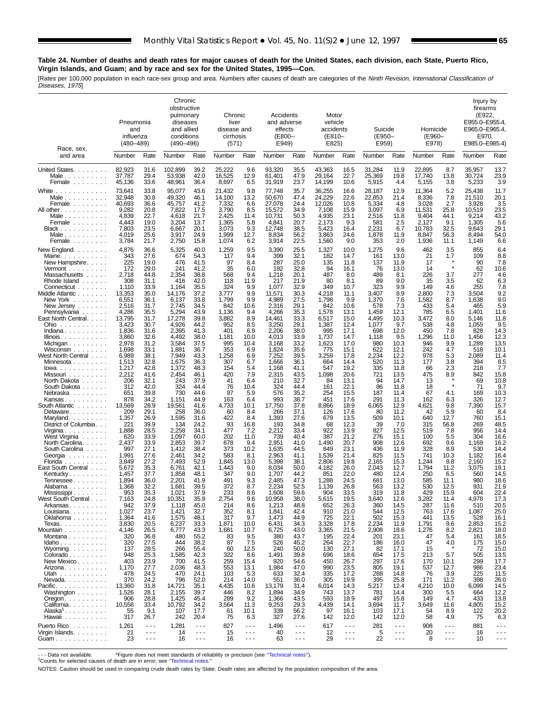## **Table 24. Number of deaths and death rates for major causes of death for the United States, each division, each State, Puerto Rico, Virgin Islands, and Guam; and by race and sex for the United States, 1995—Con.**

[Rates per 100,000 population in each race-sex group and area. Numbers after causes of death are categories of the Ninth Revision, International Classification of

| Diseases, 1975] |  |
|-----------------|--|
|-----------------|--|

| Race, sex,                                                                                                                                                                                   | Pneumonia<br>and<br>influenza<br>$(480 - 489)$                                                   |                                                                                      | Chronic<br>obstructive<br>pulmonary<br>diseases<br>and allied<br>conditions<br>$(490 - 496)$     |                                                                                      | Chronic<br>liver<br>disease and<br>cirrhosis<br>(571)                             |                                                                             | Accidents<br>and adverse<br>effects<br>(E800–<br>E949)                                           |                                                                                      | Motor<br>vehicle<br>accidents<br>(E810-<br>E825)                                        |                                                                                      | Suicide<br>(E950-<br>E959)                                                          |                                                                                    | Homicide<br>(E960-<br>E978)                                                      |                                                                             | Injury by<br>firearms<br>(E922,<br>E955.0-E955.4,<br>E965.0-E965.4<br>E970.<br>E985.0-E985.4) |                                                                                                                                                                                                                                                                                                                                                                                                                                      |
|----------------------------------------------------------------------------------------------------------------------------------------------------------------------------------------------|--------------------------------------------------------------------------------------------------|--------------------------------------------------------------------------------------|--------------------------------------------------------------------------------------------------|--------------------------------------------------------------------------------------|-----------------------------------------------------------------------------------|-----------------------------------------------------------------------------|--------------------------------------------------------------------------------------------------|--------------------------------------------------------------------------------------|-----------------------------------------------------------------------------------------|--------------------------------------------------------------------------------------|-------------------------------------------------------------------------------------|------------------------------------------------------------------------------------|----------------------------------------------------------------------------------|-----------------------------------------------------------------------------|-----------------------------------------------------------------------------------------------|--------------------------------------------------------------------------------------------------------------------------------------------------------------------------------------------------------------------------------------------------------------------------------------------------------------------------------------------------------------------------------------------------------------------------------------|
| and area                                                                                                                                                                                     | Number                                                                                           | Rate                                                                                 | Number                                                                                           | Rate                                                                                 | Number                                                                            | Rate                                                                        | Number                                                                                           | Rate                                                                                 | Number                                                                                  | Rate                                                                                 | Number                                                                              | Rate                                                                               | Number                                                                           | Rate                                                                        | Number                                                                                        | Rate                                                                                                                                                                                                                                                                                                                                                                                                                                 |
| United States.<br>Male $\ldots$<br>Female                                                                                                                                                    | 82,923<br>37,787<br>45,136                                                                       | 31.6<br>29.4<br>33.6                                                                 | 102,899<br>53,938<br>48,961                                                                      | 39.2<br>42.0<br>36.4                                                                 | 25,222<br>16,525<br>8,697                                                         | 9.6<br>12.9<br>6.5                                                          | 93,320<br>61,401<br>31,919                                                                       | 35.5<br>47.9<br>23.7                                                                 | 43,363<br>29,164<br>14,199                                                              | 16.5<br>22.7<br>10.6                                                                 | 31,284<br>25,369<br>5,915                                                           | 11.9<br>19.8<br>4.4                                                                | 22,895<br>17,740<br>5,155                                                        | 8.7<br>13.8<br>3.8                                                          | 35,957<br>30,724<br>5,233                                                                     | 13.7<br>23.9<br>3.9                                                                                                                                                                                                                                                                                                                                                                                                                  |
| White<br>.<br>Male $\ldots$ $\ldots$ $\ldots$ .<br>Female<br>All other<br>Male $\ldots$<br>Female<br>Black<br>Male<br>Female                                                                 | 73,641<br>32,948<br>40,693<br>9,282<br>4,839<br>4.443<br>7,803<br>4,019<br>3,784                 | 33.8<br>30.8<br>36.6<br>20.8<br>22.7<br>19.0<br>23.5<br>25.6<br>21.7                 | 95,077<br>49,320<br>45,757<br>7,822<br>4,618<br>3,204<br>6,667<br>3,917<br>2,750                 | 43.6<br>46.1<br>41.2<br>17.5<br>21.7<br>13.7<br>20.1<br>24.9<br>15.8                 | 21,432<br>14,100<br>7,332<br>3,790<br>2,425<br>1,365<br>3,073<br>1,999<br>1,074   | 9.8<br>13.2<br>6.6<br>8.5<br>11.4<br>5.8<br>9.3<br>12.7<br>6.2              | 77,748<br>50,670<br>27,078<br>15,572<br>10,731<br>4.841<br>12,748<br>8,834<br>3,914              | 35.7<br>47.4<br>24.4<br>34.9<br>50.3<br>20.7<br>38.5<br>56.2<br>22.5                 | 36,255<br>24,229<br>12,026<br>7,108<br>4,935<br>2,173<br>5,423<br>3,863<br>1,560        | 16.6<br>22.6<br>10.8<br>15.9<br>23.1<br>9.3<br>16.4<br>24.6<br>9.0                   | 28,187<br>22,853<br>5,334<br>3,097<br>2,516<br>581<br>2,231<br>1,878<br>353         | 12.9<br>21.4<br>4.8<br>6.9<br>11.8<br>2.5<br>6.7<br>11.9<br>2.0                    | 11,364<br>8,336<br>3,028<br>11,531<br>9,404<br>2,127<br>10,783<br>8,847<br>1,936 | 5.2<br>7.8<br>2.7<br>25.8<br>44.1<br>9.1<br>32.5<br>56.3<br>11.1            | 25,438<br>21,510<br>3,928<br>10,519<br>9,214<br>1,305<br>9,643<br>8,494<br>1,149              | 11.7<br>20.1<br>3.5<br>23.5<br>43.2<br>5.6<br>29.1<br>54.0<br>6.6                                                                                                                                                                                                                                                                                                                                                                    |
| New England<br>Maine<br>New Hampshire.<br>$Vermont$<br>Massachusetts<br>Rhode Island $\ldots$ .<br>Connecticut<br>Middle Atlantic<br>New York<br>New Jersey                                  | 4,876<br>343<br>225<br>172<br>2,718<br>308<br>1,110<br>13,353<br>6,551<br>2,516                  | 36.6<br>27.6<br>19.0<br>29.0<br>44.8<br>31.1<br>33.9<br>35.0<br>36.1<br>31.7         | 5,325<br>674<br>476<br>241<br>2,354<br>416<br>1,164<br>14,176<br>6,137<br>2,745                  | 40.0<br>54.3<br>41.5<br>41.2<br>38.8<br>42.0<br>35.5<br>37.2<br>33.8<br>34.5         | 1,259<br>117<br>97<br>35<br>568<br>118<br>324<br>3,777<br>1,799<br>842            | 9.5<br>9.4<br>8.4<br>6.0<br>9.4<br>11.9<br>9.9<br>9.9<br>9.9<br>10.6        | 3,390<br>399<br>287<br>192<br>1,218<br>217<br>1,077<br>11,571<br>4,989<br>2,316                  | 25.5<br>32.1<br>25.0<br>32.8<br>20.1<br>21.9<br>32.9<br>30.3<br>27.5<br>29.1         | 1,327<br>182<br>135<br>94<br>487<br>80<br>349<br>4,218<br>1,798<br>842                  | 10.0<br>14.7<br>11.8<br>16.1<br>8.0<br>8.1<br>10.7<br>11.1<br>9.9<br>10.6            | 1,275<br>161<br>137<br>76<br>489<br>89<br>323<br>3,407<br>1,370<br>578              | 9.6<br>13.0<br>11.9<br>13.0<br>8.1<br>9.0<br>9.9<br>8.9<br>7.6<br>7.3              | 462<br>21<br>17<br>14<br>226<br>35<br>149<br>2,800<br>1,582<br>433               | 3.5<br>1.7<br>3.7<br>3.5<br>4.6<br>7.3<br>8.7<br>5.4                        | 855<br>109<br>90<br>62<br>277<br>62<br>255<br>3,504<br>1,638<br>465                           | 6.4<br>8.8<br>7.8<br>10.6<br>4.6<br>6.3<br>7.8<br>9.2<br>9.0<br>5.9                                                                                                                                                                                                                                                                                                                                                                  |
| Pennsylvania<br>East North Central.<br>Ohio<br>$Indiana$<br>IIIinois.<br>Michigan<br>Wisconsin<br>West North Central<br>Minnesota<br>$lowa \ldots \ldots \ldots$<br>Missouri                 | 4,286<br>13,795<br>3,423<br>1,836<br>3,860<br>2,978<br>1,698<br>6,989<br>1,513<br>1,217<br>2,212 | 35.5<br>31.7<br>30.7<br>31.6<br>32.6<br>31.2<br>33.1<br>38.1<br>32.8<br>42.8<br>41.6 | 5,294<br>17,278<br>4,926<br>2,395<br>4,492<br>3,584<br>1,881<br>7,949<br>1,675<br>1,372<br>2,454 | 43.9<br>39.8<br>44.2<br>41.3<br>38.0<br>37.5<br>36.7<br>43.3<br>36.3<br>48.3<br>46.1 | 1,136<br>3,882<br>952<br>401<br>1,181<br>995<br>353<br>1,258<br>307<br>154<br>420 | 9.4<br>8.9<br>8.5<br>6.9<br>10.0<br>10.4<br>6.9<br>6.9<br>6.7<br>5.4<br>7.9 | 4,266<br>14,461<br>3,250<br>2,206<br>4,013<br>3,168<br>1,824<br>7,252<br>1,666<br>1,168<br>2,315 | 35.3<br>33.3<br>29.1<br>38.0<br>33.9<br>33.2<br>35.6<br>39.5<br>36.1<br>41.1<br>43.5 | 1,578<br>6,517<br>1,387<br>995<br>1,737<br>1,623<br>775<br>3,259<br>664<br>547<br>1,098 | 13.1<br>15.0<br>12.4<br>17.1<br>14.7<br>17.0<br>15.1<br>17.8<br>14.4<br>19.2<br>20.6 | 1,459<br>4,495<br>1,077<br>698<br>1,118<br>980<br>622<br>2,234<br>520<br>335<br>721 | 12.1<br>10.3<br>9.7<br>12.0<br>9.5<br>10.3<br>12.1<br>12.2<br>11.3<br>11.8<br>13.5 | 785<br>3,472<br>538<br>450<br>1,296<br>946<br>242<br>978<br>177<br>66<br>475     | 6.5<br>8.0<br>4.8<br>7.8<br>11.0<br>9.9<br>4.7<br>5.3<br>3.8<br>2.3<br>8.9  | 1,401<br>5,146<br>1,055<br>828<br>1,456<br>1,289<br>518<br>2,089<br>394<br>218<br>842         | 11.6<br>11.8<br>9.5<br>14.3<br>12.3<br>13.5<br>10.1<br>11.4<br>8.5<br>7.7<br>15.8                                                                                                                                                                                                                                                                                                                                                    |
| North Dakota<br>South Dakota<br>Nebraska<br>Kansas<br>South Atlantic<br>Delaware.<br>Maryland<br>District of Columbia.<br>Virginia                                                           | 206<br>312<br>651<br>878<br>13,569<br>209<br>1,357<br>221<br>1,888                               | 32.1<br>42.0<br>39.8<br>34.2<br>28.9<br>29.1<br>26.9<br>39.9<br>28.5                 | 243<br>324<br>730<br>1,151<br>19,561<br>258<br>1,595<br>134<br>2,258                             | 37.9<br>44.4<br>44.6<br>44.9<br>41.6<br>36.0<br>31.6<br>24.2<br>34.1                 | 41<br>76<br>97<br>163<br>4,733<br>60<br>422<br>93<br>477                          | 6.4<br>10.4<br>5.9<br>6.4<br>10.1<br>8.4<br>8.4<br>16.8<br>7.2              | 210<br>324<br>576<br>993<br>17,750<br>266<br>1,393<br>193<br>2,212                               | 32.7<br>44.4<br>35.2<br>38.7<br>37.8<br>37.1<br>27.6<br>34.8<br>33.4                 | 84<br>161<br>254<br>451<br>8,866<br>126<br>679<br>68<br>922                             | 13.1<br>22.1<br>15.5<br>17.6<br>18.9<br>17.6<br>13.5<br>12.3<br>13.9                 | 94<br>86<br>187<br>291<br>6,065<br>80<br>509<br>39<br>827                           | 14.7<br>11.8<br>11.4<br>11.3<br>12.9<br>11.2<br>10.1<br>7.0<br>12.5                | 13<br>18<br>67<br>162<br>4,621<br>42<br>640<br>315<br>519                        | 4.1<br>6.3<br>9.8<br>5.9<br>12.7<br>56.8<br>7.8                             | 69<br>71<br>169<br>326<br>7,390<br>60<br>760<br>269<br>956                                    | 10.8<br>9.7<br>10.3<br>12.7<br>15.7<br>8.4<br>15.1<br>48.5<br>14.4                                                                                                                                                                                                                                                                                                                                                                   |
| West Virginia<br>North Carolina.<br>South Carolina<br>Georgia<br>Florida<br>East South Central<br>Kentucky<br>Tennessee<br>Alabama                                                           | 620<br>2,437<br>997<br>1,991<br>3,849<br>5,672<br>1,457<br>1,894<br>1,368                        | 33.9<br>33.9<br>27.1<br>27.6<br>27.2<br>35.3<br>37.7<br>36.0<br>32.2<br>35.3         | 1,097<br>2,853<br>1,412<br>2,461<br>7,493<br>6,761<br>1,858<br>2,201<br>1,681                    | 60.0<br>39.7<br>38.4<br>34.2<br>52.9<br>42.1<br>48.1<br>41.9<br>39.5<br>37.9         | 202<br>678<br>373<br>583<br>1,845<br>1,443<br>347<br>491<br>372<br>233            | 11.0<br>9.4<br>10.2<br>8.1<br>13.0<br>9.0<br>9.0<br>9.3<br>8.7              | 739<br>2,951<br>1,635<br>2,963<br>5,398<br>8,034<br>1,707<br>2,485<br>2,234                      | 40.4<br>41.0<br>44.5<br>41.1<br>38.1<br>50.0<br>44.2<br>47.3<br>52.5                 | 387<br>1.490<br>849<br>1,539<br>2,806<br>4,182<br>851<br>1,288<br>1,139                 | 21.2<br>20.7<br>23.1<br>21.4<br>19.8<br>26.0<br>22.0<br>24.5<br>26.8                 | 276<br>908<br>436<br>825<br>2,165<br>2,043<br>480<br>681<br>563<br>319              | 15.1<br>12.6<br>11.9<br>11.5<br>15.3<br>12.7<br>12.4<br>13.0<br>13.2               | 100<br>692<br>328<br>741<br>1,244<br>1,794<br>250<br>585<br>530                  | 5.5<br>9.6<br>8.9<br>10.3<br>8.8<br>11.2<br>6.5<br>11.1<br>12.5             | 304<br>1,169<br>530<br>1,182<br>2,160<br>3,075<br>560<br>980<br>931<br>604                    | 16.6<br>16.2<br>14.4<br>16.4<br>15.2<br>19.1<br>14.5<br>18.6<br>21.9<br>22.4                                                                                                                                                                                                                                                                                                                                                         |
| Mississippi<br>West South Central<br>Arkansas<br>Louisiana<br>Oklahoma<br>Texas<br>Mountain<br>Montana<br>$Idaho \ldots $                                                                    | 953<br>7,163<br>942<br>1,027<br>1,364<br>3,830<br>4,146<br>320<br>320<br>137                     | 24.8<br>37.9<br>23.7<br>41.6<br>20.5<br>26.5<br>36.8<br>27.5<br>28.5                 | 1,021<br>10,351<br>1,118<br>1,421<br>1,575<br>6,237<br>6,777<br>480<br>444<br>266                | 35.9<br>45.0<br>32.7<br>48.1<br>33.3<br>43.3<br>55.2<br>38.2<br>55.4                 | 2,754<br>214<br>352<br>317<br>1,871<br>1,681<br>83<br>87<br>60                    | 8.6<br>9.6<br>8.6<br>8.1<br>9.7<br>10.0<br>10.7<br>9.5<br>7.5<br>12.5       | 1,608<br>10,958<br>1,213<br>1,841<br>1,473<br>6,431<br>6,725<br>380<br>526<br>240                | 59.6<br>38.0<br>48.8<br>42.4<br>44.9<br>34.3<br>43.0<br>43.7<br>45.2<br>50.0         | 904<br>5,615<br>652<br>910<br>725<br>3,328<br>3,365<br>195<br>264<br>130                | 33.5<br>19.5<br>26.3<br>21.0<br>22.1<br>17.8<br>21.5<br>22.4<br>22.7<br>27.1         | 3,640<br>360<br>544<br>502<br>2,234<br>2,908<br>201<br>186<br>82                    | 11.8<br>12.6<br>14.5<br>12.5<br>15.3<br>11.9<br>18.6<br>23.1<br>16.0<br>17.1       | 429<br>3,282<br>287<br>763<br>441<br>1,791<br>1,276<br>47<br>47<br>15            | 15.9<br>11.4<br>11.6<br>17.6<br>13.5<br>9.6<br>8.2<br>5.4<br>4.0            | 4,978<br>510<br>1,087<br>528<br>2,853<br>2,821<br>161<br>175<br>72                            | 17.3<br>20.5<br>25.0<br>16.1<br>15.2<br>18.0<br>18.5<br>15.0<br>15.0                                                                                                                                                                                                                                                                                                                                                                 |
| Wyoming.<br>Colorado<br>New Mexico<br>Arizona<br>Utah<br>$N$ evada. $\ldots$<br>Pacific.<br>Washington<br>$O$ regon $\ldots$ $\ldots$ $\ldots$ $\ldots$<br>California<br>Alaska <sup>1</sup> | 948<br>403<br>1,170<br>478<br>370<br>13,360<br>1,526<br>906<br>10,556<br>55                      | 25.3<br>23.9<br>27.7<br>24.5<br>24.2<br>31.8<br>28.1<br>28.8<br>33.4<br>9.1          | 1,585<br>700<br>2,036<br>470<br>796<br>14,721<br>2,155<br>1,425<br>10,792<br>107                 | 42.3<br>41.5<br>48.3<br>24.1<br>52.0<br>35.1<br>39.7<br>45.4<br>34.2<br>17.7         | 322<br>259<br>553<br>103<br>214<br>4,435<br>446<br>289<br>3,564<br>61             | 8.6<br>15.4<br>13.1<br>5.3<br>14.0<br>10.6<br>8.2<br>9.2<br>11.3<br>10.1    | 1,491<br>920<br>1,984<br>633<br>551<br>13,179<br>1,894<br>1,366<br>9,253<br>339                  | 39.8<br>54.6<br>47.0<br>32.4<br>36.0<br>31.4<br>34.9<br>43.5<br>29.3<br>56.2         | 696<br>450<br>990<br>335<br>305<br>6,014<br>743<br>593<br>4,439<br>97                   | 18.6<br>26.7<br>23.5<br>17.2<br>19.9<br>14.3<br>13.7<br>18.9<br>14.1<br>16.1         | 654<br>297<br>805<br>288<br>395<br>5,217<br>781<br>497<br>3,694<br>103              | 17.5<br>17.6<br>19.1<br>14.8<br>25.8<br>12.4<br>14.4<br>15.8<br>11.7<br>17.1       | 213<br>170<br>537<br>76<br>171<br>4,210<br>300<br>149<br>3,649<br>54             | 5.7<br>10.1<br>12.7<br>3.9<br>11.2<br>10.0<br>5.5<br>4.7<br>11.6<br>8.9     | 505<br>299<br>986<br>225<br>398<br>6,099<br>664<br>433<br>4,805<br>122                        | 13.5<br>17.7<br>23.4<br>11.5<br>26.0<br>14.5<br>12.2<br>13.8<br>15.2<br>20.2                                                                                                                                                                                                                                                                                                                                                         |
| Hawaii<br>Puerto Rico.<br>Virgin Islands.<br>Guam                                                                                                                                            | 317<br>1,261<br>21<br>23                                                                         | 26.7<br>$\sim$ $\sim$ $\sim$<br>$\sim$ $\sim$ $\sim$<br>$\sim$ $\sim$ $\sim$         | 242<br>1,281<br>14<br>16                                                                         | 20.4<br>$\sim$ $\sim$ $\sim$<br>$\sim$ $\sim$ $\sim$<br>$\sim$ - $\sim$              | 75<br>827<br>15<br>16                                                             | 6.3<br>$\sim$ $\sim$ $\sim$<br>$\sim$ $\sim$ $\sim$<br>$\sim$ $\sim$ $\sim$ | 327<br>1,496<br>40<br>63                                                                         | 27.6<br>$\sim$ $\sim$ $\sim$<br>$\sim$ $\sim$ $\sim$<br>$- - -$                      | 142<br>617<br>12<br>29                                                                  | 12.0<br>$\sim$ $\sim$ $\sim$<br>$\sim$ $\sim$ $\sim$<br>$\sim$ $\sim$ $\sim$         | 142<br>281<br>5<br>22                                                               | 12.0<br>$\sim$ $\sim$ $\sim$<br>$\sim$ $\sim$ $\sim$<br>$\sim$ $\sim$ $\sim$       | 58<br>908<br>20<br>8                                                             | 4.9<br>$\sim$ $\sim$ $\sim$<br>$\sim$ $\sim$ $\sim$<br>$\sim$ $\sim$ $\sim$ | 75<br>881<br>16<br>10                                                                         | 6.3<br>$\sim$ $\sim$ $\sim$<br>$  -$<br>$\frac{1}{2} \frac{1}{2} \frac{1}{2} \frac{1}{2} \frac{1}{2} \frac{1}{2} \frac{1}{2} \frac{1}{2} \frac{1}{2} \frac{1}{2} \frac{1}{2} \frac{1}{2} \frac{1}{2} \frac{1}{2} \frac{1}{2} \frac{1}{2} \frac{1}{2} \frac{1}{2} \frac{1}{2} \frac{1}{2} \frac{1}{2} \frac{1}{2} \frac{1}{2} \frac{1}{2} \frac{1}{2} \frac{1}{2} \frac{1}{2} \frac{1}{2} \frac{1}{2} \frac{1}{2} \frac{1}{2} \frac{$ |

-- Data not available. \*Figure does not meet standards of reliability or precision (see "Technical notes").<br>1Counts for selected causes of death are in error; see "Technical notes."

NOTES: Caution should be used in comparing crude death rates by State. Death rates are affected by the population composition of the area.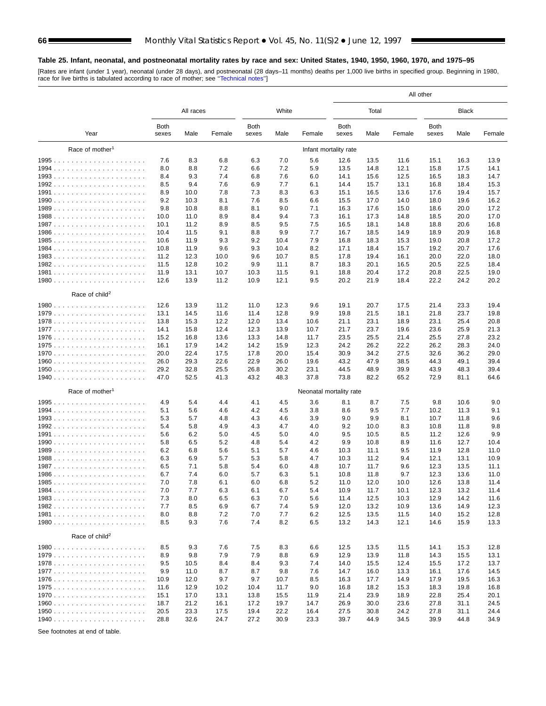#### <span id="page-65-0"></span>**Table 25. Infant, neonatal, and postneonatal mortality rates by race and sex: United States, 1940, 1950, 1960, 1970, and 1975–95**

[Rates are infant (under 1 year), neonatal (under 28 days), and postneonatal (28 days–11 months) deaths per 1,000 live births in specified group. Beginning in 1980,<br>race for live births is tabulated according to race of mo

|                             |               |              |              |               |              |                         | All other             |              |              |                      |              |              |  |
|-----------------------------|---------------|--------------|--------------|---------------|--------------|-------------------------|-----------------------|--------------|--------------|----------------------|--------------|--------------|--|
|                             |               | All races    |              |               | White        |                         |                       | Total        |              |                      | <b>Black</b> |              |  |
| Year                        | Both<br>sexes | Male         | Female       | Both<br>sexes | Male         | Female                  | <b>Both</b><br>sexes  | Male         | Female       | <b>Both</b><br>sexes | Male         | Female       |  |
| Race of mother <sup>1</sup> |               |              |              |               |              |                         | Infant mortality rate |              |              |                      |              |              |  |
|                             | 7.6           | 8.3          | 6.8          | 6.3           | 7.0          | 5.6                     | 12.6                  | 13.5         | 11.6         | 15.1                 | 16.3         | 13.9         |  |
|                             | 8.0           | 8.8          | 7.2          | 6.6           | 7.2          | 5.9                     | 13.5                  | 14.8         | 12.1         | 15.8                 | 17.5         | 14.1         |  |
|                             | 8.4           | 9.3          | 7.4          | 6.8           | 7.6          | 6.0                     | 14.1                  | 15.6         | 12.5         | 16.5                 | 18.3         | 14.7         |  |
|                             | 8.5           | 9.4          | 7.6          | 6.9           | 7.7          | 6.1                     | 14.4                  | 15.7         | 13.1         | 16.8                 | 18.4         | 15.3         |  |
|                             | 8.9           | 10.0         | 7.8          | 7.3           | 8.3          | 6.3                     | 15.1                  | 16.5         | 13.6         | 17.6                 | 19.4         | 15.7         |  |
|                             | 9.2           | 10.3         | 8.1          | 7.6           | 8.5          | 6.6                     | 15.5                  | 17.0         | 14.0         | 18.0                 | 19.6         | 16.2         |  |
|                             | 9.8           | 10.8         | 8.8          | 8.1           | 9.0          | 7.1                     | 16.3                  | 17.6         | 15.0         | 18.6                 | 20.0         | 17.2         |  |
|                             | 10.0          | 11.0         | 8.9          | 8.4           | 9.4          | 7.3                     | 16.1                  | 17.3         | 14.8         | 18.5                 | 20.0         | 17.0         |  |
|                             | 10.1          | 11.2         | 8.9          | 8.5           | 9.5          | 7.5                     | 16.5                  | 18.1         | 14.8         | 18.8                 | 20.6         | 16.8         |  |
|                             | 10.4          | 11.5         | 9.1          | 8.8           | 9.9          | 7.7                     | 16.7                  | 18.5         | 14.9         | 18.9                 | 20.9         | 16.8         |  |
|                             | 10.6          | 11.9         | 9.3          | 9.2           | 10.4         | 7.9                     | 16.8                  | 18.3         | 15.3         | 19.0                 | 20.8         | 17.2         |  |
|                             | 10.8          | 11.9         | 9.6          | 9.3           | 10.4         | 8.2                     | 17.1                  | 18.4         | 15.7         | 19.2                 | 20.7         | 17.6         |  |
|                             | 11.2<br>11.5  | 12.3<br>12.8 | 10.0<br>10.2 | 9.6<br>9.9    | 10.7<br>11.1 | 8.5<br>8.7              | 17.8<br>18.3          | 19.4<br>20.1 | 16.1<br>16.5 | 20.0<br>20.5         | 22.0<br>22.5 | 18.0<br>18.4 |  |
|                             | 11.9          | 13.1         | 10.7         | 10.3          | 11.5         | 9.1                     | 18.8                  | 20.4         | 17.2         | 20.8                 | 22.5         | 19.0         |  |
|                             | 12.6          | 13.9         | 11.2         | 10.9          | 12.1         | 9.5                     | 20.2                  | 21.9         | 18.4         | 22.2                 | 24.2         | 20.2         |  |
|                             |               |              |              |               |              |                         |                       |              |              |                      |              |              |  |
| Race of child <sup>2</sup>  | 12.6          |              |              |               |              |                         |                       |              |              |                      |              |              |  |
|                             | 13.1          | 13.9         | 11.2<br>11.6 | 11.0          | 12.3<br>12.8 | 9.6<br>9.9              | 19.1<br>19.8          | 20.7<br>21.5 | 17.5         | 21.4<br>21.8         | 23.3<br>23.7 | 19.4<br>19.8 |  |
|                             | 13.8          | 14.5<br>15.3 | 12.2         | 11.4<br>12.0  | 13.4         | 10.6                    | 21.1                  | 23.1         | 18.1<br>18.9 | 23.1                 | 25.4         | 20.8         |  |
|                             | 14.1          | 15.8         | 12.4         | 12.3          | 13.9         | 10.7                    | 21.7                  | 23.7         | 19.6         | 23.6                 | 25.9         | 21.3         |  |
|                             | 15.2          | 16.8         | 13.6         | 13.3          | 14.8         | 11.7                    | 23.5                  | 25.5         | 21.4         | 25.5                 | 27.8         | 23.2         |  |
|                             | 16.1          | 17.9         | 14.2         | 14.2          | 15.9         | 12.3                    | 24.2                  | 26.2         | 22.2         | 26.2                 | 28.3         | 24.0         |  |
|                             | 20.0          | 22.4         | 17.5         | 17.8          | 20.0         | 15.4                    | 30.9                  | 34.2         | 27.5         | 32.6                 | 36.2         | 29.0         |  |
|                             | 26.0          | 29.3         | 22.6         | 22.9          | 26.0         | 19.6                    | 43.2                  | 47.9         | 38.5         | 44.3                 | 49.1         | 39.4         |  |
|                             | 29.2          | 32.8         | 25.5         | 26.8          | 30.2         | 23.1                    | 44.5                  | 48.9         | 39.9         | 43.9                 | 48.3         | 39.4         |  |
|                             | 47.0          | 52.5         | 41.3         | 43.2          | 48.3         | 37.8                    | 73.8                  | 82.2         | 65.2         | 72.9                 | 81.1         | 64.6         |  |
| Race of mother <sup>1</sup> |               |              |              |               |              | Neonatal mortality rate |                       |              |              |                      |              |              |  |
|                             | 4.9           | 5.4          | 4.4          | 4.1           | 4.5          | 3.6                     | 8.1                   | 8.7          | 7.5          | 9.8                  | 10.6         | 9.0          |  |
|                             | 5.1           | 5.6          | 4.6          | 4.2           | 4.5          | 3.8                     | 8.6                   | 9.5          | 7.7          | 10.2                 | 11.3         | 9.1          |  |
|                             | 5.3           | 5.7          | 4.8          | 4.3           | 4.6          | 3.9                     | 9.0                   | 9.9          | 8.1          | 10.7                 | 11.8         | 9.6          |  |
|                             | 5.4           | 5.8          | 4.9          | 4.3           | 4.7          | 4.0                     | 9.2                   | 10.0         | 8.3          | 10.8                 | 11.8         | 9.8          |  |
|                             | 5.6           | 6.2          | 5.0          | 4.5           | 5.0          | 4.0                     | 9.5                   | 10.5         | 8.5          | 11.2                 | 12.6         | 9.9          |  |
|                             | 5.8           | 6.5          | 5.2          | 4.8           | 5.4          | 4.2                     | 9.9                   | 10.8         | 8.9          | 11.6                 | 12.7         | 10.4         |  |
|                             | 6.2           | 6.8          | 5.6          | 5.1           | 5.7          | 4.6                     | 10.3                  | 11.1         | 9.5          | 11.9                 | 12.8         | 11.0         |  |
|                             | 6.3           | 6.9          | 5.7          | 5.3           | 5.8          | 4.7                     | 10.3                  | 11.2         | 9.4          | 12.1                 | 13.1         | 10.9         |  |
|                             | 6.5           | 7.1          | 5.8          | 5.4           | 6.0          | 4.8                     | 10.7                  | 11.7         | 9.6          | 12.3                 | 13.5         | 11.1         |  |
|                             | 6.7           | 7.4          | 6.0          | 5.7           | 6.3          | 5.1                     | 10.8                  | 11.8         | 9.7          | 12.3                 | 13.6         | 11.0         |  |
|                             | 7.0           | 7.8          | 6.1          | 6.0           | 6.8          | 5.2                     | 11.0                  | 12.0         | 10.0         | 12.6                 | 13.8         | 11.4         |  |
|                             | 7.0           | 7.7          | 6.3          | 6.1           | 6.7          | 5.4                     | 10.9                  | 11.7         | 10.1         | 12.3                 | 13.2         | 11.4         |  |
|                             | 7.3           | 8.0          | 6.5          | 6.3           | 7.0          | 5.6                     | 11.4                  | 12.5         | 10.3         | 12.9                 | 14.2         | 11.6         |  |
|                             | 7.7           | 8.5          | 6.9          | 6.7           | 7.4          | 5.9                     | 12.0                  | 13.2         | 10.9         | 13.6                 | 14.9         | 12.3         |  |
|                             | 8.0<br>8.5    | 8.8<br>9.3   | 7.2<br>7.6   | 7.0<br>7.4    | 7.7<br>8.2   | 6.2<br>6.5              | 12.5<br>13.2          | 13.5<br>14.3 | 11.5<br>12.1 | 14.0<br>14.6         | 15.2<br>15.9 | 12.8<br>13.3 |  |
| Race of child <sup>2</sup>  |               |              |              |               |              |                         |                       |              |              |                      |              |              |  |
|                             | 8.5           | 9.3          | 7.6          | 7.5           | 8.3          | 6.6                     | 12.5                  | 13.5         | 11.5         | 14.1                 | 15.3         | 12.8         |  |
|                             | 8.9           | 9.8          | 7.9          | 7.9           | 8.8          | 6.9                     | 12.9                  | 13.9         | 11.8         | 14.3                 | 15.5         | 13.1         |  |
|                             | 9.5           | 10.5         | 8.4          | 8.4           | 9.3          | 7.4                     | 14.0                  | 15.5         | 12.4         | 15.5                 | 17.2         | 13.7         |  |
|                             | 9.9           | 11.0         | 8.7          | 8.7           | 9.8          | 7.6                     | 14.7                  | 16.0         | 13.3         | 16.1                 | 17.6         | 14.5         |  |
|                             | 10.9          | 12.0         | 9.7          | 9.7           | 10.7         | 8.5                     | 16.3                  | 17.7         | 14.9         | 17.9                 | 19.5         | 16.3         |  |
|                             | 11.6          | 12.9         | 10.2         | 10.4          | 11.7         | 9.0                     | 16.8                  | 18.2         | 15.3         | 18.3                 | 19.8         | 16.8         |  |
|                             | 15.1          | 17.0         | 13.1         | 13.8          | 15.5         | 11.9                    | 21.4                  | 23.9         | 18.9         | 22.8                 | 25.4         | 20.1         |  |
|                             | 18.7          | 21.2         | 16.1         | 17.2          | 19.7         | 14.7                    | 26.9                  | 30.0         | 23.6         | 27.8                 | 31.1         | 24.5         |  |
|                             | 20.5          | 23.3         | 17.5         | 19.4          | 22.2         | 16.4                    | 27.5                  | 30.8         | 24.2         | 27.8                 | 31.1         | 24.4         |  |
|                             | 28.8          | 32.6         | 24.7         | 27.2          | 30.9         | 23.3                    | 39.7                  | 44.9         | 34.5         | 39.9                 | 44.8         | 34.9         |  |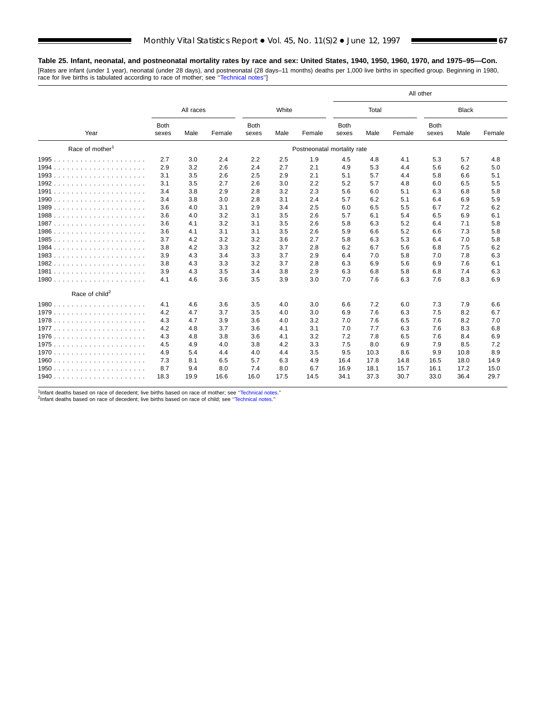## **Table 25. Infant, neonatal, and postneonatal mortality rates by race and sex: United States, 1940, 1950, 1960, 1970, and 1975–95—Con.**

[Rates are infant (under 1 year), neonatal (under 28 days), and postneonatal (28 days–11 months) deaths per 1,000 live births in specified group. Beginning in 1980, race for live births is tabulated according to race of mother; see [''Technical notes''\]](#page-72-0)

|                             |                      |           |        |                      |       |                             | All other            |       |        |                      |              |        |
|-----------------------------|----------------------|-----------|--------|----------------------|-------|-----------------------------|----------------------|-------|--------|----------------------|--------------|--------|
|                             |                      | All races |        |                      | White |                             |                      | Total |        |                      | <b>Black</b> |        |
| Year                        | <b>Both</b><br>sexes | Male      | Female | <b>Both</b><br>sexes | Male  | Female                      | <b>Both</b><br>sexes | Male  | Female | <b>Both</b><br>sexes | Male         | Female |
| Race of mother <sup>1</sup> |                      |           |        |                      |       | Postneonatal mortality rate |                      |       |        |                      |              |        |
| 1995                        | 2.7                  | 3.0       | 2.4    | 2.2                  | 2.5   | 1.9                         | 4.5                  | 4.8   | 4.1    | 5.3                  | 5.7          | 4.8    |
| 1994<br>.                   | 2.9                  | 3.2       | 2.6    | 2.4                  | 2.7   | 2.1                         | 4.9                  | 5.3   | 4.4    | 5.6                  | 6.2          | 5.0    |
| 1993.                       | 3.1                  | 3.5       | 2.6    | 2.5                  | 2.9   | 2.1                         | 5.1                  | 5.7   | 4.4    | 5.8                  | 6.6          | 5.1    |
| 1992.                       | 3.1                  | 3.5       | 2.7    | 2.6                  | 3.0   | 2.2                         | 5.2                  | 5.7   | 4.8    | 6.0                  | 6.5          | 5.5    |
| 1991                        | 3.4                  | 3.8       | 2.9    | 2.8                  | 3.2   | 2.3                         | 5.6                  | 6.0   | 5.1    | 6.3                  | 6.8          | 5.8    |
|                             | 3.4                  | 3.8       | 3.0    | 2.8                  | 3.1   | 2.4                         | 5.7                  | 6.2   | 5.1    | 6.4                  | 6.9          | 5.9    |
| 1989<br>.                   | 3.6                  | 4.0       | 3.1    | 2.9                  | 3.4   | 2.5                         | 6.0                  | 6.5   | 5.5    | 6.7                  | 7.2          | 6.2    |
| 1988.                       | 3.6                  | 4.0       | 3.2    | 3.1                  | 3.5   | 2.6                         | 5.7                  | 6.1   | 5.4    | 6.5                  | 6.9          | 6.1    |
|                             | 3.6                  | 4.1       | 3.2    | 3.1                  | 3.5   | 2.6                         | 5.8                  | 6.3   | 5.2    | 6.4                  | 7.1          | 5.8    |
| 1986<br>.                   | 3.6                  | 4.1       | 3.1    | 3.1                  | 3.5   | 2.6                         | 5.9                  | 6.6   | 5.2    | 6.6                  | 7.3          | 5.8    |
|                             | 3.7                  | 4.2       | 3.2    | 3.2                  | 3.6   | 2.7                         | 5.8                  | 6.3   | 5.3    | 6.4                  | 7.0          | 5.8    |
| 1984<br>.                   | 3.8                  | 4.2       | 3.3    | 3.2                  | 3.7   | 2.8                         | 6.2                  | 6.7   | 5.6    | 6.8                  | 7.5          | 6.2    |
| 1983.                       | 3.9                  | 4.3       | 3.4    | 3.3                  | 3.7   | 2.9                         | 6.4                  | 7.0   | 5.8    | 7.0                  | 7.8          | 6.3    |
| 1982                        | 3.8                  | 4.3       | 3.3    | 3.2                  | 3.7   | 2.8                         | 6.3                  | 6.9   | 5.6    | 6.9                  | 7.6          | 6.1    |
| 1981<br>.                   | 3.9                  | 4.3       | 3.5    | 3.4                  | 3.8   | 2.9                         | 6.3                  | 6.8   | 5.8    | 6.8                  | 7.4          | 6.3    |
|                             | 4.1                  | 4.6       | 3.6    | 3.5                  | 3.9   | 3.0                         | 7.0                  | 7.6   | 6.3    | 7.6                  | 8.3          | 6.9    |
| Race of child <sup>2</sup>  |                      |           |        |                      |       |                             |                      |       |        |                      |              |        |
|                             | 4.1                  | 4.6       | 3.6    | 3.5                  | 4.0   | 3.0                         | 6.6                  | 7.2   | 6.0    | 7.3                  | 7.9          | 6.6    |
| 1979                        | 4.2                  | 4.7       | 3.7    | 3.5                  | 4.0   | 3.0                         | 6.9                  | 7.6   | 6.3    | 7.5                  | 8.2          | 6.7    |
|                             | 4.3                  | 4.7       | 3.9    | 3.6                  | 4.0   | 3.2                         | 7.0                  | 7.6   | 6.5    | 7.6                  | 8.2          | 7.0    |
| 1977<br>.                   | 4.2                  | 4.8       | 3.7    | 3.6                  | 4.1   | 3.1                         | 7.0                  | 7.7   | 6.3    | 7.6                  | 8.3          | 6.8    |
|                             | 4.3                  | 4.8       | 3.8    | 3.6                  | 4.1   | 3.2                         | 7.2                  | 7.8   | 6.5    | 7.6                  | 8.4          | 6.9    |
|                             | 4.5                  | 4.9       | 4.0    | 3.8                  | 4.2   | 3.3                         | 7.5                  | 8.0   | 6.9    | 7.9                  | 8.5          | 7.2    |
|                             | 4.9                  | 5.4       | 4.4    | 4.0                  | 4.4   | 3.5                         | 9.5                  | 10.3  | 8.6    | 9.9                  | 10.8         | 8.9    |
|                             | 7.3                  | 8.1       | 6.5    | 5.7                  | 6.3   | 4.9                         | 16.4                 | 17.8  | 14.8   | 16.5                 | 18.0         | 14.9   |
| 1950<br>.                   | 8.7                  | 9.4       | 8.0    | 7.4                  | 8.0   | 6.7                         | 16.9                 | 18.1  | 15.7   | 16.1                 | 17.2         | 15.0   |
|                             | 18.3                 | 19.9      | 16.6   | 16.0                 | 17.5  | 14.5                        | 34.1                 | 37.3  | 30.7   | 33.0                 | 36.4         | 29.7   |

 $1$ <sup>1</sup>Infant deaths based on race of decedent; live births based on race of mother; see "Technical notes."<br><sup>2</sup>Infant deaths based on race of decedent; live births based on race of child; see "Technical notes."

Ξ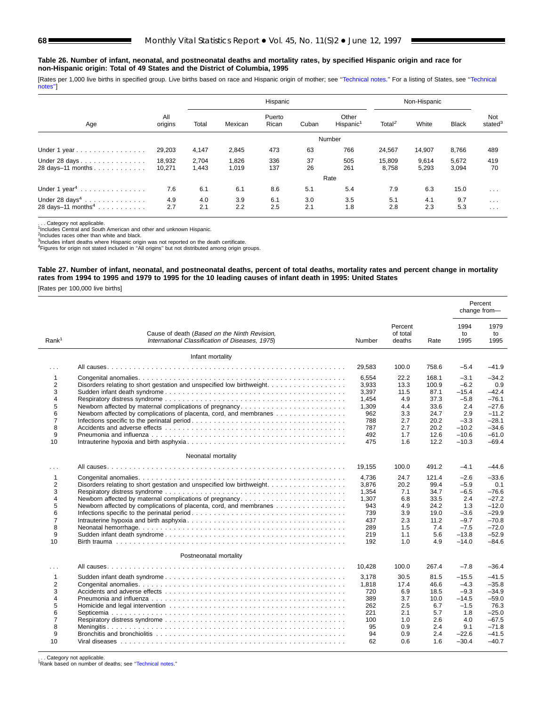#### **Table 26. Number of infant, neonatal, and postneonatal deaths and mortality rates, by specified Hispanic origin and race for non-Hispanic origin: Total of 49 States and the District of Columbia, 1995**

[Rates per 1,000 live births in specified group. Live births based on race and Hispanic origin of mother; see "Technical notes." For a listing of States, see "Technical [notes''\]](#page-72-0)

|                                    |                  |                |                | Hispanic        | Non-Hispanic |                                |                    |                |                |                            |
|------------------------------------|------------------|----------------|----------------|-----------------|--------------|--------------------------------|--------------------|----------------|----------------|----------------------------|
| Age                                | All<br>origins   | Total          | Mexican        | Puerto<br>Rican | Cuban        | Other<br>Hispanic <sup>1</sup> | Total <sup>2</sup> | White          | <b>Black</b>   | Not<br>stated <sup>3</sup> |
|                                    |                  |                |                |                 |              | Number                         |                    |                |                |                            |
| Under 1 year                       | 29,203           | 4,147          | 2,845          | 473             | 63           | 766                            | 24,567             | 14.907         | 8,766          | 489                        |
| Under 28 days<br>28 days-11 months | 18.932<br>10,271 | 2.704<br>1,443 | 1,826<br>1,019 | 336<br>137      | 37<br>26     | 505<br>261                     | 15.809<br>8,758    | 9.614<br>5,293 | 5,672<br>3,094 | 419<br>70                  |
|                                    |                  |                |                |                 |              | Rate                           |                    |                |                |                            |
| Under 1 year <sup>4</sup>          | 7.6              | 6.1            | 6.1            | 8.6             | 5.1          | 5.4                            | 7.9                | 6.3            | 15.0           | $\cdots$                   |
| Under $28 \text{ days}^4$          | 4.9              | 4.0            | 3.9            | 6.1             | 3.0          | 3.5                            | 5.1                | 4.1            | 9.7            | $\sim$ $\sim$ $\sim$       |
| 28 days-11 months <sup>4</sup>     | 2.7              | 2.1            | 2.2            | 2.5             | 2.1          | 1.8                            | 2.8                | 2.3            | 5.3            | $\cdot$ $\cdot$ $\cdot$    |

. Category not applicable.

<sup>1</sup>Includes Central and South American and other and unknown Hispanic.<br><sup>2</sup>Includes races other than white and black.

<sup>3</sup>Includes infant deaths where Hispanic origin was not reported on the death certificate.<br><sup>4</sup>Figures for origin not stated included in "All origins" but not distributed among origin groups.

#### **Table 27. Number of infant, neonatal, and postneonatal deaths, percent of total deaths, mortality rates and percent change in mortality rates from 1994 to 1995 and 1979 to 1995 for the 10 leading causes of infant death in 1995: United States**

[Rates per 100,000 live births]

|                                                                                                   |                                                                                                                                              |                                                                              |                                                                       |                                                                                |                                                                                                | Percent<br>change from-                                                                                 |
|---------------------------------------------------------------------------------------------------|----------------------------------------------------------------------------------------------------------------------------------------------|------------------------------------------------------------------------------|-----------------------------------------------------------------------|--------------------------------------------------------------------------------|------------------------------------------------------------------------------------------------|---------------------------------------------------------------------------------------------------------|
| Rank <sup>1</sup>                                                                                 | Cause of death (Based on the Ninth Revision,<br>International Classification of Diseases, 1975).                                             | Number                                                                       | Percent<br>of total<br>deaths                                         | Rate                                                                           | 1994<br>to<br>1995                                                                             | 1979<br>to<br>1995                                                                                      |
|                                                                                                   | Infant mortality                                                                                                                             |                                                                              |                                                                       |                                                                                |                                                                                                |                                                                                                         |
| $\cdots$                                                                                          |                                                                                                                                              | 29,583                                                                       | 100.0                                                                 | 758.6                                                                          | $-5.4$                                                                                         | -41.9                                                                                                   |
| $\mathbf{1}$<br>$\overline{2}$<br>3<br>4<br>5<br>6<br>$\overline{7}$<br>8<br>9<br>10 <sup>1</sup> | Disorders relating to short gestation and unspecified low birthweight.<br>Newborn affected by complications of placenta, cord, and membranes | 6.554<br>3,933<br>3.397<br>1,454<br>1,309<br>962<br>788<br>787<br>492<br>475 | 22.2<br>13.3<br>11.5<br>4.9<br>4.4<br>3.3<br>2.7<br>2.7<br>1.7<br>1.6 | 168.1<br>100.9<br>87.1<br>37.3<br>33.6<br>24.7<br>20.2<br>20.2<br>12.6<br>12.2 | $-3.1$<br>$-6.2$<br>$-15.4$<br>$-5.8$<br>2.4<br>2.9<br>$-3.3$<br>$-10.2$<br>$-10.6$<br>$-10.3$ | $-34.2$<br>0.9<br>$-42.4$<br>$-76.1$<br>$-27.6$<br>$-11.2$<br>$-28.1$<br>$-34.6$<br>$-61.0$<br>$-69.4$  |
|                                                                                                   |                                                                                                                                              |                                                                              |                                                                       |                                                                                |                                                                                                |                                                                                                         |
|                                                                                                   | Neonatal mortality                                                                                                                           |                                                                              |                                                                       |                                                                                |                                                                                                |                                                                                                         |
| $\cdots$                                                                                          |                                                                                                                                              | 19,155                                                                       | 100.0                                                                 | 491.2                                                                          | $-4.1$                                                                                         | $-44.6$                                                                                                 |
| $\mathbf{1}$<br>2<br>3<br>4<br>5<br>6<br>$\overline{7}$<br>8<br>9<br>10                           | Disorders relating to short gestation and unspecified low birthweight.<br>Newborn affected by complications of placenta, cord, and membranes | 4,736<br>3,876<br>1,354<br>1,307<br>943<br>739<br>437<br>289<br>219<br>192   | 24.7<br>20.2<br>7.1<br>6.8<br>4.9<br>3.9<br>2.3<br>1.5<br>1.1<br>1.0  | 121.4<br>99.4<br>34.7<br>33.5<br>24.2<br>19.0<br>11.2<br>7.4<br>5.6<br>4.9     | $-2.6$<br>$-5.9$<br>$-6.5$<br>2.4<br>1.3<br>$-3.6$<br>$-9.7$<br>$-7.5$<br>$-13.8$<br>$-14.0$   | $-33.6$<br>0.1<br>$-76.6$<br>$-27.2$<br>$-12.0$<br>$-29.9$<br>$-70.8$<br>$-72.0$<br>$-52.9$<br>$-84.6$  |
|                                                                                                   | Postneonatal mortality                                                                                                                       | 10,428                                                                       | 100.0                                                                 | 267.4                                                                          | $-7.8$                                                                                         | $-36.4$                                                                                                 |
| $\cdots$<br>$\mathbf{1}$<br>2<br>3<br>4<br>5<br>6<br>7<br>8<br>9<br>10                            |                                                                                                                                              | 3,178<br>1,818<br>720<br>389<br>262<br>221<br>100<br>95<br>94<br>62          | 30.5<br>17.4<br>6.9<br>3.7<br>2.5<br>2.1<br>1.0<br>0.9<br>0.9<br>0.6  | 81.5<br>46.6<br>18.5<br>10.0<br>6.7<br>5.7<br>2.6<br>2.4<br>2.4<br>1.6         | $-15.5$<br>$-4.3$<br>$-9.3$<br>$-14.5$<br>$-1.5$<br>1.8<br>4.0<br>9.1<br>$-22.6$<br>$-30.4$    | $-41.5$<br>$-35.8$<br>$-34.9$<br>$-59.0$<br>76.3<br>$-25.0$<br>$-67.5$<br>$-71.8$<br>$-41.5$<br>$-40.7$ |

. Category not applicable.

1Rank based on number of deaths; see [''Technical notes.''](#page-72-0)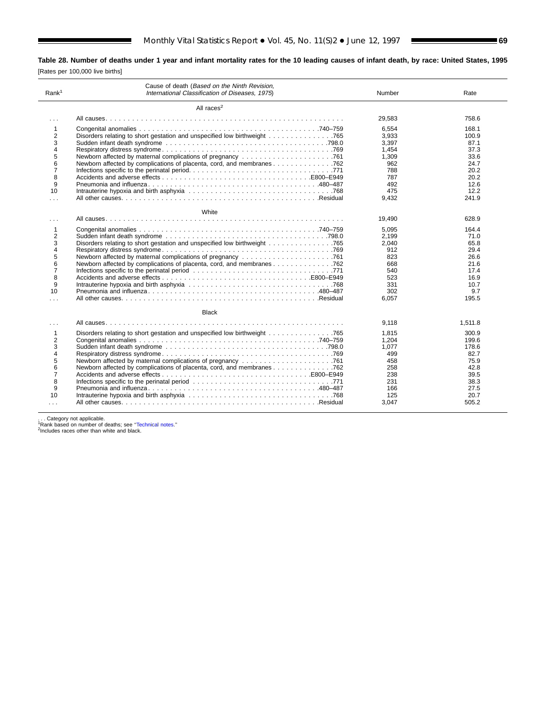# **Table 28. Number of deaths under 1 year and infant mortality rates for the 10 leading causes of infant death, by race: United States, 1995**

[Rates per 100,000 live births]

| Rank <sup>1</sup>                                                                    | Cause of death (Based on the Ninth Revision,<br>International Classification of Diseases, 1975) | Number                                                                                | Rate                                                                                     |
|--------------------------------------------------------------------------------------|-------------------------------------------------------------------------------------------------|---------------------------------------------------------------------------------------|------------------------------------------------------------------------------------------|
|                                                                                      | All races $2$                                                                                   |                                                                                       |                                                                                          |
| $\cdots$                                                                             |                                                                                                 | 29,583                                                                                | 758.6                                                                                    |
| 1<br>2<br>3<br>4<br>5<br>6<br>7<br>8<br>9<br>10<br>$\cdots$                          | Newborn affected by complications of placenta, cord, and membranes 762                          | 6.554<br>3,933<br>3.397<br>1,454<br>1,309<br>962<br>788<br>787<br>492<br>475<br>9,432 | 168.1<br>100.9<br>87.1<br>37.3<br>33.6<br>24.7<br>20.2<br>20.2<br>12.6<br>12.2<br>241.9  |
|                                                                                      | White                                                                                           |                                                                                       |                                                                                          |
| .                                                                                    |                                                                                                 | 19,490                                                                                | 628.9                                                                                    |
| 1<br>2<br>3<br>4<br>5<br>6<br>7<br>8<br>9<br>10<br>.                                 | Newborn affected by complications of placenta, cord, and membranes 762                          | 5.095<br>2.199<br>2.040<br>912<br>823<br>668<br>540<br>523<br>331<br>302<br>6.057     | 164.4<br>71.0<br>65.8<br>29.4<br>26.6<br>21.6<br>17.4<br>16.9<br>10.7<br>9.7<br>195.5    |
|                                                                                      | <b>Black</b>                                                                                    |                                                                                       |                                                                                          |
| .                                                                                    |                                                                                                 | 9.118                                                                                 | 1.511.8                                                                                  |
| 1<br>2<br>3<br>4<br>5<br>6<br>$\overline{7}$<br>8<br>9<br>10<br>$\sim$ $\sim$ $\sim$ | Newborn affected by complications of placenta, cord, and membranes 762                          | 1.815<br>1.204<br>1.077<br>499<br>458<br>258<br>238<br>231<br>166<br>125<br>3,047     | 300.9<br>199.6<br>178.6<br>82.7<br>75.9<br>42.8<br>39.5<br>38.3<br>27.5<br>20.7<br>505.2 |

. . . Category not applicable.<br><sup>1</sup>Rank based on number of deaths; see [''Technical notes.''](#page-72-0)<br><sup>2</sup>Includes races other than white and black.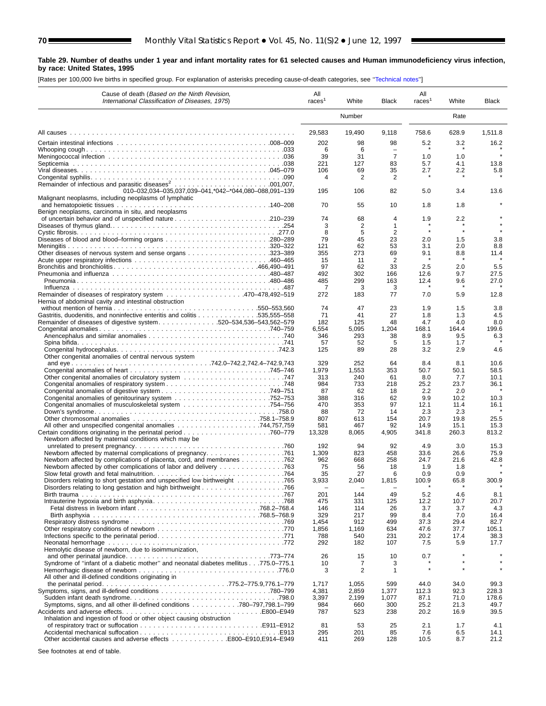#### **Table 29. Number of deaths under 1 year and infant mortality rates for 61 selected causes and Human immunodeficiency virus infection, by race: United States, 1995**

[Rates per 100,000 live births in specified group. For explanation of asterisks preceding cause-of-death categories, see [''Technical notes''\]](#page-72-0)

| Cause of death (Based on the Ninth Revision,<br>International Classification of Diseases, 1975)                      | All<br>races <sup>1</sup> | White          | Black          | All<br>races <sup>1</sup> | White        | <b>Black</b>   |
|----------------------------------------------------------------------------------------------------------------------|---------------------------|----------------|----------------|---------------------------|--------------|----------------|
|                                                                                                                      |                           | Number         |                |                           | Rate         |                |
|                                                                                                                      | 29,583                    | 19,490         | 9,118          | 758.6                     | 628.9        | 1.511.8        |
|                                                                                                                      | 202                       | 98             | 98             | 5.2                       | 3.2          | 16.2           |
|                                                                                                                      | 6<br>39                   | 6<br>31        | $\overline{7}$ | 1.0                       | 1.0          | $\star$        |
|                                                                                                                      | 221                       | 127            | 83             | 5.7                       | 4.1          | 13.8           |
|                                                                                                                      | 106                       | 69             | 35             | 2.7                       | 2.2          | 5.8            |
|                                                                                                                      | Δ                         | 2              | 2              |                           |              |                |
| 010-032,034-035,037,039-041,*042-*044,080-088,091-139<br>Malignant neoplasms, including neoplasms of lymphatic       | 195                       | 106            | 82             | 5.0                       | 3.4          | 13.6           |
| Benign neoplasms, carcinoma in situ, and neoplasms                                                                   | 70                        | 55             | 10             | 1.8                       | 1.8          |                |
|                                                                                                                      | 74                        | 68             | 4              | 1.9                       | 2.2          |                |
|                                                                                                                      | 3                         | 2              | 1              |                           |              |                |
|                                                                                                                      | 8                         | 5              | $\overline{2}$ |                           |              |                |
|                                                                                                                      | 79<br>121                 | 45<br>62       | 23<br>53       | 2.0<br>3.1                | 1.5<br>2.0   | 3.8<br>8.8     |
|                                                                                                                      | 355                       | 273            | 69             | 9.1                       | 8.8          | 11.4           |
|                                                                                                                      | 15                        | 11             | 2              | $\star$                   |              |                |
|                                                                                                                      | 97                        | 62             | 33             | 2.5                       | 2.0          | 5.5            |
|                                                                                                                      | 492                       | 302            | 166            | 12.6                      | 9.7          | 27.5           |
|                                                                                                                      | 485                       | 299            | 163            | 12.4                      | 9.6          | 27.0           |
|                                                                                                                      | 7<br>272                  | 3<br>183       | 3<br>77        |                           | 5.9          |                |
| Remainder of diseases of respiratory system 470–478,492–519<br>Hernia of abdominal cavity and intestinal obstruction |                           |                |                | 7.0                       |              | 12.8           |
| without mention of hernia550–553,560                                                                                 | 74                        | 47             | 23             | 1.9                       | 1.5          | 3.8            |
| Gastritis, duodenitis, and noninfective enteritis and colitis 535,555–558                                            | 71                        | 41             | 27             | 1.8                       | 1.3          | 4.5            |
| Remainder of diseases of digestive system. 520–534,536–543,562–579                                                   | 182                       | 125            | 48             | 4.7                       | 4.0          | 8.0            |
|                                                                                                                      | 6,554                     | 5,095          | 1,204          | 168.1                     | 164.4        | 199.6          |
|                                                                                                                      | 346                       | 293            | 38             | 8.9                       | 9.5          | 6.3            |
|                                                                                                                      | 57<br>125                 | 52<br>89       | 5<br>28        | 1.5<br>3.2                | 1.7<br>2.9   | 4.6            |
| Other congenital anomalies of central nervous system                                                                 |                           |                |                |                           |              |                |
|                                                                                                                      | 329                       | 252            | 64             | 8.4                       | 8.1          | 10.6           |
|                                                                                                                      | 1,979                     | 1,553          | 353            | 50.7                      | 50.1         | 58.5           |
|                                                                                                                      | 313                       | 240            | 61             | 8.0                       | 7.7          | 10.1           |
|                                                                                                                      | 984                       | 733            | 218            | 25.2                      | 23.7         | 36.1           |
|                                                                                                                      | 87<br>388                 | 62<br>316      | 18<br>62       | 2.2<br>9.9                | 2.0<br>10.2  | 10.3           |
|                                                                                                                      | 470                       | 353            | 97             | 12.1                      | 11.4         | 16.1           |
|                                                                                                                      | 88                        | 72             | 14             | 2.3                       | 2.3          |                |
|                                                                                                                      | 807                       | 613            | 154            | 20.7                      | 19.8         | 25.5           |
| All other and unspecified congenital anomalies 744,757,759                                                           | 581                       | 467            | 92             | 14.9                      | 15.1         | 15.3           |
|                                                                                                                      | 13,328                    | 8,065          | 4,905          | 341.8                     | 260.3        | 813.2          |
| Newborn affected by maternal conditions which may be                                                                 | 192                       | 94             | 92             | 4.9                       | 3.0          | 15.3           |
|                                                                                                                      | 1,309                     | 823            | 458            | 33.6                      | 26.6         | 75.9           |
|                                                                                                                      | 962                       | 668            | 258            | 24.7                      | 21.6         | 42.8           |
|                                                                                                                      | 75                        | 56             | 18             | 1.9                       | 1.8          |                |
|                                                                                                                      | 35                        | 27             | 6              | 0.9                       | 0.9          |                |
|                                                                                                                      | 3,933                     | 2,040          | 1,815          | 100.9                     | 65.8         | 300.9          |
|                                                                                                                      |                           | 144            | 49             | 5.2                       |              |                |
|                                                                                                                      | 201<br>475                | 331            | 125            | 12.2                      | 4.6<br>10.7  | 8.1<br>20.7    |
|                                                                                                                      | 146                       | 114            | 26             | 3.7                       | 3.7          | 4.3            |
|                                                                                                                      | 329                       | 217            | 99             | 8.4                       | 7.0          | 16.4           |
|                                                                                                                      | 1,454                     | 912            | 499            | 37.3                      | 29.4         | 82.7           |
|                                                                                                                      | 1,856                     | 1,169          | 634            | 47.6                      | 37.7         | 105.1          |
|                                                                                                                      | 788                       | 540            | 231            | 20.2                      | 17.4         | 38.3           |
| Hemolytic disease of newborn, due to isoimmunization,                                                                | 292                       | 182            | 107            | 7.5                       | 5.9          | 17.7           |
|                                                                                                                      | 26                        | 15             | 10             | 0.7                       |              |                |
| Syndrome of "infant of a diabetic mother" and neonatal diabetes mellitus775.0–775.1                                  | 10                        | 7              | 3              |                           |              |                |
|                                                                                                                      | 3                         | 2              | 1              |                           |              |                |
| All other and ill-defined conditions originating in                                                                  |                           |                |                |                           |              |                |
| the perinatal period775.2–775.9,776.1–779                                                                            | 1,717                     | 1,055          | 599            | 44.0                      | 34.0         | 99.3           |
|                                                                                                                      | 4,381<br>3,397            | 2,859<br>2,199 | 1,377<br>1,077 | 112.3<br>87.1             | 92.3<br>71.0 | 228.3<br>178.6 |
| Symptoms, signs, and all other ill-defined conditions 780–797,798.1–799                                              | 984                       | 660            | 300            | 25.2                      | 21.3         | 49.7           |
|                                                                                                                      | 787                       | 523            | 238            | 20.2                      | 16.9         | 39.5           |
| Inhalation and ingestion of food or other object causing obstruction                                                 |                           |                |                |                           |              |                |
|                                                                                                                      | 81                        | 53             | 25             | 2.1                       | 1.7          | 4.1            |
|                                                                                                                      | 295                       | 201            | 85             | 7.6                       | 6.5          | 14.1           |
|                                                                                                                      | 411                       | 269            | 128            | 10.5                      | 8.7          | 21.2           |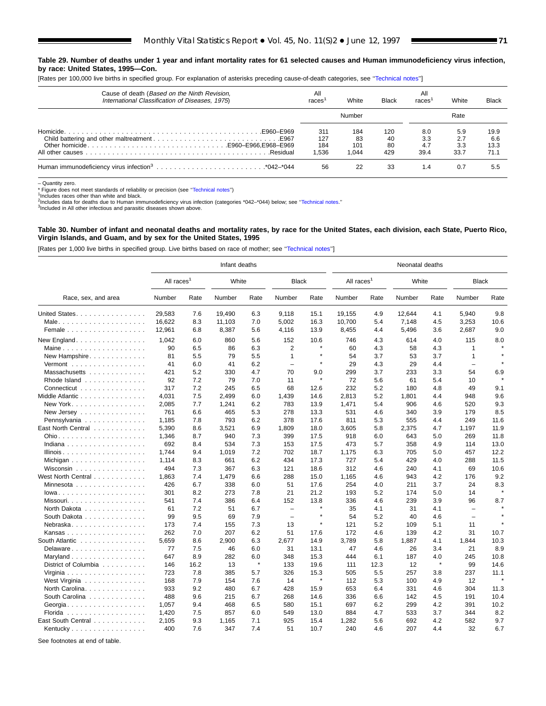#### **Table 29. Number of deaths under 1 year and infant mortality rates for 61 selected causes and Human immunodeficiency virus infection, by race: United States, 1995—Con.**

[Rates per 100,000 live births in specified group. For explanation of asterisks preceding cause-of-death categories, see [''Technical notes''\]](#page-72-0)

| Cause of death (Based on the Ninth Revision,<br>International Classification of Diseases, 1975). | All<br>races               | White                     | Black                  | All<br>races              | White                     | Black                       |
|--------------------------------------------------------------------------------------------------|----------------------------|---------------------------|------------------------|---------------------------|---------------------------|-----------------------------|
|                                                                                                  |                            | Number                    |                        |                           | Rate                      |                             |
|                                                                                                  | 311<br>127<br>184<br>1.536 | 184<br>83<br>101<br>1.044 | 120<br>40<br>80<br>429 | 8.0<br>3.3<br>4.7<br>39.4 | 5.9<br>2.7<br>3.3<br>33.7 | 19.9<br>6.6<br>13.3<br>71.1 |
|                                                                                                  | 56                         | 22                        | 33                     | 1.4                       | 0.7                       | 5.5                         |

– Quantity zero.

\* Figure does not meet standards of reliability or precision (see "Technical notes") 1ncludes races other than white and black.

2Includes data for deaths due to Human immunodeficiency virus infection (categories \*042–\*044) below; see "Technical notes."<br><sup>3</sup>Included in All other infectious and parasitic diseases shown above.

#### **Table 30. Number of infant and neonatal deaths and mortality rates, by race for the United States, each division, each State, Puerto Rico, Virgin Islands, and Guam, and by sex for the United States, 1995**

[Rates per 1,000 live births in specified group. Live births based on race of mother; see '['Technical notes''\]](#page-72-0)

|                                         |                        |      | Infant deaths |              |                          |              |                        |      |        | Neonatal deaths |                          |         |  |  |  |  |  |
|-----------------------------------------|------------------------|------|---------------|--------------|--------------------------|--------------|------------------------|------|--------|-----------------|--------------------------|---------|--|--|--|--|--|
|                                         | All races <sup>1</sup> |      | White         |              | <b>Black</b>             |              | All races <sup>1</sup> |      | White  |                 | <b>Black</b>             |         |  |  |  |  |  |
| Race, sex, and area                     | Number                 | Rate | Number        | Rate         | Number                   | Rate         | Number                 | Rate | Number | Rate            | Number                   | Rate    |  |  |  |  |  |
| United States.                          | 29.583                 | 7.6  | 19,490        | 6.3          | 9,118                    | 15.1         | 19,155                 | 4.9  | 12.644 | 4.1             | 5,940                    | 9.8     |  |  |  |  |  |
|                                         | 16,622                 | 8.3  | 11,103        | 7.0          | 5,002                    | 16.3         | 10,700                 | 5.4  | 7,148  | 4.5             | 3,253                    | 10.6    |  |  |  |  |  |
| Female $\ldots$                         | 12,961                 | 6.8  | 8,387         | 5.6          | 4,116                    | 13.9         | 8,455                  | 4.4  | 5,496  | 3.6             | 2,687                    | 9.0     |  |  |  |  |  |
| New England.                            | 1,042                  | 6.0  | 860           | 5.6          | 152                      | 10.6         | 746                    | 4.3  | 614    | 4.0             | 115                      | 8.0     |  |  |  |  |  |
| Maine                                   | 90                     | 6.5  | 86            | 6.3          | $\overline{2}$           | $\star$      | 60                     | 4.3  | 58     | 4.3             | $\mathbf{1}$             |         |  |  |  |  |  |
| New Hampshire                           | 81                     | 5.5  | 79            | 5.5          | $\mathbf{1}$             |              | 54                     | 3.7  | 53     | 3.7             | $\mathbf{1}$             |         |  |  |  |  |  |
| Vermont                                 | 41                     | 6.0  | 41            | 6.2          | $\overline{\phantom{0}}$ | $\star$      | 29                     | 4.3  | 29     | 4.4             | $\overline{\phantom{0}}$ |         |  |  |  |  |  |
| Massachusetts                           | 421                    | 5.2  | 330           | 4.7          | 70                       | 9.0          | 299                    | 3.7  | 233    | 3.3             | 54                       | 6.9     |  |  |  |  |  |
| Rhode Island                            | 92                     | 7.2  | 79            | 7.0          | 11                       | $\star$      | 72                     | 5.6  | 61     | 5.4             | 10                       |         |  |  |  |  |  |
| Connecticut                             | 317                    | 7.2  | 245           | 6.5          | 68                       | 12.6         | 232                    | 5.2  | 180    | 4.8             | 49                       | 9.1     |  |  |  |  |  |
| Middle Atlantic                         | 4,031                  | 7.5  | 2,499         | 6.0          | 1,439                    | 14.6         | 2,813                  | 5.2  | 1,801  | 4.4             | 948                      | 9.6     |  |  |  |  |  |
| New York                                | 2,085                  | 7.7  | 1,241         | 6.2          | 783                      | 13.9         | 1,471                  | 5.4  | 906    | 4.6             | 520                      | 9.3     |  |  |  |  |  |
| New Jersey                              | 761                    | 6.6  | 465           | 5.3          | 278                      | 13.3         | 531                    | 4.6  | 340    | 3.9             | 179                      | 8.5     |  |  |  |  |  |
| Pennsylvania                            | 1,185                  | 7.8  | 793           | 6.2          | 378                      | 17.6         | 811                    | 5.3  | 555    | 4.4             | 249                      | 11.6    |  |  |  |  |  |
| East North Central                      | 5,390                  | 8.6  | 3,521         | 6.9          | 1,809                    | 18.0         | 3,605                  | 5.8  | 2,375  | 4.7             | 1,197                    | 11.9    |  |  |  |  |  |
|                                         | 1,346                  | 8.7  | 940           | 7.3          | 399                      | 17.5         | 918                    | 6.0  | 643    | 5.0             | 269                      | 11.8    |  |  |  |  |  |
| Indiana                                 | 692                    | 8.4  | 534           | 7.3          | 153                      | 17.5         | 473                    | 5.7  | 358    | 4.9             | 114                      | 13.0    |  |  |  |  |  |
| Illinois                                | 1,744                  | 9.4  | 1,019         | 7.2          | 702                      | 18.7         | 1,175                  | 6.3  | 705    | 5.0             | 457                      | 12.2    |  |  |  |  |  |
| Michigan                                | 1,114                  | 8.3  | 661           | 6.2          | 434                      | 17.3         | 727                    | 5.4  | 429    | 4.0             | 288                      | 11.5    |  |  |  |  |  |
| Wisconsin $\ldots \ldots \ldots \ldots$ | 494                    | 7.3  | 367           | 6.3          | 121                      | 18.6         | 312                    | 4.6  | 240    | 4.1             | 69                       | 10.6    |  |  |  |  |  |
| West North Central                      | 1,863                  | 7.4  | 1,479         | 6.6          | 288                      | 15.0         | 1,165                  | 4.6  | 943    | 4.2             | 176                      | 9.2     |  |  |  |  |  |
| Minnesota                               | 426                    | 6.7  | 338           | 6.0          | 51                       | 17.6         | 254                    | 4.0  | 211    | 3.7             | 24                       | 8.3     |  |  |  |  |  |
| $lowa.$                                 | 301                    | 8.2  | 273           | 7.8          | 21                       | 21.2         | 193                    | 5.2  | 174    | 5.0             | 14                       |         |  |  |  |  |  |
| Missouri                                | 541                    | 7.4  | 386           | 6.4          | 152                      | 13.8         | 336                    | 4.6  | 239    | 3.9             | 96                       | 8.7     |  |  |  |  |  |
| North Dakota                            | 61                     | 7.2  | 51            | 6.7          | $\overline{\phantom{m}}$ | $\star$      | 35                     | 4.1  | 31     | 4.1             | $\equiv$                 |         |  |  |  |  |  |
| South Dakota                            | 99                     | 9.5  | 69            | 7.9          | $\overline{\phantom{m}}$ | $\star$      | 54                     | 5.2  | 40     | 4.6             | $\equiv$                 |         |  |  |  |  |  |
| Nebraska                                | 173                    | 7.4  | 155           | 7.3          | 13                       | $\pmb{\ast}$ | 121                    | 5.2  | 109    | 5.1             | 11                       |         |  |  |  |  |  |
| Kansas                                  | 262                    | 7.0  | 207           | 6.2          | 51                       | 17.6         | 172                    | 4.6  | 139    | 4.2             | 31                       | 10.7    |  |  |  |  |  |
| South Atlantic                          | 5,659                  | 8.6  | 2,900         | 6.3          | 2,677                    | 14.9         | 3,789                  | 5.8  | 1,887  | 4.1             | 1,844                    | 10.3    |  |  |  |  |  |
| Delaware                                | 77                     | 7.5  | 46            | 6.0          | 31                       | 13.1         | 47                     | 4.6  | 26     | 3.4             | 21                       | 8.9     |  |  |  |  |  |
| Maryland                                | 647                    | 8.9  | 282           | 6.0          | 348                      | 15.3         | 444                    | 6.1  | 187    | 4.0             | 245                      | 10.8    |  |  |  |  |  |
| District of Columbia                    | 146                    | 16.2 | 13            | $\pmb{\ast}$ | 133                      | 19.6         | 111                    | 12.3 | 12     | $\pmb{\ast}$    | 99                       | 14.6    |  |  |  |  |  |
|                                         | 723                    | 7.8  | 385           | 5.7          | 326                      | 15.3         | 505                    | 5.5  | 257    | 3.8             | 237                      | 11.1    |  |  |  |  |  |
| West Virginia                           | 168                    | 7.9  | 154           | 7.6          | 14                       | $\star$      | 112                    | 5.3  | 100    | 4.9             | 12                       | $\star$ |  |  |  |  |  |
| North Carolina.                         | 933                    | 9.2  | 480           | 6.7          | 428                      | 15.9         | 653                    | 6.4  | 331    | 4.6             | 304                      | 11.3    |  |  |  |  |  |
| South Carolina                          | 488                    | 9.6  | 215           | 6.7          | 268                      | 14.6         | 336                    | 6.6  | 142    | 4.5             | 191                      | 10.4    |  |  |  |  |  |
| Georgia                                 | 1,057                  | 9.4  | 468           | 6.5          | 580                      | 15.1         | 697                    | 6.2  | 299    | 4.2             | 391                      | 10.2    |  |  |  |  |  |
| Florida                                 | 1,420                  | 7.5  | 857           | 6.0          | 549                      | 13.0         | 884                    | 4.7  | 533    | 3.7             | 344                      | 8.2     |  |  |  |  |  |
| East South Central                      | 2,105                  | 9.3  | 1,165         | 7.1          | 925                      | 15.4         | 1,282                  | 5.6  | 692    | 4.2             | 582                      | 9.7     |  |  |  |  |  |
| Kentucky                                | 400                    | 7.6  | 347           | 7.4          | 51                       | 10.7         | 240                    | 4.6  | 207    | 4.4             | 32                       | 6.7     |  |  |  |  |  |
|                                         |                        |      |               |              |                          |              |                        |      |        |                 |                          |         |  |  |  |  |  |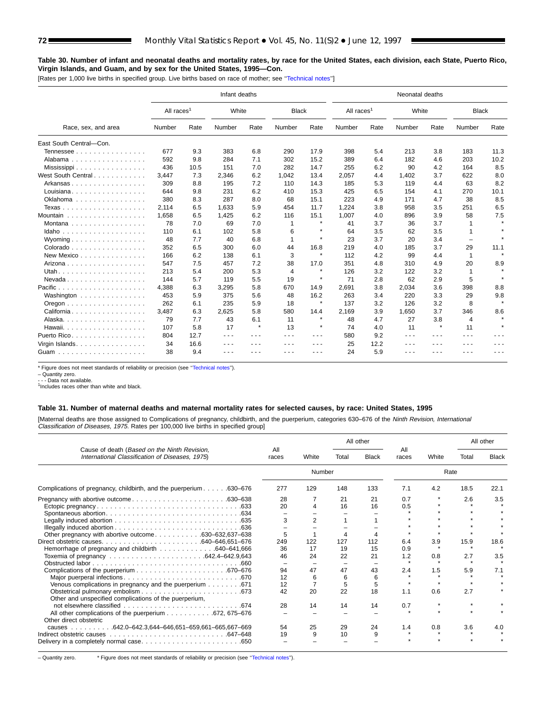### **Table 30. Number of infant and neonatal deaths and mortality rates, by race for the United States, each division, each State, Puerto Rico, Virgin Islands, and Guam, and by sex for the United States, 1995—Con.**

[Rates per 1,000 live births in specified group. Live births based on race of mother; see [''Technical notes''\]](#page-72-0)

|                                        |                        |      | Infant deaths |         |                |                      | Neonatal deaths        |      |        |                                                                                                |              |                     |  |  |
|----------------------------------------|------------------------|------|---------------|---------|----------------|----------------------|------------------------|------|--------|------------------------------------------------------------------------------------------------|--------------|---------------------|--|--|
|                                        | All races <sup>1</sup> |      | White         |         | <b>Black</b>   |                      | All races <sup>1</sup> |      | White  |                                                                                                | <b>Black</b> |                     |  |  |
| Race, sex, and area                    | Number                 | Rate | Number        | Rate    | Number         | Rate                 | Number                 | Rate | Number | Rate                                                                                           | Number       | Rate                |  |  |
| East South Central-Con.                |                        |      |               |         |                |                      |                        |      |        |                                                                                                |              |                     |  |  |
| Tennessee                              | 677                    | 9.3  | 383           | 6.8     | 290            | 17.9                 | 398                    | 5.4  | 213    | 3.8                                                                                            | 183          | 11.3                |  |  |
| Alabama                                | 592                    | 9.8  | 284           | 7.1     | 302            | 15.2                 | 389                    | 6.4  | 182    | 4.6                                                                                            | 203          | 10.2                |  |  |
|                                        | 436                    | 10.5 | 151           | 7.0     | 282            | 14.7                 | 255                    | 6.2  | 90     | 4.2                                                                                            | 164          | 8.5                 |  |  |
| West South Central                     | 3,447                  | 7.3  | 2,346         | 6.2     | 1,042          | 13.4                 | 2,057                  | 4.4  | 1,402  | 3.7                                                                                            | 622          | 8.0                 |  |  |
| Arkansas<br>.                          | 309                    | 8.8  | 195           | 7.2     | 110            | 14.3                 | 185                    | 5.3  | 119    | 4.4                                                                                            | 63           | 8.2                 |  |  |
| Louisiana                              | 644                    | 9.8  | 231           | 6.2     | 410            | 15.3                 | 425                    | 6.5  | 154    | 4.1                                                                                            | 270          | 10.1                |  |  |
| Oklahoma                               | 380                    | 8.3  | 287           | 8.0     | 68             | 15.1                 | 223                    | 4.9  | 171    | 4.7                                                                                            | 38           | 8.5                 |  |  |
| Texas                                  | 2,114                  | 6.5  | 1.633         | 5.9     | 454            | 11.7                 | 1.224                  | 3.8  | 958    | 3.5                                                                                            | 251          | 6.5                 |  |  |
| Mountain $\ldots \ldots \ldots \ldots$ | 1,658                  | 6.5  | 1,425         | 6.2     | 116            | 15.1                 | 1.007                  | 4.0  | 896    | 3.9                                                                                            | 58           | 7.5                 |  |  |
| Montana                                | 78                     | 7.0  | 69            | 7.0     | 1              | $\star$              | 41                     | 3.7  | 36     | 3.7                                                                                            |              |                     |  |  |
| Idaho                                  | 110                    | 6.1  | 102           | 5.8     | 6              | $\star$              | 64                     | 3.5  | 62     | 3.5                                                                                            |              |                     |  |  |
| Wyoming $\ldots \ldots \ldots \ldots$  | 48                     | 7.7  | 40            | 6.8     | 1              | $\star$              | 23                     | 3.7  | 20     | 3.4                                                                                            |              |                     |  |  |
| Colorado                               | 352                    | 6.5  | 300           | 6.0     | 44             | 16.8                 | 219                    | 4.0  | 185    | 3.7                                                                                            | 29           | 11.1                |  |  |
| New Mexico                             | 166                    | 6.2  | 138           | 6.1     | 3              | $\pmb{\ast}$         | 112                    | 4.2  | 99     | 4.4                                                                                            | $\mathbf 1$  |                     |  |  |
| Arizona                                | 547                    | 7.5  | 457           | 7.2     | 38             | 17.0                 | 351                    | 4.8  | 310    | 4.9                                                                                            | 20           | 8.9                 |  |  |
|                                        | 213                    | 5.4  | 200           | 5.3     | $\overline{4}$ | $\star$              | 126                    | 3.2  | 122    | 3.2                                                                                            | 1            |                     |  |  |
| Nevada                                 | 144                    | 5.7  | 119           | 5.5     | 19             | $\pmb{\ast}$         | 71                     | 2.8  | 62     | 2.9                                                                                            | 5            |                     |  |  |
| Pacific<br>.                           | 4,388                  | 6.3  | 3,295         | 5.8     | 670            | 14.9                 | 2,691                  | 3.8  | 2.034  | 3.6                                                                                            | 398          | 8.8                 |  |  |
| Washington                             | 453                    | 5.9  | 375           | 5.6     | 48             | 16.2                 | 263                    | 3.4  | 220    | 3.3                                                                                            | 29           | 9.8                 |  |  |
|                                        | 262                    | 6.1  | 235           | 5.9     | 18             | $\star$              | 137                    | 3.2  | 126    | 3.2                                                                                            | 8            |                     |  |  |
| California                             | 3,487                  | 6.3  | 2,625         | 5.8     | 580            | 14.4                 | 2,169                  | 3.9  | 1,650  | 3.7                                                                                            | 346          | 8.6                 |  |  |
| Alaska.                                | 79                     | 7.7  | 43            | 6.1     | 11             | $\star$              | 48                     | 4.7  | 27     | 3.8                                                                                            | 4            | $\boldsymbol{\ast}$ |  |  |
| Hawaii.<br>.                           | 107                    | 5.8  | 17            | $\star$ | 13             | $\pmb{\ast}$         | 74                     | 4.0  | 11     | $\star$                                                                                        | 11           | $\star$             |  |  |
| Puerto Rico.                           | 804                    | 12.7 | $  -$         | .       | .              | $\sim$ $\sim$ $\sim$ | 580                    | 9.2  | .      | $\frac{1}{2} \left( \frac{1}{2} \right) \left( \frac{1}{2} \right) \left( \frac{1}{2} \right)$ | - - -        | .                   |  |  |
| Virgin Islands.                        | 34                     | 16.6 | - - -         | - - -   | ---            | ---                  | 25                     | 12.2 | - - -  | ---                                                                                            |              |                     |  |  |
| Guam                                   | 38                     | 9.4  |               |         |                |                      | 24                     | 5.9  |        |                                                                                                |              |                     |  |  |

\* Figure does not meet standards of reliability or precision (see [''Technical notes''\).](#page-72-0)

– Quantity zero.

- - - Data not available. <sup>1</sup>Includes races other than white and black.

## **Table 31. Number of maternal deaths and maternal mortality rates for selected causes, by race: United States, 1995**

[Maternal deaths are those assigned to Complications of pregnancy, childbirth, and the puerperium, categories 630-676 of the Ninth Revision, International Classification of Diseases, 1975. Rates per 100,000 live births in specified group]

|                                                                                                  |              |          |       | All other    |              |       | All other |              |
|--------------------------------------------------------------------------------------------------|--------------|----------|-------|--------------|--------------|-------|-----------|--------------|
| Cause of death (Based on the Ninth Revision,<br>International Classification of Diseases, 1975). | All<br>races | White    | Total | <b>Black</b> | All<br>races | White | Total     | <b>Black</b> |
|                                                                                                  |              | Number   |       |              |              | Rate  |           |              |
| Complications of pregnancy, childbirth, and the puerperium 630–676                               | 277          | 129      | 148   | 133          | 7.1          | 4.2   | 18.5      | 22.1         |
|                                                                                                  | 28           |          | 21    | 21           | 0.7          |       | 2.6       | 3.5          |
|                                                                                                  | 20           | $\Delta$ | 16    | 16           | 0.5          |       |           |              |
|                                                                                                  |              |          |       |              |              |       |           |              |
|                                                                                                  | 3            |          |       |              |              |       |           |              |
|                                                                                                  |              |          |       |              |              |       |           |              |
| Other pregnancy with abortive outcome630–632,637–638                                             | 5            |          | 4     |              |              |       |           |              |
|                                                                                                  | 249          | 122      | 127   | 112          | 6.4          | 3.9   | 15.9      | 18.6         |
| Hemorrhage of pregnancy and childbirth 640–641,666                                               | 36           | 17       | 19    | 15           | 0.9          |       |           |              |
|                                                                                                  | 46           | 24       | 22    | 21           | 1.2          | 0.8   | 2.7       | 3.5          |
|                                                                                                  |              |          |       |              |              |       |           |              |
|                                                                                                  | 94           | 47       | 47    | 43           | 2.4          | 1.5   | 5.9       | 7.1          |
|                                                                                                  | 12           | 6        | 6     | 6            |              |       |           |              |
| Venous complications in pregnancy and the puerperium 671                                         | 12           |          | 5     | 5            |              |       |           |              |
| Other and unspecified complications of the puerperium,                                           | 42           | 20       | 22    | 18           | 1.1          | 0.6   | 2.7       |              |
|                                                                                                  | 28           | 14       | 14    | 14           | 0.7          |       |           |              |
| All other complications of the puerperium 672, 675–676<br>Other direct obstetric                 |              |          |       |              |              |       |           |              |
| causes 642.0-642.3,644-646,651-659,661-665,667-669                                               | 54           | 25       | 29    | 24           | 1.4          | 0.8   | 3.6       | 4.0          |
|                                                                                                  | 19           | 9        | 10    |              |              |       |           |              |
|                                                                                                  |              |          |       |              |              |       |           |              |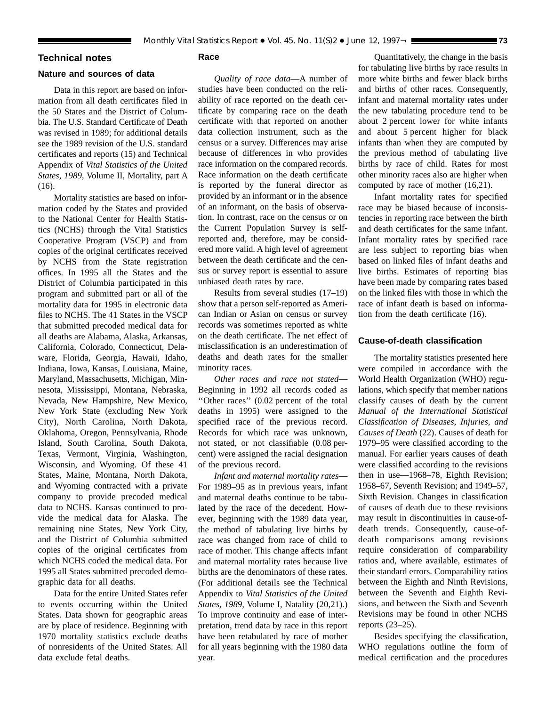## <span id="page-72-0"></span>**Technical notes**

# **Nature and sources of data**

Data in this report are based on information from all death certificates filed in the 50 States and the District of Columbia. The U.S. Standard Certificate of Death was revised in 1989; for additional details see the 1989 revision of the U.S. standard certificates and reports (15) and Technical Appendix of *Vital Statistics of the United States, 1989,* Volume II, Mortality, part A (16).

Mortality statistics are based on information coded by the States and provided to the National Center for Health Statistics (NCHS) through the Vital Statistics Cooperative Program (VSCP) and from copies of the original certificates received by NCHS from the State registration offices. In 1995 all the States and the District of Columbia participated in this program and submitted part or all of the mortality data for 1995 in electronic data files to NCHS. The 41 States in the VSCP that submitted precoded medical data for all deaths are Alabama, Alaska, Arkansas, California, Colorado, Connecticut, Delaware, Florida, Georgia, Hawaii, Idaho, Indiana, Iowa, Kansas, Louisiana, Maine, Maryland, Massachusetts, Michigan, Minnesota, Mississippi, Montana, Nebraska, Nevada, New Hampshire, New Mexico, New York State (excluding New York City), North Carolina, North Dakota, Oklahoma, Oregon, Pennsylvania, Rhode Island, South Carolina, South Dakota, Texas, Vermont, Virginia, Washington, Wisconsin, and Wyoming. Of these 41 States, Maine, Montana, North Dakota, and Wyoming contracted with a private company to provide precoded medical data to NCHS. Kansas continued to provide the medical data for Alaska. The remaining nine States, New York City, and the District of Columbia submitted copies of the original certificates from which NCHS coded the medical data. For 1995 all States submitted precoded demographic data for all deaths.

Data for the entire United States refer to events occurring within the United States. Data shown for geographic areas are by place of residence. Beginning with 1970 mortality statistics exclude deaths of nonresidents of the United States. All data exclude fetal deaths.

# **Race**

*Quality of race data*—A number of studies have been conducted on the reliability of race reported on the death certificate by comparing race on the death certificate with that reported on another data collection instrument, such as the census or a survey. Differences may arise because of differences in who provides race information on the compared records. Race information on the death certificate is reported by the funeral director as provided by an informant or in the absence of an informant, on the basis of observation. In contrast, race on the census or on the Current Population Survey is selfreported and, therefore, may be considered more valid. A high level of agreement between the death certificate and the census or survey report is essential to assure unbiased death rates by race.

Results from several studies (17–19) show that a person self-reported as American Indian or Asian on census or survey records was sometimes reported as white on the death certificate. The net effect of misclassification is an underestimation of deaths and death rates for the smaller minority races.

*Other races and race not stated*— Beginning in 1992 all records coded as ''Other races'' (0.02 percent of the total deaths in 1995) were assigned to the specified race of the previous record. Records for which race was unknown, not stated, or not classifiable (0.08 percent) were assigned the racial designation of the previous record.

*Infant and maternal mortality rates*— For 1989–95 as in previous years, infant and maternal deaths continue to be tabulated by the race of the decedent. However, beginning with the 1989 data year, the method of tabulating live births by race was changed from race of child to race of mother. This change affects infant and maternal mortality rates because live births are the denominators of these rates. (For additional details see the Technical Appendix to *Vital Statistics of the United States, 1989,* Volume I, Natality (20,21).) To improve continuity and ease of interpretation, trend data by race in this report have been retabulated by race of mother for all years beginning with the 1980 data year.

Quantitatively, the change in the basis for tabulating live births by race results in more white births and fewer black births and births of other races. Consequently, infant and maternal mortality rates under the new tabulating procedure tend to be about 2 percent lower for white infants and about 5 percent higher for black infants than when they are computed by the previous method of tabulating live births by race of child. Rates for most other minority races also are higher when computed by race of mother (16,21).

Infant mortality rates for specified race may be biased because of inconsistencies in reporting race between the birth and death certificates for the same infant. Infant mortality rates by specified race are less subject to reporting bias when based on linked files of infant deaths and live births. Estimates of reporting bias have been made by comparing rates based on the linked files with those in which the race of infant death is based on information from the death certificate (16).

### **Cause-of-death classification**

The mortality statistics presented here were compiled in accordance with the World Health Organization (WHO) regulations, which specify that member nations classify causes of death by the current *Manual of the International Statistical Classification of Diseases, Injuries, and Causes of Death* (22). Causes of death for 1979–95 were classified according to the manual. For earlier years causes of death were classified according to the revisions then in use—1968–78, Eighth Revision; 1958–67, Seventh Revision; and 1949–57, Sixth Revision. Changes in classification of causes of death due to these revisions may result in discontinuities in cause-ofdeath trends. Consequently, cause-ofdeath comparisons among revisions require consideration of comparability ratios and, where available, estimates of their standard errors. Comparability ratios between the Eighth and Ninth Revisions, between the Seventh and Eighth Revisions, and between the Sixth and Seventh Revisions may be found in other NCHS reports (23–25).

Besides specifying the classification, WHO regulations outline the form of medical certification and the procedures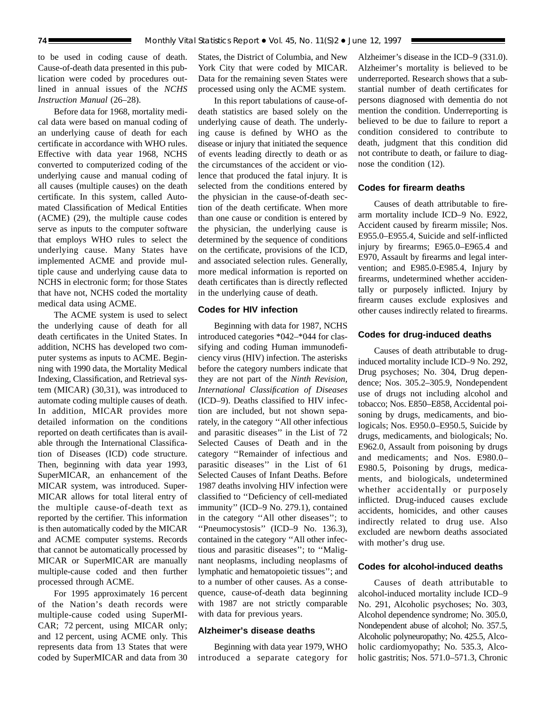to be used in coding cause of death. Cause-of-death data presented in this publication were coded by procedures outlined in annual issues of the *NCHS Instruction Manual* (26–28).

Before data for 1968, mortality medical data were based on manual coding of an underlying cause of death for each certificate in accordance with WHO rules. Effective with data year 1968, NCHS converted to computerized coding of the underlying cause and manual coding of all causes (multiple causes) on the death certificate. In this system, called Automated Classification of Medical Entities (ACME) (29), the multiple cause codes serve as inputs to the computer software that employs WHO rules to select the underlying cause. Many States have implemented ACME and provide multiple cause and underlying cause data to NCHS in electronic form; for those States that have not, NCHS coded the mortality medical data using ACME.

The ACME system is used to select the underlying cause of death for all death certificates in the United States. In addition, NCHS has developed two computer systems as inputs to ACME. Beginning with 1990 data, the Mortality Medical Indexing, Classification, and Retrieval system (MICAR) (30,31), was introduced to automate coding multiple causes of death. In addition, MICAR provides more detailed information on the conditions reported on death certificates than is available through the International Classification of Diseases (ICD) code structure. Then, beginning with data year 1993, SuperMICAR, an enhancement of the MICAR system, was introduced. Super-MICAR allows for total literal entry of the multiple cause-of-death text as reported by the certifier. This information is then automatically coded by the MICAR and ACME computer systems. Records that cannot be automatically processed by MICAR or SuperMICAR are manually multiple-cause coded and then further processed through ACME.

For 1995 approximately 16 percent of the Nation's death records were multiple-cause coded using SuperMI-CAR; 72 percent, using MICAR only; and 12 percent, using ACME only. This represents data from 13 States that were coded by SuperMICAR and data from 30

States, the District of Columbia, and New York City that were coded by MICAR. Data for the remaining seven States were processed using only the ACME system.

In this report tabulations of cause-ofdeath statistics are based solely on the underlying cause of death. The underlying cause is defined by WHO as the disease or injury that initiated the sequence of events leading directly to death or as the circumstances of the accident or violence that produced the fatal injury. It is selected from the conditions entered by the physician in the cause-of-death section of the death certificate. When more than one cause or condition is entered by the physician, the underlying cause is determined by the sequence of conditions on the certificate, provisions of the ICD, and associated selection rules. Generally, more medical information is reported on death certificates than is directly reflected in the underlying cause of death.

## **Codes for HIV infection**

Beginning with data for 1987, NCHS introduced categories \*042–\*044 for classifying and coding Human immunodeficiency virus (HIV) infection. The asterisks before the category numbers indicate that they are not part of the *Ninth Revision, International Classification of Diseases* (ICD–9). Deaths classified to HIV infection are included, but not shown separately, in the category ''All other infectious and parasitic diseases'' in the List of 72 Selected Causes of Death and in the category ''Remainder of infectious and parasitic diseases'' in the List of 61 Selected Causes of Infant Deaths. Before 1987 deaths involving HIV infection were classified to ''Deficiency of cell-mediated immunity'' (ICD–9 No. 279.1), contained in the category ''All other diseases''; to ''Pneumocystosis'' (ICD–9 No. 136.3), contained in the category ''All other infectious and parasitic diseases''; to ''Malignant neoplasms, including neoplasms of lymphatic and hematopoietic tissues''; and to a number of other causes. As a consequence, cause-of-death data beginning with 1987 are not strictly comparable with data for previous years.

## **Alzheimer's disease deaths**

Beginning with data year 1979, WHO introduced a separate category for

Alzheimer's disease in the ICD–9 (331.0). Alzheimer's mortality is believed to be underreported. Research shows that a substantial number of death certificates for persons diagnosed with dementia do not mention the condition. Underreporting is believed to be due to failure to report a condition considered to contribute to death, judgment that this condition did not contribute to death, or failure to diagnose the condition (12).

## **Codes for firearm deaths**

Causes of death attributable to firearm mortality include ICD–9 No. E922, Accident caused by firearm missile; Nos. E955.0–E955.4, Suicide and self-inflicted injury by firearms; E965.0–E965.4 and E970, Assault by firearms and legal intervention; and E985.0-E985.4, Injury by firearms, undetermined whether accidentally or purposely inflicted. Injury by firearm causes exclude explosives and other causes indirectly related to firearms.

## **Codes for drug-induced deaths**

Causes of death attributable to druginduced mortality include ICD–9 No. 292, Drug psychoses; No. 304, Drug dependence; Nos. 305.2–305.9, Nondependent use of drugs not including alcohol and tobacco; Nos. E850–E858, Accidental poisoning by drugs, medicaments, and biologicals; Nos. E950.0–E950.5, Suicide by drugs, medicaments, and biologicals; No. E962.0, Assault from poisoning by drugs and medicaments; and Nos. E980.0– E980.5, Poisoning by drugs, medicaments, and biologicals, undetermined whether accidentally or purposely inflicted. Drug-induced causes exclude accidents, homicides, and other causes indirectly related to drug use. Also excluded are newborn deaths associated with mother's drug use.

### **Codes for alcohol-induced deaths**

Causes of death attributable to alcohol-induced mortality include ICD–9 No. 291, Alcoholic psychoses; No. 303, Alcohol dependence syndrome; No. 305.0, Nondependent abuse of alcohol; No. 357.5, Alcoholic polyneuropathy; No. 425.5, Alcoholic cardiomyopathy; No. 535.3, Alcoholic gastritis; Nos. 571.0–571.3, Chronic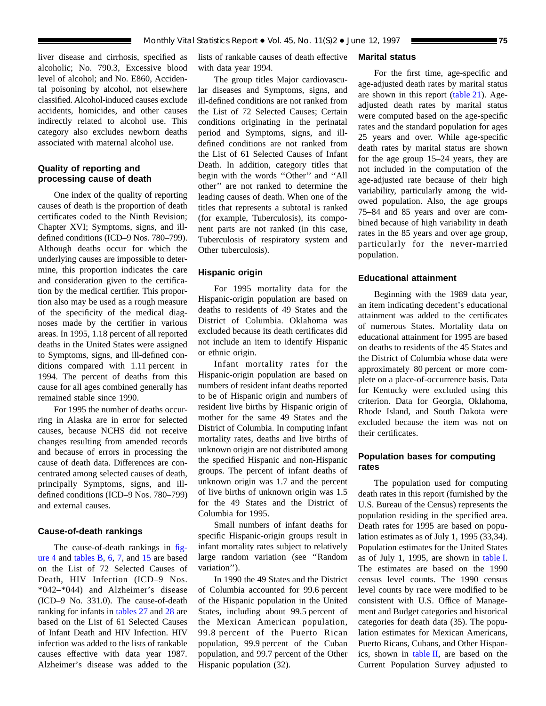liver disease and cirrhosis, specified as alcoholic; No. 790.3, Excessive blood level of alcohol; and No. E860, Accidental poisoning by alcohol, not elsewhere classified. Alcohol-induced causes exclude accidents, homicides, and other causes indirectly related to alcohol use. This category also excludes newborn deaths associated with maternal alcohol use.

# **Quality of reporting and processing cause of death**

One index of the quality of reporting causes of death is the proportion of death certificates coded to the Ninth Revision; Chapter XVI; Symptoms, signs, and illdefined conditions (ICD–9 Nos. 780–799). Although deaths occur for which the underlying causes are impossible to determine, this proportion indicates the care and consideration given to the certification by the medical certifier. This proportion also may be used as a rough measure of the specificity of the medical diagnoses made by the certifier in various areas. In 1995, 1.18 percent of all reported deaths in the United States were assigned to Symptoms, signs, and ill-defined conditions compared with 1.11 percent in 1994. The percent of deaths from this cause for all ages combined generally has remained stable since 1990.

For 1995 the number of deaths occurring in Alaska are in error for selected causes, because NCHS did not receive changes resulting from amended records and because of errors in processing the cause of death data. Differences are concentrated among selected causes of death, principally Symptoms, signs, and illdefined conditions (ICD–9 Nos. 780–799) and external causes.

### **Cause-of-death rankings**

The cause-of-death rankings in [fig](#page-7-0)[ure 4](#page-7-0) and [tables B,](#page-6-0) [6,](#page-19-0) [7,](#page-22-0) and [15](#page-51-0) are based on the List of 72 Selected Causes of Death, HIV Infection (ICD–9 Nos. \*042–\*044) and Alzheimer's disease (ICD–9 No. 331.0). The cause-of-death ranking for infants in [tables 27](#page-67-0) and [28](#page-68-0) are based on the List of 61 Selected Causes of Infant Death and HIV Infection. HIV infection was added to the lists of rankable causes effective with data year 1987. Alzheimer's disease was added to the

lists of rankable causes of death effective with data year 1994.

The group titles Major cardiovascular diseases and Symptoms, signs, and ill-defined conditions are not ranked from the List of 72 Selected Causes; Certain conditions originating in the perinatal period and Symptoms, signs, and illdefined conditions are not ranked from the List of 61 Selected Causes of Infant Death. In addition, category titles that begin with the words ''Other'' and ''All other'' are not ranked to determine the leading causes of death. When one of the titles that represents a subtotal is ranked (for example, Tuberculosis), its component parts are not ranked (in this case, Tuberculosis of respiratory system and Other tuberculosis).

## **Hispanic origin**

For 1995 mortality data for the Hispanic-origin population are based on deaths to residents of 49 States and the District of Columbia. Oklahoma was excluded because its death certificates did not include an item to identify Hispanic or ethnic origin.

Infant mortality rates for the Hispanic-origin population are based on numbers of resident infant deaths reported to be of Hispanic origin and numbers of resident live births by Hispanic origin of mother for the same 49 States and the District of Columbia. In computing infant mortality rates, deaths and live births of unknown origin are not distributed among the specified Hispanic and non-Hispanic groups. The percent of infant deaths of unknown origin was 1.7 and the percent of live births of unknown origin was 1.5 for the 49 States and the District of Columbia for 1995.

Small numbers of infant deaths for specific Hispanic-origin groups result in infant mortality rates subject to relatively large random variation (see ''Random variation'').

In 1990 the 49 States and the District of Columbia accounted for 99.6 percent of the Hispanic population in the United States, including about 99.5 percent of the Mexican American population, 99.8 percent of the Puerto Rican population, 99.9 percent of the Cuban population, and 99.7 percent of the Other Hispanic population (32).

## **Marital status**

For the first time, age-specific and age-adjusted death rates by marital status are shown in this report [\(table 21\).](#page-59-0) Ageadjusted death rates by marital status were computed based on the age-specific rates and the standard population for ages 25 years and over. While age-specific death rates by marital status are shown for the age group 15–24 years, they are not included in the computation of the age-adjusted rate because of their high variability, particularly among the widowed population. Also, the age groups 75–84 and 85 years and over are combined because of high variability in death rates in the 85 years and over age group, particularly for the never-married population.

## **Educational attainment**

Beginning with the 1989 data year, an item indicating decedent's educational attainment was added to the certificates of numerous States. Mortality data on educational attainment for 1995 are based on deaths to residents of the 45 States and the District of Columbia whose data were approximately 80 percent or more complete on a place-of-occurrence basis. Data for Kentucky were excluded using this criterion. Data for Georgia, Oklahoma, Rhode Island, and South Dakota were excluded because the item was not on their certificates.

# **Population bases for computing rates**

The population used for computing death rates in this report (furnished by the U.S. Bureau of the Census) represents the population residing in the specified area. Death rates for 1995 are based on population estimates as of July 1, 1995 (33,34). Population estimates for the United States as of July 1, 1995, are shown in [table I.](#page-75-0) The estimates are based on the 1990 census level counts. The 1990 census level counts by race were modified to be consistent with U.S. Office of Management and Budget categories and historical categories for death data (35). The population estimates for Mexican Americans, Puerto Ricans, Cubans, and Other Hispanics, shown in [table II,](#page-75-0) are based on the Current Population Survey adjusted to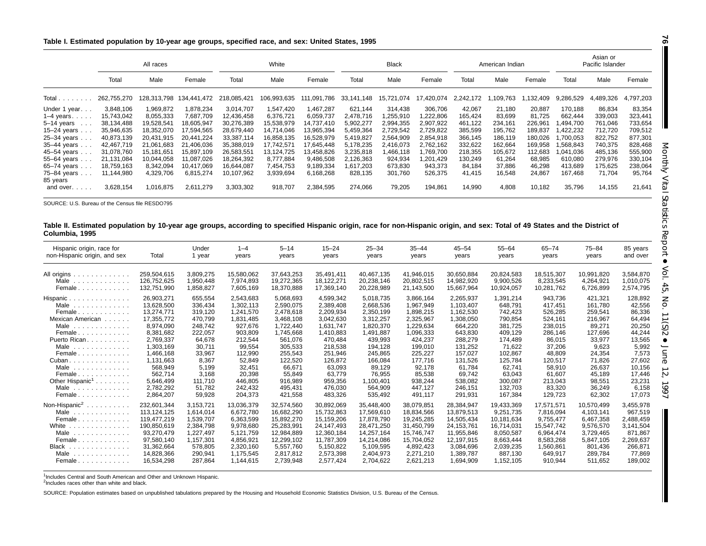#### <span id="page-75-0"></span>Table I. Estimated population by 10-year age groups, specified race, and sex: United States, 1995

|                                      |             | All races   |             |             | White       |             |            | <b>Black</b> |            |           | American Indian |          |           | Asian or<br>Pacific Islander |           |
|--------------------------------------|-------------|-------------|-------------|-------------|-------------|-------------|------------|--------------|------------|-----------|-----------------|----------|-----------|------------------------------|-----------|
|                                      | Total       | Male        | Female      | Total       | Male        | Female      | Total      | Male         | Female     | Total     | Male            | Female   | Total     | Male                         | Female    |
| Total                                | 262,755,270 | 128,313,798 | 134,441,472 | 218,085,421 | 106,993,635 | 111,091,786 | 33,141,148 | 15,721,074   | 17,420,074 | 2,242,172 | ,109,763        | ,132,409 | 9,286,529 | 4,489,326                    | 4,797,203 |
| Under 1 year                         | 3,848,106   | 1,969,872   | 1,878,234   | 3,014,707   | 1,547,420   | .467.287    | 621,144    | 314,438      | 306,706    | 42,067    | 21,180          | 20,887   | 170.188   | 86,834                       | 83,354    |
| $1-4$ years $\ldots$ .               | 15,743,042  | 8,055,333   | 7,687,709   | 12,436,458  | 6,376,721   | 6,059,737   | 2,478,716  | ,255,910     | 1,222,806  | 165,424   | 83,699          | 81,725   | 662,444   | 339,003                      | 323,441   |
| $5-14$ years<br>$\sim$ $\sim$ $\sim$ | 38,134,488  | 19,528,541  | 18,605,947  | 30,276,389  | 15,538,979  | 14,737,410  | 5,902,277  | 2,994,355    | 2,907,922  | 461,122   | 234,161         | 226,961  | ,494,700  | 761,046                      | 733,654   |
| $15-24$ years.                       | 35,946,635  | 18,352,070  | 17,594,565  | 28,679,440  | 14,714,046  | 13,965,394  | 5,459,364  | 2,729,542    | 2,729,822  | 385,599   | 195,762         | 189,837  | 422,232   | 712.720                      | 709,512   |
| 25-34 years                          | 40,873,139  | 20,431,915  | 20,441,224  | 33,387,114  | 16,858,135  | 16,528,979  | 5,419,827  | 2,564,909    | 2,854,918  | 366,145   | 186,119         | 180,026  | ,700,053  | 822,752                      | 877,301   |
| 35-44 years                          | 42.467.719  | 21.061.683  | 21,406,036  | 35,388,019  | 17,742,571  | 17.645.448  | 5,178,235  | 2,416,073    | 2,762,162  | 332,622   | 162,664         | 169,958  | .568.843  | 740,375                      | 828,468   |
| $45 - 54$ years.                     | 31,078,760  | 15.181.651  | 15,897,109  | 26,583,551  | 13,124,725  | 13,458,826  | 3,235,818  | .466,118     | 1,769,700  | 218,355   | 105,672         | 112,683  | 1.041.036 | 485,136                      | 555,900   |
| 55-64 years                          | 21,131,084  | 10.044.058  | 11,087,026  | 18,264,392  | 8,777,884   | 9,486,508   | 2,126,363  | 924,934      | 1,201,429  | 130,249   | 61,264          | 68,985   | 610,080   | 279,976                      | 330,104   |
| $65-74$ years $\ldots$               | 18,759,163  | 8,342,094   | 10,417,069  | 16,644,087  | 7,454,753   | 9,189,334   | 1,617,203  | 673,830      | 943,373    | 84,184    | 37,886          | 46,298   | 413,689   | 175,625                      | 238,064   |
| 75-84 years<br>85 years              | 11.144.980  | 4,329,706   | 6,815,274   | 10,107,962  | 3,939,694   | 6,168,268   | 828,135    | 301,760      | 526,375    | 41,415    | 16,548          | 24,867   | 167,468   | 71.704                       | 95,764    |
| and over                             | 3,628,154   | 1,016,875   | 2,611,279   | 3,303,302   | 918,707     | 2,384,595   | 274,066    | 79,205       | 194,861    | 14,990    | 4,808           | 10,182   | 35,796    | 14,155                       | 21,641    |

SOURCE: U.S. Bureau of the Census file RESDO795

#### Table II. Estimated population by 10-year age groups, according to specified Hispanic origin, race for non-Hispanic origin, and sex: Total of 49 States and the District of **Columbia, 1995**

| Hispanic origin, race for<br>non-Hispanic origin, and sex                                                                                                                                                                                                                     | Total                                                                                                                                                                                           | Under<br>1 year                                                                                                                                        | $1 - 4$<br>years                                                                                                                                                      | $5 - 14$<br>years                                                                                                                                                           | $15 - 24$<br>years                                                                                                                                                          | $25 - 34$<br>years                                                                                                                                                            | $35 - 44$<br>years                                                                                                                                                          | $45 - 54$<br>years                                                                                                                                                      | $55 - 64$<br>years                                                                                                                                               | $65 - 74$<br>years                                                                                                                                          | $75 - 84$<br>years                                                                                                                                     | 85 years<br>and over                                                                                                                             |
|-------------------------------------------------------------------------------------------------------------------------------------------------------------------------------------------------------------------------------------------------------------------------------|-------------------------------------------------------------------------------------------------------------------------------------------------------------------------------------------------|--------------------------------------------------------------------------------------------------------------------------------------------------------|-----------------------------------------------------------------------------------------------------------------------------------------------------------------------|-----------------------------------------------------------------------------------------------------------------------------------------------------------------------------|-----------------------------------------------------------------------------------------------------------------------------------------------------------------------------|-------------------------------------------------------------------------------------------------------------------------------------------------------------------------------|-----------------------------------------------------------------------------------------------------------------------------------------------------------------------------|-------------------------------------------------------------------------------------------------------------------------------------------------------------------------|------------------------------------------------------------------------------------------------------------------------------------------------------------------|-------------------------------------------------------------------------------------------------------------------------------------------------------------|--------------------------------------------------------------------------------------------------------------------------------------------------------|--------------------------------------------------------------------------------------------------------------------------------------------------|
| All origins<br>Male<br>Female                                                                                                                                                                                                                                                 | 259.504.615<br>126.752.625<br>132.751.990                                                                                                                                                       | 3.809.275<br>1.950.448<br>1,858,827                                                                                                                    | 15,580,062<br>7.974.893<br>7,605,169                                                                                                                                  | 37.643.253<br>19,272,365<br>18,370,888                                                                                                                                      | 35,491,411<br>18,122,271<br>17,369,140                                                                                                                                      | 40.467.135<br>20,238,146<br>20,228,989                                                                                                                                        | 41.946.015<br>20,802,515<br>21,143,500                                                                                                                                      | 30,650,884<br>14.982.920<br>15,667,964                                                                                                                                  | 20,824,583<br>9,900,526<br>10,924,057                                                                                                                            | 18.515.307<br>8.233.545<br>10,281,762                                                                                                                       | 10,991,820<br>4,264,921<br>6,726,899                                                                                                                   | 3,584,870<br>1,010,075<br>2,574,795                                                                                                              |
| Hispanic<br>Male $\ldots$<br>Female<br>Mexican American<br>Male<br>.<br>Female<br>Puerto Rican.<br>Male<br>.<br>Female<br>$Cuban \ldots \ldots \ldots \ldots$<br>Male $\ldots$<br>Female<br>Other Hispanic <sup>1</sup><br>Male $\ldots$<br>Female                            | 26.903.271<br>13,628,500<br>13,274,771<br>17.355.772<br>8,974,090<br>8.381.682<br>2.769.337<br>1.303.169<br>1.466.168<br>1.131.663<br>568,949<br>562,714<br>5,646,499<br>2,782,292<br>2,864,207 | 655,554<br>336,434<br>319,120<br>470,799<br>248.742<br>222,057<br>64.678<br>30,711<br>33,967<br>8.367<br>5,199<br>3,168<br>111.710<br>51,782<br>59,928 | 2,543,683<br>1,302,113<br>1,241,570<br>1,831,485<br>927.676<br>903.809<br>212.544<br>99,554<br>112,990<br>52.849<br>32,451<br>20,398<br>446,805<br>242,432<br>204,373 | 5,068,693<br>2,590,075<br>2,478,618<br>3,468,108<br>1,722,440<br>1.745.668<br>561.076<br>305,533<br>255,543<br>122,520<br>66,671<br>55,849<br>916,989<br>495.431<br>421,558 | 4,599,342<br>2,389,408<br>2,209,934<br>3,042,630<br>1,631,747<br>1.410.883<br>470.484<br>218,538<br>251,946<br>126.872<br>63,093<br>63,779<br>959,356<br>476,030<br>483,326 | 5.018.735<br>2,668,536<br>2,350,199<br>3,312,257<br>1,820,370<br>1.491.887<br>439.993<br>194,128<br>245,865<br>166.084<br>89,129<br>76,955<br>1,100,401<br>564,909<br>535,492 | 3,866,164<br>1,967,949<br>1,898,215<br>2,325,967<br>1,229,634<br>1,096,333<br>424.237<br>199,010<br>225,227<br>177.716<br>92,178<br>85,538<br>938,244<br>447.127<br>491,117 | 2,265,937<br>1,103,407<br>1,162,530<br>1,308,050<br>664,220<br>643.830<br>288.279<br>131,252<br>157.027<br>131.526<br>61,784<br>69,742<br>538,082<br>246,151<br>291,931 | 1,391,214<br>648,791<br>742,423<br>790,854<br>381.725<br>409.129<br>174.489<br>71.622<br>102,867<br>125,784<br>62,741<br>63,043<br>300,087<br>132,703<br>167,384 | 943.736<br>417,451<br>526,285<br>524,161<br>238,015<br>286.146<br>86.015<br>37,206<br>48.809<br>120.517<br>58,910<br>61,607<br>213,043<br>83,320<br>129,723 | 421,321<br>161.780<br>259,541<br>216,967<br>89,271<br>127.696<br>33.977<br>9,623<br>24,354<br>71.826<br>26,637<br>45,189<br>98,551<br>36,249<br>62,302 | 128,892<br>42,556<br>86,336<br>64,494<br>20,250<br>44.244<br>13.565<br>5,992<br>7,573<br>27.602<br>10,156<br>17,446<br>23,231<br>6,158<br>17,073 |
| Non-Hispanic <sup>2</sup><br>Male<br>.<br>Female<br>White<br>.<br>Male<br>.<br>Female $\ldots$ , $\ldots$ , $\ldots$<br><b>Black</b><br>.<br>Male<br>de la característica de la característica de la característica de la característica de la característica de la<br>Female | 232.601.344<br>113.124.125<br>119.477.219<br>190,850,619<br>93.270.479<br>97.580.140<br>31.362.664<br>14.828.366<br>16.534.298                                                                  | 3,153,721<br>1.614.014<br>1,539,707<br>2,384,798<br>.227.497<br>1.157.301<br>578.805<br>290,941<br>287.864                                             | 13,036,379<br>6.672.780<br>6,363,599<br>9,978,680<br>5.121.759<br>4.856.921<br>2,320,160<br>1,175,545<br>1.144.615                                                    | 32,574,560<br>16.682.290<br>15,892,270<br>25,283,991<br>12.984.889<br>12.299.102<br>5.557.760<br>2,817,812<br>2.739.948                                                     | 30,892,069<br>15,732,863<br>15,159,206<br>24,147,493<br>12,360,184<br>11.787.309<br>5.150.822<br>2,573,398<br>2.577.424                                                     | 35,448,400<br>17,569,610<br>17,878,790<br>28,471,250<br>14.257.164<br>14.214.086<br>5,109,595<br>2,404,973<br>2,704,622                                                       | 38.079.851<br>18.834.566<br>19,245,285<br>31,450,799<br>15,746,747<br>15,704,052<br>4.892.423<br>2,271,210<br>2,621,213                                                     | 28,384,947<br>13.879.513<br>14,505,434<br>24,153,761<br>11,955,846<br>12,197,915<br>3.084.696<br>1,389,787<br>1.694.909                                                 | 19,433,369<br>9,251,735<br>10,181,634<br>16,714,031<br>8,050,587<br>8.663.444<br>2,039,235<br>887.130<br>1.152.105                                               | 17,571,571<br>7.816.094<br>9,755,477<br>15,547,742<br>6,964,474<br>8,583,268<br>1.560.861<br>649.917<br>910.944                                             | 10,570,499<br>4,103,141<br>6,467,358<br>9,576,570<br>3,729,465<br>5.847.105<br>801.436<br>289.784<br>511.652                                           | 3,455,978<br>967,519<br>2,488,459<br>3,141,504<br>871,867<br>2,269,637<br>266.871<br>77,869<br>189,002                                           |

<sup>1</sup>Includes Central and South American and Other and Unknown Hispanic.

<sup>2</sup>Includes races other than white and black.

SOURCE: Population estimates based on unpublished tabulations prepared by the Housing and Household Economic Statistics Division, U.S. Bureau of the Census.

**76**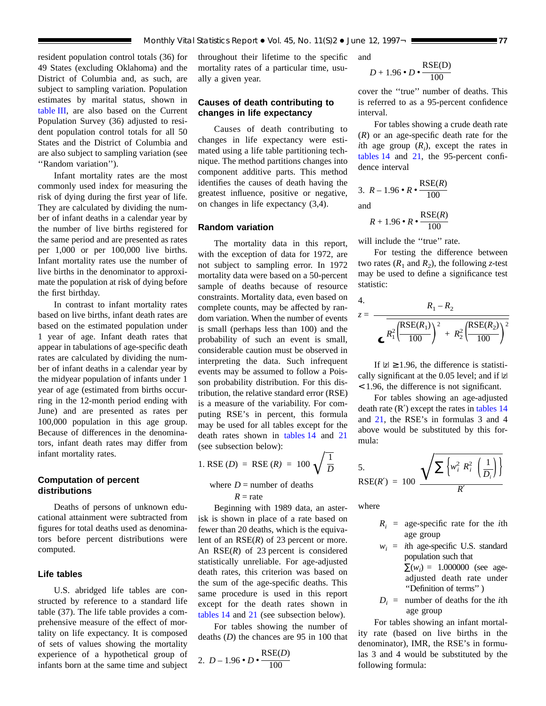resident population control totals (36) for 49 States (excluding Oklahoma) and the District of Columbia and, as such, are subject to sampling variation. Population estimates by marital status, shown in [table](#page-77-0) III, are also based on the Current Population Survey (36) adjusted to resident population control totals for all 50 States and the District of Columbia and are also subject to sampling variation (see "Random variation").

Infant mortality rates are the most commonly used index for measuring the risk of dying during the first year of life. They are calculated by dividing the number of infant deaths in a calendar year by the number of live births registered for the same period and are presented as rates per 1,000 or per 100,000 live births. Infant mortality rates use the number of live births in the denominator to approximate the population at risk of dying before the first birthday.

In contrast to infant mortality rates based on live births, infant death rates are based on the estimated population under 1 year of age. Infant death rates that appear in tabulations of age-specific death rates are calculated by dividing the number of infant deaths in a calendar year by the midyear population of infants under 1 year of age (estimated from births occurring in the 12-month period ending with June) and are presented as rates per 100,000 population in this age group. Because of differences in the denominators, infant death rates may differ from infant mortality rates.

# **Computation of percent distributions**

Deaths of persons of unknown educational attainment were subtracted from figures for total deaths used as denominators before percent distributions were computed.

# **Life tables**

U.S. abridged life tables are constructed by reference to a standard life table (37). The life table provides a comprehensive measure of the effect of mortality on life expectancy. It is composed of sets of values showing the mortality experience of a hypothetical group of infants born at the same time and subject

throughout their lifetime to the specific mortality rates of a particular time, usually a given year.

# **Causes of death contributing to changes in life expectancy**

Causes of death contributing to changes in life expectancy were estimated using a life table partitioning technique. The method partitions changes into component additive parts. This method identifies the causes of death having the greatest influence, positive or negative, on changes in life expectancy (3,4).

## **Random variation**

The mortality data in this report, with the exception of data for 1972, are not subject to sampling error. In 1972 mortality data were based on a 50-percent sample of deaths because of resource constraints. Mortality data, even based on complete counts, may be affected by random variation. When the number of events is small (perhaps less than 100) and the probability of such an event is small, considerable caution must be observed in interpreting the data. Such infrequent events may be assumed to follow a Poisson probability distribution. For this distribution, the relative standard error (RSE) is a measure of the variability. For computing RSE's in percent, this formula may be used for all tables except for the death rates shown in [tables](#page-49-0) 14 and [21](#page-59-0)

(see subsection below):  
1. RSE (*D*) = RSE (*R*) = 100 
$$
\sqrt{\frac{1}{D}}
$$

where  $D =$  number of deaths  $R =$ rate

Beginning with 1989 data, an asterisk is shown in place of a rate based on fewer than 20 deaths, which is the equivalent of an RSE(*R*) of 23 percent or more. An RSE(*R*) of 23 percent is considered statistically unreliable. For age-adjusted death rates, this criterion was based on the sum of the age-specific deaths. This same procedure is used in this report except for the death rates shown in [tables](#page-49-0) 14 and [21](#page-59-0) (see subsection below).

For tables showing the number of deaths (*D*) the chances are 95 in 100 that

2. 
$$
D-1.96 \cdot D \cdot \frac{\text{RSE}(D)}{100}
$$

and

$$
D+1.96\bullet D\bullet\frac{\rm RSE(D)}{100}
$$

cover the ''true'' number of deaths. This is referred to as a 95-percent confidence interval.

For tables showing a crude death rate (*R*) or an age-specific death rate for the *i*th age group  $(R_i)$ , except the rates in [tables](#page-49-0) 14 and [21,](#page-59-0) the 95-percent confidence interval

3. 
$$
R - 1.96 \cdot R \cdot \frac{\text{RSE}(R)}{100}
$$
  
and  $\text{RSE}(R)$ 

 $R + 1.96 \cdot R \cdot \frac{\text{RSE}(R)}{100}$ 100

will include the "true" rate.

For testing the difference between two rates  $(R_1 \text{ and } R_2)$ , the following *z*-test may be used to define a significance test statistic:

4.  
\n
$$
z = \frac{R_1 - R_2}{\sigma R_1^2 \left(\frac{\text{RSE}(R_1)}{100}\right)^2 + R_2^2 \left(\frac{\text{RSE}(R_2)}{100}\right)^2}
$$

If  $|z| \ge 1.96$ , the difference is statistically significant at the 0.05 level; and if  $|z|$ < 1.96, the difference is not significant.

For tables showing an age-adjusted death rate  $(R')$  except the rates in [tables](#page-49-0) 14 and [21,](#page-59-0) the RSE's in formulas 3 and 4 above would be substituted by this formula:

5.  
RSE(R') = 100 
$$
\frac{\sqrt{\sum \left\{w_i^2 R_i^2 \left(\frac{1}{D_i}\right)\right\}}}{R'}
$$

where

- $R_i$  = age-specific rate for the *i*th age group
- $w_i$  = *i*th age-specific U.S. standard population such that

 $\Sigma(w_i) = 1.000000$  (see ageadjusted death rate under ''Definition of terms'' )

 $D_i$  = number of deaths for the *i*th age group

For tables showing an infant mortality rate (based on live births in the denominator), IMR, the RSE's in formulas 3 and 4 would be substituted by the following formula: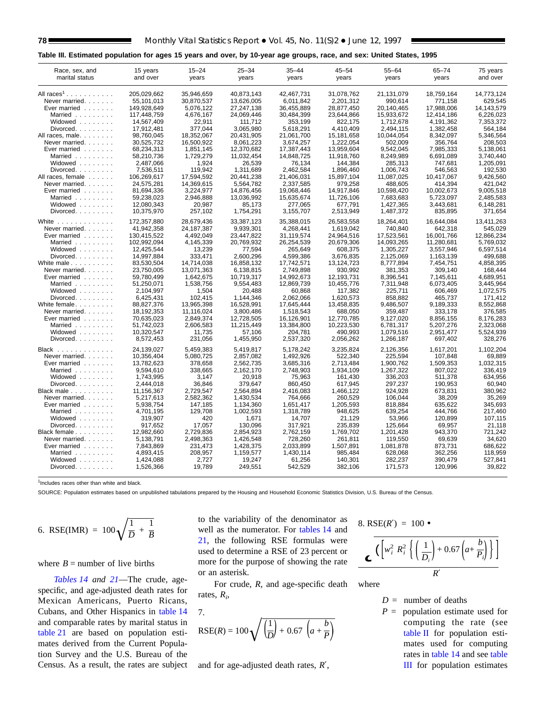### <span id="page-77-0"></span>**Table III. Estimated population for ages 15 years and over, by 10-year age groups, race, and sex: United States, 1995**

| Race, sex, and                       | 15 years    | $15 - 24$    | $25 - 34$  | $35 - 44$  | $45 - 54$  | 55-64      | $65 - 74$  | 75 years   |
|--------------------------------------|-------------|--------------|------------|------------|------------|------------|------------|------------|
| marital status                       | and over    | years        | years      | years      | years      | years      | years      | and over   |
| All $races1$                         | 205.029.662 | 35.946.659   | 40.873.143 | 42.467.731 | 31,078,762 | 21,131,079 | 18,759,164 | 14,773,124 |
| Never married.                       | 55,101,013  | 30,870,537   | 13.626.005 | 6,011,842  | 2,201,312  | 990.614    | 771,158    | 629,545    |
| Ever married                         | 149,928,649 | 5,076,122    | 27,247,138 | 36,455,889 | 28,877,450 | 20,140,465 | 17,988,006 | 14,143,579 |
| Married                              | 117.448.759 | 4.676.167    | 24.069.446 | 30.484.399 | 23.644.866 | 15.933.672 | 12.414.186 | 6.226.023  |
| Widowed                              | 14.567.409  | 22.911       | 111.712    | 353.199    | 822.175    | 1.712.678  | 4.191.362  | 7.353.372  |
| $Divored. \ldots \ldots$             | 17,912,481  | 377,044      | 3,065,980  | 5,618,291  | 4,410,409  | 2,494,115  | 1,382,458  | 564,184    |
| All races, male.                     | 98,760,045  | 18,352,067   | 20,431,905 | 21,061,700 | 15,181,658 | 10,044,054 | 8,342,097  | 5,346,564  |
| Never married.                       | 30,525,732  | 16,500,922   | 8,061,223  | 3,674,257  | 1,222,054  | 502,009    | 356,764    | 208,503    |
| Ever married                         | 68,234,313  | 1,851,145    | 12,370,682 | 17,387,443 | 13,959,604 | 9.542.045  | 7,985,333  | 5.138.061  |
| Married                              | 58,210,736  | 1,729,279    | 11,032,454 | 14,848,725 | 11,918,760 | 8,249,989  | 6,691,089  | 3,740,440  |
| Widowed                              | 2,487,066   | 1,924        | 26.539     | 76,134     | 144.384    | 285,313    | 747,681    | 1,205,091  |
| Divorced.                            | 7,536,511   | 119,942      | 1,311,689  | 2,462,584  | 1,896,460  | 1,006,743  | 546,563    | 192,530    |
| All races, female                    | 106,269,617 | 17,594,592   | 20,441,238 | 21,406,031 | 15,897,104 | 11,087,025 | 10,417,067 | 9,426,560  |
| Never married.                       | 24,575,281  | 14,369,615   | 5,564,782  | 2,337,585  | 979,258    | 488,605    | 414,394    | 421,042    |
| Ever married                         | 81,694,336  | 3,224,977    | 14,876,456 | 19,068,446 | 14,917,846 | 10,598,420 | 10,002,673 | 9,005,518  |
| Married                              | 59,238,023  | 2,946,888    | 13,036,992 | 15,635,674 | 11,726,106 | 7,683,683  | 5,723,097  | 2,485,583  |
| Widowed                              | 12,080,343  | 20,987       | 85,173     | 277,065    | 677,791    | 1,427,365  | 3,443,681  | 6,148,281  |
| Divorced.                            | 10,375,970  | 257,102      | 1,754,291  | 3,155,707  | 2,513,949  | 1,487,372  | 835,895    | 371,654    |
| White $\ldots$ , $\ldots$ , $\ldots$ | 172,357,880 | 28,679,436   | 33,387,123 | 35,388,015 | 26,583,558 | 18,264,401 | 16,644,084 | 13,411,263 |
| Never married.                       | 41,942,358  | 24, 187, 387 | 9,939,301  | 4,268,441  | 1,619,042  | 740,840    | 642,318    | 545,029    |
| Ever married                         | 130,415,522 | 4,492,049    | 23,447,822 | 31,119,574 | 24,964,516 | 17,523,561 | 16,001,766 | 12,866,234 |
| Married                              | 102,992,094 | 4,145,339    | 20.769.932 | 26,254,539 | 20,679,306 | 14,093,265 | 11,280,681 | 5,769,032  |
| Widowed                              | 12.425.544  | 13,239       | 77,594     | 265,649    | 608,375    | 1,305,227  | 3.557.946  | 6,597,514  |
| Divorced.                            | 14,997,884  | 333,471      | 2,600,296  | 4,599,386  | 3,676,835  | 2,125,069  | 1,163,139  | 499,688    |
| White male                           | 83,530,504  | 14,714,038   | 16,858,132 | 17,742,571 | 13,124,723 | 8,777,894  | 7,454,751  | 4,858,395  |
| Never married.                       | 23,750,005  | 13,071,363   | 6,138,815  | 2,749,898  | 930,992    | 381,353    | 309,140    | 168,444    |
| Ever married $\ldots$                | 59,780,499  | 1,642,675    | 10,719,317 | 14,992,673 | 12,193,731 | 8,396,541  | 7,145,611  | 4,689,951  |
| Married                              | 51,250,071  | 1,538,756    | 9,554,483  | 12.869.739 | 10,455,776 | 7,311,948  | 6,073,405  | 3,445,964  |
| Widowed                              | 2,104,997   | 1,504        | 20,488     | 60,868     | 117,382    | 225,711    | 606,469    | 1,072,575  |
| Divorced.                            | 6,425,431   | 102,415      | 1,144,346  | 2,062,066  | 1,620,573  | 858,882    | 465,737    | 171,412    |
| White female                         | 88,827,376  | 13,965,398   | 16,528,991 | 17,645,444 | 13,458,835 | 9,486,507  | 9,189,333  | 8.552.868  |
| Never married.                       | 18,192,353  | 11,116,024   | 3,800,486  | 1,518,543  | 688,050    | 359,487    | 333,178    | 376,585    |
| Ever married                         | 70.635.023  | 2.849.374    | 12,728,505 | 16.126.901 | 12.770.785 | 9.127.020  | 8.856.155  | 8,176,283  |
| Married                              | 51,742,023  | 2,606,583    | 11,215,449 | 13,384,800 | 10,223,530 | 6,781,317  | 5,207,276  | 2,323,068  |
| Widowed                              | 10,320,547  | 11,735       | 57,106     | 204,781    | 490,993    | 1,079,516  | 2.951.477  | 5,524,939  |
| Divorced.                            | 8,572,453   | 231,056      | 1,455,950  | 2,537,320  | 2,056,262  | 1,266,187  | 697,402    | 328,276    |
| Black                                | 24,139,027  | 5,459,383    | 5,419,817  | 5,178,242  | 3,235,824  | 2,126,356  | 1,617,201  | 1,102,204  |
| Never married.                       | 10,356,404  | 5,080,725    | 2,857,082  | 1,492,926  | 522,340    | 225,594    | 107,848    | 69,889     |
| Ever married                         | 13,782,623  | 378,658      | 2,562,735  | 3,685,316  | 2,713,484  | 1,900,762  | 1,509,353  | 1,032,315  |
| Married                              | 9.594.610   | 338.665      | 2,162,170  | 2,748,903  | 1,934,109  | 1,267,322  | 807,022    | 336.419    |
| Widowed                              | 1,743,995   | 3.147        | 20,918     | 75,963     | 161,430    | 336,203    | 511,378    | 634.956    |
| Divorced                             | 2,444,018   | 36.846       | 379.647    | 860,450    | 617,945    | 297,237    | 190,953    | 60,940     |
| Black male                           | 11,156,367  | 2,729,547    | 2,564,894  | 2,416,083  | 1,466,122  | 924.928    | 673,831    | 380,962    |
| Never married.                       | 5,217,613   | 2,582,362    | 1,430,534  | 764,666    | 260,529    | 106,044    | 38,209     | 35,269     |
| Ever married                         | 5.938.754   | 147.185      | 1,134,360  | 1,651,417  | 1.205.593  | 818.884    | 635.622    | 345.693    |
| Married                              | 4.701.195   | 129.708      | 1.002.593  | 1,318,789  | 948.625    | 639,254    | 444.766    | 217,460    |
| Widowed                              | 319,907     | 420          | 1,671      | 14,707     | 21,129     | 53,966     | 120.899    | 107,115    |
| Divorced.                            | 917.652     | 17.057       | 130.096    | 317,921    | 235,839    | 125,664    | 69.957     | 21,118     |
| Black female                         | 12,982,660  | 2,729,836    | 2,854,923  | 2,762,159  | 1,769,702  | 1,201,428  | 943,370    | 721,242    |
| Never married.                       | 5.138.791   | 2.498.363    | 1.426.548  | 728.260    | 261.811    | 119.550    | 69.639     | 34.620     |
| Ever married $\ldots$                | 7.843.869   | 231.473      | 1.428.375  | 2.033.899  | 1.507.891  | 1.081.878  | 873.731    | 686.622    |
| Married                              | 4,893,415   | 208,957      | 1,159,577  | 1,430,114  | 985,484    | 628,068    | 362,256    | 118,959    |
| Widowed                              | 1,424,088   | 2,727        | 19,247     | 61,256     | 140,301    | 282,237    | 390,479    | 527,841    |
| Divorced.                            | 1,526,366   | 19,789       | 249,551    | 542,529    | 382,106    | 171,573    | 120,996    | 39,822     |
|                                      |             |              |            |            |            |            |            |            |

1Includes races other than white and black.

SOURCE: Population estimates based on unpublished tabulations prepared by the Housing and Household Economic Statistics Division, U.S. Bureau of the Census.

6. RSE(IMR) = 
$$
100\sqrt{\frac{1}{D} + \frac{1}{B}}
$$

## where  $B =$  number of live births

*[Tables 14](#page-49-0) and [21](#page-59-0)*—The crude, agespecific, and age-adjusted death rates for Mexican Americans, Puerto Ricans, Cubans, and Other Hispanics in [table 14](#page-49-0) and comparable rates by marital status in [table 21](#page-59-0) are based on population estimates derived from the Current Population Survey and the U.S. Bureau of the Census. As a result, the rates are subject

to the variability of the denominator as well as the numerator. For [tables 14](#page-49-0) and [21,](#page-59-0) the following RSE formulas were used to determine a RSE of 23 percent or more for the purpose of showing the rate or an asterisk.

For crude, *R*, and age-specific death rates,  $R_i$ ,

$$
7. \hspace{20pt}
$$

$$
RSE(R) = 100 \sqrt{\left(\frac{1}{D}\right) + 0.67 \left(a + \frac{b}{P}\right)}
$$

and for age-adjusted death rates, *R*′,

8. RSE( $R'$ ) = 100 •

$$
\mathcal{L}\left\{ \left[ w_i^2 R_i^2 \left\{ \left( \frac{1}{D_i} \right) + 0.67 \left( a + \frac{b}{P_i} \right) \right\} \right] \right\}
$$

where

- $D =$  number of deaths
- *P* = population estimate used for computing the rate (see [table II](#page-75-0) for population estimates used for computing rates in [table 14](#page-49-0) and see table III for population estimates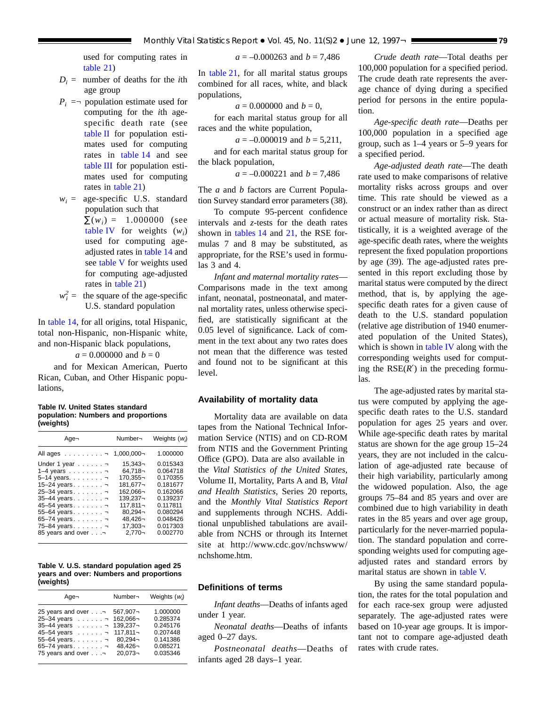used for computing rates in [table](#page-59-0) 21)

- $D_i$  = number of deaths for the *i*th age group
- $P_i$  = population estimate used for computing for the *i*th agespecific death rate (see [table](#page-75-0) II for population estimates used for computing rates in [table](#page-49-0) 14 and see [table](#page-77-0) III for population estimates used for computing rates in [table](#page-59-0) 21)
- $w_i$  = age-specific U.S. standard population such that  $\Sigma(w_i) = 1.000000$  (see table IV for weights  $(w_i)$ used for computing ageadjusted rates in [table](#page-49-0) 14 and see table V for weights used for computing age-adjusted rates in [table](#page-59-0) 21)
- $w_i^2$  = the square of the age-specific U.S. standard population

In [table](#page-49-0) 14, for all origins, total Hispanic, total non-Hispanic, non-Hispanic white, and non-Hispanic black populations,

 $a = 0.000000$  and  $b = 0$ 

and for Mexican American, Puerto Rican, Cuban, and Other Hispanic populations,

### **Table IV. United States standard population: Numbers and proportions (weights)**

| Aqe¬                                                                                                                                                                               | Number-                                                                                                                        | Weights $(w_i)$                                                                                                      |
|------------------------------------------------------------------------------------------------------------------------------------------------------------------------------------|--------------------------------------------------------------------------------------------------------------------------------|----------------------------------------------------------------------------------------------------------------------|
| ר הAll ages                                                                                                                                                                        | 1,000,000-                                                                                                                     | 1.000000                                                                                                             |
| Under 1 year ¬<br>$1-4$ years $\lnot$<br>-5-14 years. ¬<br>15-24 years<br>- 25-34 years. ¬<br>- 35-44 years. ¬<br>- 45–54 years. ¬<br>55-64 years<br>ר 5-74 years<br>ד 75–84 years | $15.343 -$<br>$64.718 -$<br>170.355-<br>181,677¬<br>162.066-<br>139.237-<br>$117.811 -$<br>$80.294 -$<br>48.426-<br>$17,303 -$ | 0.015343<br>0.064718<br>0.170355<br>0.181677<br>0.162066<br>0.139237<br>0.117811<br>0.080294<br>0.048426<br>0.017303 |
| P. 85 years and over                                                                                                                                                               | $2.770 -$                                                                                                                      | 0.002770                                                                                                             |

|           |  |  | Table V. U.S. standard population aged 25 |
|-----------|--|--|-------------------------------------------|
|           |  |  | years and over: Numbers and proportions   |
| (weights) |  |  |                                           |

| Age-              | Number-     | Weights $(w_i)$ |
|-------------------|-------------|-----------------|
| 25 years and over | 567,907-    | 1.000000        |
| 25-34 years ¬     | 162.066¬    | 0.285374        |
| 35-44 years ¬     | 139,237-    | 0.245176        |
| 45-54 years ¬     | $117.811 -$ | 0.207448        |
| 55-64 years       | $80.294 -$  | 0.141386        |
| 65-74 years       | $48.426 -$  | 0.085271        |
| 75 years and over | $20.073 -$  | 0.035346        |

*a* = –0.000263 and *b* = 7,486

In [table](#page-59-0) 21, for all marital status groups combined for all races, white, and black populations,

 $a = 0.000000$  and  $b = 0$ ,

for each marital status group for all races and the white population,

 $a = -0.000019$  and  $b = 5,211$ ,

and for each marital status group for the black population,

 $a = -0.000221$  and  $b = 7,486$ 

The *a* and *b* factors are Current Population Survey standard error parameters (38).

To compute 95-percent confidence intervals and *z*-tests for the death rates shown in [tables](#page-49-0) 14 and [21,](#page-59-0) the RSE formulas 7 and 8 may be substituted, as appropriate, for the RSE's used in formulas 3 and 4.

*Infant and maternal mortality rates*— Comparisons made in the text among infant, neonatal, postneonatal, and maternal mortality rates, unless otherwise specified, are statistically significant at the 0.05 level of significance. Lack of comment in the text about any two rates does not mean that the difference was tested and found not to be significant at this level.

## **Availability of mortality data**

Mortality data are available on data tapes from the National Technical Information Service (NTIS) and on CD-ROM from NTIS and the Government Printing Office (GPO). Data are also available in the *Vital Statistics of the United States,* Volume II, Mortality, Parts A and B, *Vital and Health Statistics,* Series 20 reports, and the *Monthly Vital Statistics Report* and supplements through NCHS. Additional unpublished tabulations are available from NCHS or through its Internet site at http://www.cdc.gov/nchswww/ nchshome.htm.

### **Definitions of terms**

*Infant deaths*—Deaths of infants aged under 1 year.

*Neonatal deaths*—Deaths of infants aged 0–27 days.

*Postneonatal deaths*—Deaths of infants aged 28 days–1 year.

*Crude death rate*—Total deaths per 100,000 population for a specified period. The crude death rate represents the average chance of dying during a specified period for persons in the entire population.

*Age-specific death rate*—Deaths per 100,000 population in a specified age group, such as 1–4 years or 5–9 years for a specified period.

*Age-adjusted death rate*—The death rate used to make comparisons of relative mortality risks across groups and over time. This rate should be viewed as a construct or an index rather than as direct or actual measure of mortality risk. Statistically, it is a weighted average of the age-specific death rates, where the weights represent the fixed population proportions by age (39). The age-adjusted rates presented in this report excluding those by marital status were computed by the direct method, that is, by applying the agespecific death rates for a given cause of death to the U.S. standard population (relative age distribution of 1940 enumerated population of the United States), which is shown in table IV along with the corresponding weights used for computing the  $RSE(R')$  in the preceding formulas.

The age-adjusted rates by marital status were computed by applying the agespecific death rates to the U.S. standard population for ages 25 years and over. While age-specific death rates by marital status are shown for the age group 15–24 years, they are not included in the calculation of age-adjusted rate because of their high variability, particularly among the widowed population. Also, the age groups 75–84 and 85 years and over are combined due to high variability in death rates in the 85 years and over age group, particularly for the never-married population. The standard population and corresponding weights used for computing ageadjusted rates and standard errors by marital status are shown in table V.

By using the same standard population, the rates for the total population and for each race-sex group were adjusted separately. The age-adjusted rates were based on 10-year age groups. It is important not to compare age-adjusted death rates with crude rates.